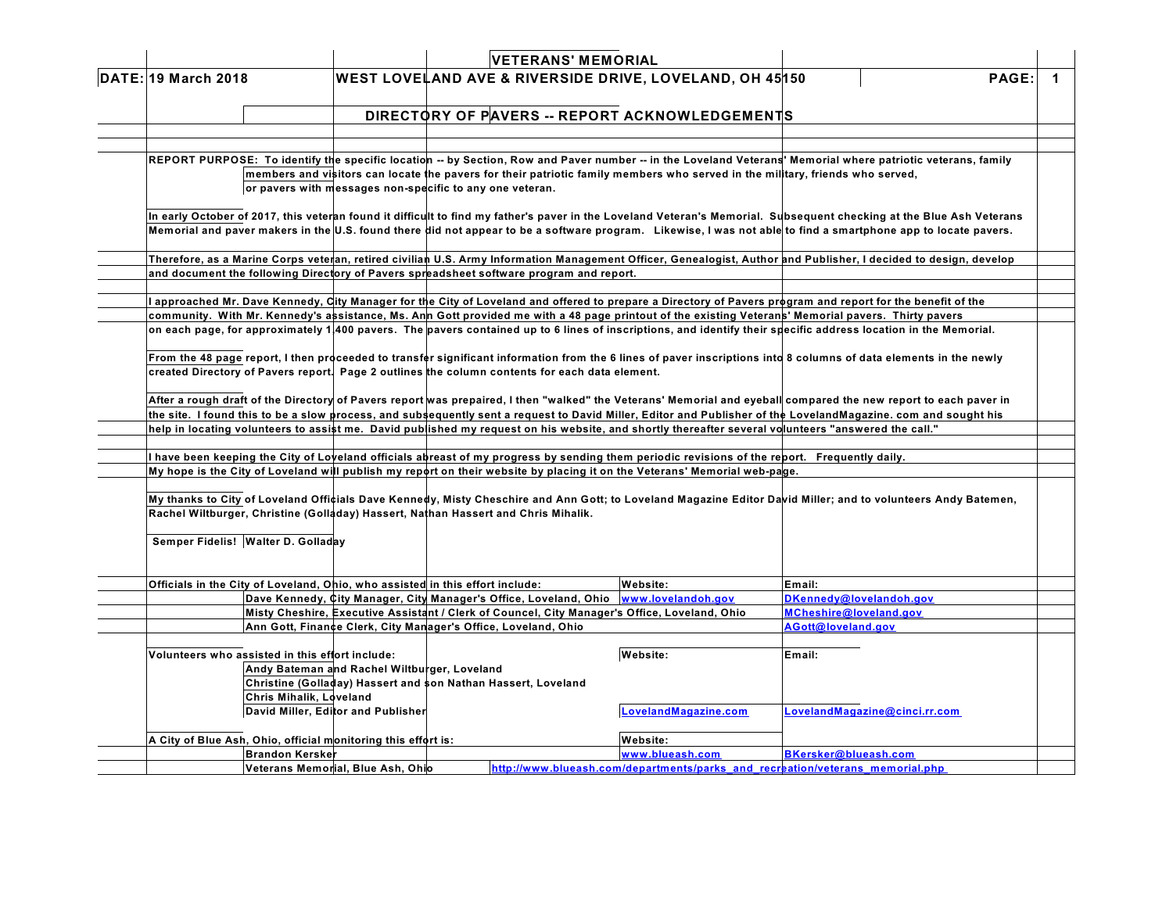| <b>DATE: 19 March 2018</b> |  |  |  |
|----------------------------|--|--|--|
|----------------------------|--|--|--|

### **VETERANS' MEMORIAL DATE: 19 March 2018 WEST LOVELAND AVE & RIVERSIDE DRIVE, LOVELAND, OH 45150 PAGE: 1**

## **DIRECTORY OF PAVERS -- REPORT ACKNOWLEDGEMENTS**

REPORT PURPOSE: To identify the specific location -- by Section, Row and Paver number -- in the Loveland Veterans' Memorial where patriotic veterans, family members and visitors can locate the pavers for their patriotic family members who served in the military, friends who served, **or pavers with messages non-specific to any one veteran.**

In early October of 2017, this veteran found it difficult to find my father's paver in the Loveland Veteran's Memorial. Subsequent checking at the Blue Ash Veterans Memorial and paver makers in the U.S. found there did not appear to be a software program. Likewise, I was not able to find a smartphone app to locate pavers.

Therefore, as a Marine Corps veteran, retired civilian U.S. Army Information Management Officer, Genealogist, Author and Publisher, I decided to design, develop **and document the following Directory of Pavers spreadsheet software program and report.**

I approached Mr. Dave Kennedy, City Manager for the City of Loveland and offered to prepare a Directory of Pavers program and report for the benefit of the community. With Mr. Kennedy's assistance, Ms. Ann Gott provided me with a 48 page printout of the existing Veterans' Memorial pavers. Thirty pavers on each page, for approximately 1,400 pavers. The pavers contained up to 6 lines of inscriptions, and identify their specific address location in the Memorial.

From the 48 page report, I then proceeded to transfer significant information from the 6 lines of paver inscriptions into 8 columns of data elements in the newly **created Directory of Pavers report. Page 2 outlines the column contents for each data element.**

After a rough draft of the Directory of Pavers report was prepaired, I then "walked" the Veterans' Memorial and eyeball compared the new report to each paver in the site. I found this to be a slow process, and subsequently sent a request to David Miller, Editor and Publisher of the LovelandMagazine. com and sought his help in locating volunteers to assist me. David published my request on his website, and shortly thereafter several volunteers "answered the call."

I have been keeping the City of Loveland officials abreast of my progress by sending them periodic revisions of the report. Frequently daily. My hope is the City of Loveland will publish my report on their website by placing it on the Veterans' Memorial web-page.

My thanks to City of Loveland Officials Dave Kennedy, Misty Cheschire and Ann Gott; to Loveland Magazine Editor David Miller; and to volunteers Andy Batemen, **Rachel Wiltburger, Christine (Golladay) Hassert, Nathan Hassert and Chris Mihalik.**

**Semper Fidelis! Walter D. Golladay**

| Officials in the City of Loveland. Ohio, who assisted in this effort include:                 | Website:                                                                      | Email:                  |                               |
|-----------------------------------------------------------------------------------------------|-------------------------------------------------------------------------------|-------------------------|-------------------------------|
| Dave Kennedy, City Manager, City Manager's Office, Loveland, Ohio www.lovelandoh.gov          |                                                                               | DKennedy@lovelandoh.gov |                               |
| Misty Cheshire, Executive Assistant / Clerk of Councel, City Manager's Office, Loveland, Ohio |                                                                               | MCheshire@loveland.gov  |                               |
| Ann Gott, Finance Clerk, City Manager's Office, Loveland, Ohio                                |                                                                               | AGott@loveland.gov      |                               |
|                                                                                               |                                                                               |                         |                               |
| Volunteers who assisted in this effort include:                                               | Website:                                                                      | Email:                  |                               |
| Andy Bateman and Rachel Wiltburger, Loveland                                                  |                                                                               |                         |                               |
| Christine (Golladay) Hassert and son Nathan Hassert, Loveland                                 |                                                                               |                         |                               |
| <b>Chris Mihalik, Loveland</b>                                                                |                                                                               |                         |                               |
| David Miller, Editor and Publisher                                                            | LovelandMagazine.com                                                          |                         | LovelandMagazine@cinci.rr.com |
|                                                                                               |                                                                               |                         |                               |
| A City of Blue Ash, Ohio, official monitoring this effort is:                                 | Website:                                                                      |                         |                               |
| Brandon Kersker                                                                               | www.blueash.com                                                               | BKersker@blueash.com    |                               |
| Veterans Memorial, Blue Ash, Ohio                                                             | http://www.blueash.com/departments/parks and recreation/veterans memorial.php |                         |                               |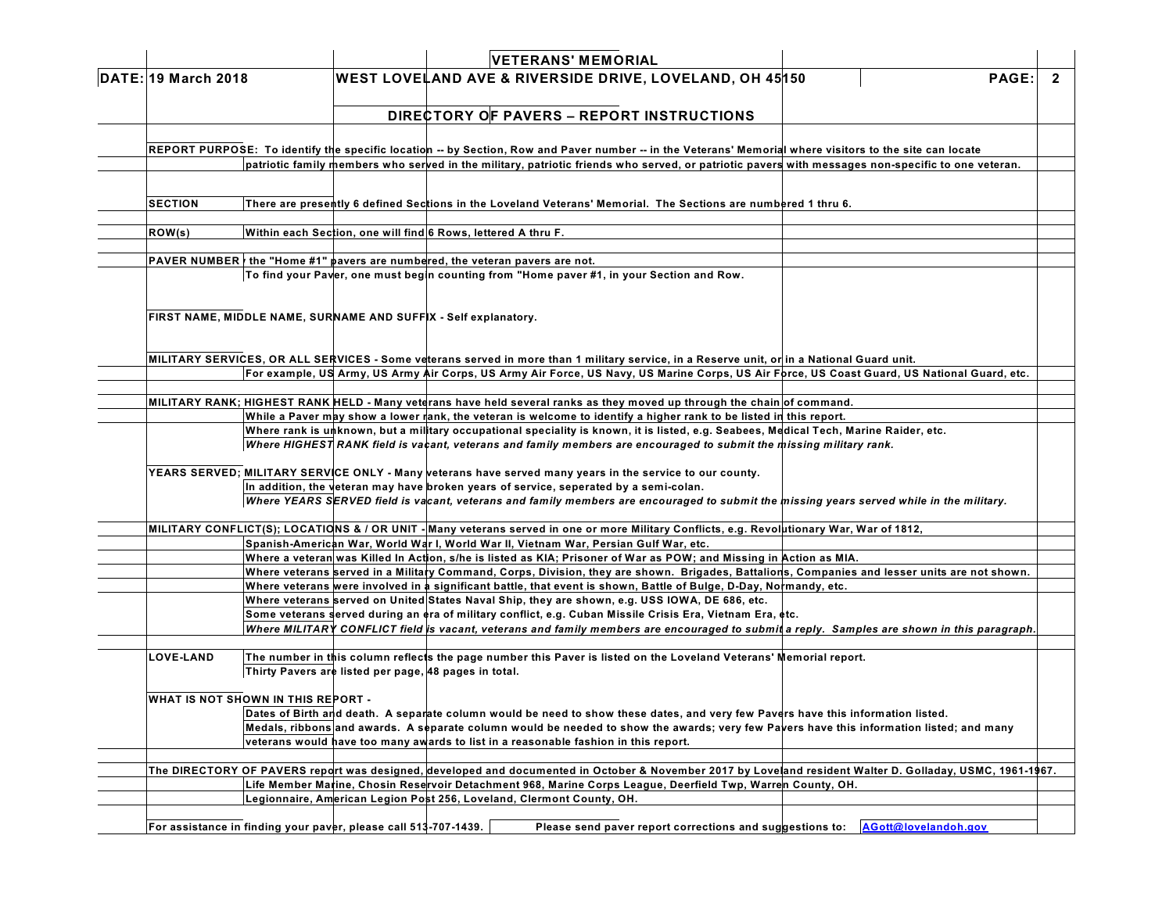### **VETERANS' MEMORIAL DATE: 19 March 2018 WEST LOVELAND AVE & RIVERSIDE DRIVE, LOVELAND, OH 45150 PAGE: 2**

# **DIRECTORY OF PAVERS – REPORT INSTRUCTIONS**

REPORT PURPOSE: To identify the specific location -- by Section, Row and Paver number -- in the Veterans' Memorial where visitors to the site can locate patriotic family members who served in the military, patriotic friends who served, or patriotic pavers with messages non-specific to one veteran.

SECTION There are presently 6 defined Sections in the Loveland Veterans' Memorial. The Sections are numbered 1 thru 6.

**ROW(s) Within each Section, one will find 6 Rows, lettered A thru F.**

**PAVER NUMBERy the "Home #1" pavers are numbered, the veteran pavers are not. To find your Paver, one must begin counting from "Home paver #1, in your Section and Row.**

**FIRST NAME, MIDDLE NAME, SURNAME AND SUFFIX - Self explanatory.**

MILITARY SERVICES, OR ALL SERVICES - Some veterans served in more than 1 military service, in a Reserve unit, or in a National Guard unit. For example, US Army, US Army Air Corps, US Army Air Force, US Navy, US Marine Corps, US Air Force, US Coast Guard, US National Guard, etc.

MILITARY RANK; HIGHEST RANK HELD - Many veterans have held several ranks as they moved up through the chain of command.

While a Paver may show a lower rank, the veteran is welcome to identify a higher rank to be listed in this report.

Where rank is unknown, but a military occupational speciality is known, it is listed, e.g. Seabees, Medical Tech, Marine Raider, etc.

Where HIGHEST RANK field is vacant, veterans and family members are encouraged to submit the missing military rank.

YEARS SERVED; MILITARY SERVICE ONLY - Many veterans have served many years in the service to our county.

**In addition, the veteran may have broken years of service, seperated by a semi-colan.**

Where YEARS SERVED field is vacant, veterans and family members are encouraged to submit the missing years served while in the military.

MILITARY CONFLICT(S); LOCATIONS & / OR UNIT - Many veterans served in one or more Military Conflicts, e.g. Revolutionary War, War of 1812,

**Spanish-American War, World War I, World War II, Vietnam War, Persian Gulf War, etc.**

Where a veteran was Killed In Action, s/he is listed as KIA; Prisoner of War as POW; and Missing in Action as MIA.

Where veterans served in a Military Command, Corps, Division, they are shown. Brigades, Battalions, Companies and lesser units are not shown.

Where veterans were involved in a significant battle, that event is shown, Battle of Bulge, D-Day, Normandy, etc.

**Where veterans served on United States Naval Ship, they are shown, e.g. USS IOWA, DE 686, etc.**

**Some veterans served during an era of military conflict, e.g. Cuban Missile Crisis Era, Vietnam Era, etc.**

Where MILITARY CONFLICT field is vacant, veterans and family members are encouraged to submit a reply. Samples are shown in this paragraph.

LOVE-LAND The number in this column reflects the page number this Paver is listed on the Loveland Veterans' Memorial report. **Thirty Pavers are listed per page, 48 pages in total.**

**WHAT IS NOT SHOWN IN THIS REPORT -**

Dates of Birth and death. A separate column would be need to show these dates, and very few Pavers have this information listed. Medals, ribbons and awards. A separate column would be needed to show the awards; very few Pavers have this information listed; and many **veterans would have too many awards to list in a reasonable fashion in this report.**

The DIRECTORY OF PAVERS report was designed, developed and documented in October & November 2017 by Loveland resident Walter D. Golladay, USMC, 1961-1967. **Life Member Marine, Chosin Reservoir Detachment 968, Marine Corps League, Deerfield Twp, Warren County, OH. Legionnaire, American Legion Post 256, Loveland, Clermont County, OH.**

For assistance in finding your paver, please call 513-707-1439. Please send payer report corrections and suggestions to: A Gott@lovelandoh.gov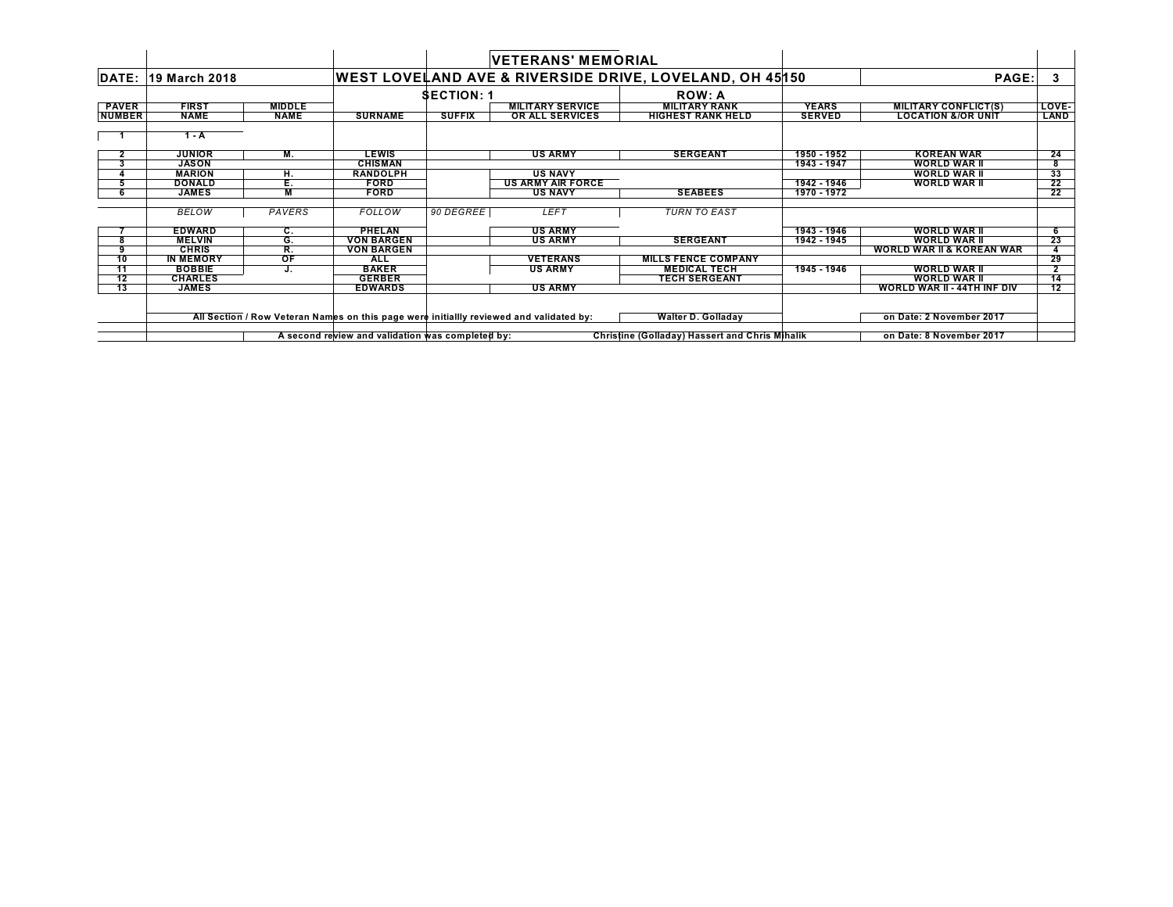|               |                            |               |                                                  |                 | <b>VETERANS' MEMORIAL</b>                                                               |                                                         |               |                                      |                 |
|---------------|----------------------------|---------------|--------------------------------------------------|-----------------|-----------------------------------------------------------------------------------------|---------------------------------------------------------|---------------|--------------------------------------|-----------------|
|               | <b>DATE: 19 March 2018</b> |               |                                                  |                 |                                                                                         | WEST LOVELAND AVE & RIVERSIDE DRIVE, LOVELAND, OH 45150 |               | PAGE:                                | 3               |
|               |                            |               |                                                  | <b>SECTION:</b> |                                                                                         | <b>ROW: A</b>                                           |               |                                      |                 |
| <b>PAVER</b>  | <b>FIRST</b>               | <b>MIDDLE</b> |                                                  |                 | <b>MILITARY SERVICE</b>                                                                 | <b>MILITARY RANK</b>                                    | <b>YEARS</b>  | <b>MILITARY CONFLICT(S)</b>          | LOVE-           |
| <b>NUMBER</b> | <b>NAME</b>                | <b>NAME</b>   | <b>SURNAME</b>                                   | <b>SUFFIX</b>   | OR ALL SERVICES                                                                         | <b>HIGHEST RANK HELD</b>                                | <b>SERVED</b> | <b>LOCATION &amp;/OR UNIT</b>        | <b>LAND</b>     |
|               | $1 - A$                    |               |                                                  |                 |                                                                                         |                                                         |               |                                      |                 |
|               | <b>JUNIOR</b>              | М.            | <b>LEWIS</b>                                     |                 | <b>US ARMY</b>                                                                          | <b>SERGEANT</b>                                         | 1950 - 1952   | <b>KOREAN WAR</b>                    | 24              |
|               | <b>JASON</b>               |               | <b>CHISMAN</b>                                   |                 |                                                                                         |                                                         | 1943 - 1947   | <b>WORLD WAR II</b>                  | 8               |
|               | <b>MARION</b>              | н.            | <b>RANDOLPH</b>                                  |                 | <b>US NAVY</b>                                                                          |                                                         |               | <b>WORLD WAR II</b>                  | 33              |
|               | <b>DONALD</b>              | Е.            | <b>FORD</b>                                      |                 | <b>US ARMY AIR FORCE</b>                                                                |                                                         | 1942 - 1946   | <b>WORLD WAR II</b>                  | 22              |
| 6             | <b>JAMES</b>               | M             | <b>FORD</b>                                      |                 | <b>US NAVY</b>                                                                          | <b>SEABEES</b>                                          | 1970 - 1972   |                                      | 22              |
|               | <b>BELOW</b>               | PAVERS        | <b>FOLLOW</b>                                    | 90 DEGREE       | <b>LEFT</b>                                                                             | <b>TURN TO EAST</b>                                     |               |                                      |                 |
|               | <b>EDWARD</b>              | С.            | <b>PHELAN</b>                                    |                 | <b>US ARMY</b>                                                                          |                                                         | 1943 - 1946   | <b>WORLD WAR II</b>                  |                 |
| 8             | <b>MELVIN</b>              | G.            | <b>VON BARGEN</b>                                |                 | <b>US ARMY</b>                                                                          | <b>SERGEANT</b>                                         | 1942 - 1945   | <b>WORLD WAR II</b>                  | 23              |
| 9             | <b>CHRIS</b>               | R.            | <b>VON BARGEN</b>                                |                 |                                                                                         |                                                         |               | <b>WORLD WAR II &amp; KOREAN WAR</b> |                 |
| 10            | <b>IN MEMORY</b>           | OF            | <b>ALL</b>                                       |                 | <b>VETERANS</b>                                                                         | <b>MILLS FENCE COMPANY</b>                              |               |                                      | 29              |
| 11            | <b>BOBBIE</b>              |               | <b>BAKER</b>                                     |                 | <b>US ARMY</b>                                                                          | <b>MEDICAL TECH</b>                                     | 1945 - 1946   | <b>WORLD WAR II</b>                  |                 |
| 12            | <b>CHARLES</b>             |               | <b>GERBER</b>                                    |                 |                                                                                         | <b>TECH SERGEANT</b>                                    |               | <b>WORLD WAR II</b>                  | 14              |
| 13            | <b>JAMES</b>               |               | <b>EDWARDS</b>                                   |                 | <b>US ARMY</b>                                                                          |                                                         |               | WORLD WAR II - 44TH INF DIV          | $\overline{12}$ |
|               |                            |               |                                                  |                 |                                                                                         |                                                         |               |                                      |                 |
|               |                            |               |                                                  |                 | All Section / Row Veteran Names on this page were initiallly reviewed and validated by: | <b>Walter D. Golladay</b>                               |               | on Date: 2 November 2017             |                 |
|               |                            |               | A second review and validation was completed by: |                 |                                                                                         | Christine (Golladay) Hassert and Chris Mihalik          |               | on Date: 8 November 2017             |                 |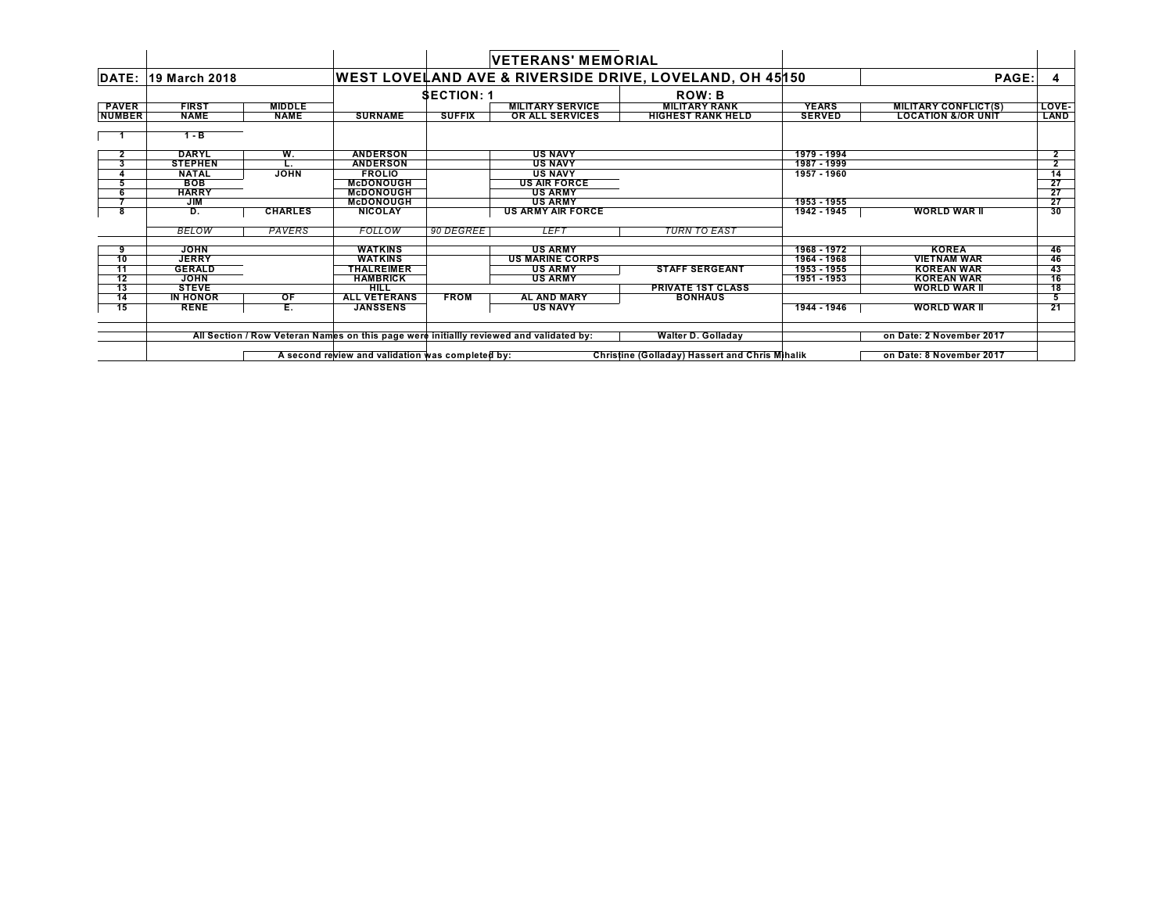|                |                 |                |                                                  | <b>VETERANS' MEMORIAL</b> |                                                                                         |                                                                    |               |                               |                 |
|----------------|-----------------|----------------|--------------------------------------------------|---------------------------|-----------------------------------------------------------------------------------------|--------------------------------------------------------------------|---------------|-------------------------------|-----------------|
| DATE:          | 19 March 2018   |                |                                                  |                           |                                                                                         | <b>WEST LOVELAND AVE &amp; RIVERSIDE DRIVE, LOVELAND, OH 45150</b> |               | PAGE:                         |                 |
|                |                 |                |                                                  | <b>SECTION:</b>           |                                                                                         | <b>ROW: B</b>                                                      |               |                               |                 |
| <b>PAVER</b>   | <b>FIRST</b>    | <b>MIDDLE</b>  |                                                  |                           | <b>MILITARY SERVICE</b>                                                                 | <b>MILITARY RANK</b>                                               | <b>YEARS</b>  | <b>MILITARY CONFLICT(S)</b>   | LOVE-           |
| <b>NUMBER</b>  | <b>NAME</b>     | <b>NAME</b>    | <b>SURNAME</b>                                   | <b>SUFFIX</b>             | <b>OR ALL SERVICES</b>                                                                  | <b>HIGHEST RANK HELD</b>                                           | <b>SERVED</b> | <b>LOCATION &amp;/OR UNIT</b> | <b>LAND</b>     |
|                | $1 - B$         |                |                                                  |                           |                                                                                         |                                                                    |               |                               |                 |
| $\overline{2}$ | <b>DARYL</b>    | W.             | <b>ANDERSON</b>                                  |                           | <b>US NAVY</b>                                                                          |                                                                    | 1979 - 1994   |                               | 2               |
| 3              | <b>STEPHEN</b>  |                | <b>ANDERSON</b>                                  |                           | <b>US NAVY</b>                                                                          |                                                                    | 1987 - 1999   |                               | $\overline{2}$  |
|                | <b>NATAL</b>    | <b>JOHN</b>    | <b>FROLIO</b>                                    |                           | <b>US NAVY</b>                                                                          |                                                                    | 1957 - 1960   |                               | $\frac{14}{27}$ |
|                | <b>BOB</b>      |                | <b>McDONOUGH</b>                                 |                           | <b>US AIR FORCE</b>                                                                     |                                                                    |               |                               |                 |
|                | <b>HARRY</b>    |                | <b>McDONOUGH</b>                                 |                           | <b>US ARMY</b>                                                                          |                                                                    |               |                               | $\frac{27}{27}$ |
|                | <b>JIM</b>      |                | <b>McDONOUGH</b>                                 |                           | <b>US ARMY</b>                                                                          |                                                                    | 1953 - 1955   |                               |                 |
| 8              | D.              | <b>CHARLES</b> | <b>NICOLAY</b>                                   |                           | <b>US ARMY AIR FORCE</b>                                                                |                                                                    | 1942 - 1945   | <b>WORLD WAR II</b>           | 30              |
|                | <b>BELOW</b>    | PAVERS         | <b>FOLLOW</b>                                    | 90 DEGREE                 | <b>LEFT</b>                                                                             | <b>TURN TO EAST</b>                                                |               |                               |                 |
| 9              | <b>JOHN</b>     |                | <b>WATKINS</b>                                   |                           | <b>US ARMY</b>                                                                          |                                                                    | 1968 - 1972   | <b>KOREA</b>                  | 46              |
| 10             | <b>JERRY</b>    |                | <b>WATKINS</b>                                   |                           | <b>US MARINE CORPS</b>                                                                  |                                                                    | 1964 - 1968   | <b>VIETNAM WAR</b>            | 46              |
| 11             | <b>GERALD</b>   |                | <b>THALREIMER</b>                                |                           | <b>US ARMY</b>                                                                          | <b>STAFF SERGEANT</b>                                              | 1953 - 1955   | <b>KOREAN WAR</b>             | 43              |
| 12             | <b>JOHN</b>     |                | <b>HAMBRICK</b>                                  |                           | <b>US ARMY</b>                                                                          |                                                                    | 1951 - 1953   | <b>KOREAN WAR</b>             | 16              |
| 13             | <b>STEVE</b>    |                | HILL                                             |                           |                                                                                         | <b>PRIVATE 1ST CLASS</b>                                           |               | <b>WORLD WAR II</b>           | 18              |
| 14             | <b>IN HONOR</b> | OF             | <b>ALL VETERANS</b>                              | <b>FROM</b>               | <b>AL AND MARY</b>                                                                      | <b>BONHAUS</b>                                                     |               |                               |                 |
| 15             | <b>RENE</b>     | E.             | <b>JANSSENS</b>                                  |                           | <b>US NAVY</b>                                                                          |                                                                    | 1944 - 1946   | <b>WORLD WAR II</b>           | 21              |
|                |                 |                |                                                  |                           | All Section / Row Veteran Names on this page were initiallly reviewed and validated by: | Walter D. Golladay                                                 |               | on Date: 2 November 2017      |                 |
|                |                 |                | A second review and validation was completed by: |                           |                                                                                         | <b>Christine (Golladay) Hassert and Chris Mihalik</b>              |               | on Date: 8 November 2017      |                 |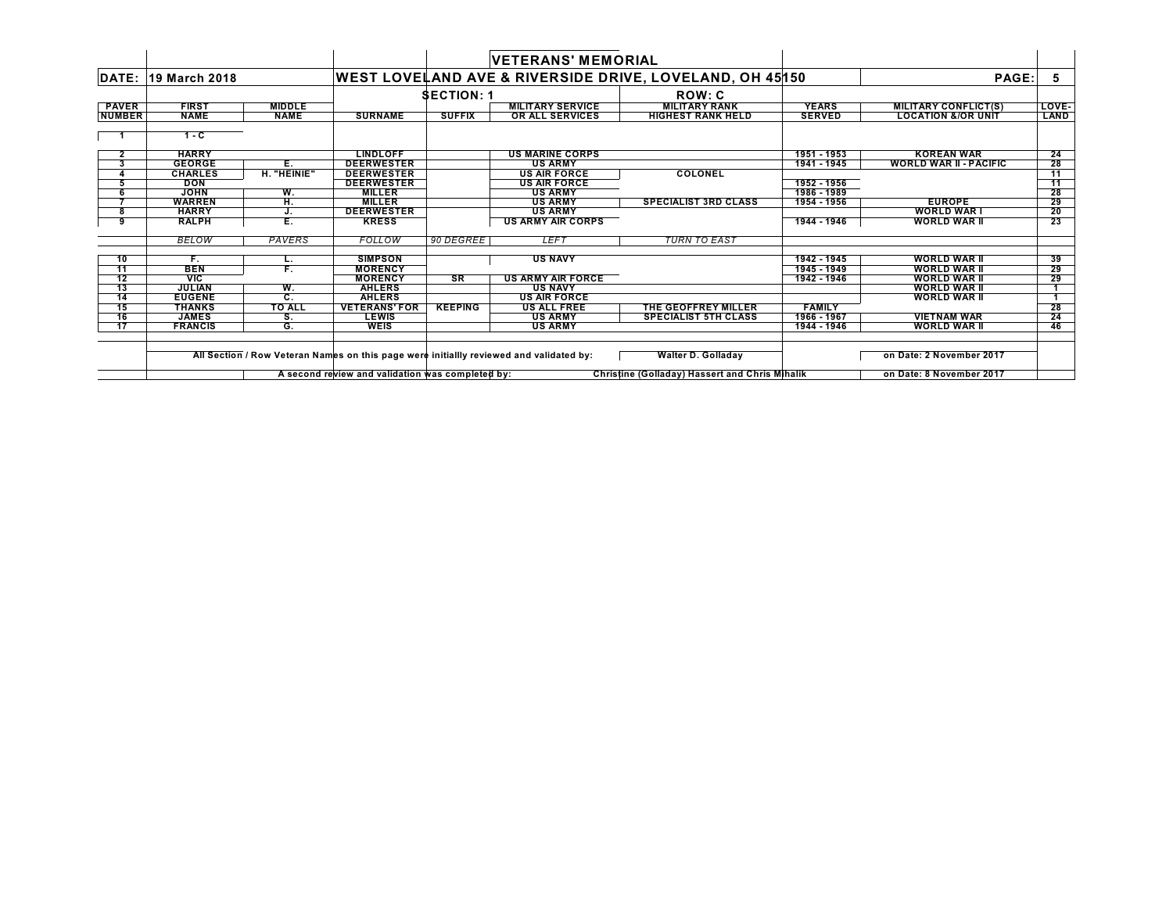|               |                            |               |                                                  |                   | <b>VETERANS' MEMORIAL</b>                                                               |                                                                    |               |                               |       |
|---------------|----------------------------|---------------|--------------------------------------------------|-------------------|-----------------------------------------------------------------------------------------|--------------------------------------------------------------------|---------------|-------------------------------|-------|
|               | <b>DATE: 19 March 2018</b> |               |                                                  |                   |                                                                                         | <b>WEST LOVELAND AVE &amp; RIVERSIDE DRIVE, LOVELAND, OH 45150</b> |               | PAGE:                         | -5    |
|               |                            |               |                                                  | <b>SECTION:</b> 1 |                                                                                         | <b>ROW: C</b>                                                      |               |                               |       |
| <b>PAVER</b>  | <b>FIRST</b>               | <b>MIDDLE</b> |                                                  |                   | <b>MILITARY SERVICE</b>                                                                 | <b>MILITARY RANK</b>                                               | <b>YEARS</b>  | <b>MILITARY CONFLICT(S)</b>   | LOVE- |
| <b>NUMBER</b> | <b>NAME</b>                | <b>NAME</b>   | <b>SURNAME</b>                                   | <b>SUFFIX</b>     | <b>OR ALL SERVICES</b>                                                                  | <b>HIGHEST RANK HELD</b>                                           | <b>SERVED</b> | <b>LOCATION &amp;/OR UNIT</b> | LAND  |
|               | 1 - C                      |               |                                                  |                   |                                                                                         |                                                                    |               |                               |       |
|               | <b>HARRY</b>               |               | <b>LINDLOFF</b>                                  |                   | <b>US MARINE CORPS</b>                                                                  |                                                                    | 1951 - 1953   | <b>KOREAN WAR</b>             | 24    |
| 3             | <b>GEORGE</b>              | Е.            | <b>DEERWESTER</b>                                |                   | <b>US ARMY</b>                                                                          |                                                                    | 1941 - 1945   | <b>WORLD WAR II - PACIFIC</b> | 28    |
|               | <b>CHARLES</b>             | H. "HEINIE"   | <b>DEERWESTER</b>                                |                   | <b>US AIR FORCE</b>                                                                     | <b>COLONEL</b>                                                     |               |                               | 11    |
|               | <b>DON</b>                 |               | <b>DEERWESTER</b>                                |                   | <b>US AIR FORCE</b>                                                                     |                                                                    | 1952 - 1956   |                               | $-11$ |
|               | <b>JOHN</b>                | W.            | <b>MILLER</b>                                    |                   | <b>US ARMY</b>                                                                          |                                                                    | 1986 - 1989   |                               | 28    |
|               | <b>WARREN</b>              | H.            | <b>MILLER</b>                                    |                   | <b>US ARMY</b>                                                                          | <b>SPECIALIST 3RD CLASS</b>                                        | 1954 - 1956   | <b>EUROPE</b>                 | 29    |
| 8             | <b>HARRY</b>               |               | <b>DEERWESTER</b>                                |                   | <b>US ARMY</b>                                                                          |                                                                    |               | <b>WORLD WAR I</b>            | 20    |
| 9             | <b>RALPH</b>               | Ε.            | <b>KRESS</b>                                     |                   | <b>US ARMY AIR CORPS</b>                                                                |                                                                    | 1944 - 1946   | <b>WORLD WAR II</b>           | 23    |
|               | <b>BELOW</b>               | PAVERS        | FOLLOW                                           | 90 DEGREE         | <b>LEFT</b>                                                                             | <b>TURN TO EAST</b>                                                |               |                               |       |
| 10            | F.                         | L.            | <b>SIMPSON</b>                                   |                   | <b>US NAVY</b>                                                                          |                                                                    | 1942 - 1945   | <b>WORLD WAR II</b>           | 39    |
| 11            | <b>BEN</b>                 | F.            | <b>MORENCY</b>                                   |                   |                                                                                         |                                                                    | 1945 - 1949   | <b>WORLD WAR II</b>           | 29    |
| 12            | <b>VIC</b>                 |               | <b>MORENCY</b>                                   | SR                | <b>US ARMY AIR FORCE</b>                                                                |                                                                    | 1942 - 1946   | <b>WORLD WAR II</b>           | 29    |
| 13            | <b>JULIAN</b>              | W.            | <b>AHLERS</b>                                    |                   | <b>US NAVY</b>                                                                          |                                                                    |               | <b>WORLD WAR II</b>           |       |
| 14            | <b>EUGENE</b>              | C.            | <b>AHLERS</b>                                    |                   | <b>US AIR FORCE</b>                                                                     |                                                                    |               | <b>WORLD WAR II</b>           |       |
| 15            | <b>THANKS</b>              | <b>TO ALL</b> | <b>VETERANS' FOR</b>                             | <b>KEEPING</b>    | <b>US ALL FREE</b>                                                                      | THE GEOFFREY MILLER                                                | <b>FAMILY</b> |                               | 28    |
| 16            | <b>JAMES</b>               | S.            | <b>LEWIS</b>                                     |                   | <b>US ARMY</b>                                                                          | <b>SPECIALIST 5TH CLASS</b>                                        | 1966 - 1967   | <b>VIETNAM WAR</b>            | 24    |
| 17            | <b>FRANCIS</b>             | G.            | <b>WEIS</b>                                      |                   | <b>US ARMY</b>                                                                          |                                                                    | 1944 - 1946   | <b>WORLD WAR II</b>           | 46    |
|               |                            |               |                                                  |                   | All Section / Row Veteran Names on this page were initiallly reviewed and validated by: | <b>Walter D. Golladay</b>                                          |               | on Date: 2 November 2017      |       |
|               |                            |               |                                                  |                   |                                                                                         |                                                                    |               |                               |       |
|               |                            |               | A second review and validation was completed by: |                   |                                                                                         | <b>Christine (Golladay) Hassert and Chris Mihalik</b>              |               | on Date: 8 November 2017      |       |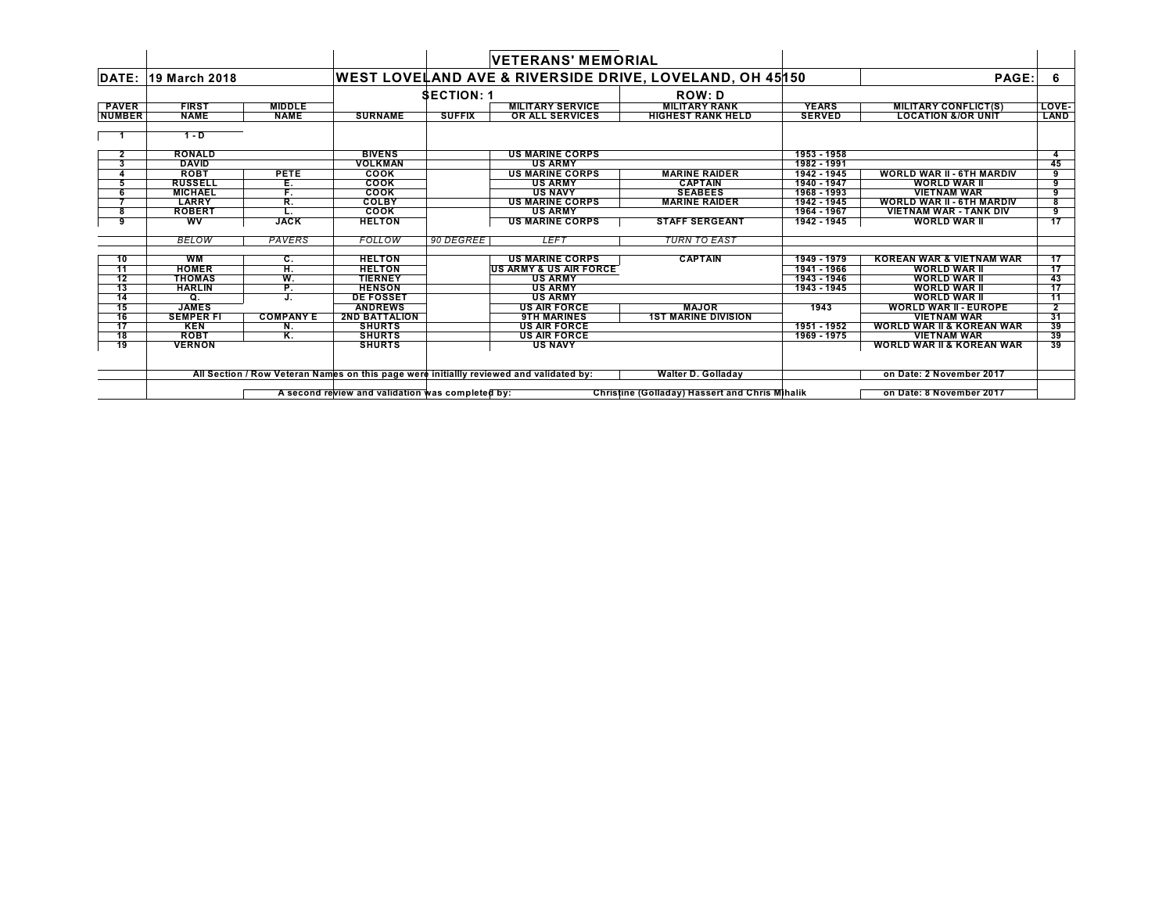|               |                     |                  |                                                  |                 | <b>VETERANS' MEMORIAL</b>                                                               |                                                         |               |                                      |              |
|---------------|---------------------|------------------|--------------------------------------------------|-----------------|-----------------------------------------------------------------------------------------|---------------------------------------------------------|---------------|--------------------------------------|--------------|
|               | DATE: 19 March 2018 |                  |                                                  |                 |                                                                                         | WEST LOVELAND AVE & RIVERSIDE DRIVE, LOVELAND, OH 45150 |               | PAGE:                                | 6            |
|               |                     |                  |                                                  | <b>SECTION:</b> |                                                                                         | <b>ROW: D</b>                                           |               |                                      |              |
| <b>PAVER</b>  | <b>FIRST</b>        | <b>MIDDLE</b>    |                                                  |                 | <b>MILITARY SERVICE</b>                                                                 | <b>MILITARY RANK</b>                                    | <b>YEARS</b>  | <b>MILITARY CONFLICT(S)</b>          | LOVE-        |
| <b>NUMBER</b> | <b>NAME</b>         | <b>NAME</b>      | <b>SURNAME</b>                                   | <b>SUFFIX</b>   | OR ALL SERVICES                                                                         | <b>HIGHEST RANK HELD</b>                                | <b>SERVED</b> | <b>LOCATION &amp;/OR UNIT</b>        | <b>LAND</b>  |
|               | $1 - D$             |                  |                                                  |                 |                                                                                         |                                                         |               |                                      |              |
|               | <b>RONALD</b>       |                  | <b>BIVENS</b>                                    |                 | <b>US MARINE CORPS</b>                                                                  |                                                         | 1953 - 1958   |                                      |              |
| 3             | <b>DAVID</b>        |                  | <b>VOLKMAN</b>                                   |                 | <b>US ARMY</b>                                                                          |                                                         | 1982 - 1991   |                                      | 45           |
|               | <b>ROBT</b>         | <b>PETE</b>      | <b>COOK</b>                                      |                 | <b>US MARINE CORPS</b>                                                                  | <b>MARINE RAIDER</b>                                    | 1942 - 1945   | <b>WORLD WAR II - 6TH MARDIV</b>     | 9            |
|               | <b>RUSSELL</b>      | Е.               | COOK                                             |                 | <b>US ARMY</b>                                                                          | <b>CAPTAIN</b>                                          | 1940 - 1947   | <b>WORLD WAR II</b>                  | 9            |
|               | <b>MICHAEL</b>      | F.               | <b>COOK</b>                                      |                 | <b>US NAVY</b>                                                                          | <b>SEABEES</b>                                          | 1968 - 1993   | <b>VIETNAM WAR</b>                   | 9            |
|               | <b>LARRY</b>        | R.               | <b>COLBY</b>                                     |                 | <b>US MARINE CORPS</b>                                                                  | <b>MARINE RAIDER</b>                                    | 1942 - 1945   | <b>WORLD WAR II - 6TH MARDIV</b>     | 8            |
| 8             | <b>ROBERT</b>       |                  | <b>COOK</b>                                      |                 | <b>US ARMY</b>                                                                          |                                                         | 1964 - 1967   | <b>VIETNAM WAR - TANK DIV</b>        | 9            |
| 9             | <b>WV</b>           | <b>JACK</b>      | <b>HELTON</b>                                    |                 | <b>US MARINE CORPS</b>                                                                  | <b>STAFF SERGEANT</b>                                   | 1942 - 1945   | <b>WORLD WAR II</b>                  | 17           |
|               | <b>BELOW</b>        | PAVERS           | FOLLOW                                           | 90 DEGREE       | <b>LEFT</b>                                                                             | <b>TURN TO EAST</b>                                     |               |                                      |              |
| 10            | WM                  | С.               | <b>HELTON</b>                                    |                 | <b>US MARINE CORPS</b>                                                                  | <b>CAPTAIN</b>                                          | 1949 - 1979   | <b>KOREAN WAR &amp; VIETNAM WAR</b>  | 17           |
| 11            | <b>HOMER</b>        | Ή.               | <b>HELTON</b>                                    |                 | <b>US ARMY &amp; US AIR FORCE</b>                                                       |                                                         | 1941 - 1966   | <b>WORLD WAR II</b>                  | 17           |
| 12            | <b>THOMAS</b>       | w.               | <b>TIERNEY</b>                                   |                 | <b>US ARMY</b>                                                                          |                                                         | 1943 - 1946   | <b>WORLD WAR II</b>                  | 43           |
| 13            | <b>HARLIN</b>       | P.               | <b>HENSON</b>                                    |                 | <b>US ARMY</b>                                                                          |                                                         | 1943 - 1945   | <b>WORLD WAR II</b>                  | 17           |
| 14            | Q.                  | J.               | <b>DE FOSSET</b>                                 |                 | <b>US ARMY</b>                                                                          |                                                         |               | <b>WORLD WAR II</b>                  | 11           |
| 15            | <b>JAMES</b>        |                  | <b>ANDREWS</b>                                   |                 | <b>US AIR FORCE</b>                                                                     | <b>MAJOR</b>                                            | 1943          | <b>WORLD WAR II - EUROPE</b>         | $\mathbf{2}$ |
| 16            | <b>SEMPER FI</b>    | <b>COMPANY E</b> | <b>2ND BATTALION</b>                             |                 | <b>9TH MARINES</b>                                                                      | <b>1ST MARINE DIVISION</b>                              |               | <b>VIETNAM WAR</b>                   | 31           |
| 17            | <b>KEN</b>          | N.               | <b>SHURTS</b>                                    |                 | <b>US AIR FORCE</b>                                                                     |                                                         | 1951 - 1952   | <b>WORLD WAR II &amp; KOREAN WAR</b> | 39           |
| 18            | <b>ROBT</b>         | κ.               | <b>SHURTS</b>                                    |                 | <b>US AIR FORCE</b>                                                                     |                                                         | 1969 - 1975   | <b>VIETNAM WAR</b>                   | 39           |
| 19            | <b>VERNON</b>       |                  | <b>SHURTS</b>                                    |                 | <b>US NAVY</b>                                                                          |                                                         |               | <b>WORLD WAR II &amp; KOREAN WAR</b> | 39           |
|               |                     |                  |                                                  |                 | All Section / Row Veteran Names on this page were initiallly reviewed and validated by: | <b>Walter D. Golladay</b>                               |               | on Date: 2 November 2017             |              |
|               |                     |                  | A second review and validation was completed by: |                 |                                                                                         | Christine (Golladay) Hassert and Chris Mihalik          |               | on Date: 8 November 2017             |              |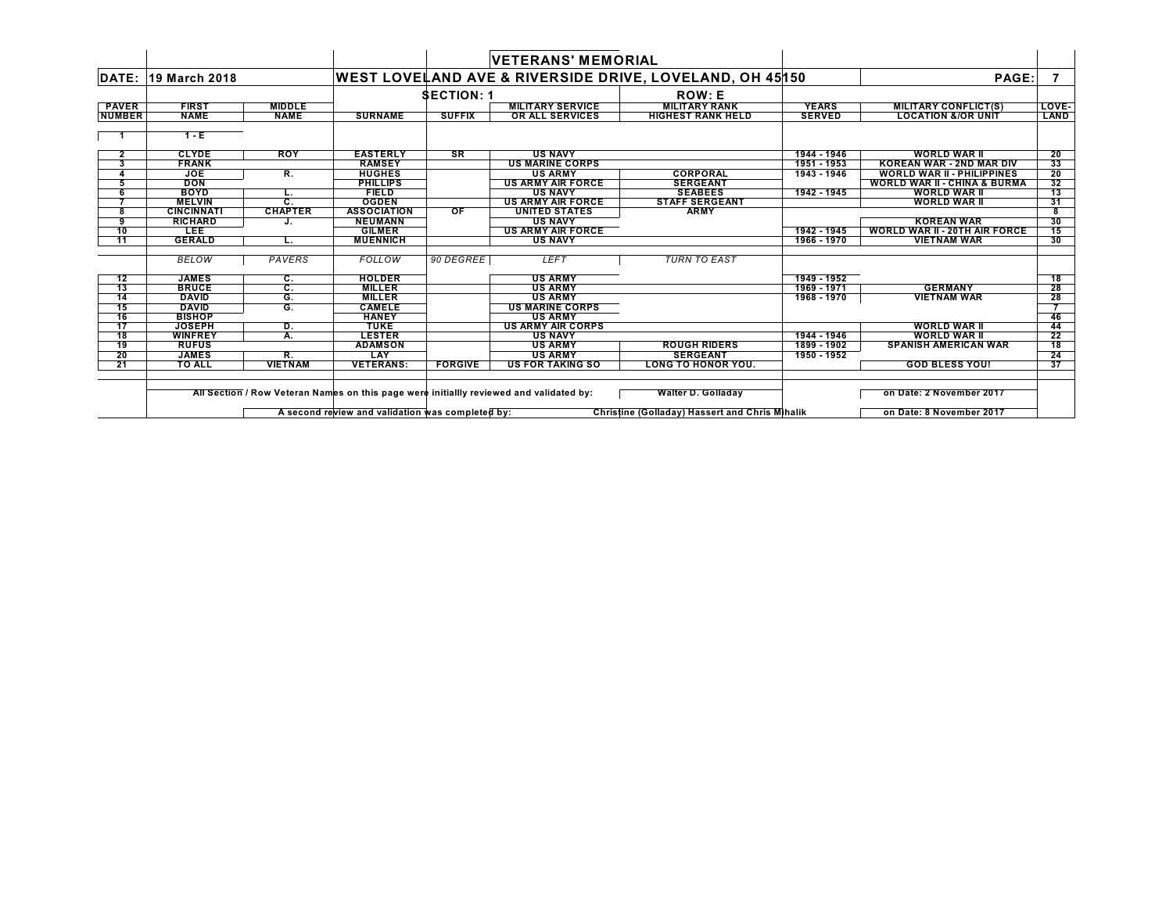|                 |                   |                  |                                                  |                 | <b>VETERANS' MEMORIAL</b>                                                               |                                                                    |               |                                         |       |
|-----------------|-------------------|------------------|--------------------------------------------------|-----------------|-----------------------------------------------------------------------------------------|--------------------------------------------------------------------|---------------|-----------------------------------------|-------|
| DATE:           | 19 March 2018     |                  |                                                  |                 |                                                                                         | <b>WEST LOVELAND AVE &amp; RIVERSIDE DRIVE, LOVELAND, OH 45150</b> |               | PAGE:                                   |       |
|                 |                   |                  |                                                  | <b>SECTION:</b> |                                                                                         | <b>ROW: E</b>                                                      |               |                                         |       |
| <b>PAVER</b>    | <b>FIRST</b>      | <b>MIDDLE</b>    |                                                  |                 | <b>MILITARY SERVICE</b>                                                                 | <b>MILITARY RANK</b>                                               | <b>YEARS</b>  | <b>MILITARY CONFLICT(S)</b>             | LOVE- |
| <b>NUMBER</b>   | <b>NAME</b>       | <b>NAME</b>      | <b>SURNAME</b>                                   | <b>SUFFIX</b>   | OR ALL SERVICES                                                                         | <b>HIGHEST RANK HELD</b>                                           | <b>SERVED</b> | <b>LOCATION &amp;/OR UNIT</b>           | LAND  |
|                 | $1 - E$           |                  |                                                  |                 |                                                                                         |                                                                    |               |                                         |       |
| $\mathbf{2}$    | <b>CLYDE</b>      | <b>ROY</b>       | <b>EASTERLY</b>                                  | <b>SR</b>       | <b>US NAVY</b>                                                                          |                                                                    | 1944 - 1946   | <b>WORLD WAR II</b>                     | 20    |
| 3               | <b>FRANK</b>      |                  | <b>RAMSEY</b>                                    |                 | <b>US MARINE CORPS</b>                                                                  |                                                                    | 1951 - 1953   | <b>KOREAN WAR - 2ND MAR DIV</b>         | 33    |
|                 | <b>JOE</b>        | R.               | <b>HUGHES</b>                                    |                 | <b>US ARMY</b>                                                                          | CORPORAL                                                           | 1943 - 1946   | <b>WORLD WAR II - PHILIPPINES</b>       | 20    |
|                 | <b>DON</b>        |                  | <b>PHILLIPS</b>                                  |                 | <b>US ARMY AIR FORCE</b>                                                                | <b>SERGEANT</b>                                                    |               | <b>WORLD WAR II - CHINA &amp; BURMA</b> | 32    |
|                 | <b>BOYD</b>       | L.               | <b>FIELD</b>                                     |                 | <b>US NAVY</b>                                                                          | <b>SEABEES</b>                                                     | 1942 - 1945   | <b>WORLD WAR II</b>                     | 13    |
|                 | <b>MELVIN</b>     | $\overline{c}$ . | <b>OGDEN</b>                                     |                 | <b>US ARMY AIR FORCE</b>                                                                | <b>STAFF SERGEANT</b>                                              |               | <b>WORLD WAR II</b>                     | 31    |
| 8               | <b>CINCINNATI</b> | <b>CHAPTER</b>   | <b>ASSOCIATION</b>                               | OF              | <b>UNITED STATES</b>                                                                    | <b>ARMY</b>                                                        |               |                                         |       |
| 9               | <b>RICHARD</b>    |                  | <b>NEUMANN</b>                                   |                 | <b>US NAVY</b>                                                                          |                                                                    |               | <b>KOREAN WAR</b>                       | 30    |
| 10              | <b>LEE</b>        |                  | <b>GILMER</b>                                    |                 | <b>US ARMY AIR FORCE</b>                                                                |                                                                    | 1942 - 1945   | <b>WORLD WAR II - 20TH AIR FORCE</b>    | 15    |
| 11              | <b>GERALD</b>     | L.               | <b>MUENNICH</b>                                  |                 | <b>US NAVY</b>                                                                          |                                                                    | 1966 - 1970   | <b>VIETNAM WAR</b>                      | 30    |
|                 | BELOW             | PAVERS           | FOLLOW                                           | 90 DEGREE       | <b>LEFT</b>                                                                             | <b>TURN TO EAST</b>                                                |               |                                         |       |
| 12              | <b>JAMES</b>      | C.               | <b>HOLDER</b>                                    |                 | <b>US ARMY</b>                                                                          |                                                                    | 1949 - 1952   |                                         | 18    |
| $\overline{13}$ | <b>BRUCE</b>      | C.               | <b>MILLER</b>                                    |                 | <b>US ARMY</b>                                                                          |                                                                    | 1969 - 1971   | <b>GERMANY</b>                          | 28    |
| 14              | <b>DAVID</b>      | G.               | <b>MILLER</b>                                    |                 | <b>US ARMY</b>                                                                          |                                                                    | 1968 - 1970   | <b>VIETNAM WAR</b>                      | 28    |
| 15              | <b>DAVID</b>      | G.               | <b>CAMELE</b>                                    |                 | <b>US MARINE CORPS</b>                                                                  |                                                                    |               |                                         |       |
| 16              | <b>BISHOP</b>     |                  | <b>HANEY</b>                                     |                 | <b>US ARMY</b>                                                                          |                                                                    |               |                                         | 46    |
| 17              | <b>JOSEPH</b>     | D.               | TUKE                                             |                 | <b>US ARMY AIR CORPS</b>                                                                |                                                                    |               | <b>WORLD WAR II</b>                     | 44    |
| 18              | <b>WINFREY</b>    | A.               | <b>LESTER</b>                                    |                 | <b>US NAVY</b>                                                                          |                                                                    | 1944 - 1946   | <b>WORLD WAR II</b>                     | 22    |
| 19              | <b>RUFUS</b>      |                  | <b>ADAMSON</b>                                   |                 | <b>US ARMY</b>                                                                          | <b>ROUGH RIDERS</b>                                                | 1899 - 1902   | <b>SPANISH AMERICAN WAR</b>             | 18    |
| 20              | <b>JAMES</b>      | R.               | LAY                                              |                 | <b>US ARMY</b>                                                                          | <b>SERGEANT</b>                                                    | 1950 - 1952   |                                         | 24    |
| -21             | <b>TO ALL</b>     | <b>VIETNAM</b>   | <b>VETERANS:</b>                                 | <b>FORGIVE</b>  | <b>US FOR TAKING SO</b>                                                                 | LONG TO HONOR YOU.                                                 |               | <b>GOD BLESS YOU!</b>                   | 37    |
|                 |                   |                  |                                                  |                 | All Section / Row Veteran Names on this page were initiallly reviewed and validated by: | <b>Walter D. Golladay</b>                                          |               | on Date: 2 November 2017                |       |
|                 |                   |                  | A second review and validation was completed by: |                 |                                                                                         | <b>Christine (Golladay) Hassert and Chris Mihalik</b>              |               | on Date: 8 November 2017                |       |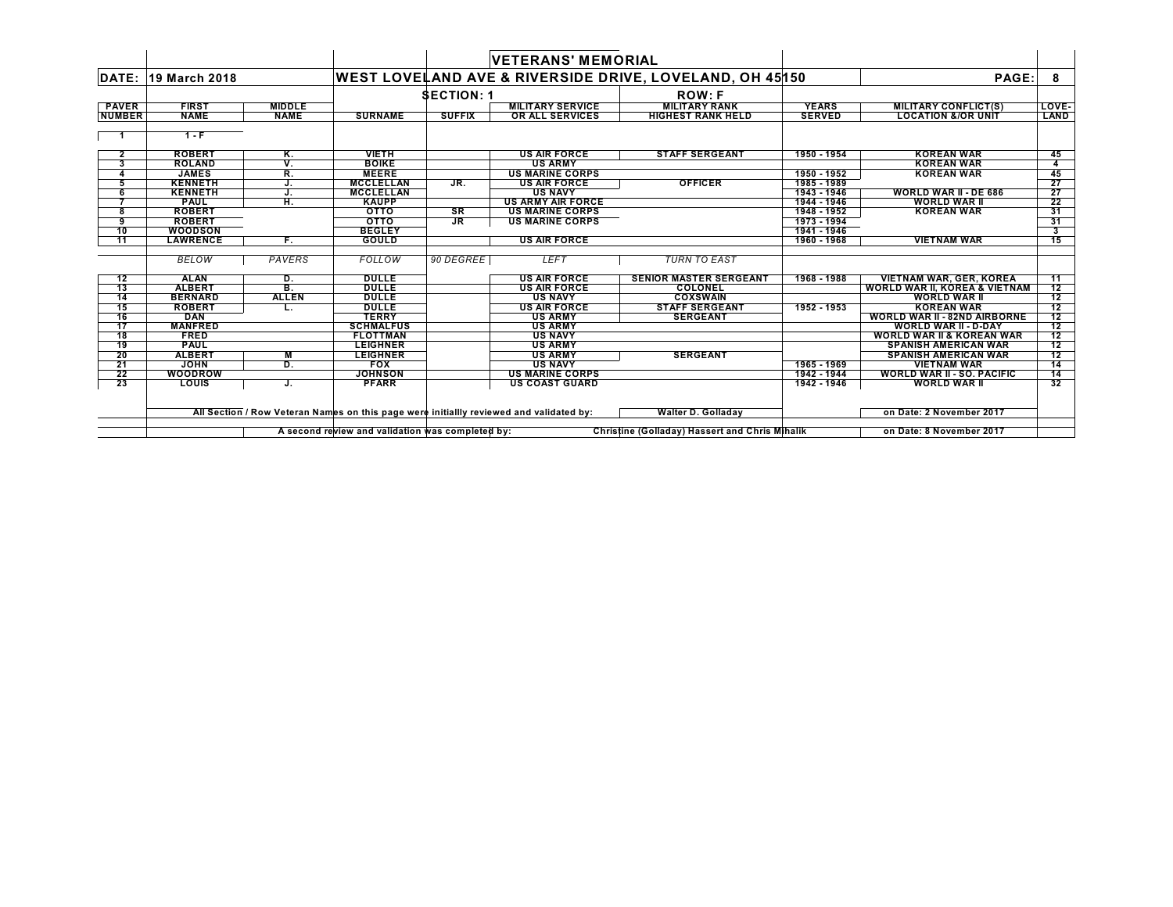|                 |                 |               |                                                  |                 | <b>VETERANS' MEMORIAL</b>                                                               |                                                         |               |                                          |                 |
|-----------------|-----------------|---------------|--------------------------------------------------|-----------------|-----------------------------------------------------------------------------------------|---------------------------------------------------------|---------------|------------------------------------------|-----------------|
| DATE:           | 19 March 2018   |               |                                                  |                 |                                                                                         | WEST LOVELAND AVE & RIVERSIDE DRIVE, LOVELAND, OH 45150 |               | PAGE:                                    | 8               |
|                 |                 |               |                                                  | <b>SECTION:</b> |                                                                                         | <b>ROW: F</b>                                           |               |                                          |                 |
| <b>PAVER</b>    | <b>FIRST</b>    | <b>MIDDLE</b> |                                                  |                 | <b>MILITARY SERVICE</b>                                                                 | <b>MILITARY RANK</b>                                    | <b>YEARS</b>  | <b>MILITARY CONFLICT(S)</b>              | LOVE-           |
| <b>NUMBER</b>   | <b>NAME</b>     | <b>NAME</b>   | <b>SURNAME</b>                                   | <b>SUFFIX</b>   | OR ALL SERVICES                                                                         | <b>HIGHEST RANK HELD</b>                                | <b>SERVED</b> | <b>LOCATION &amp;/OR UNIT</b>            | LAND            |
|                 | $1 - F$         |               |                                                  |                 |                                                                                         |                                                         |               |                                          |                 |
| $\mathbf{2}$    | <b>ROBERT</b>   | Κ.            | <b>VIETH</b>                                     |                 | <b>US AIR FORCE</b>                                                                     | <b>STAFF SERGEANT</b>                                   | 1950 - 1954   | <b>KOREAN WAR</b>                        | 45              |
| 3               | <b>ROLAND</b>   | v.            | <b>BOIKE</b>                                     |                 | <b>US ARMY</b>                                                                          |                                                         |               | <b>KOREAN WAR</b>                        | 4               |
|                 | <b>JAMES</b>    | R.            | <b>MEERE</b>                                     |                 | <b>US MARINE CORPS</b>                                                                  |                                                         | 1950 - 1952   | <b>KOREAN WAR</b>                        | 45              |
| 5               | <b>KENNETH</b>  | J.            | <b>MCCLELLAN</b>                                 | JR.             | <b>US AIR FORCE</b>                                                                     | <b>OFFICER</b>                                          | 1985 - 1989   |                                          | 27              |
| 6               | <b>KENNETH</b>  | J.            | <b>MCCLELLAN</b>                                 |                 | <b>US NAVY</b>                                                                          |                                                         | 1943 - 1946   | <b>WORLD WAR II - DE 686</b>             | 27              |
|                 | <b>PAUL</b>     | Ή.            | <b>KAUPP</b>                                     |                 | <b>US ARMY AIR FORCE</b>                                                                |                                                         | 1944 - 1946   | <b>WORLD WAR II</b>                      | 22              |
| 8               | <b>ROBERT</b>   |               | <b>OTTO</b>                                      | SR              | <b>US MARINE CORPS</b>                                                                  |                                                         | 1948 - 1952   | <b>KOREAN WAR</b>                        | 31              |
| 9               | <b>ROBERT</b>   |               | <b>OTTO</b>                                      | <b>JR</b>       | <b>US MARINE CORPS</b>                                                                  |                                                         | 1973 - 1994   |                                          | 31              |
| 10              | <b>WOODSON</b>  |               | <b>BEGLEY</b>                                    |                 |                                                                                         |                                                         | 1941 - 1946   |                                          |                 |
| $\overline{11}$ | <b>LAWRENCE</b> | F.            | <b>GOULD</b>                                     |                 | <b>US AIR FORCE</b>                                                                     |                                                         | 1960 - 1968   | <b>VIETNAM WAR</b>                       | 15              |
|                 | <b>BELOW</b>    | PAVERS        | FOLLOW                                           | 90 DEGREE       | <b>LEFT</b>                                                                             | <b>TURN TO EAST</b>                                     |               |                                          |                 |
| 12              | <b>ALAN</b>     | D.            | <b>DULLE</b>                                     |                 | <b>US AIR FORCE</b>                                                                     | <b>SENIOR MASTER SERGEANT</b>                           | 1968 - 1988   | <b>VIETNAM WAR, GER, KOREA</b>           | 11              |
| 13              | <b>ALBERT</b>   | В.            | <b>DULLE</b>                                     |                 | <b>US AIR FORCE</b>                                                                     | <b>COLONEL</b>                                          |               | <b>WORLD WAR II, KOREA &amp; VIETNAM</b> | 12              |
| 14              | <b>BERNARD</b>  | <b>ALLEN</b>  | <b>DULLE</b>                                     |                 | <b>US NAVY</b>                                                                          | <b>COXSWAIN</b>                                         |               | <b>WORLD WAR II</b>                      | 12              |
| 15              | <b>ROBERT</b>   |               | <b>DULLE</b>                                     |                 | <b>US AIR FORCE</b>                                                                     | <b>STAFF SERGEANT</b>                                   | 1952 - 1953   | <b>KOREAN WAR</b>                        | $\overline{12}$ |
| 16              | <b>DAN</b>      |               | <b>TERRY</b>                                     |                 | <b>US ARMY</b>                                                                          | <b>SERGEANT</b>                                         |               | <b>WORLD WAR II - 82ND AIRBORNE</b>      | 12              |
| 17              | <b>MANFRED</b>  |               | <b>SCHMALFUS</b>                                 |                 | <b>US ARMY</b>                                                                          |                                                         |               | <b>WORLD WAR II - D-DAY</b>              | 12              |
| 18              | <b>FRED</b>     |               | <b>FLOTTMAN</b>                                  |                 | <b>US NAVY</b>                                                                          |                                                         |               | <b>WORLD WAR II &amp; KOREAN WAR</b>     | 12              |
| 19              | <b>PAUL</b>     |               | <b>LEIGHNER</b>                                  |                 | <b>US ARMY</b>                                                                          |                                                         |               | <b>SPANISH AMERICAN WAR</b>              | 12              |
| -20             | <b>ALBERT</b>   | M             | <b>LEIGHNER</b>                                  |                 | <b>US ARMY</b>                                                                          | <b>SERGEANT</b>                                         |               | <b>SPANISH AMERICAN WAR</b>              | 12              |
| 21              | <b>JOHN</b>     | D.            | <b>FOX</b>                                       |                 | <b>US NAVY</b>                                                                          |                                                         | 1965 - 1969   | <b>VIETNAM WAR</b>                       | 14              |
| 22              | WOODROW         |               | <b>JOHNSON</b>                                   |                 | <b>US MARINE CORPS</b>                                                                  |                                                         | 1942 - 1944   | <b>WORLD WAR II - SO. PACIFIC</b>        | 14              |
| 23              | <b>LOUIS</b>    | J.            | <b>PFARR</b>                                     |                 | <b>US COAST GUARD</b>                                                                   |                                                         | 1942 - 1946   | <b>WORLD WAR II</b>                      | 32              |
|                 |                 |               |                                                  |                 |                                                                                         |                                                         |               |                                          |                 |
|                 |                 |               |                                                  |                 | All Section / Row Veteran Names on this page were initiallly reviewed and validated by: | <b>Walter D. Golladay</b>                               |               | on Date: 2 November 2017                 |                 |
|                 |                 |               | A second review and validation was completed by: |                 |                                                                                         | Christine (Golladay) Hassert and Chris Mihalik          |               | on Date: 8 November 2017                 |                 |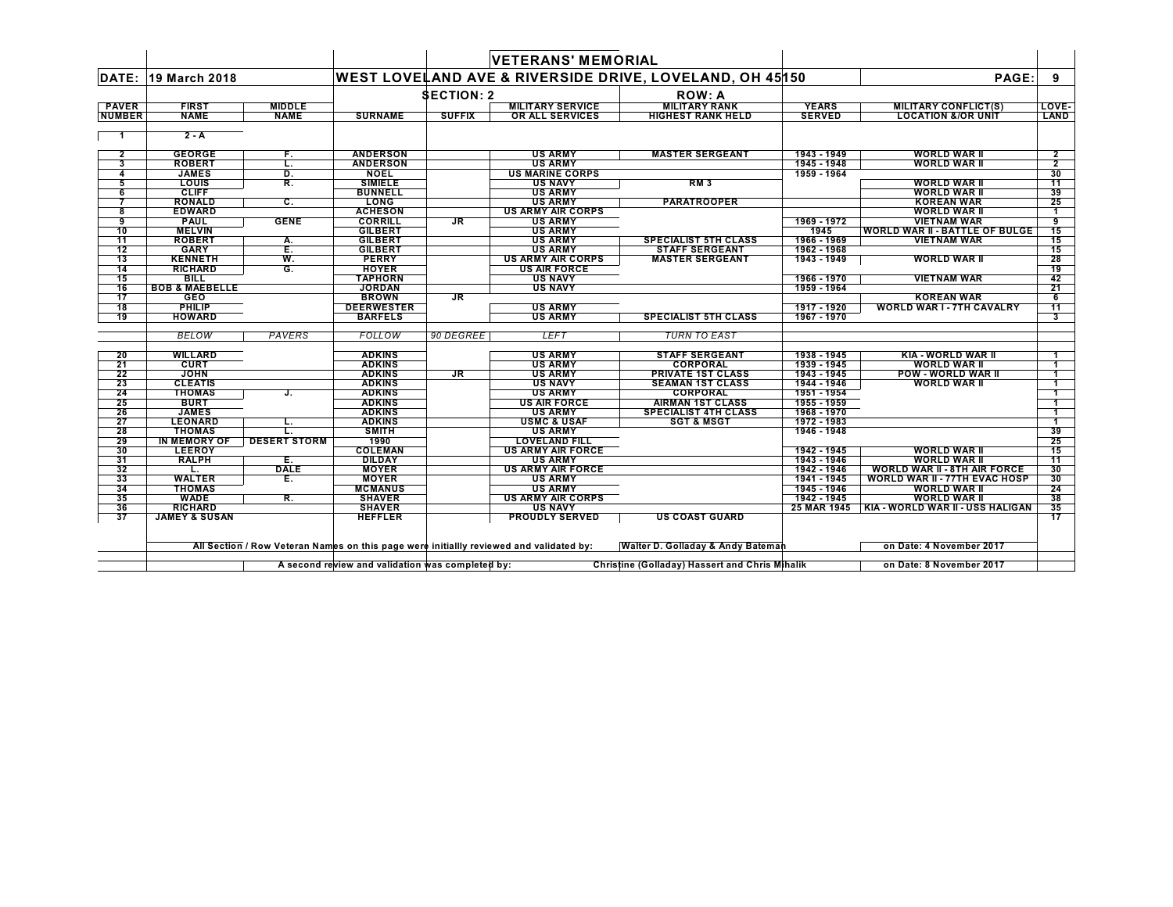| <b>DATE:</b><br><b>PAVER</b><br><b>NUMBER</b><br>$\overline{\mathbf{2}}$<br>3<br>4<br>5<br>6<br>8 |                           |                     |                   |                   | <b>VETERANS' MEMORIAL</b> |                                                         |               |                                       |                 |
|---------------------------------------------------------------------------------------------------|---------------------------|---------------------|-------------------|-------------------|---------------------------|---------------------------------------------------------|---------------|---------------------------------------|-----------------|
|                                                                                                   | 19 March 2018             |                     |                   |                   |                           | WEST LOVELAND AVE & RIVERSIDE DRIVE, LOVELAND, OH 45150 |               | PAGE:                                 | 9               |
|                                                                                                   |                           |                     |                   | <b>SECTION: 2</b> |                           | <b>ROW: A</b>                                           |               |                                       |                 |
|                                                                                                   | <b>FIRST</b>              | <b>MIDDLE</b>       |                   |                   | <b>MILITARY SERVICE</b>   | <b>MILITARY RANK</b>                                    | <b>YEARS</b>  | <b>MILITARY CONFLICT(S)</b>           | LOVE-           |
|                                                                                                   | <b>NAME</b>               | <b>NAME</b>         | <b>SURNAME</b>    | <b>SUFFIX</b>     | OR ALL SERVICES           | <b>HIGHEST RANK HELD</b>                                | <b>SERVED</b> | <b>LOCATION &amp;/OR UNIT</b>         | LAND            |
|                                                                                                   | $2 - A$                   |                     |                   |                   |                           |                                                         |               |                                       |                 |
|                                                                                                   | <b>GEORGE</b>             | F.                  | <b>ANDERSON</b>   |                   | <b>US ARMY</b>            | <b>MASTER SERGEANT</b>                                  | 1943 - 1949   | <b>WORLD WAR II</b>                   | $\mathbf{2}$    |
|                                                                                                   | <b>ROBERT</b>             | L.                  | <b>ANDERSON</b>   |                   | <b>US ARMY</b>            |                                                         | 1945 - 1948   | <b>WORLD WAR II</b>                   | $\overline{2}$  |
|                                                                                                   | <b>JAMES</b>              | D.                  | <b>NOEL</b>       |                   | <b>US MARINE CORPS</b>    |                                                         | 1959 - 1964   |                                       | 30              |
|                                                                                                   | <b>LOUIS</b>              | R.                  | <b>SIMIELE</b>    |                   | <b>US NAVY</b>            | <b>RM3</b>                                              |               | <b>WORLD WAR II</b>                   | -11             |
|                                                                                                   | <b>CLIFF</b>              |                     | <b>BUNNELL</b>    |                   | <b>US ARMY</b>            |                                                         |               | <b>WORLD WAR II</b>                   | 39              |
|                                                                                                   | <b>RONALD</b>             | C.                  | <b>LONG</b>       |                   | <b>US ARMY</b>            | <b>PARATROOPER</b>                                      |               | <b>KOREAN WAR</b>                     | 25              |
|                                                                                                   | <b>EDWARD</b>             |                     | <b>ACHESON</b>    |                   | <b>US ARMY AIR CORPS</b>  |                                                         |               | <b>WORLD WAR II</b>                   |                 |
| 9                                                                                                 | <b>PAUL</b>               | <b>GENE</b>         | <b>CORRILL</b>    | JR.               | <b>US ARMY</b>            |                                                         | 1969 - 1972   | <b>VIETNAM WAR</b>                    | 9               |
| 10                                                                                                | <b>MELVIN</b>             |                     | <b>GILBERT</b>    |                   | <b>US ARMY</b>            |                                                         | 1945          | <b>WORLD WAR II - BATTLE OF BULGE</b> | 15              |
| $\overline{11}$                                                                                   | <b>ROBERT</b>             | А.                  | <b>GILBERT</b>    |                   | <b>US ARMY</b>            | <b>SPECIALIST 5TH CLASS</b>                             | 1966 - 1969   | <b>VIETNAM WAR</b>                    | 15              |
| 12                                                                                                | <b>GARY</b>               | Ē.                  | <b>GILBERT</b>    |                   | <b>US ARMY</b>            | <b>STAFF SERGEANT</b>                                   | 1962 - 1968   |                                       | 15              |
| 13                                                                                                | <b>KENNETH</b>            | W.                  | <b>PERRY</b>      |                   | <b>US ARMY AIR CORPS</b>  | <b>MASTER SERGEANT</b>                                  | 1943 - 1949   | <b>WORLD WAR II</b>                   | 28              |
| 14                                                                                                | <b>RICHARD</b>            | G.                  | <b>HOYER</b>      |                   | <b>US AIR FORCE</b>       |                                                         |               |                                       | 19              |
| 15                                                                                                | <b>BILL</b>               |                     | <b>TAPHORN</b>    |                   | <b>US NAVY</b>            |                                                         | 1966 - 1970   | <b>VIETNAM WAR</b>                    | 42              |
| 16                                                                                                | <b>BOB &amp; MAEBELLE</b> |                     | <b>JORDAN</b>     |                   | <b>US NAVY</b>            |                                                         | 1959 - 1964   |                                       | 21              |
| $\overline{17}$                                                                                   | <b>GEO</b>                |                     | <b>BROWN</b>      | <b>JR</b>         |                           |                                                         |               | <b>KOREAN WAR</b>                     | 6               |
| 18                                                                                                | <b>PHILIP</b>             |                     | <b>DEERWESTER</b> |                   | <b>US ARMY</b>            |                                                         | 1917 - 1920   | <b>WORLD WAR I - 7TH CAVALRY</b>      | $\overline{11}$ |
| <b>19</b>                                                                                         | <b>HOWARD</b>             |                     | <b>BARFELS</b>    |                   | <b>US ARMY</b>            | <b>SPECIALIST 5TH CLASS</b>                             | 1967 - 1970   |                                       | 3               |
|                                                                                                   | <b>BELOW</b>              | PAVERS              | FOLLOW            | 90 DEGREE         | <b>LEFT</b>               | <b>TURN TO EAST</b>                                     |               |                                       |                 |
| 20                                                                                                | <b>WILLARD</b>            |                     | <b>ADKINS</b>     |                   | <b>US ARMY</b>            | <b>STAFF SERGEANT</b>                                   | 1938 - 1945   | KIA - WORLD WAR II                    |                 |
| 21                                                                                                | <b>CURT</b>               |                     | <b>ADKINS</b>     |                   | <b>US ARMY</b>            | <b>CORPORAL</b>                                         | 1939 - 1945   | <b>WORLD WAR II</b>                   |                 |
| 22                                                                                                | <b>JOHN</b>               |                     | <b>ADKINS</b>     | $J_{\rm R}$       | <b>US ARMY</b>            | <b>PRIVATE 1ST CLASS</b>                                | 1943 - 1945   | <b>POW - WORLD WAR II</b>             |                 |
| 23                                                                                                | <b>CLEATIS</b>            |                     | <b>ADKINS</b>     |                   | <b>US NAVY</b>            | <b>SEAMAN 1ST CLASS</b>                                 | 1944 - 1946   | <b>WORLD WAR II</b>                   |                 |
| 24                                                                                                | <b>THOMAS</b>             | J.                  | <b>ADKINS</b>     |                   | <b>US ARMY</b>            | <b>CORPORAL</b>                                         | 1951 - 1954   |                                       |                 |
| 25                                                                                                | <b>BURT</b>               |                     | <b>ADKINS</b>     |                   | <b>US AIR FORCE</b>       | <b>AIRMAN 1ST CLASS</b>                                 | 1955 - 1959   |                                       |                 |
| 26                                                                                                | <b>JAMES</b>              |                     | <b>ADKINS</b>     |                   | <b>US ARMY</b>            | <b>SPECIALIST 4TH CLASS</b>                             | 1968 - 1970   |                                       |                 |
| 27                                                                                                | <b>LEONARD</b>            | L.                  | <b>ADKINS</b>     |                   | <b>USMC &amp; USAF</b>    | <b>SGT &amp; MSGT</b>                                   | 1972 - 1983   |                                       |                 |
| 28                                                                                                | <b>THOMAS</b>             | L.                  | <b>SMITH</b>      |                   | <b>US ARMY</b>            |                                                         | 1946 - 1948   |                                       | 39              |
| 29                                                                                                | <b>IN MEMORY OF</b>       | <b>DESERT STORM</b> | 1990              |                   | <b>LOVELAND FILL</b>      |                                                         |               |                                       | 25              |
| 30                                                                                                | <b>LEEROY</b>             |                     | <b>COLEMAN</b>    |                   | <b>US ARMY AIR FORCE</b>  |                                                         | 1942 - 1945   | <b>WORLD WAR II</b>                   | 15              |
| 31                                                                                                | <b>RALPH</b>              | Е.                  | <b>DILDAY</b>     |                   | <b>US ARMY</b>            |                                                         | 1943 - 1946   | <b>WORLD WAR II</b>                   | 11              |
| 32                                                                                                | L.                        | <b>DALE</b>         | <b>MOYER</b>      |                   | <b>US ARMY AIR FORCE</b>  |                                                         | 1942 - 1946   | <b>WORLD WAR II - 8TH AIR FORCE</b>   | 30              |
| 33                                                                                                | <b>WALTER</b>             | Е.                  | <b>MOYER</b>      |                   | <b>US ARMY</b>            |                                                         | 1941 - 1945   | <b>WORLD WAR II - 77TH EVAC HOSP</b>  | 30              |
| 34                                                                                                | <b>THOMAS</b>             |                     | <b>MCMANUS</b>    |                   | <b>US ARMY</b>            |                                                         | 1945 - 1946   | <b>WORLD WAR II</b>                   | 24              |
| 35                                                                                                | <b>WADE</b>               | R.                  | <b>SHAVER</b>     |                   | <b>US ARMY AIR CORPS</b>  |                                                         | 1942 - 1945   | <b>WORLD WAR II</b>                   | 38              |
| 36                                                                                                | <b>RICHARD</b>            |                     | <b>SHAVER</b>     |                   | <b>US NAVY</b>            |                                                         | 25 MAR 1945   | KIA - WORLD WAR II - USS HALIGAN      | 35              |
| 37                                                                                                | <b>JAMEY &amp; SUSAN</b>  |                     | <b>HEFFLER</b>    |                   | <b>PROUDLY SERVED</b>     | <b>US COAST GUARD</b>                                   |               |                                       | 17              |

All Section / Row Veteran Names on this page were initiallly revi¢wed and validated by: Walter D. Golladay & Andy Bateman and the sound on Date: 4 November 2017

A second review and validation was completed by: Christine (Golladay) Hassert and Chris Mihalik **Altan Christine (Golladay)** Hassert and Chris Mihalik **Altan Christian And Christian And Christian** On Date: 8 November 2017

 $\mathbf{I}$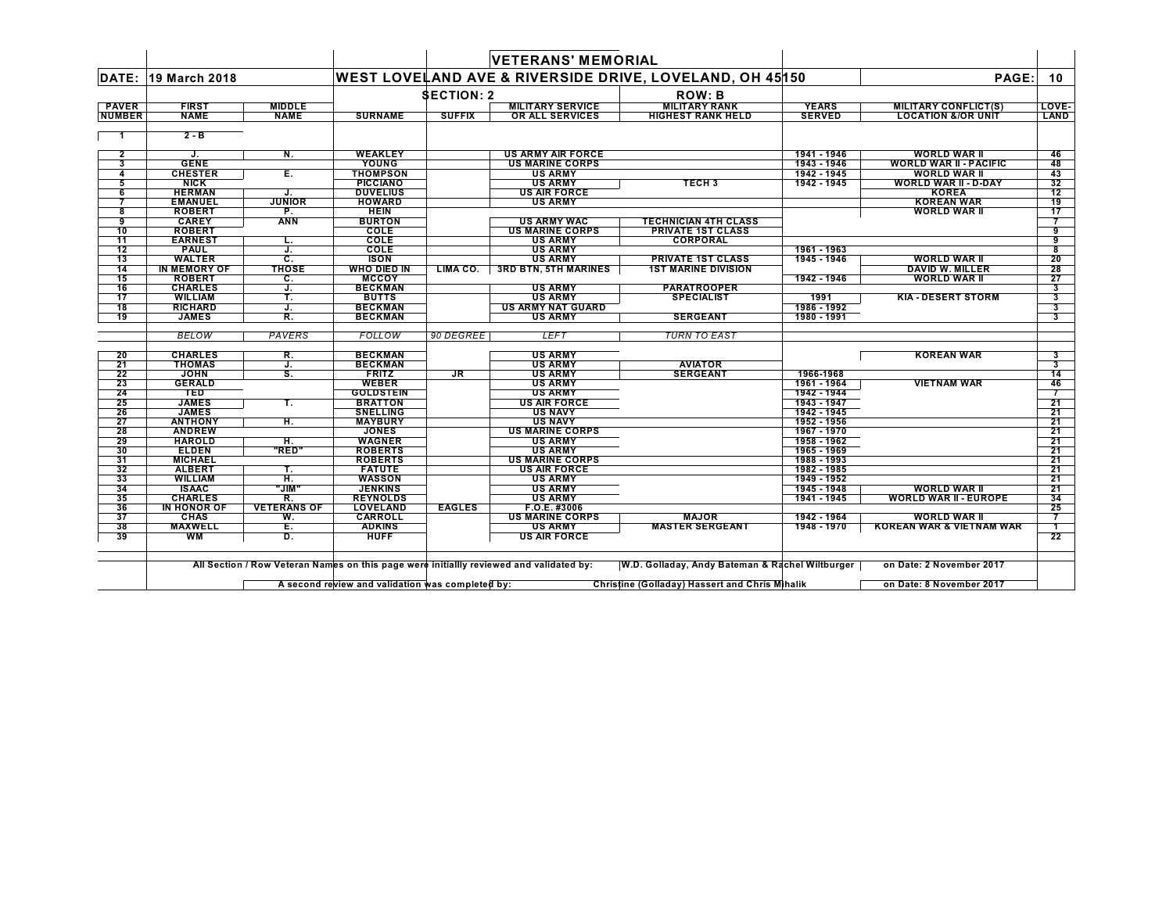|               |                                |                          |                                   |                   | <b>VETERANS' MEMORIAL</b>                                                               |                                                         |                            |                                                     |                         |
|---------------|--------------------------------|--------------------------|-----------------------------------|-------------------|-----------------------------------------------------------------------------------------|---------------------------------------------------------|----------------------------|-----------------------------------------------------|-------------------------|
| DATE:         | 19 March 2018                  |                          |                                   |                   |                                                                                         | WEST LOVELAND AVE & RIVERSIDE DRIVE, LOVELAND, OH 45150 |                            | PAGE:                                               | 10                      |
|               |                                |                          |                                   | <b>SECTION: 2</b> |                                                                                         | <b>ROW: B</b>                                           |                            |                                                     |                         |
| <b>PAVER</b>  | <b>FIRST</b>                   | <b>MIDDLE</b>            |                                   |                   | <b>MILITARY SERVICE</b>                                                                 | <b>MILITARY RANK</b>                                    | <b>YEARS</b>               | <b>MILITARY CONFLICT(S)</b>                         | LOVE-                   |
| <b>NUMBER</b> | <b>NAME</b>                    | <b>NAME</b>              | <b>SURNAME</b>                    | <b>SUFFIX</b>     | OR ALL SERVICES                                                                         | <b>HIGHEST RANK HELD</b>                                | <b>SERVED</b>              | <b>LOCATION &amp;/OR UNIT</b>                       | LAND                    |
|               | $2 - B$                        |                          |                                   |                   |                                                                                         |                                                         |                            |                                                     |                         |
| $\mathbf{2}$  | J.                             | N.                       | WEAKLEY                           |                   | <b>US ARMY AIR FORCE</b>                                                                |                                                         | 1941 - 1946                | <b>WORLD WAR II</b>                                 | 46                      |
| 3             | <b>GENE</b>                    |                          | YOUNG                             |                   | <b>US MARINE CORPS</b>                                                                  |                                                         | 1943 - 1946                | <b>WORLD WAR II - PACIFIC</b>                       | 48                      |
| 4             | <b>CHESTER</b>                 | E.                       | THOMPSON                          |                   | <b>US ARMY</b>                                                                          |                                                         | 1942 - 1945                | WORLD WAR II                                        | 43                      |
| 5             | <b>NICK</b>                    |                          | <b>PICCIANO</b>                   |                   | <b>US ARMY</b>                                                                          | <b>TECH3</b>                                            | 1942 - 1945                | <b>WORLD WAR II - D-DAY</b>                         | 32                      |
| 6             | <b>HERMAN</b>                  | J.                       | <b>DUVELIUS</b>                   |                   | <b>US AIR FORCE</b>                                                                     |                                                         |                            | <b>KOREA</b>                                        | 12                      |
|               | <b>EMANUEL</b>                 | <b>JUNIOR</b>            | <b>HOWARD</b>                     |                   | <b>US ARMY</b>                                                                          |                                                         |                            | <b>KOREAN WAR</b>                                   | 19                      |
| 8             | <b>ROBERT</b>                  | P.                       | <b>HEIN</b>                       |                   |                                                                                         |                                                         |                            | <b>WORLD WAR II</b>                                 | 17                      |
| 9             | <b>CAREY</b>                   | <b>ANN</b>               | <b>BURTON</b>                     |                   | <b>US ARMY WAC</b>                                                                      | <b>TECHNICIAN 4TH CLASS</b>                             |                            |                                                     |                         |
| 10            | <b>ROBERT</b>                  |                          | COLE                              |                   | <b>US MARINE CORPS</b>                                                                  | <b>PRIVATE 1ST CLASS</b>                                |                            |                                                     | 9                       |
| 11            | <b>EARNEST</b>                 | ъ.                       | COLE                              |                   | <b>US ARMY</b>                                                                          | <b>CORPORAL</b>                                         |                            |                                                     | 9                       |
| 12            | <b>PAUL</b>                    | J.                       | COLE                              |                   | <b>US ARMY</b>                                                                          |                                                         | 1961 - 1963                |                                                     | 8                       |
| 13            | <b>WALTER</b>                  | C.                       | <b>ISON</b>                       |                   | <b>US ARMY</b>                                                                          | <b>PRIVATE 1ST CLASS</b>                                | 1945 - 1946                | <b>WORLD WAR II</b>                                 | 20                      |
| 14            | <b>IN MEMORY OF</b>            | <b>THOSE</b>             | <b>WHO DIED IN</b>                | LIMA CO.          | <b>3RD BTN, 5TH MARINES</b>                                                             | <b>1ST MARINE DIVISION</b>                              |                            | <b>DAVID W. MILLER</b>                              | 28                      |
| 15            | <b>ROBERT</b>                  | C.                       | <b>MCCOY</b>                      |                   |                                                                                         |                                                         | 1942 - 1946                | <b>WORLD WAR II</b>                                 | 27                      |
| 16            | <b>CHARLES</b>                 | J.                       | <b>BECKMAN</b>                    |                   | <b>US ARMY</b>                                                                          | <b>PARATROOPER</b>                                      |                            |                                                     | 3                       |
| 17            | <b>WILLIAM</b>                 | Т.                       | <b>BUTTS</b>                      |                   | <b>US ARMY</b>                                                                          | <b>SPECIALIST</b>                                       | 1991                       | <b>KIA - DESERT STORM</b>                           | 3                       |
| 18            | <b>RICHARD</b>                 | J.                       | <b>BECKMAN</b>                    |                   | <b>US ARMY NAT GUARD</b>                                                                |                                                         | 1986 - 1992                |                                                     | 3                       |
| 19            | <b>JAMES</b>                   | R.                       | <b>BECKMAN</b>                    |                   | <b>US ARMY</b>                                                                          | <b>SERGEANT</b>                                         | 1980 - 1991                |                                                     | 3                       |
|               | <b>BELOW</b>                   | PAVERS                   | FOLLOW                            | 90 DEGREE         | <b>LEFT</b>                                                                             | <b>TURN TO EAST</b>                                     |                            |                                                     |                         |
|               |                                |                          |                                   |                   |                                                                                         |                                                         |                            |                                                     |                         |
| 20            | <b>CHARLES</b>                 | R.                       | <b>BECKMAN</b>                    |                   | <b>US ARMY</b>                                                                          |                                                         |                            | <b>KOREAN WAR</b>                                   | 3                       |
| 21            | <b>THOMAS</b>                  | J.                       | <b>BECKMAN</b>                    |                   | <b>US ARMY</b>                                                                          | <b>AVIATOR</b>                                          |                            |                                                     | $\overline{\mathbf{3}}$ |
| 22            | <b>JOHN</b>                    | S.                       | <b>FRITZ</b>                      | JR                | <b>US ARMY</b>                                                                          | <b>SERGEANT</b>                                         | 1966-1968                  |                                                     | 14                      |
| 23            | <b>GERALD</b>                  |                          | <b>WEBER</b>                      |                   | <b>US ARMY</b>                                                                          |                                                         | 1961 - 1964                | <b>VIETNAM WAR</b>                                  | 46                      |
| 24            | <b>TED</b>                     |                          | <b>GOLDSTEIN</b>                  |                   | <b>US ARMY</b>                                                                          |                                                         | 1942 - 1944                |                                                     |                         |
| 25            | <b>JAMES</b>                   | т.                       | <b>BRATTON</b>                    |                   | <b>US AIR FORCE</b>                                                                     |                                                         | 1943 - 1947                |                                                     | 21                      |
| 26            | <b>JAMES</b>                   |                          | <b>SNELLING</b>                   |                   | <b>US NAVY</b>                                                                          |                                                         | 1942 - 1945                |                                                     | 21                      |
| 27            | <b>ANTHONY</b>                 | H.                       | <b>MAYBURY</b>                    |                   | <b>US NAVY</b>                                                                          |                                                         | 1952 - 1956                |                                                     | 21                      |
| 28            | <b>ANDREW</b>                  |                          | <b>JONES</b>                      |                   | <b>US MARINE CORPS</b>                                                                  |                                                         | 1967 - 1970                |                                                     | 21                      |
| 29            | <b>HAROLD</b>                  | н.                       | <b>WAGNER</b>                     |                   | <b>US ARMY</b>                                                                          |                                                         | 1958 - 1962                |                                                     | 21                      |
| 30            | <b>ELDEN</b>                   | "RED"                    | <b>ROBERTS</b>                    |                   | <b>US ARMY</b>                                                                          |                                                         | 1965 - 1969                |                                                     | 21                      |
| 31<br>32      | <b>MICHAEL</b>                 |                          | <b>ROBERTS</b>                    |                   | <b>US MARINE CORPS</b>                                                                  |                                                         | 1988 - 1993                |                                                     | 21                      |
|               | <b>ALBERT</b>                  | Т.                       | <b>FATUTE</b>                     |                   | <b>US AIR FORCE</b>                                                                     |                                                         | 1982 - 1985                |                                                     | 21                      |
| 33            | <b>WILLIAM</b>                 | H.                       | <b>WASSON</b>                     |                   | <b>US ARMY</b>                                                                          |                                                         | 1949 - 1952                |                                                     | 21                      |
| 34<br>35      | <b>ISAAC</b><br><b>CHARLES</b> | "JIM"                    | <b>JENKINS</b><br><b>REYNOLDS</b> |                   | <b>US ARMY</b><br><b>US ARMY</b>                                                        |                                                         | 1945 - 1948<br>1941 - 1945 | <b>WORLD WAR II</b><br><b>WORLD WAR II - EUROPE</b> | 21                      |
| 36            | IN HONOR OF                    | R.<br><b>VETERANS OF</b> |                                   | <b>EAGLES</b>     |                                                                                         |                                                         |                            |                                                     | 34                      |
| 37            | <b>CHAS</b>                    |                          | LOVELAND<br><b>CARROLL</b>        |                   | F.O.E. #3006<br><b>US MARINE CORPS</b>                                                  | <b>MAJOR</b>                                            | 1942 - 1964                | <b>WORLD WAR II</b>                                 | 25                      |
| 38            | <b>MAXWELL</b>                 | W.<br>E.                 |                                   |                   | <b>US ARMY</b>                                                                          | <b>MASTER SERGEANT</b>                                  | 1948 - 1970                | <b>KOREAN WAR &amp; VIETNAM WAR</b>                 | 7                       |
| 39            | WМ                             | D.                       | <b>ADKINS</b><br><b>HUFF</b>      |                   | <b>US AIR FORCE</b>                                                                     |                                                         |                            |                                                     | $\mathbf{1}$<br>22      |
|               |                                |                          |                                   |                   |                                                                                         |                                                         |                            |                                                     |                         |
|               |                                |                          |                                   |                   |                                                                                         |                                                         |                            |                                                     |                         |
|               |                                |                          |                                   |                   | All Section / Row Veteran Names on this page were initiallly reviewed and validated by: | W.D. Golladay, Andy Bateman & Rachel Wiltburger         |                            | on Date: 2 November 2017                            |                         |
|               |                                |                          |                                   |                   |                                                                                         |                                                         |                            |                                                     |                         |

A second review and validation was completed by: Christine (Golladay) Hassert and Chris Minalik Christine in Date: 8 November 2017

 $\blacksquare$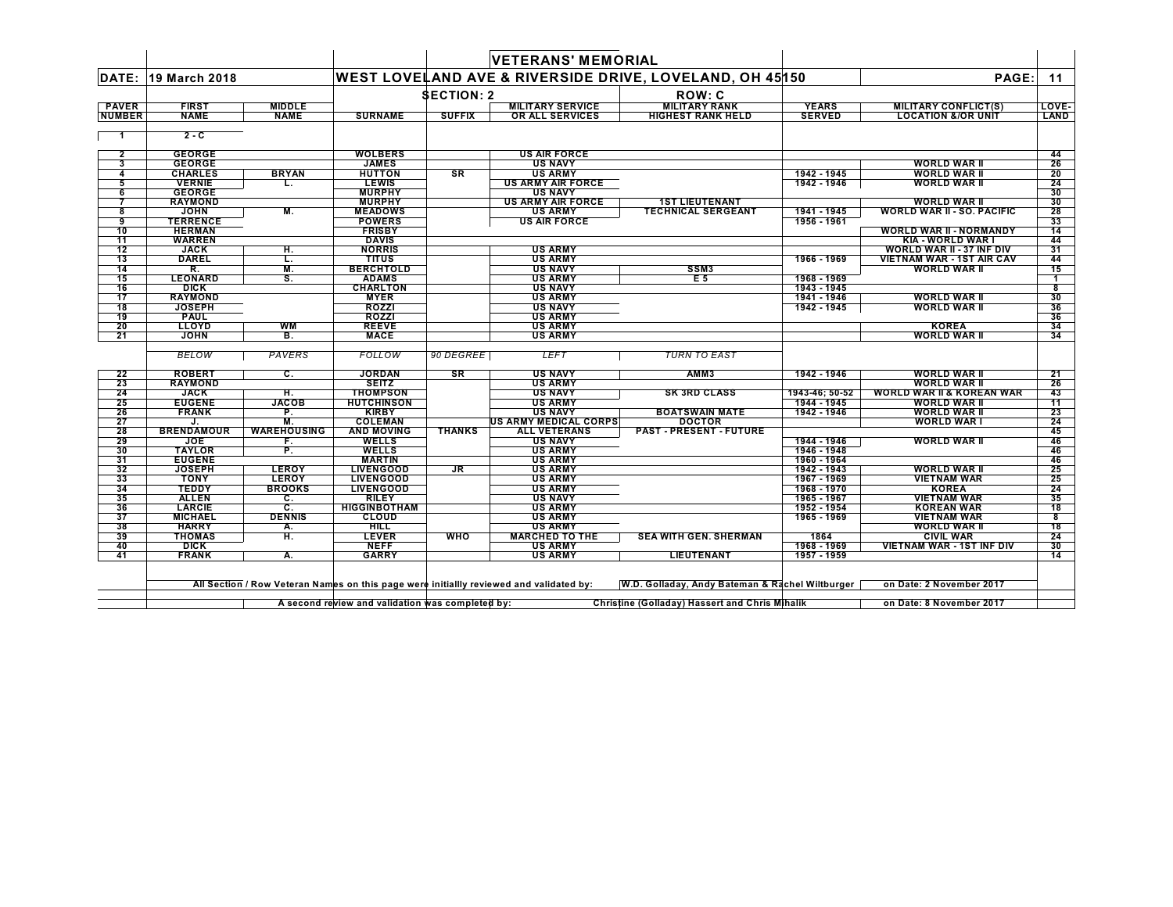|                |                     |                    |                                                  |                   | <b>VETERANS' MEMORIAL</b>                                                               |                                                         |                |                                      |       |
|----------------|---------------------|--------------------|--------------------------------------------------|-------------------|-----------------------------------------------------------------------------------------|---------------------------------------------------------|----------------|--------------------------------------|-------|
|                | DATE: 19 March 2018 |                    |                                                  |                   |                                                                                         | WEST LOVELAND AVE & RIVERSIDE DRIVE, LOVELAND, OH 45150 |                | PAGE:                                | 11    |
|                |                     |                    |                                                  | <b>SECTION: 2</b> |                                                                                         | ROW: C                                                  |                |                                      |       |
| <b>PAVER</b>   | <b>FIRST</b>        | <b>MIDDLE</b>      |                                                  |                   | <b>MILITARY SERVICE</b>                                                                 | <b>MILITARY RANK</b>                                    | <b>YEARS</b>   | <b>MILITARY CONFLICT(S)</b>          | LOVE- |
| <b>NUMBER</b>  | <b>NAME</b>         | <b>NAME</b>        | <b>SURNAME</b>                                   | <b>SUFFIX</b>     | OR ALL SERVICES                                                                         | <b>HIGHEST RANK HELD</b>                                | <b>SERVED</b>  | <b>LOCATION &amp;/OR UNIT</b>        | LAND  |
|                | $2 - C$             |                    |                                                  |                   |                                                                                         |                                                         |                |                                      |       |
| $\overline{2}$ | <b>GEORGE</b>       |                    | <b>WOLBERS</b>                                   |                   | <b>US AIR FORCE</b>                                                                     |                                                         |                |                                      | 44    |
| 3              | <b>GEORGE</b>       |                    | <b>JAMES</b>                                     |                   | <b>US NAVY</b>                                                                          |                                                         |                | <b>WORLD WAR II</b>                  | 26    |
| 4              | <b>CHARLES</b>      | <b>BRYAN</b>       | <b>HUTTON</b>                                    | <b>SR</b>         | <b>US ARMY</b>                                                                          |                                                         | 1942 - 1945    | <b>WORLD WAR II</b>                  | 20    |
| 5              | <b>VERNIE</b>       | L.                 | <b>LEWIS</b>                                     |                   | <b>US ARMY AIR FORCE</b>                                                                |                                                         | 1942 - 1946    | WORLD WAR II                         | 24    |
| 6              | <b>GEORGE</b>       |                    | <b>MURPHY</b>                                    |                   | <b>US NAVY</b>                                                                          |                                                         |                |                                      | 30    |
|                | <b>RAYMOND</b>      |                    | <b>MURPHY</b>                                    |                   | <b>US ARMY AIR FORCE</b>                                                                | <b>1ST LIEUTENANT</b>                                   |                | <b>WORLD WAR II</b>                  | 30    |
| 8              | <b>JOHN</b>         | М.                 | <b>MEADOWS</b>                                   |                   | US ARMY                                                                                 | <b>TECHNICAL SERGEANT</b>                               | 1941 - 1945    | <b>WORLD WAR II - SO. PACIFIC</b>    | 28    |
| 9              | <b>TERRENCE</b>     |                    | <b>POWERS</b>                                    |                   | <b>US AIR FORCE</b>                                                                     |                                                         | 1956 - 1961    |                                      | 33    |
| 10             | <b>HERMAN</b>       |                    | <b>FRISBY</b>                                    |                   |                                                                                         |                                                         |                | <b>WORLD WAR II - NORMANDY</b>       | 14    |
| 11             | <b>WARREN</b>       |                    | <b>DAVIS</b>                                     |                   |                                                                                         |                                                         |                | KIA - WORLD WAR I                    | 44    |
| 12             | JACK                | н.                 | <b>NORRIS</b>                                    |                   | <b>US ARMY</b>                                                                          |                                                         |                | <b>WORLD WAR II - 37 INF DIV</b>     | 31    |
| 13             | <b>DAREL</b>        | L.                 | <b>TITUS</b>                                     |                   | <b>US ARMY</b>                                                                          |                                                         | 1966 - 1969    | <b>VIETNAM WAR - 1ST AIR CAV</b>     | 44    |
| 14             | R.                  | M.                 | <b>BERCHTOLD</b>                                 |                   | <b>US NAVY</b>                                                                          | SSM3                                                    |                | WORLD WAR II                         | 15    |
| 15             | <b>LEONARD</b>      | S.                 | <b>ADAMS</b>                                     |                   | <b>US ARMY</b>                                                                          | E <sub>5</sub>                                          | 1968 - 1969    |                                      |       |
| 16             | <b>DICK</b>         |                    | <b>CHARLTON</b>                                  |                   | <b>US NAVY</b>                                                                          |                                                         | 1943 - 1945    |                                      | 8     |
| 17             | <b>RAYMOND</b>      |                    | <b>MYER</b>                                      |                   | <b>US ARMY</b>                                                                          |                                                         | 1941 - 1946    | <b>WORLD WAR II</b>                  | 30    |
| 18             | <b>JOSEPH</b>       |                    | <b>ROZZI</b>                                     |                   | <b>US NAVY</b>                                                                          |                                                         | 1942 - 1945    | <b>WORLD WAR II</b>                  | 36    |
| 19             | <b>PAUL</b>         |                    | ROZZI                                            |                   | <b>US ARMY</b>                                                                          |                                                         |                |                                      | 36    |
| 20             | <b>LLOYD</b>        | <b>WM</b>          | <b>REEVE</b>                                     |                   | <b>US ARMY</b>                                                                          |                                                         |                | <b>KOREA</b>                         | 34    |
| 21             | <b>JOHN</b>         | B.                 | <b>MACE</b>                                      |                   | <b>US ARMY</b>                                                                          |                                                         |                | <b>WORLD WAR II</b>                  | 34    |
|                | BELOW               | PAVERS             | FOLLOW                                           | 90 DEGREE         | <b>LEFT</b>                                                                             | <b>TURN TO EAST</b>                                     |                |                                      |       |
| 22             | <b>ROBERT</b>       | C.                 | <b>JORDAN</b>                                    | <b>SR</b>         | <b>US NAVY</b>                                                                          | AMM <sub>3</sub>                                        | 1942 - 1946    | <b>WORLD WAR II</b>                  | 21    |
| 23             | <b>RAYMOND</b>      |                    | <b>SEITZ</b>                                     |                   | <b>US ARMY</b>                                                                          |                                                         |                | <b>WORLD WAR II</b>                  | 26    |
| 24             | <b>JACK</b>         | н.                 | <b>THOMPSON</b>                                  |                   | <b>US NAVY</b>                                                                          | <b>SK 3RD CLASS</b>                                     | 1943-46; 50-52 | <b>WORLD WAR II &amp; KOREAN WAR</b> | 43    |
| 25             | <b>EUGENE</b>       | <b>JACOB</b>       | <b>HUTCHINSON</b>                                |                   | <b>US ARMY</b>                                                                          |                                                         | 1944 - 1945    | <b>WORLD WAR II</b>                  | 11    |
| 26             | <b>FRANK</b>        | P.                 | <b>KIRBY</b>                                     |                   | <b>US NAVY</b>                                                                          | <b>BOATSWAIN MATE</b>                                   | 1942 - 1946    | <b>WORLD WAR II</b>                  | 23    |
| 27             | J.                  | М.                 | <b>COLEMAN</b>                                   |                   | US ARMY MEDICAL CORPS                                                                   | <b>DOCTOR</b>                                           |                | <b>WORLD WAR I</b>                   | -24   |
| 28             | <b>BRENDAMOUR</b>   | <b>WAREHOUSING</b> | <b>AND MOVING</b>                                | <b>THANKS</b>     | <b>ALL VETERANS</b>                                                                     | <b>PAST - PRESENT - FUTURE</b>                          |                |                                      | 45    |
| 29             | <b>JOE</b>          | F.                 | WELLS                                            |                   | <b>US NAVY</b>                                                                          |                                                         | 1944 - 1946    | <b>WORLD WAR II</b>                  | 46    |
| 30             | <b>TAYLOR</b>       | P.                 | WELLS                                            |                   | <b>US ARMY</b>                                                                          |                                                         | 1946 - 1948    |                                      | 46    |
| 31             | <b>EUGENE</b>       |                    | <b>MARTIN</b>                                    |                   | <b>US ARMY</b>                                                                          |                                                         | 1960 - 1964    |                                      | 46    |
| 32             | <b>JOSEPH</b>       | <b>LEROY</b>       | <b>LIVENGOOD</b>                                 | <b>JR</b>         | <b>US ARMY</b>                                                                          |                                                         | 1942 - 1943    | WORLD WAR II                         | 25    |
| 33             | <b>TONY</b>         | <b>LEROY</b>       | <b>LIVENGOOD</b>                                 |                   | <b>US ARMY</b>                                                                          |                                                         | 1967 - 1969    | <b>VIETNAM WAR</b>                   | 25    |
| 34             | <b>TEDDY</b>        | <b>BROOKS</b>      | <b>LIVENGOOD</b>                                 |                   | <b>US ARMY</b>                                                                          |                                                         | 1968 - 1970    | <b>KOREA</b>                         | 24    |
| 35             | <b>ALLEN</b>        | С.                 | <b>RILEY</b>                                     |                   | <b>US NAVY</b>                                                                          |                                                         | 1965 - 1967    | <b>VIETNAM WAR</b>                   | 35    |
| 36             | <b>LARCIE</b>       | C.                 | <b>HIGGINBOTHAM</b>                              |                   | <b>US ARMY</b>                                                                          |                                                         | 1952 - 1954    | <b>KOREAN WAR</b>                    | 18    |
| 37             | <b>MICHAEL</b>      | <b>DENNIS</b>      | <b>CLOUD</b>                                     |                   | <b>US ARMY</b>                                                                          |                                                         | 1965 - 1969    | <b>VIETNAM WAR</b>                   | 8     |
| 38             | <b>HARRY</b>        | А.                 | <b>HILL</b>                                      |                   | <b>US ARMY</b>                                                                          |                                                         |                | <b>WORLD WAR II</b>                  | 18    |
| 39             | <b>THOMAS</b>       | H.                 | <b>LEVER</b>                                     | <b>WHO</b>        | <b>MARCHED TO THE</b>                                                                   | <b>SEA WITH GEN. SHERMAN</b>                            | 1864           | <b>CIVIL WAR</b>                     | 24    |
| 40             | <b>DICK</b>         |                    | <b>NEFF</b>                                      |                   | <b>US ARMY</b>                                                                          |                                                         | 1968 - 1969    | <b>VIETNAM WAR - 1ST INF DIV</b>     | 30    |
| 41             | <b>FRANK</b>        | Α.                 | <b>GARRY</b>                                     |                   | <b>US ARMY</b>                                                                          | LIEUTENANT                                              | 1957 - 1959    |                                      | 14    |
|                |                     |                    |                                                  |                   | All Section / Row Veteran Names on this page were initiallly reviewed and validated by: | W.D. Golladay, Andy Bateman & Rachel Wiltburger         |                | on Date: 2 November 2017             |       |
|                |                     |                    | A second review and validation was completed by: |                   |                                                                                         | Christine (Golladay) Hassert and Chris Mihalik          |                | on Date: 8 November 2017             |       |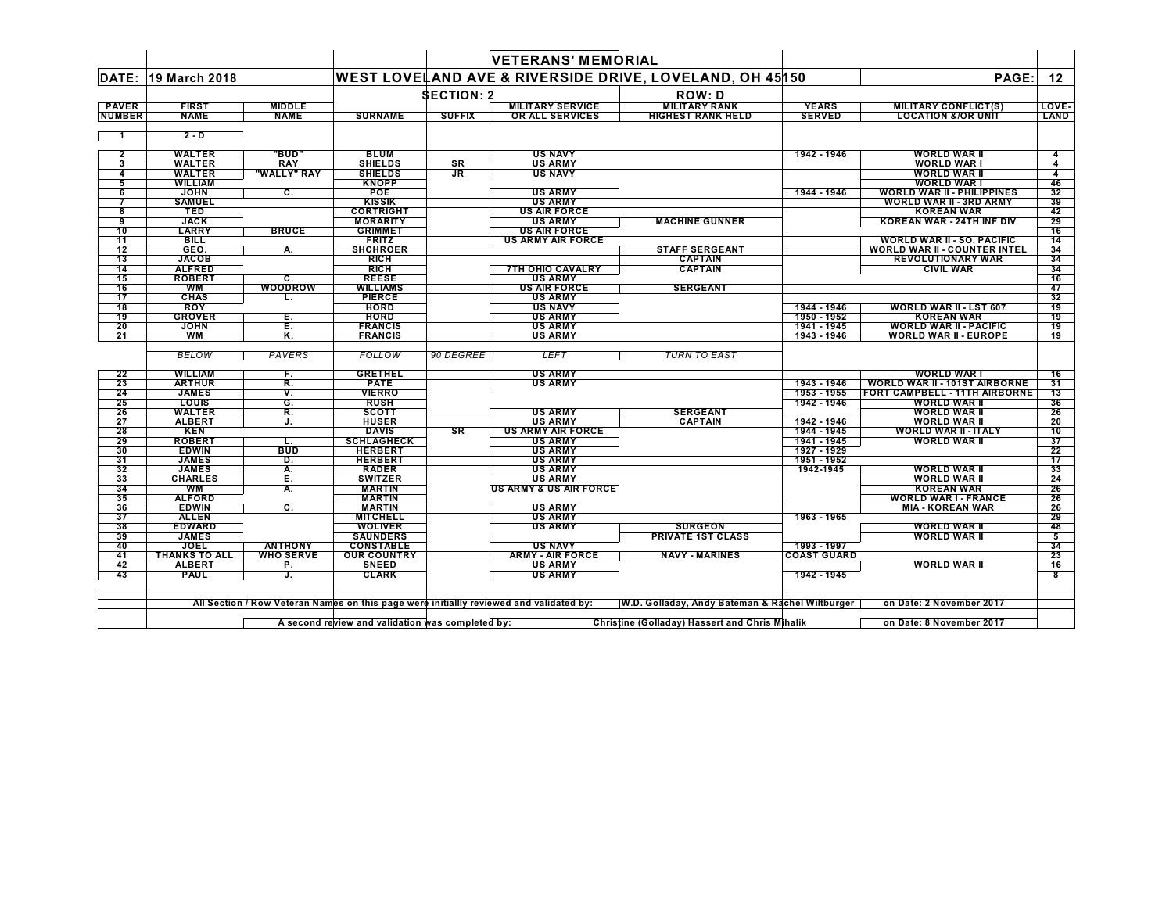|               |                             |                           |                                     |                   | <b>VETERANS' MEMORIAL</b>                                                               |                                                 |                    |                                              |                         |
|---------------|-----------------------------|---------------------------|-------------------------------------|-------------------|-----------------------------------------------------------------------------------------|-------------------------------------------------|--------------------|----------------------------------------------|-------------------------|
|               | DATE: 19 March 2018         |                           |                                     |                   | WEST LOVELAND AVE & RIVERSIDE DRIVE, LOVELAND, OH 45150                                 |                                                 |                    | PAGE:                                        | 12                      |
|               |                             |                           |                                     | <b>SECTION: 2</b> |                                                                                         | <b>ROW: D</b>                                   |                    |                                              |                         |
| <b>PAVER</b>  | <b>FIRST</b>                | <b>MIDDLE</b>             |                                     |                   | <b>MILITARY SERVICE</b>                                                                 | <b>MILITARY RANK</b>                            | <b>YEARS</b>       | <b>MILITARY CONFLICT(S)</b>                  | <b>LOVE-</b>            |
| <b>NUMBER</b> | <b>NAME</b>                 | <b>NAME</b>               | <b>SURNAME</b>                      | <b>SUFFIX</b>     | <b>OR ALL SERVICES</b>                                                                  | <b>HIGHEST RANK HELD</b>                        | <b>SERVED</b>      | <b>LOCATION &amp;/OR UNIT</b>                | LAND                    |
|               | $2 - D$                     |                           |                                     |                   |                                                                                         |                                                 |                    |                                              |                         |
| $\mathbf{2}$  | <b>WALTER</b>               | "BUD"                     | <b>BLUM</b>                         |                   | <b>US NAVY</b>                                                                          |                                                 | 1942 - 1946        | <b>WORLD WAR II</b>                          |                         |
| 3             | <b>WALTER</b>               | <b>RAY</b>                | <b>SHIELDS</b>                      | SR                | <b>US ARMY</b>                                                                          |                                                 |                    | <b>WORLD WAR I</b>                           | 4                       |
| 4             | WALTER                      | "WALLY" RAY               | <b>SHIELDS</b>                      | JR.               | <b>US NAVY</b>                                                                          |                                                 |                    | <b>WORLD WAR II</b>                          | 4                       |
| 5             | WILLIAM                     |                           | <b>KNOPP</b>                        |                   |                                                                                         |                                                 |                    | <b>WORLD WAR I</b>                           | 46                      |
| 6             | <b>JOHN</b>                 | $\overline{\mathbf{c}}$ . | POE                                 |                   | <b>US ARMY</b>                                                                          |                                                 | 1944 - 1946        | <b>WORLD WAR II - PHILIPPINES</b>            | 32                      |
|               | <b>SAMUEL</b>               |                           | <b>KISSIK</b>                       |                   | <b>US ARMY</b>                                                                          |                                                 |                    | <b>WORLD WAR II - 3RD ARMY</b>               | 39                      |
| 8             | <b>TED</b>                  |                           | <b>CORTRIGHT</b>                    |                   | <b>US AIR FORCE</b>                                                                     |                                                 |                    | <b>KOREAN WAR</b>                            | 42                      |
| 9             | <b>JACK</b>                 |                           | <b>MORARITY</b>                     |                   | <b>US ARMY</b>                                                                          | <b>MACHINE GUNNER</b>                           |                    | KOREAN WAR - 24TH INF DIV                    | 29                      |
| 10            | <b>LARRY</b>                | <b>BRUCE</b>              | <b>GRIMMET</b>                      |                   | <b>US AIR FORCE</b>                                                                     |                                                 |                    |                                              | 16                      |
| 11            | <b>BILL</b>                 |                           | <b>FRITZ</b>                        |                   | <b>US ARMY AIR FORCE</b>                                                                |                                                 |                    | <b>WORLD WAR II - SO. PACIFIC</b>            | 14                      |
| 12            | GEO.<br><b>JACOB</b>        | А.                        | <b>SHCHROER</b>                     |                   |                                                                                         | <b>STAFF SERGEANT</b>                           |                    | <b>WORLD WAR II - COUNTER INTEL</b>          | 34                      |
| 13<br>14      | <b>ALFRED</b>               |                           | <b>RICH</b><br><b>RICH</b>          |                   | <b>7TH OHIO CAVALRY</b>                                                                 | <b>CAPTAIN</b><br><b>CAPTAIN</b>                |                    | <b>REVOLUTIONARY WAR</b><br><b>CIVIL WAR</b> | 34<br>34                |
| 15            | <b>ROBERT</b>               | С.                        | <b>REESE</b>                        |                   | <b>US ARMY</b>                                                                          |                                                 |                    |                                              | 16                      |
| 16            | WM                          | <b>WOODROW</b>            | <b>WILLIAMS</b>                     |                   | <b>US AIR FORCE</b>                                                                     | <b>SERGEANT</b>                                 |                    |                                              | 47                      |
| 17            | <b>CHAS</b>                 | L.                        | <b>PIERCE</b>                       |                   | <b>US ARMY</b>                                                                          |                                                 |                    |                                              | 32                      |
| 18            | <b>ROY</b>                  |                           | <b>HORD</b>                         |                   | <b>US NAVY</b>                                                                          |                                                 | 1944 - 1946        | <b>WORLD WAR II - LST 607</b>                | 19                      |
| 19            | <b>GROVER</b>               | Е.                        | <b>HORD</b>                         |                   | <b>US ARMY</b>                                                                          |                                                 | 1950 - 1952        | <b>KOREAN WAR</b>                            | 19                      |
| 20            | <b>JOHN</b>                 | Е.                        | <b>FRANCIS</b>                      |                   | <b>US ARMY</b>                                                                          |                                                 | 1941 - 1945        | WORLD WAR II - PACIFIC                       | 19                      |
| 21            | WМ                          | Κ.                        | <b>FRANCIS</b>                      |                   | <b>US ARMY</b>                                                                          |                                                 | 1943 - 1946        | <b>WORLD WAR II - EUROPE</b>                 | 19                      |
|               |                             |                           |                                     |                   |                                                                                         |                                                 |                    |                                              |                         |
|               | <b>BELOW</b>                | PAVERS                    | FOLLOW                              | 90 DEGREE         | <b>LEFT</b>                                                                             | <b>TURN TO EAST</b>                             |                    |                                              |                         |
| 22            | <b>WILLIAM</b>              | F.                        | <b>GRETHEL</b>                      |                   | <b>US ARMY</b>                                                                          |                                                 |                    | <b>WORLD WAR I</b>                           | 16                      |
| 23            | <b>ARTHUR</b>               | R.                        | <b>PATE</b>                         |                   | <b>US ARMY</b>                                                                          |                                                 | 1943 - 1946        | <b>WORLD WAR II - 101ST AIRBORNE</b>         | 31                      |
| 24            | <b>JAMES</b>                | ٧.                        | <b>VIERRO</b>                       |                   |                                                                                         |                                                 | 1953 - 1955        | <b>FORT CAMPBELL - 11TH AIRBORNE</b>         | 13                      |
| 25            | <b>LOUIS</b>                | G.                        | <b>RUSH</b>                         |                   |                                                                                         |                                                 | 1942 - 1946        | <b>WORLD WAR II</b>                          | 36                      |
| 26            | <b>WALTER</b>               | R.                        | <b>SCOTT</b>                        |                   | <b>US ARMY</b>                                                                          | <b>SERGEANT</b>                                 |                    | <b>WORLD WAR II</b>                          | 26                      |
| 27            | <b>ALBERT</b>               | J.                        | <b>HUSER</b>                        |                   | <b>US ARMY</b>                                                                          | <b>CAPTAIN</b>                                  | 1942 - 1946        | <b>WORLD WAR II</b>                          | 20                      |
| 28            | KEN                         |                           | <b>DAVIS</b>                        | <b>SR</b>         | <b>US ARMY AIR FORCE</b>                                                                |                                                 | $1944 - 1945$      | <b>WORLD WAR II - ITALY</b>                  | 10                      |
| 29            | <b>ROBERT</b>               | ъ.                        | <b>SCHLAGHECK</b>                   |                   | <b>US ARMY</b>                                                                          |                                                 | 1941 - 1945        | <b>WORLD WAR II</b>                          | 37                      |
| 30            | <b>EDWIN</b>                | <b>BUD</b>                | <b>HERBERT</b>                      |                   | <b>US ARMY</b>                                                                          |                                                 | 1927 - 1929        |                                              | 22                      |
| 31            | <b>JAMES</b>                | D.                        | <b>HERBERT</b>                      |                   | <b>US ARMY</b>                                                                          |                                                 | 1951 - 1952        |                                              | 17                      |
| 32            | <b>JAMES</b>                | Α.                        | <b>RADER</b>                        |                   | <b>US ARMY</b>                                                                          |                                                 | 1942-1945          | <b>WORLD WAR II</b>                          | 33                      |
| 33            | <b>CHARLES</b>              | E.                        | <b>SWITZER</b>                      |                   | <b>US ARMY</b>                                                                          |                                                 |                    | <b>WORLD WAR II</b>                          | 24                      |
| 34            | WM                          | А.                        | <b>MARTIN</b>                       |                   | <b>US ARMY &amp; US AIR FORCE</b>                                                       |                                                 |                    | <b>KOREAN WAR</b>                            | 26                      |
| 35            | <b>ALFORD</b>               |                           | <b>MARTIN</b>                       |                   |                                                                                         |                                                 |                    | <b>WORLD WAR I - FRANCE</b>                  | 26                      |
| 36<br>37      | <b>EDWIN</b>                | С.                        | <b>MARTIN</b>                       |                   | <b>US ARMY</b>                                                                          |                                                 | 1963 - 1965        | MIA - KOREAN WAR                             | 26<br>29                |
|               | <b>ALLEN</b>                |                           | <b>MITCHELL</b>                     |                   | <b>US ARMY</b>                                                                          |                                                 |                    |                                              |                         |
| 38<br>39      | <b>EDWARD</b>               |                           | <b>WOLIVER</b>                      |                   | <b>US ARMY</b>                                                                          | <b>SURGEON</b>                                  |                    | <b>WORLD WAR II</b>                          | 48<br>5                 |
| 40            | <b>JAMES</b><br><b>JOEL</b> | <b>ANTHONY</b>            | <b>SAUNDERS</b><br><b>CONSTABLE</b> |                   | <b>US NAVY</b>                                                                          | <b>PRIVATE 1ST CLASS</b>                        | 1993 - 1997        | <b>WORLD WAR II</b>                          | 34                      |
| 41            | <b>THANKS TO ALL</b>        | <b>WHO SERVE</b>          | <b>OUR COUNTRY</b>                  |                   | <b>ARMY - AIR FORCE</b>                                                                 | <b>NAVY - MARINES</b>                           | <b>COAST GUARD</b> |                                              | 23                      |
| 42            | <b>ALBERT</b>               | Р.                        | <b>SNEED</b>                        |                   | <b>US ARMY</b>                                                                          |                                                 |                    | <b>WORLD WAR II</b>                          | 16                      |
| 43            | <b>PAUL</b>                 | J.                        | <b>CLARK</b>                        |                   | <b>US ARMY</b>                                                                          |                                                 | 1942 - 1945        |                                              | $\overline{\mathbf{8}}$ |
|               |                             |                           |                                     |                   |                                                                                         |                                                 |                    |                                              |                         |
|               |                             |                           |                                     |                   |                                                                                         | W.D. Golladay, Andy Bateman & Rachel Wiltburger |                    | on Date: 2 November 2017                     |                         |
|               |                             |                           |                                     |                   | All Section / Row Veteran Names on this page were initiallly reviewed and validated by: |                                                 |                    |                                              |                         |

**A second review and validation was completed by: Christine (Golladay) Hassert and Chris Mihalik on Date: 8 November 2017**

 $\mathbf{I}$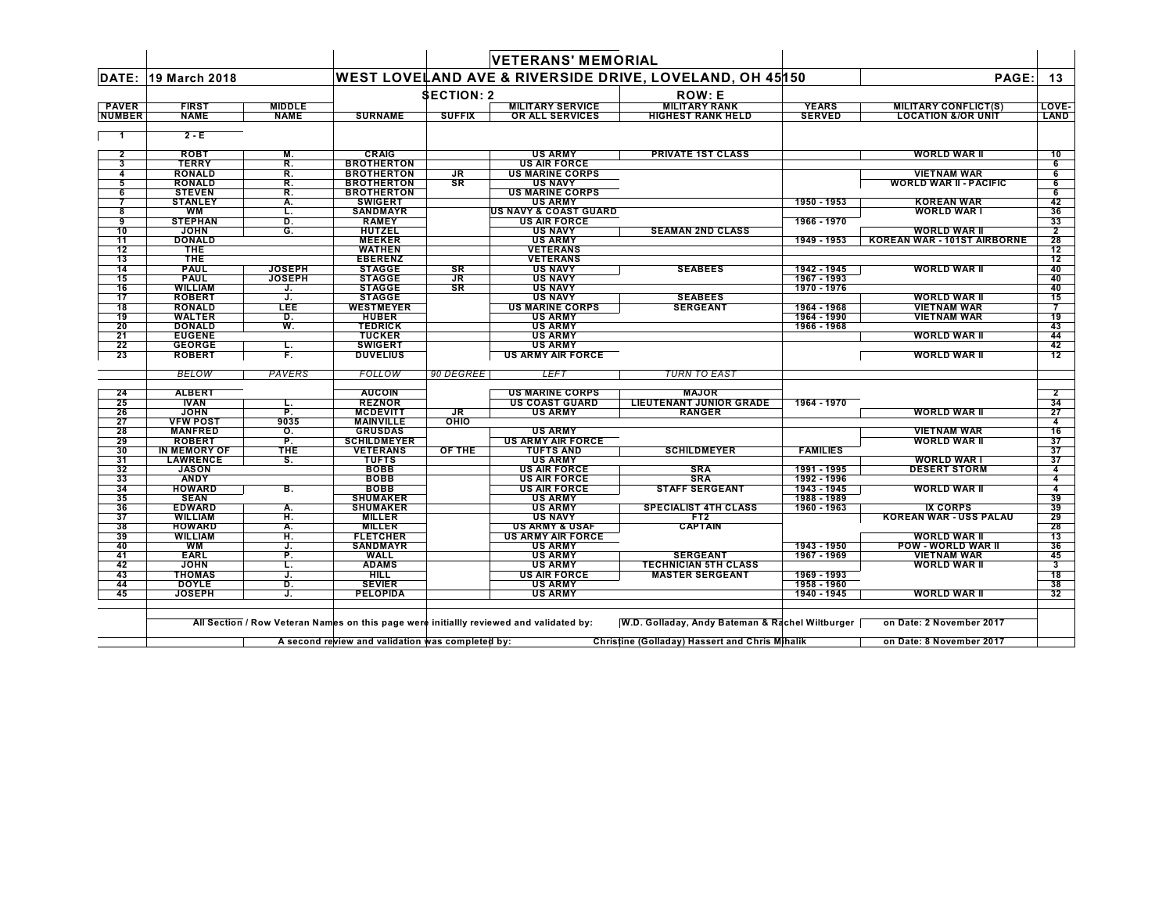|                               |                                 |                              |                                                  |                   | <b>VETERANS' MEMORIAL</b>                                                               |                                                         |                               |                                                              |                         |
|-------------------------------|---------------------------------|------------------------------|--------------------------------------------------|-------------------|-----------------------------------------------------------------------------------------|---------------------------------------------------------|-------------------------------|--------------------------------------------------------------|-------------------------|
|                               | DATE: 19 March 2018             |                              |                                                  |                   |                                                                                         | WEST LOVELAND AVE & RIVERSIDE DRIVE, LOVELAND, OH 45150 |                               | PAGE:                                                        | 13                      |
|                               |                                 |                              |                                                  | <b>SECTION: 2</b> |                                                                                         | <b>ROW: E</b>                                           |                               |                                                              |                         |
| <b>PAVER</b><br><b>NUMBER</b> | <b>FIRST</b><br><b>NAME</b>     | <b>MIDDLE</b><br><b>NAME</b> | <b>SURNAME</b>                                   | <b>SUFFIX</b>     | <b>MILITARY SERVICE</b><br>OR ALL SERVICES                                              | <b>MILITARY RANK</b><br><b>HIGHEST RANK HELD</b>        | <b>YEARS</b><br><b>SERVED</b> | <b>MILITARY CONFLICT(S)</b><br><b>LOCATION &amp;/OR UNIT</b> | LOVE-<br>LAND           |
| $\mathbf 1$                   | $2 - E$                         |                              |                                                  |                   |                                                                                         |                                                         |                               |                                                              |                         |
| $\mathbf{2}$                  | <b>ROBT</b>                     | М.                           | <b>CRAIG</b>                                     |                   | <b>US ARMY</b>                                                                          | <b>PRIVATE 1ST CLASS</b>                                |                               | <b>WORLD WAR II</b>                                          | 10                      |
| 3                             | <b>TERRY</b>                    | R.                           | <b>BROTHERTON</b>                                |                   | <b>US AIR FORCE</b>                                                                     |                                                         |                               |                                                              | 6                       |
| 4                             | <b>RONALD</b>                   | R.                           | <b>BROTHERTON</b>                                | JR                | <b>US MARINE CORPS</b>                                                                  |                                                         |                               | <b>VIETNAM WAR</b>                                           | 6                       |
| 5                             | <b>RONALD</b>                   | R.                           | <b>BROTHERTON</b>                                | SR                | <b>US NAVY</b>                                                                          |                                                         |                               | <b>WORLD WAR II - PACIFIC</b>                                | 6                       |
| 6<br>7                        | <b>STEVEN</b>                   | R.                           | <b>BROTHERTON</b>                                |                   | <b>US MARINE CORPS</b>                                                                  |                                                         |                               |                                                              | 6                       |
| 8                             | <b>STANLEY</b><br>WM            | А.<br>L.                     | <b>SWIGERT</b><br><b>SANDMAYR</b>                |                   | <b>US ARMY</b><br><b>US NAVY &amp; COAST GUARD</b>                                      |                                                         | 1950 - 1953                   | <b>KOREAN WAR</b><br><b>WORLD WAR I</b>                      | 42<br>36                |
| 9                             | <b>STEPHAN</b>                  | D.                           | <b>RAMEY</b>                                     |                   | <b>US AIR FORCE</b>                                                                     |                                                         | 1966 - 1970                   |                                                              | 33                      |
| 10                            | <b>JOHN</b>                     | G.                           | <b>HUTZEL</b>                                    |                   | <b>US NAVY</b>                                                                          | <b>SEAMAN 2ND CLASS</b>                                 |                               | WORLD WAR II                                                 | $\overline{2}$          |
| 11                            | <b>DONALD</b>                   |                              | <b>MEEKER</b>                                    |                   | <b>US ARMY</b>                                                                          |                                                         | 1949 - 1953                   | <b>KOREAN WAR - 101ST AIRBORNE</b>                           | 28                      |
| 12                            | <b>THE</b>                      |                              | <b>WATHEN</b>                                    |                   | <b>VETERANS</b>                                                                         |                                                         |                               |                                                              | 12                      |
| 13                            | THE                             |                              | <b>EBERENZ</b>                                   |                   | <b>VETERANS</b>                                                                         |                                                         |                               |                                                              | 12                      |
| 14                            | <b>PAUL</b>                     | <b>JOSEPH</b>                | <b>STAGGE</b>                                    | SR                | <b>US NAVY</b>                                                                          | <b>SEABEES</b>                                          | 1942 - 1945                   | WORLD WAR II                                                 | 40                      |
| 15                            | <b>PAUL</b>                     | <b>JOSEPH</b>                | <b>STAGGE</b>                                    | JR                | <b>US NAVY</b>                                                                          |                                                         | 1967 - 1993                   |                                                              | 40                      |
| 16<br>17                      | <b>WILLIAM</b><br><b>ROBERT</b> | J.<br>J.                     | <b>STAGGE</b><br><b>STAGGE</b>                   | <b>SR</b>         | <b>US NAVY</b><br><b>US NAVY</b>                                                        | <b>SEABEES</b>                                          | 1970 - 1976                   | <b>WORLD WAR II</b>                                          | 40<br>15                |
| 18                            | <b>RONALD</b>                   | LEE                          | <b>WESTMEYER</b>                                 |                   | <b>US MARINE CORPS</b>                                                                  | <b>SERGEANT</b>                                         | 1964 - 1968                   | <b>VIETNAM WAR</b>                                           | 7                       |
| 19                            | <b>WALTER</b>                   | D.                           | <b>HUBER</b>                                     |                   | <b>US ARMY</b>                                                                          |                                                         | 1964 - 1990                   | <b>VIETNAM WAR</b>                                           | 19                      |
| 20                            | <b>DONALD</b>                   | W.                           | <b>TEDRICK</b>                                   |                   | <b>US ARMY</b>                                                                          |                                                         | 1966 - 1968                   |                                                              | 43                      |
| 21                            | <b>EUGENE</b>                   |                              | <b>TUCKER</b>                                    |                   | <b>US ARMY</b>                                                                          |                                                         |                               | <b>WORLD WAR II</b>                                          | 44                      |
| 22                            | <b>GEORGE</b>                   | L.                           | <b>SWIGERT</b>                                   |                   | <b>US ARMY</b>                                                                          |                                                         |                               |                                                              | 42                      |
| 23                            | <b>ROBERT</b>                   | F.                           | <b>DUVELIUS</b>                                  |                   | <b>US ARMY AIR FORCE</b>                                                                |                                                         |                               | <b>WORLD WAR II</b>                                          | 12                      |
|                               | <b>BELOW</b>                    | PAVERS                       | <b>FOLLOW</b>                                    | 90 DEGREE         | <b>LEFT</b>                                                                             | <b>TURN TO EAST</b>                                     |                               |                                                              |                         |
| 24                            | <b>ALBERT</b>                   |                              | <b>AUCOIN</b>                                    |                   | <b>US MARINE CORPS</b>                                                                  | <b>MAJOR</b>                                            |                               |                                                              | $\overline{\mathbf{2}}$ |
| 25                            | <b>IVAN</b>                     | L.                           | <b>REZNOR</b>                                    |                   | <b>US COAST GUARD</b>                                                                   | <b>LIEUTENANT JUNIOR GRADE</b>                          | 1964 - 1970                   |                                                              | 34                      |
| 26                            | <b>JOHN</b>                     | P.                           | <b>MCDEVITT</b>                                  | JR                | <b>US ARMY</b>                                                                          | <b>RANGER</b>                                           |                               | WORLD WAR II                                                 | 27                      |
| 27                            | <b>VFW POST</b>                 | 9035                         | <b>MAINVILLE</b>                                 | OHIO              |                                                                                         |                                                         |                               |                                                              | 4                       |
| 28                            | <b>MANFRED</b>                  | $\overline{\mathsf{o}}$ .    | <b>GRUSDAS</b>                                   |                   | <b>US ARMY</b>                                                                          |                                                         |                               | <b>VIETNAM WAR</b>                                           | 16                      |
| 29<br>30                      | <b>ROBERT</b><br>IN MEMORY OF   | P.<br>THE                    | <b>SCHILDMEYER</b><br><b>VETERANS</b>            | OF THE            | <b>US ARMY AIR FORCE</b><br><b>TUFTS AND</b>                                            | <b>SCHILDMEYER</b>                                      | <b>FAMILIES</b>               | <b>WORLD WAR II</b>                                          | 37<br>37                |
| 31                            | <b>LAWRENCE</b>                 | S.                           | <b>TUFTS</b>                                     |                   | <b>US ARMY</b>                                                                          |                                                         |                               | <b>WORLD WAR I</b>                                           | 37                      |
| 32                            | <b>JASON</b>                    |                              | <b>BOBB</b>                                      |                   | <b>US AIR FORCE</b>                                                                     | <b>SRA</b>                                              | 1991 - 1995                   | <b>DESERT STORM</b>                                          | $\overline{4}$          |
| 33                            | <b>ANDY</b>                     |                              | <b>BOBB</b>                                      |                   | <b>US AIR FORCE</b>                                                                     | <b>SRA</b>                                              | 1992 - 1996                   |                                                              | $\overline{4}$          |
| 34                            | <b>HOWARD</b>                   | в.                           | <b>BOBB</b>                                      |                   | <b>US AIR FORCE</b>                                                                     | <b>STAFF SERGEANT</b>                                   | 1943 - 1945                   | <b>WORLD WAR II</b>                                          | $\overline{4}$          |
| 35                            | <b>SEAN</b>                     |                              | <b>SHUMAKER</b>                                  |                   | <b>US ARMY</b>                                                                          |                                                         | 1988 - 1989                   |                                                              | 39                      |
| 36                            | <b>EDWARD</b>                   | А.                           | <b>SHUMAKER</b>                                  |                   | <b>US ARMY</b>                                                                          | <b>SPECIALIST 4TH CLASS</b>                             | 1960 - 1963                   | <b>IX CORPS</b>                                              | 39                      |
| 37                            | <b>WILLIAM</b>                  | н.                           | <b>MILLER</b>                                    |                   | <b>US NAVY</b>                                                                          | FT <sub>2</sub>                                         |                               | <b>KOREAN WAR - USS PALAU</b>                                | 29                      |
| 38                            | <b>HOWARD</b>                   | А.                           | <b>MILLER</b>                                    |                   | <b>US ARMY &amp; USAF</b>                                                               | <b>CAPTAIN</b>                                          |                               |                                                              | 28                      |
| 39<br>40                      | <b>WILLIAM</b><br>WМ            | н.<br>J.                     | <b>FLETCHER</b><br><b>SANDMAYR</b>               |                   | <b>US ARMY AIR FORCE</b><br><b>US ARMY</b>                                              |                                                         | 1943 - 1950                   | WORLD WAR II<br><b>POW - WORLD WAR II</b>                    | 13<br>36                |
| 41                            | <b>EARL</b>                     | P.                           | WALL                                             |                   | <b>US ARMY</b>                                                                          | <b>SERGEANT</b>                                         | 1967 - 1969                   | <b>VIETNAM WAR</b>                                           | 45                      |
| 42                            | <b>JOHN</b>                     | τ.                           | <b>ADAMS</b>                                     |                   | <b>US ARMY</b>                                                                          | <b>TECHNICIAN 5TH CLASS</b>                             |                               | WORLD WAR II                                                 | 3                       |
| 43                            | <b>THOMAS</b>                   | J.                           | <b>HILL</b>                                      |                   | <b>US AIR FORCE</b>                                                                     | <b>MASTER SERGEANT</b>                                  | 1969 - 1993                   |                                                              | 18                      |
| 44                            | <b>DOYLE</b>                    | D.                           | <b>SEVIER</b>                                    |                   | <b>US ARMY</b>                                                                          |                                                         | 1958 - 1960                   |                                                              | 38                      |
| 45                            | <b>JOSEPH</b>                   | J.                           | <b>PELOPIDA</b>                                  |                   | <b>US ARMY</b>                                                                          |                                                         | 1940 - 1945                   | <b>WORLD WAR II</b>                                          | 32                      |
|                               |                                 |                              |                                                  |                   | All Section / Row Veteran Names on this page were initiallly reviewed and validated by: | W.D. Golladay, Andy Bateman & Rachel Wiltburger         |                               | on Date: 2 November 2017                                     |                         |
|                               |                                 |                              | A second review and validation was completed by: |                   |                                                                                         | <b>Christine (Golladay) Hassert and Chris Mihalik</b>   |                               | on Date: 8 November 2017                                     |                         |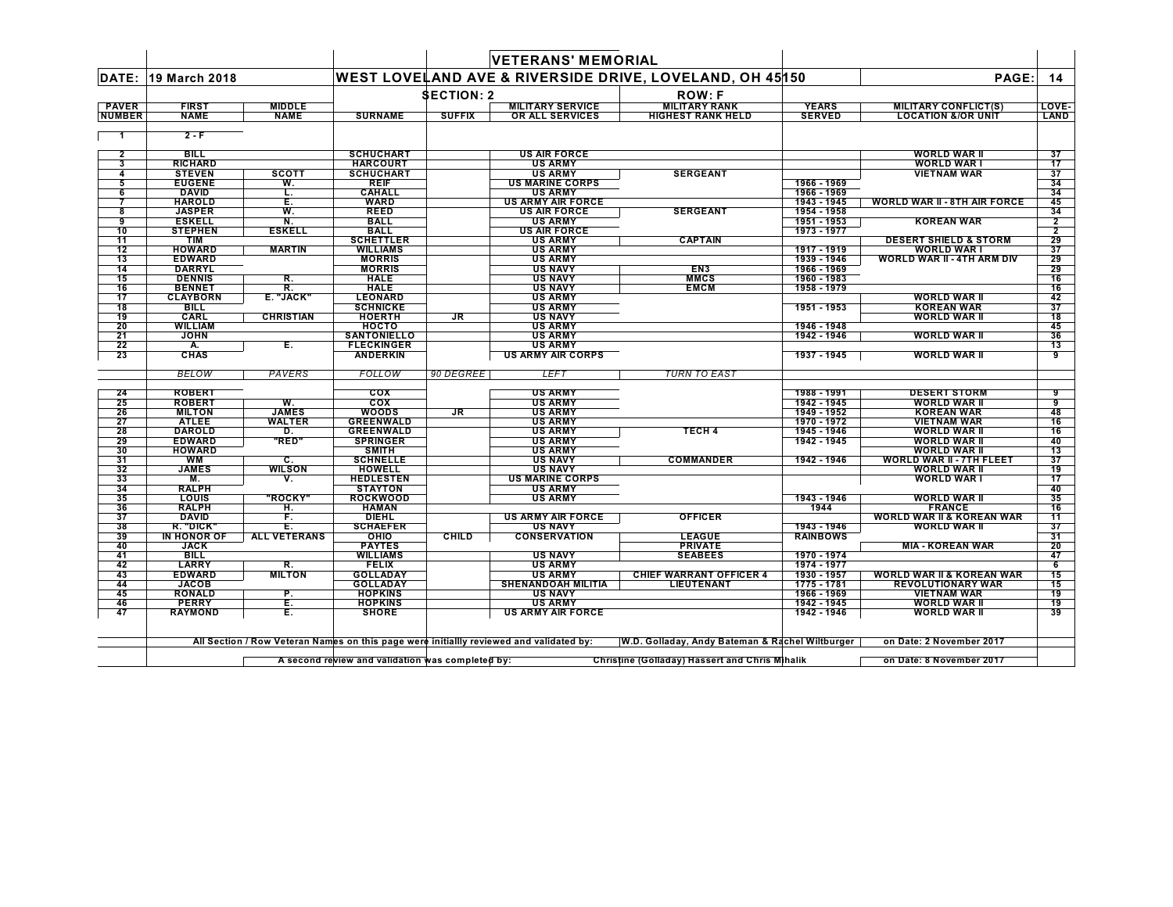|                 |                                |                     |                                  |                   | <b>VETERANS' MEMORIAL</b>                |                                                         |                              |                                                        |                 |
|-----------------|--------------------------------|---------------------|----------------------------------|-------------------|------------------------------------------|---------------------------------------------------------|------------------------------|--------------------------------------------------------|-----------------|
|                 | DATE: 19 March 2018            |                     |                                  |                   |                                          | WEST LOVELAND AVE & RIVERSIDE DRIVE, LOVELAND, OH 45150 |                              | PAGE:                                                  | 14              |
|                 |                                |                     |                                  | <b>SECTION: 2</b> |                                          | <b>ROW:F</b>                                            |                              |                                                        |                 |
| <b>PAVER</b>    | <b>FIRST</b>                   | <b>MIDDLE</b>       |                                  |                   | <b>MILITARY SERVICE</b>                  | <b>MILITARY RANK</b>                                    | <b>YEARS</b>                 | MILITARY CONFLICT(S)                                   | LOVE-           |
| <b>NUMBER</b>   | <b>NAME</b>                    | <b>NAME</b>         | <b>SURNAME</b>                   | <b>SUFFIX</b>     | OR ALL SERVICES                          | <b>HIGHEST RANK HELD</b>                                | <b>SERVED</b>                | <b>LOCATION &amp;/OR UNIT</b>                          | <b>LAND</b>     |
| $\mathbf{1}$    | $2 - F$                        |                     |                                  |                   |                                          |                                                         |                              |                                                        |                 |
| $\mathbf{2}$    | <b>BILL</b>                    |                     | <b>SCHUCHART</b>                 |                   | <b>US AIR FORCE</b>                      |                                                         |                              | <b>WORLD WAR II</b>                                    | 37              |
| 3               | <b>RICHARD</b>                 |                     | <b>HARCOURT</b>                  |                   | <b>US ARMY</b>                           |                                                         |                              | <b>WORLD WAR I</b>                                     | 17              |
| 4               | <b>STEVEN</b><br><b>EUGENE</b> | <b>SCOTT</b><br>W.  | SCHUCHART<br><b>REIF</b>         |                   | <b>US ARMY</b><br><b>US MARINE CORPS</b> | <b>SERGEANT</b>                                         | 1966 - 1969                  | <b>VIETNAM WAR</b>                                     | 37<br>34        |
| 5<br>6          | <b>DAVID</b>                   | L.                  | <b>CAHALL</b>                    |                   | <b>US ARMY</b>                           |                                                         | 1966 - 1969                  |                                                        | 34              |
|                 | <b>HAROLD</b>                  | Έ.                  | <b>WARD</b>                      |                   | <b>US ARMY AIR FORCE</b>                 |                                                         | 1943 - 1945                  | <b>WORLD WAR II - 8TH AIR FORCE</b>                    | 45              |
| 8               | <b>JASPER</b>                  | W.                  | <b>REED</b>                      |                   | <b>US AIR FORCE</b>                      | <b>SERGEANT</b>                                         | 1954 - 1958                  |                                                        | 34              |
| 9               | <b>ESKELL</b>                  | N.                  | <b>BALL</b>                      |                   | <b>US ARMY</b>                           |                                                         | 1951 - 1953                  | <b>KOREAN WAR</b>                                      | $\overline{2}$  |
| 10              | <b>STEPHEN</b>                 | <b>ESKELL</b>       | <b>BALL</b>                      |                   | <b>US AIR FORCE</b>                      |                                                         | 1973 - 1977                  |                                                        | $\overline{2}$  |
| $\overline{11}$ | <b>TIM</b>                     |                     | <b>SCHETTLER</b>                 |                   | <b>US ARMY</b>                           | <b>CAPTAIN</b>                                          |                              | <b>DESERT SHIELD &amp; STORM</b>                       | 29              |
| 12              | <b>HOWARD</b>                  | <b>MARTIN</b>       | <b>WILLIAMS</b>                  |                   | <b>US ARMY</b>                           |                                                         | 1917 - 1919                  | <b>WORLD WAR I</b>                                     | 37              |
| 13              | <b>EDWARD</b>                  |                     | <b>MORRIS</b>                    |                   | <b>US ARMY</b>                           |                                                         | 1939 - 1946                  | <b>WORLD WAR II - 4TH ARM DIV</b>                      | 29              |
| 14              | <b>DARRYL</b>                  |                     | <b>MORRIS</b>                    |                   | <b>US NAVY</b>                           | EN <sub>3</sub>                                         | 1966 - 1969                  |                                                        | 29              |
| 15              | <b>DENNIS</b>                  | R.                  | <b>HALE</b>                      |                   | <b>US NAVY</b>                           | <b>MMCS</b>                                             | 1960 - 1983                  |                                                        | 16              |
| 16              | <b>BENNET</b>                  | R.                  | <b>HALE</b>                      |                   | <b>US NAVY</b>                           | <b>EMCM</b>                                             | 1958 - 1979                  |                                                        | 16              |
| 17              | <b>CLAYBORN</b><br>BILL        | E. "JACK"           | <b>LEONARD</b>                   |                   | <b>US ARMY</b>                           |                                                         | 1951 - 1953                  | <b>WORLD WAR II</b><br><b>KOREAN WAR</b>               | 42<br>37        |
| 18<br>19        | CARL                           | <b>CHRISTIAN</b>    | <b>SCHNICKE</b><br><b>HOERTH</b> | JR                | <b>US ARMY</b><br><b>US NAVY</b>         |                                                         |                              | <b>WORLD WAR II</b>                                    | 18              |
| 20              | <b>WILLIAM</b>                 |                     | носто                            |                   | <b>US ARMY</b>                           |                                                         | 1946 - 1948                  |                                                        | 45              |
| $\overline{21}$ | <b>JOHN</b>                    |                     | <b>SANTONIELLO</b>               |                   | <b>US ARMY</b>                           |                                                         | 1942 - 1946                  | <b>WORLD WAR II</b>                                    | 36              |
| 22              | А.                             | Е.                  | <b>FLECKINGER</b>                |                   | <b>US ARMY</b>                           |                                                         |                              |                                                        | 13              |
| 23              | <b>CHAS</b>                    |                     | <b>ANDERKIN</b>                  |                   | <b>US ARMY AIR CORPS</b>                 |                                                         | 1937 - 1945                  | <b>WORLD WAR II</b>                                    | 9               |
|                 | <b>BELOW</b>                   | PAVERS              | FOLLOW                           | 90 DEGREE         | <b>LEFT</b>                              | <b>TURN TO EAST</b>                                     |                              |                                                        |                 |
| 24              | <b>ROBERT</b>                  |                     | cox                              |                   | <b>US ARMY</b>                           |                                                         | 1988 - 1991                  | <b>DESERT STORM</b>                                    | 9               |
| 25              | <b>ROBERT</b>                  | W.                  | cos                              |                   | <b>US ARMY</b>                           |                                                         | 1942 - 1945                  | <b>WORLD WAR II</b>                                    | 9               |
| 26              | <b>MILTON</b>                  | <b>JAMES</b>        | WOODS                            | JR                | <b>US ARMY</b>                           |                                                         | 1949 - 1952                  | <b>KOREAN WAR</b>                                      | 48              |
| 27              | <b>ATLEE</b>                   | <b>WALTER</b>       | <b>GREENWALD</b>                 |                   | <b>US ARMY</b>                           |                                                         | 1970 - 1972                  | <b>VIETNAM WAR</b>                                     | 16              |
| 28              | <b>DAROLD</b>                  | D.                  | <b>GREENWALD</b>                 |                   | <b>US ARMY</b>                           | TECH <sub>4</sub>                                       | 1945 - 1946                  | <b>WORLD WAR II</b>                                    | 16              |
| 29              | <b>EDWARD</b>                  | "RED"               | <b>SPRINGER</b>                  |                   | <b>US ARMY</b>                           |                                                         | 1942 - 1945                  | <b>WORLD WAR II</b>                                    | 40              |
| 30              | <b>HOWARD</b>                  |                     | <b>SMITH</b>                     |                   | <b>US ARMY</b>                           |                                                         |                              | <b>WORLD WAR II</b>                                    | 13              |
| 31<br>32        | WM<br><b>JAMES</b>             | С.<br><b>WILSON</b> | <b>SCHNELLE</b><br><b>HOWELL</b> |                   | <b>US NAVY</b><br><b>US NAVY</b>         | <b>COMMANDER</b>                                        | 1942 - 1946                  | <b>WORLD WAR II - 7TH FLEET</b><br><b>WORLD WAR II</b> | 37<br>19        |
| 33              | М.                             | ٧.                  | <b>HEDLESTEN</b>                 |                   | <b>US MARINE CORPS</b>                   |                                                         |                              | <b>WORLD WAR I</b>                                     | 17              |
| 34              | <b>RALPH</b>                   |                     | <b>STAYTON</b>                   |                   | <b>US ARMY</b>                           |                                                         |                              |                                                        | 40              |
| 35              | LOUIS                          | "ROCKY"             | <b>ROCKWOOD</b>                  |                   | <b>US ARMY</b>                           |                                                         | 1943 - 1946                  | <b>WORLD WAR II</b>                                    | 35              |
| 36              | <b>RALPH</b>                   | н.                  | <b>HAMAN</b>                     |                   |                                          |                                                         | 1944                         | <b>FRANCE</b>                                          | 16              |
| 37              | <b>DAVID</b>                   | F.                  | DIEHL                            |                   | <b>US ARMY AIR FORCE</b>                 | <b>OFFICER</b>                                          |                              | WORLD WAR II & KOREAN WAR                              | 11              |
| 38              | R. "DICK"                      | Ē.                  | <b>SCHAEFER</b>                  |                   | <b>US NAVY</b>                           |                                                         | 1943 - 1946                  | WORLD WAR II                                           | 37              |
| 39              | IN HONOR OF                    | ALL VETERANS        | оню                              | <b>CHILD</b>      | <b>CONSERVATION</b>                      | LEAGUE                                                  | <b>RAINBOWS</b>              |                                                        | 31              |
| 40              | <b>JACK</b>                    |                     | <b>PAYTES</b>                    |                   |                                          | <b>PRIVATE</b>                                          |                              | <b>MIA - KOREAN WAR</b>                                | 20              |
| 41              | <b>BILL</b>                    |                     | WILLIAMS                         |                   | <b>US NAVY</b>                           | <b>SEABEES</b>                                          | 1970 - 1974                  |                                                        | 47              |
| 42              | <b>LARRY</b>                   | R.                  | <b>FELIX</b>                     |                   | <b>US ARMY</b>                           |                                                         | 1974 - 1977                  |                                                        | $6\overline{6}$ |
| 43              | <b>EDWARD</b>                  | <b>MILTON</b>       | <b>GOLLADAY</b>                  |                   | <b>US ARMY</b>                           | <b>CHIEF WARRANT OFFICER 4</b>                          | 1930 - 1957                  | <b>WORLD WAR II &amp; KOREAN WAR</b>                   | 15              |
| 44              | <b>JACOB</b>                   |                     | <b>GOLLADAY</b>                  |                   | <b>SHENANDOAH MILITIA</b>                | LIEUTENANT                                              | 1775 - 1781                  | <b>REVOLUTIONARY WAR</b>                               | 15              |
| 45<br>46        | <b>RONALD</b><br><b>PERRY</b>  | Ρ.<br>Ē.            | <b>HOPKINS</b><br><b>HOPKINS</b> |                   | <b>US NAVY</b><br><b>US ARMY</b>         |                                                         | $1966 - 1969$<br>1942 - 1945 | <b>VIETNAM WAR</b><br><b>WORLD WAR II</b>              | 19<br>19        |
| 47              | <b>RAYMOND</b>                 | Е.                  | <b>SHORE</b>                     |                   | <b>US ARMY AIR FORCE</b>                 |                                                         | 1942 - 1946                  | <b>WORLD WAR II</b>                                    | 39              |
|                 |                                |                     |                                  |                   |                                          |                                                         |                              |                                                        |                 |

All Section / Row Veteran Names on this page were initiallly reviewed and validated by: W.D. Golladay, Andy Bateman & Rachel Wiltburger on Date: 2 November 2017

A second review and validation was completed by: Christine (Golladay) Hassert and Chris Mihalik Condition on Date: 8 November 2017  $\Gamma$ 

 $\mathbf{I}$ 

e.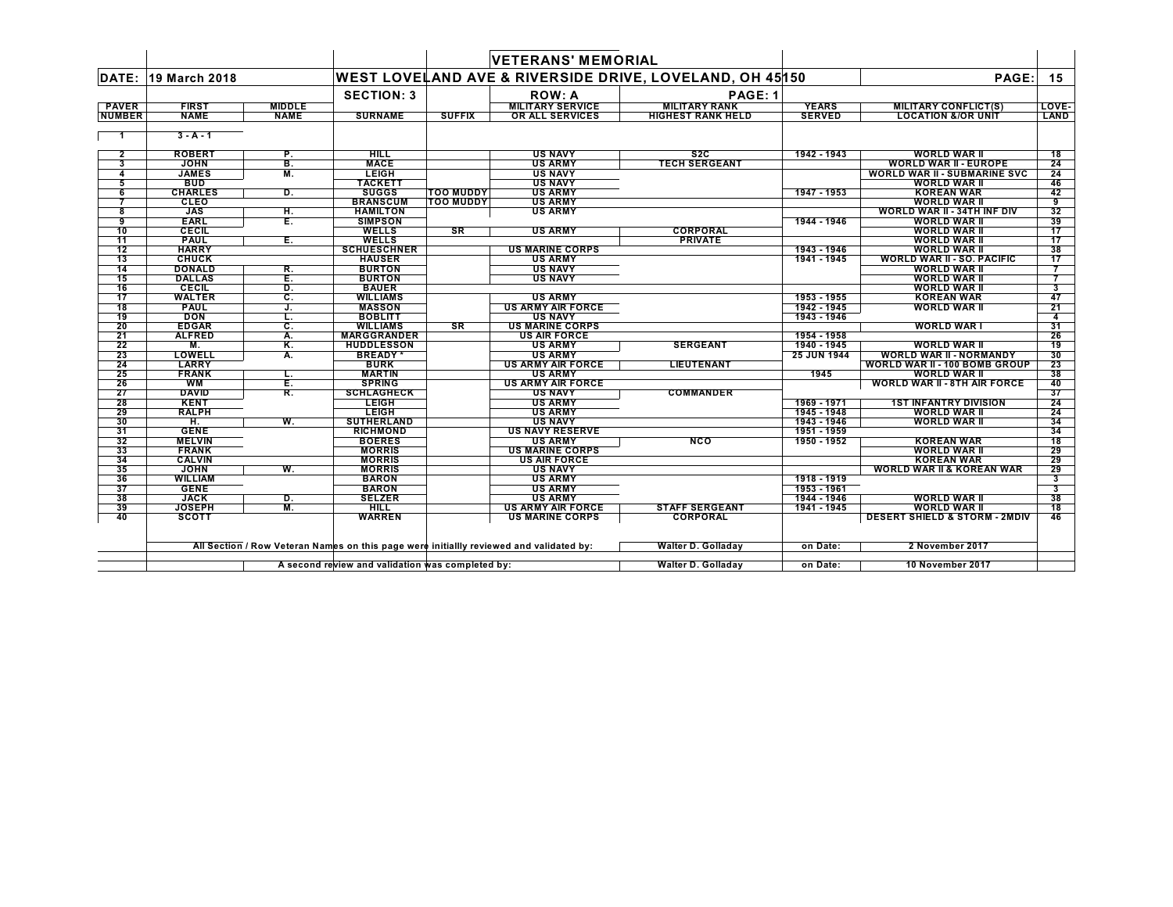|               |                              |               |                              |                  | <b>VETERANS' MEMORIAL</b>                                                               |                                                         |                    |                                                     |          |
|---------------|------------------------------|---------------|------------------------------|------------------|-----------------------------------------------------------------------------------------|---------------------------------------------------------|--------------------|-----------------------------------------------------|----------|
| DATE:         | 19 March 2018                |               |                              |                  |                                                                                         | WEST LOVELAND AVE & RIVERSIDE DRIVE, LOVELAND, OH 45150 |                    | PAGE:                                               | 15       |
|               |                              |               | <b>SECTION: 3</b>            |                  | <b>ROW: A</b>                                                                           | PAGE: 1                                                 |                    |                                                     |          |
| <b>PAVER</b>  | <b>FIRST</b>                 | <b>MIDDLE</b> |                              |                  | <b>MILITARY SERVICE</b>                                                                 | <b>MILITARY RANK</b>                                    | <b>YEARS</b>       | <b>MILITARY CONFLICT(S)</b>                         | LOVE-    |
| <b>NUMBER</b> | <b>NAME</b>                  | <b>NAME</b>   | <b>SURNAME</b>               | <b>SUFFIX</b>    | <b>OR ALL SERVICES</b>                                                                  | <b>HIGHEST RANK HELD</b>                                | <b>SERVED</b>      | <b>LOCATION &amp;/OR UNIT</b>                       | LAND     |
| - 1           | $3 - A - 1$                  |               |                              |                  |                                                                                         |                                                         |                    |                                                     |          |
| $\mathbf{2}$  | <b>ROBERT</b>                | Р.            | <b>HILL</b>                  |                  | <b>US NAVY</b>                                                                          | S <sub>2</sub> C                                        | 1942 - 1943        | <b>WORLD WAR II</b>                                 | 18       |
| 3             | <b>JOHN</b>                  | B.            | <b>MACE</b>                  |                  | <b>US ARMY</b>                                                                          | <b>TECH SERGEANT</b>                                    |                    | <b>WORLD WAR II - EUROPE</b>                        | 24       |
| 4             | <b>JAMES</b>                 | М.            | LEIGH                        |                  | <b>US NAVY</b>                                                                          |                                                         |                    | <b>WORLD WAR II - SUBMARINE SVC</b>                 | 24       |
| 5             | <b>BUD</b>                   |               | <b>TACKETT</b>               |                  | <b>US NAVY</b>                                                                          |                                                         |                    | WORLD WAR II                                        | 46       |
| 6             | <b>CHARLES</b>               | D.            | <b>SUGGS</b>                 | <b>TOO MUDDY</b> | <b>US ARMY</b>                                                                          |                                                         | 1947 - 1953        | <b>KOREAN WAR</b>                                   | 42       |
| 7             | CLEO                         |               | <b>BRANSCUM</b>              | <b>TOO MUDDY</b> | <b>US ARMY</b>                                                                          |                                                         |                    | <b>WORLD WAR II</b>                                 | 9        |
| 8             | <b>JAS</b>                   | н.            | <b>HAMILTON</b>              |                  | <b>US ARMY</b>                                                                          |                                                         |                    | <b>WORLD WAR II - 34TH INF DIV</b>                  | 32       |
| 9             | <b>EARL</b>                  | Е.            | <b>SIMPSON</b>               |                  |                                                                                         |                                                         | 1944 - 1946        | WORLD WAR II                                        | 39       |
| 10            | <b>CECIL</b>                 |               | <b>WELLS</b>                 | <b>SR</b>        | <b>US ARMY</b>                                                                          | <b>CORPORAL</b>                                         |                    | <b>WORLD WAR II</b>                                 | 17       |
| 11            | <b>PAUL</b>                  | Е.            | <b>WELLS</b>                 |                  |                                                                                         | <b>PRIVATE</b>                                          |                    | <b>WORLD WAR II</b>                                 | 17       |
| 12            | <b>HARRY</b>                 |               | <b>SCHUESCHNER</b>           |                  | <b>US MARINE CORPS</b>                                                                  |                                                         | 1943 - 1946        | <b>WORLD WAR II</b>                                 | 38       |
| 13            | <b>CHUCK</b>                 |               | <b>HAUSER</b>                |                  | <b>US ARMY</b>                                                                          |                                                         | 1941 - 1945        | <b>WORLD WAR II - SO. PACIFIC</b>                   | 17       |
| 14            | <b>DONALD</b>                | R.            | <b>BURTON</b>                |                  | <b>US NAVY</b>                                                                          |                                                         |                    | <b>WORLD WAR II</b>                                 |          |
| 15            | <b>DALLAS</b>                | Е.            | <b>BURTON</b>                |                  | <b>US NAVY</b>                                                                          |                                                         |                    | <b>WORLD WAR II</b>                                 |          |
| 16            | <b>CECIL</b>                 | D.            | <b>BAUER</b>                 |                  |                                                                                         |                                                         |                    | <b>WORLD WAR II</b>                                 | 3        |
| 17            | <b>WALTER</b>                | c.            | <b>WILLIAMS</b>              |                  | <b>US ARMY</b>                                                                          |                                                         | 1953 - 1955        | <b>KOREAN WAR</b>                                   | 47       |
| 18            | <b>PAUL</b>                  | J.            | <b>MASSON</b>                |                  | <b>US ARMY AIR FORCE</b>                                                                |                                                         | 1942 - 1945        | <b>WORLD WAR II</b>                                 | 21       |
| 19            | <b>DON</b>                   | L.            | <b>BOBLITT</b>               |                  | <b>US NAVY</b>                                                                          |                                                         | 1943 - 1946        |                                                     | 4        |
| 20            | <b>EDGAR</b>                 | C.            | <b>WILLIAMS</b>              | SR               | <b>US MARINE CORPS</b>                                                                  |                                                         |                    | <b>WORLD WAR I</b>                                  | 31       |
| 21            | <b>ALFRED</b>                | А.            | <b>MARGGRANDER</b>           |                  | <b>US AIR FORCE</b>                                                                     |                                                         | 1954 - 1958        |                                                     | 26       |
| 22            | М.                           | Κ.            | <b>HUDDLESSON</b>            |                  | <b>US ARMY</b>                                                                          | <b>SERGEANT</b>                                         | 1940 - 1945        | <b>WORLD WAR II</b>                                 | 19       |
| 23            | LOWELL                       | Α.            | <b>BREADY*</b>               |                  | <b>US ARMY</b>                                                                          |                                                         | <b>25 JUN 1944</b> | <b>WORLD WAR II - NORMANDY</b>                      | 30       |
| 24<br>25      | <b>LARRY</b><br><b>FRANK</b> |               | <b>BURK</b><br><b>MARTIN</b> |                  | <b>US ARMY AIR FORCE</b>                                                                | LIEUTENANT                                              | 1945               | <b>WORLD WAR II - 100 BOMB GROUP</b>                | 23<br>38 |
| 26            | WM                           | L.<br>E.      | <b>SPRING</b>                |                  | <b>US ARMY</b><br><b>US ARMY AIR FORCE</b>                                              |                                                         |                    | WORLD WAR II<br><b>WORLD WAR II - 8TH AIR FORCE</b> | 40       |
| 27            | <b>DAVID</b>                 | R.            | <b>SCHLAGHECK</b>            |                  | <b>US NAVY</b>                                                                          | <b>COMMANDER</b>                                        |                    |                                                     | 37       |
| 28            | <b>KENT</b>                  |               | <b>LEIGH</b>                 |                  | <b>US ARMY</b>                                                                          |                                                         | 1969 - 1971        | <b>1ST INFANTRY DIVISION</b>                        | 24       |
| 29            | <b>RALPH</b>                 |               | <b>LEIGH</b>                 |                  | <b>US ARMY</b>                                                                          |                                                         | 1945 - 1948        | WORLD WAR II                                        | 24       |
| 30            | H.                           | W.            | <b>SUTHERLAND</b>            |                  | <b>US NAVY</b>                                                                          |                                                         | 1943 - 1946        | <b>WORLD WAR II</b>                                 | 34       |
| 31            | <b>GENE</b>                  |               | <b>RICHMOND</b>              |                  | <b>US NAVY RESERVE</b>                                                                  |                                                         | 1951 - 1959        |                                                     | 34       |
| 32            | <b>MELVIN</b>                |               | <b>BOERES</b>                |                  | <b>US ARMY</b>                                                                          | <b>NCO</b>                                              | 1950 - 1952        | <b>KOREAN WAR</b>                                   | 18       |
| 33            | <b>FRANK</b>                 |               | <b>MORRIS</b>                |                  | <b>US MARINE CORPS</b>                                                                  |                                                         |                    | <b>WORLD WAR II</b>                                 | 29       |
| 34            | <b>CALVIN</b>                |               | <b>MORRIS</b>                |                  | <b>US AIR FORCE</b>                                                                     |                                                         |                    | <b>KOREAN WAR</b>                                   | 29       |
| 35            | <b>JOHN</b>                  | W.            | <b>MORRIS</b>                |                  | <b>US NAVY</b>                                                                          |                                                         |                    | <b>WORLD WAR II &amp; KOREAN WAR</b>                | 29       |
| 36            | <b>WILLIAM</b>               |               | <b>BARON</b>                 |                  | <b>US ARMY</b>                                                                          |                                                         | 1918 - 1919        |                                                     | 3        |
| 37            | <b>GENE</b>                  |               | <b>BARON</b>                 |                  | <b>US ARMY</b>                                                                          |                                                         | 1953 - 1961        |                                                     | 3        |
| 38            | <b>JACK</b>                  | D.            | <b>SELZER</b>                |                  | <b>US ARMY</b>                                                                          |                                                         | 1944 - 1946        | <b>WORLD WAR II</b>                                 | 38       |
| 39            | <b>JOSEPH</b>                | M.            | HILL                         |                  | <b>US ARMY AIR FORCE</b>                                                                | <b>STAFF SERGEANT</b>                                   | 1941 - 1945        | <b>WORLD WAR II</b>                                 | 18       |
| 40            | <b>SCOTT</b>                 |               | <b>WARREN</b>                |                  | <b>US MARINE CORPS</b>                                                                  | <b>CORPORAL</b>                                         |                    | <b>DESERT SHIELD &amp; STORM - 2MDIV</b>            | 46       |
|               |                              |               |                              |                  | All Section / Row Veteran Names on this page were initiallly reviewed and validated by: | <b>Walter D. Golladay</b>                               | on Date:           | 2 November 2017                                     |          |
|               |                              |               |                              |                  |                                                                                         |                                                         |                    |                                                     |          |

**A second review and validation was completed by: Walter D. Golladay on Date: 10 November 2017**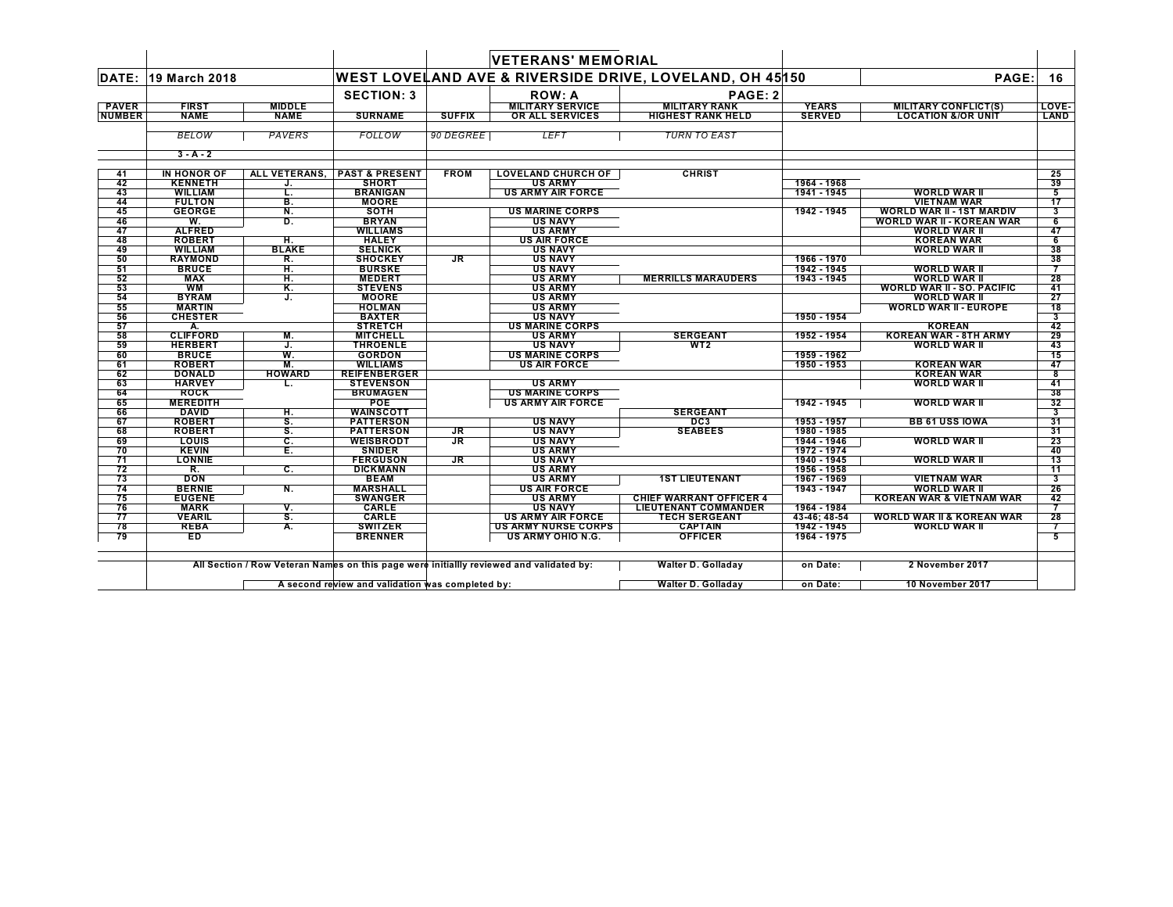|               |                        |               |                                      |                                                 | <b>VETERANS' MEMORIAL</b>  |                                                         |               |                                      |                               |
|---------------|------------------------|---------------|--------------------------------------|-------------------------------------------------|----------------------------|---------------------------------------------------------|---------------|--------------------------------------|-------------------------------|
| DATE:         | 19 March 2018          |               |                                      |                                                 |                            | WEST LOVELAND AVE & RIVERSIDE DRIVE, LOVELAND, OH 45150 |               | PAGE:                                | 16                            |
|               |                        |               | <b>SECTION: 3</b>                    |                                                 | <b>ROW: A</b>              | PAGE: 2                                                 |               |                                      |                               |
| <b>PAVER</b>  | <b>FIRST</b>           | <b>MIDDLE</b> |                                      |                                                 | <b>MILITARY SERVICE</b>    | <b>MILITARY RANK</b>                                    | <b>YEARS</b>  | MILITARY CONFLICT(S)                 | LOVE-                         |
| <b>NUMBER</b> | <b>NAME</b>            | <b>NAME</b>   | <b>SURNAME</b>                       | <b>SUFFIX</b>                                   | OR ALL SERVICES            | <b>HIGHEST RANK HELD</b>                                | <b>SERVED</b> | <b>LOCATION &amp;/OR UNIT</b>        | LAND                          |
|               | <b>BELOW</b>           | PAVERS        | <b>FOLLOW</b>                        | 90 DEGREE                                       | <b>LEFT</b>                | <b>TURN TO EAST</b>                                     |               |                                      |                               |
|               | $3 - A - 2$            |               |                                      |                                                 |                            |                                                         |               |                                      |                               |
| 41            | IN HONOR OF            | ALL VETERANS. | <b>PAST &amp; PRESENT</b>            | <b>FROM</b>                                     | <b>LOVELAND CHURCH OF</b>  | <b>CHRIST</b>                                           |               |                                      | 25                            |
| 42            | <b>KENNETH</b>         | J.            | <b>SHORT</b>                         |                                                 | <b>US ARMY</b>             |                                                         | 1964 - 1968   |                                      | 39                            |
| 43            | <b>WILLIAM</b>         | L             | <b>BRANIGAN</b>                      |                                                 | <b>US ARMY AIR FORCE</b>   |                                                         | 1941 - 1945   | <b>WORLD WAR II</b>                  | 5                             |
| 44            | <b>FULTON</b>          | В.            | <b>MOORE</b>                         |                                                 |                            |                                                         |               | <b>VIETNAM WAR</b>                   | $\overline{17}$               |
| 45            | <b>GEORGE</b>          | Ν.            | <b>SOTH</b>                          |                                                 | <b>US MARINE CORPS</b>     |                                                         | 1942 - 1945   | <b>WORLD WAR II - 1ST MARDIV</b>     | 3                             |
| 46            | W.                     | D.            | <b>BRYAN</b>                         |                                                 | <b>US NAVY</b>             |                                                         |               | <b>WORLD WAR II - KOREAN WAR</b>     | 6                             |
| 47            | <b>ALFRED</b>          |               | <b>WILLIAMS</b>                      |                                                 | <b>US ARMY</b>             |                                                         |               | <b>WORLD WAR II</b>                  | 47                            |
| 48            | <b>ROBERT</b>          | н.            | <b>HALEY</b>                         |                                                 | <b>US AIR FORCE</b>        |                                                         |               | <b>KOREAN WAR</b>                    | 6                             |
| 49            | <b>WILLIAM</b>         | <b>BLAKE</b>  | <b>SELNICK</b>                       |                                                 | <b>US NAVY</b>             |                                                         |               | <b>WORLD WAR II</b>                  | 38                            |
| 50            | <b>RAYMOND</b>         | R.            | <b>SHOCKEY</b>                       | <b>JR</b>                                       | <b>US NAVY</b>             |                                                         | 1966 - 1970   |                                      | 38                            |
| 51            | <b>BRUCE</b>           | н.            | <b>BURSKE</b>                        |                                                 | <b>US NAVY</b>             |                                                         | 1942 - 1945   | <b>WORLD WAR II</b>                  | 7                             |
| 52            | <b>MAX</b>             | Н.            | <b>MEDERT</b>                        |                                                 | <b>US ARMY</b>             | <b>MERRILLS MARAUDERS</b>                               | 1943 - 1945   | <b>WORLD WAR II</b>                  | 28                            |
| 53            | <b>WM</b>              | Κ.            | <b>STEVENS</b>                       |                                                 | <b>US ARMY</b>             |                                                         |               | <b>WORLD WAR II - SO. PACIFIC</b>    | 41                            |
| 54            | <b>BYRAM</b>           | J.            | <b>MOORE</b>                         |                                                 | <b>US ARMY</b>             |                                                         |               | <b>WORLD WAR II</b>                  | 27                            |
| 55            | <b>MARTIN</b>          |               | <b>HOLMAN</b>                        |                                                 | <b>US ARMY</b>             |                                                         |               | <b>WORLD WAR II - EUROPE</b>         | $\overline{18}$               |
| 56            | <b>CHESTER</b>         |               | <b>BAXTER</b>                        |                                                 | <b>US NAVY</b>             |                                                         | 1950 - 1954   |                                      | 3                             |
| 57            | А.                     |               | <b>STRETCH</b>                       |                                                 | <b>US MARINE CORPS</b>     |                                                         |               | <b>KOREAN</b>                        | 42                            |
| 58            | <b>CLIFFORD</b>        | М.            | <b>MITCHELL</b>                      |                                                 | <b>US ARMY</b>             | <b>SERGEANT</b>                                         | 1952 - 1954   | <b>KOREAN WAR - 8TH ARMY</b>         | 29                            |
| 59            | <b>HERBERT</b>         | J.            | <b>THROENLE</b>                      |                                                 | <b>US NAVY</b>             | WT <sub>2</sub>                                         |               | <b>WORLD WAR II</b>                  | 43                            |
| 60            | <b>BRUCE</b>           | w.            | <b>GORDON</b>                        |                                                 | <b>US MARINE CORPS</b>     |                                                         | 1959 - 1962   |                                      | 15                            |
| 61            | <b>ROBERT</b>          | М.            | <b>WILLIAMS</b>                      |                                                 | <b>US AIR FORCE</b>        |                                                         | 1950 - 1953   | <b>KOREAN WAR</b>                    | 47                            |
| 62            | <b>DONALD</b>          | <b>HOWARD</b> | <b>REIFENBERGER</b>                  |                                                 |                            |                                                         |               | <b>KOREAN WAR</b>                    | 8                             |
| 63            | <b>HARVEY</b>          |               | <b>STEVENSON</b>                     |                                                 | <b>US ARMY</b>             |                                                         |               | <b>WORLD WAR II</b>                  | 41                            |
| 64            | <b>ROCK</b>            |               | <b>BRUMAGEN</b>                      |                                                 | <b>US MARINE CORPS</b>     |                                                         |               |                                      | 38                            |
| 65            | <b>MEREDITH</b>        |               | <b>POE</b>                           |                                                 | <b>US ARMY AIR FORCE</b>   |                                                         | 1942 - 1945   | <b>WORLD WAR II</b>                  | 32                            |
| 66<br>67      | DAVID<br><b>ROBERT</b> | н.<br>S.      | <b>WAINSCOTT</b><br><b>PATTERSON</b> |                                                 | <b>US NAVY</b>             | <b>SERGEANT</b><br>DC <sub>3</sub>                      | 1953 - 1957   | <b>BB 61 USS IOWA</b>                | $\overline{\mathbf{3}}$<br>31 |
|               | <b>ROBERT</b>          |               |                                      |                                                 | <b>US NAVY</b>             | <b>SEABEES</b>                                          | 1980 - 1985   |                                      |                               |
| 68<br>69      | LOUIS                  | s.            | <b>PATTERSON</b><br><b>WEISBRODT</b> | <b>JR</b><br>$\overline{\mathsf{J} \mathsf{R}}$ | <b>US NAVY</b>             |                                                         | 1944 - 1946   | <b>WORLD WAR II</b>                  | 31<br>23                      |
| 70            | <b>KEVIN</b>           | С.<br>Ε.      | <b>SNIDER</b>                        |                                                 | <b>US ARMY</b>             |                                                         | 1972 - 1974   |                                      | 40                            |
| 71            | <b>LONNIE</b>          |               | <b>FERGUSON</b>                      | <b>JR</b>                                       | <b>US NAVY</b>             |                                                         | 1940 - 1945   | <b>WORLD WAR II</b>                  | 13                            |
| 72            | R.                     | С.            | <b>DICKMANN</b>                      |                                                 | <b>US ARMY</b>             |                                                         | 1956 - 1958   |                                      | 11                            |
| 73            | <b>DON</b>             |               | <b>BEAM</b>                          |                                                 | <b>US ARMY</b>             | <b>1ST LIEUTENANT</b>                                   | 1967 - 1969   | <b>VIETNAM WAR</b>                   | 3                             |
| 74            | <b>BERNIE</b>          | Ν.            | <b>MARSHALL</b>                      |                                                 | <b>US AIR FORCE</b>        |                                                         | 1943 - 1947   | <b>WORLD WAR II</b>                  | 26                            |
| 75            | <b>EUGENE</b>          |               | <b>SWANGER</b>                       |                                                 | <b>US ARMY</b>             | <b>CHIEF WARRANT OFFICER 4</b>                          |               | <b>KOREAN WAR &amp; VIETNAM WAR</b>  | 42                            |
| 76            | <b>MARK</b>            | ۷.            | <b>CARLE</b>                         |                                                 | <b>US NAVY</b>             | <b>LIEUTENANT COMMANDER</b>                             | 1964 - 1984   |                                      |                               |
| 77            | <b>VEARIL</b>          | s.            | <b>CARLE</b>                         |                                                 | <b>US ARMY AIR FORCE</b>   | <b>TECH SERGEANT</b>                                    | 43-46; 48-54  | <b>WORLD WAR II &amp; KOREAN WAR</b> | 28                            |
| 78            | <b>REBA</b>            | А.            | <b>SWITZER</b>                       |                                                 | <b>US ARMY NURSE CORPS</b> | <b>CAPTAIN</b>                                          | 1942 - 1945   | <b>WORLD WAR II</b>                  | 7                             |
| 79            | E <sub>D</sub>         |               | <b>BRENNER</b>                       |                                                 | <b>US ARMY OHIO N.G.</b>   | <b>OFFICER</b>                                          | 1964 - 1975   |                                      | 5                             |
|               |                        |               |                                      |                                                 |                            |                                                         |               |                                      |                               |

All Section / Row Veteran Names on this page were initiallly reviewed and validated by:

**A** second review and validation was completed by:  $\mathbb{L}$ 

| <b>Walter D. Golladav</b> | on Date: | 2 November 2017         |
|---------------------------|----------|-------------------------|
| <b>Walter D. Golladav</b> | on Date: | <b>10 November 2017</b> |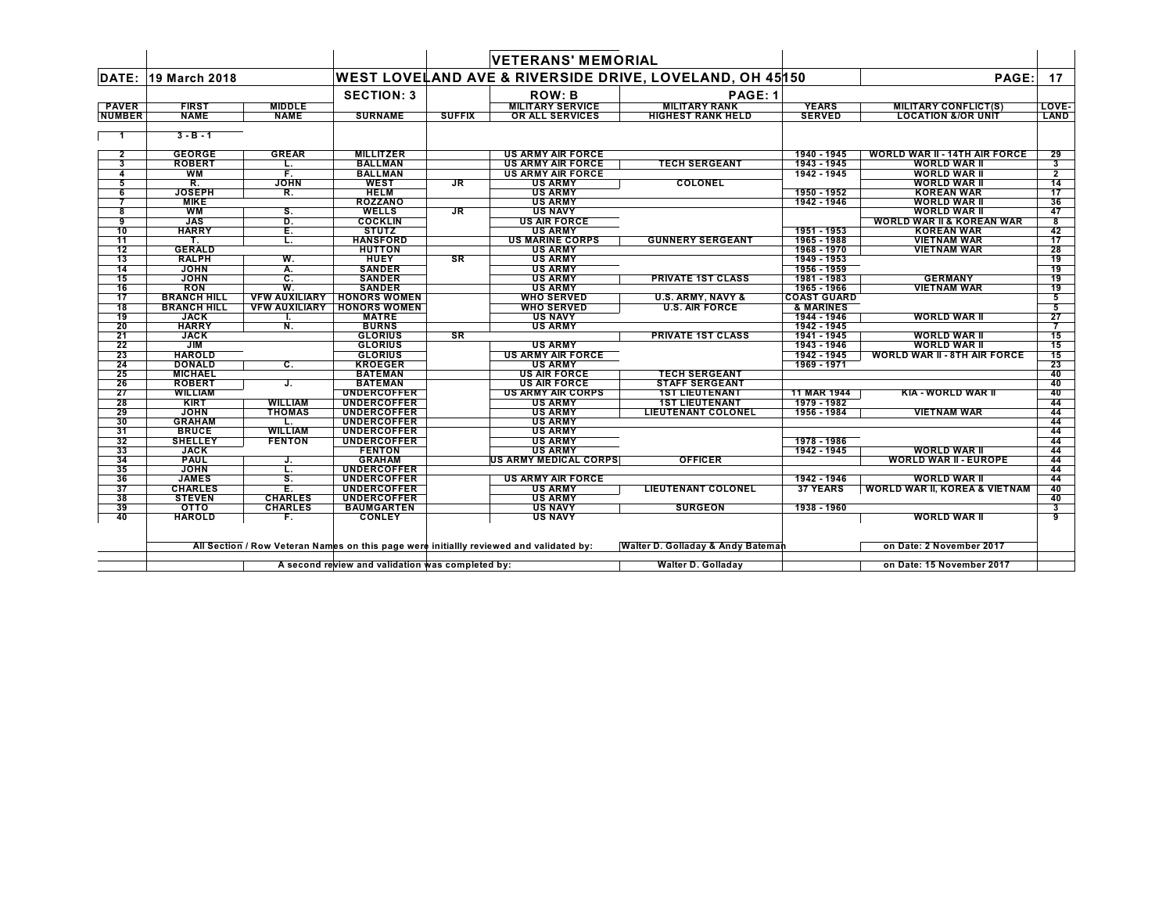|                 |                    |                           |                                     |               | <b>VETERANS' MEMORIAL</b>    |                                                          |                    |                                          |                         |
|-----------------|--------------------|---------------------------|-------------------------------------|---------------|------------------------------|----------------------------------------------------------|--------------------|------------------------------------------|-------------------------|
| DATE:           | 19 March 2018      |                           |                                     |               |                              | WEST LOVELAND AVE & RIVERSIDE DRIVE, LOVELAND, OH 45 150 |                    | PAGE:                                    | 17                      |
|                 |                    |                           | <b>SECTION: 3</b>                   |               | <b>ROW: B</b>                | PAGE: 1                                                  |                    |                                          |                         |
| <b>PAVER</b>    | <b>FIRST</b>       | <b>MIDDLE</b>             |                                     |               | <b>MILITARY SERVICE</b>      | <b>MILITARY RANK</b>                                     | <b>YEARS</b>       | <b>MILITARY CONFLICT(S)</b>              | LOVE-                   |
| <b>NUMBER</b>   | <b>NAME</b>        | <b>NAME</b>               | <b>SURNAME</b>                      | <b>SUFFIX</b> | OR ALL SERVICES              | <b>HIGHEST RANK HELD</b>                                 | <b>SERVED</b>      | <b>LOCATION &amp;/OR UNIT</b>            | LAND                    |
|                 |                    |                           |                                     |               |                              |                                                          |                    |                                          |                         |
| - 1             | $3 - B - 1$        |                           |                                     |               |                              |                                                          |                    |                                          |                         |
| $\mathbf{2}$    | <b>GEORGE</b>      | <b>GREAR</b>              | <b>MILLITZER</b>                    |               | <b>US ARMY AIR FORCE</b>     |                                                          | 1940 - 1945        | WORLD WAR II - 14TH AIR FORCE            | 29                      |
| 3               | <b>ROBERT</b>      | L.                        | <b>BALLMAN</b>                      |               | <b>US ARMY AIR FORCE</b>     | <b>TECH SERGEANT</b>                                     | 1943 - 1945        | <b>WORLD WAR II</b>                      | 3                       |
| 4               | WM                 | F.                        | <b>BALLMAN</b>                      |               | <b>US ARMY AIR FORCE</b>     |                                                          | 1942 - 1945        | <b>WORLD WAR II</b>                      | $\overline{2}$          |
| 5               | R.                 | <b>JOHN</b>               | <b>WEST</b>                         | JR            | <b>US ARMY</b>               | COLONEL                                                  |                    | <b>WORLD WAR II</b>                      | 14                      |
| 6               | <b>JOSEPH</b>      | R.                        | <b>HELM</b>                         |               | <b>US ARMY</b>               |                                                          | 1950 - 1952        | <b>KOREAN WAR</b>                        | 17                      |
|                 | <b>MIKE</b>        |                           | <b>ROZZANO</b>                      |               | <b>US ARMY</b>               |                                                          | 1942 - 1946        | <b>WORLD WAR II</b>                      | 36                      |
| 8               | <b>WM</b>          | S.                        | <b>WELLS</b>                        | JR.           | <b>US NAVY</b>               |                                                          |                    | <b>WORLD WAR II</b>                      | 47                      |
| 9               | <b>JAS</b>         | D.                        | <b>COCKLIN</b>                      |               | <b>US AIR FORCE</b>          |                                                          |                    | <b>WORLD WAR II &amp; KOREAN WAR</b>     | 8                       |
| 10              | <b>HARRY</b>       | Е.                        | <b>STUTZ</b>                        |               | <b>US ARMY</b>               |                                                          | 1951 - 1953        | <b>KOREAN WAR</b>                        | 42                      |
| 11              |                    | τ.                        | <b>HANSFORD</b>                     |               | <b>US MARINE CORPS</b>       | <b>GUNNERY SERGEANT</b>                                  | 1965 - 1988        | <b>VIETNAM WAR</b>                       | 17                      |
| 12              | <b>GERALD</b>      |                           | <b>HUTTON</b>                       |               | <b>US ARMY</b>               |                                                          | 1968 - 1970        | <b>VIETNAM WAR</b>                       | 28                      |
|                 |                    | W.                        |                                     | <b>SR</b>     |                              |                                                          |                    |                                          |                         |
| 13              | <b>RALPH</b>       |                           | <b>HUEY</b>                         |               | <b>US ARMY</b>               |                                                          | 1949 - 1953        |                                          | 19                      |
| 14              | <b>JOHN</b>        | Α.                        | <b>SANDER</b>                       |               | <b>US ARMY</b>               |                                                          | 1956 - 1959        |                                          | 19                      |
| 15              | <b>JOHN</b>        | $\overline{\mathbf{c}}$ . | <b>SANDER</b>                       |               | <b>US ARMY</b>               | <b>PRIVATE 1ST CLASS</b>                                 | 1981 - 1983        | <b>GERMANY</b>                           | 19                      |
| 16              | <b>RON</b>         | W.                        | <b>SANDER</b>                       |               | <b>US ARMY</b>               |                                                          | 1965 - 1966        | <b>VIETNAM WAR</b>                       | 19                      |
| $\overline{17}$ | <b>BRANCH HILL</b> |                           | <b>VEW AUXILIARY HONORS WOMEN</b>   |               | <b>WHO SERVED</b>            | <b>U.S. ARMY, NAVY &amp;</b>                             | <b>COAST GUARD</b> |                                          | 5                       |
| 18              | <b>BRANCH HILL</b> |                           | <b>VFW AUXILIARY   HONORS WOMEN</b> |               | <b>WHO SERVED</b>            | <b>U.S. AIR FORCE</b>                                    | & MARINES          |                                          | 5                       |
| 19              | <b>JACK</b>        |                           | <b>MATRE</b>                        |               | <b>US NAVY</b>               |                                                          | 1944 - 1946        | <b>WORLD WAR II</b>                      | 27                      |
| 20              | <b>HARRY</b>       | N.                        | <b>BURNS</b>                        |               | <b>US ARMY</b>               |                                                          | 1942 - 1945        |                                          |                         |
| 21              | <b>JACK</b>        |                           | <b>GLORIUS</b>                      | <b>SR</b>     |                              | <b>PRIVATE 1ST CLASS</b>                                 | 1941 - 1945        | <b>WORLD WAR II</b>                      | 15                      |
| 22              | <b>JIM</b>         |                           | <b>GLORIUS</b>                      |               | <b>US ARMY</b>               |                                                          | 1943 - 1946        | <b>WORLD WAR II</b>                      | 15                      |
| 23              | <b>HAROLD</b>      |                           | <b>GLORIUS</b>                      |               | <b>US ARMY AIR FORCE</b>     |                                                          | 1942 - 1945        | <b>WORLD WAR II - 8TH AIR FORCE</b>      | 15                      |
| 24              | <b>DONALD</b>      | C.                        | <b>KROEGER</b>                      |               | <b>US ARMY</b>               |                                                          | 1969 - 1971        |                                          | 23                      |
| 25              | <b>MICHAEL</b>     |                           | <b>BATEMAN</b>                      |               | <b>US AIR FORCE</b>          | <b>TECH SERGEANT</b>                                     |                    |                                          | 40                      |
| 26              | <b>ROBERT</b>      | J.                        | <b>BATEMAN</b>                      |               | <b>US AIR FORCE</b>          | <b>STAFF SERGEANT</b>                                    |                    |                                          | 40                      |
| 27              | <b>WILLIAM</b>     |                           | <b>UNDERCOFFER</b>                  |               | <b>US ARMY AIR CORPS</b>     | <b>1ST LIEUTENANT</b>                                    | 11 MAR 1944        | <b>KIA - WORLD WAR II</b>                | 40                      |
| 28              | <b>KIRT</b>        | <b>WILLIAM</b>            | <b>UNDERCOFFER</b>                  |               | <b>US ARMY</b>               | <b>1ST LIEUTENANT</b>                                    | 1979 - 1982        |                                          | 44                      |
| 29              | <b>JOHN</b>        | <b>THOMAS</b>             | <b>UNDERCOFFER</b>                  |               | <b>US ARMY</b>               | <b>LIEUTENANT COLONEL</b>                                | 1956 - 1984        | <b>VIETNAM WAR</b>                       | 44                      |
| 30              | <b>GRAHAM</b>      | L.                        | <b>UNDERCOFFER</b>                  |               | <b>US ARMY</b>               |                                                          |                    |                                          | 44                      |
| 31              | <b>BRUCE</b>       | <b>WILLIAM</b>            | <b>UNDERCOFFER</b>                  |               | <b>US ARMY</b>               |                                                          |                    |                                          | 44                      |
| 32              | <b>SHELLEY</b>     | <b>FENTON</b>             | <b>UNDERCOFFER</b>                  |               | <b>US ARMY</b>               |                                                          | 1978 - 1986        |                                          | 44                      |
| 33              | <b>JACK</b>        |                           | <b>FENTON</b>                       |               | <b>US ARMY</b>               |                                                          | 1942 - 1945        | <b>WORLD WAR II</b>                      | 44                      |
| 34              | <b>PAUL</b>        |                           | <b>GRAHAM</b>                       |               | <b>US ARMY MEDICAL CORPS</b> | <b>OFFICER</b>                                           |                    | <b>WORLD WAR II - EUROPE</b>             | 44                      |
| 35              | <b>JOHN</b>        | J.<br>τ.                  | <b>UNDERCOFFER</b>                  |               |                              |                                                          |                    |                                          | 44                      |
|                 |                    | <b>s.</b>                 | <b>UNDERCOFFER</b>                  |               | <b>US ARMY AIR FORCE</b>     |                                                          | 1942 - 1946        | <b>WORLD WAR II</b>                      |                         |
| 36              | <b>JAMES</b>       |                           |                                     |               |                              |                                                          |                    |                                          | 44                      |
| 37              | <b>CHARLES</b>     | E.                        | <b>UNDERCOFFER</b>                  |               | <b>US ARMY</b>               | <b>LIEUTENANT COLONEL</b>                                | <b>37 YEARS</b>    | <b>WORLD WAR II, KOREA &amp; VIETNAM</b> | 40                      |
| 38              | <b>STEVEN</b>      | <b>CHARLES</b>            | <b>UNDERCOFFER</b>                  |               | <b>US ARMY</b>               |                                                          |                    |                                          | 40                      |
| 39              | OTTO               | <b>CHARLES</b>            | <b>BAUMGARTEN</b>                   |               | <b>US NAVY</b>               | <b>SURGEON</b>                                           | 1938 - 1960        |                                          | $\overline{\mathbf{3}}$ |
| 40              | <b>HAROLD</b>      | F.                        | <b>CONLEY</b>                       |               | <b>US NAVY</b>               |                                                          |                    | <b>WORLD WAR II</b>                      | 9                       |

All Section / Row Veteran Names on this page were initiallly revi¢wed and validated by: Walter D. Golladay & Andy Bateman and the sounder 2017

 $\mathbf{I}$ 

**A second review and validation was completed by: Walter D. Golladay on Date: 15 November 2017**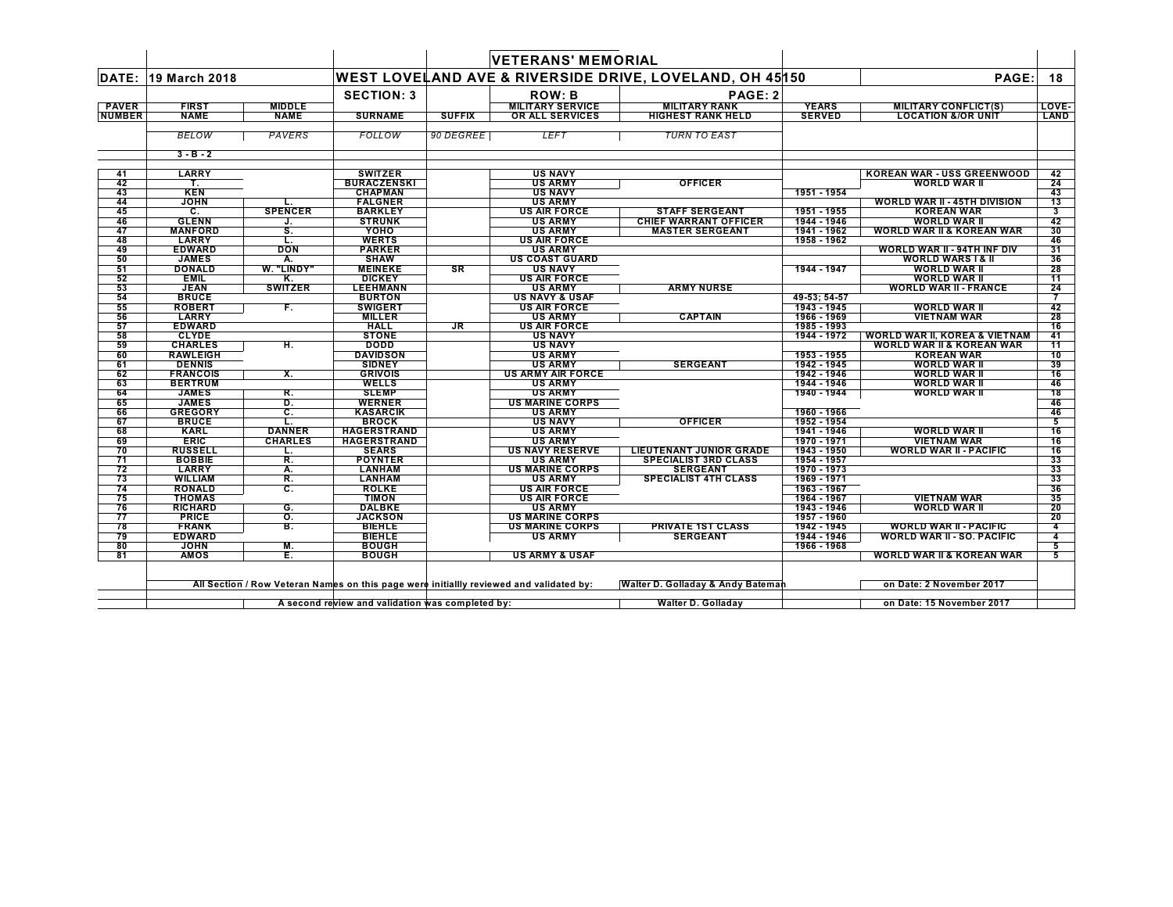|               |                               |                  |                                                  |               | <b>VETERANS' MEMORIAL</b>                                                               |                                                         |                            |                                                   |                |
|---------------|-------------------------------|------------------|--------------------------------------------------|---------------|-----------------------------------------------------------------------------------------|---------------------------------------------------------|----------------------------|---------------------------------------------------|----------------|
| DATE:         | 19 March 2018                 |                  |                                                  |               |                                                                                         | WEST LOVELAND AVE & RIVERSIDE DRIVE, LOVELAND, OH 45150 |                            | PAGE:                                             | 18             |
|               |                               |                  | <b>SECTION: 3</b>                                |               | <b>ROW: B</b>                                                                           | PAGE: 2                                                 |                            |                                                   |                |
| <b>PAVER</b>  | <b>FIRST</b>                  | <b>MIDDLE</b>    |                                                  |               | <b>MILITARY SERVICE</b>                                                                 | <b>MILITARY RANK</b>                                    | <b>YEARS</b>               | <b>MILITARY CONFLICT(S)</b>                       | LOVE-          |
| <b>NUMBER</b> | <b>NAME</b>                   | <b>NAME</b>      | <b>SURNAME</b>                                   | <b>SUFFIX</b> | OR ALL SERVICES                                                                         | <b>HIGHEST RANK HELD</b>                                | <b>SERVED</b>              | <b>LOCATION &amp;/OR UNIT</b>                     | <b>LAND</b>    |
|               |                               |                  |                                                  |               |                                                                                         |                                                         |                            |                                                   |                |
|               | <b>BELOW</b>                  | <b>PAVERS</b>    | FOLLOW                                           | 90 DEGREE     | LEFT                                                                                    | <b>TURN TO EAST</b>                                     |                            |                                                   |                |
|               | $3 - B - 2$                   |                  |                                                  |               |                                                                                         |                                                         |                            |                                                   |                |
|               | <b>LARRY</b>                  |                  | <b>SWITZER</b>                                   |               |                                                                                         |                                                         |                            |                                                   |                |
| 41<br>42      | Т.                            |                  | <b>BURACZENSKI</b>                               |               | <b>US NAVY</b><br><b>US ARMY</b>                                                        | <b>OFFICER</b>                                          |                            | <b>KOREAN WAR - USS GREENWOOD</b><br>WORLD WAR II | 42<br>24       |
| 43            | <b>KEN</b>                    |                  | <b>CHAPMAN</b>                                   |               | <b>US NAVY</b>                                                                          |                                                         | 1951 - 1954                |                                                   | 43             |
| 44            | <b>JOHN</b>                   |                  | <b>FALGNER</b>                                   |               | <b>US ARMY</b>                                                                          |                                                         |                            | <b>WORLD WAR II - 45TH DIVISION</b>               | 13             |
| 45            | $\overline{c}$ .              | <b>SPENCER</b>   | <b>BARKLEY</b>                                   |               | <b>US AIR FORCE</b>                                                                     | <b>STAFF SERGEANT</b>                                   | 1951 - 1955                | <b>KOREAN WAR</b>                                 | 3              |
| 46            | <b>GLENN</b>                  | J.               | <b>STRUNK</b>                                    |               | <b>US ARMY</b>                                                                          | <b>CHIEF WARRANT OFFICER</b>                            | 1944 - 1946                | <b>WORLD WAR II</b>                               | 42             |
| 47            | <b>MANFORD</b>                | S.               | YOHO                                             |               | <b>US ARMY</b>                                                                          | <b>MASTER SERGEANT</b>                                  | 1941 - 1962                | <b>WORLD WAR II &amp; KOREAN WAR</b>              | 30             |
| 48            | <b>LARRY</b>                  | L.               | <b>WERTS</b>                                     |               | <b>US AIR FORCE</b>                                                                     |                                                         | 1958 - 1962                |                                                   | 46             |
| 49            | <b>EDWARD</b>                 | <b>DON</b>       | <b>PARKER</b>                                    |               | <b>US ARMY</b>                                                                          |                                                         |                            | WORLD WAR II - 94TH INF DIV                       | 31             |
| 50<br>51      | <b>JAMES</b><br><b>DONALD</b> | А.<br>W. "LINDY" | <b>SHAW</b>                                      | SR            | <b>US COAST GUARD</b>                                                                   |                                                         | 1944 - 1947                | <b>WORLD WARS I &amp; II</b>                      | 36<br>28       |
| 52            | <b>EMIL</b>                   | Κ.               | <b>MEINEKE</b><br><b>DICKEY</b>                  |               | <b>US NAVY</b><br><b>US AIR FORCE</b>                                                   |                                                         |                            | <b>WORLD WAR II</b><br><b>WORLD WAR II</b>        | 11             |
| 53            | <b>JEAN</b>                   | <b>SWITZER</b>   | LEEHMANN                                         |               | <b>US ARMY</b>                                                                          | <b>ARMY NURSE</b>                                       |                            | <b>WORLD WAR II - FRANCE</b>                      | 24             |
| 54            | <b>BRUCE</b>                  |                  | <b>BURTON</b>                                    |               | <b>US NAVY &amp; USAF</b>                                                               |                                                         | 49-53; 54-57               |                                                   | 7              |
| 55            | <b>ROBERT</b>                 | F.               | <b>SWIGERT</b>                                   |               | <b>US AIR FORCE</b>                                                                     |                                                         | 1943 - 1945                | <b>WORLD WAR II</b>                               | 42             |
| 56            | <b>LARRY</b>                  |                  | <b>MILLER</b>                                    |               | <b>US ARMY</b>                                                                          | <b>CAPTAIN</b>                                          | 1966 - 1969                | <b>VIETNAM WAR</b>                                | 28             |
| 57            | <b>EDWARD</b>                 |                  | <b>HALL</b>                                      | <b>JR</b>     | <b>US AIR FORCE</b>                                                                     |                                                         | 1985 - 1993                |                                                   | 16             |
| 58            | <b>CLYDE</b>                  |                  | <b>STONE</b>                                     |               | <b>US NAVY</b>                                                                          |                                                         | 1944 - 1972                | <b>WORLD WAR II, KOREA &amp; VIETNAM</b>          | 41             |
| 59            | <b>CHARLES</b>                | н.               | <b>DODD</b>                                      |               | <b>US NAVY</b>                                                                          |                                                         |                            | <b>WORLD WAR II &amp; KOREAN WAR</b>              | 11             |
| 60            | <b>RAWLEIGH</b>               |                  | <b>DAVIDSON</b>                                  |               | <b>US ARMY</b>                                                                          |                                                         | 1953 - 1955                | <b>KOREAN WAR</b>                                 | 10             |
| 61            | <b>DENNIS</b>                 |                  | <b>SIDNEY</b>                                    |               | <b>US ARMY</b>                                                                          | <b>SERGEANT</b>                                         | 1942 - 1945                | <b>WORLD WAR II</b>                               | 39             |
| 62            | <b>FRANCOIS</b>               | Χ.               | <b>GRIVOIS</b>                                   |               | <b>US ARMY AIR FORCE</b>                                                                |                                                         | 1942 - 1946                | <b>WORLD WAR II</b>                               | 16             |
| 63            | <b>BERTRUM</b>                |                  | <b>WELLS</b>                                     |               | <b>US ARMY</b>                                                                          |                                                         | 1944 - 1946                | <b>WORLD WAR II</b>                               | 46             |
| 64<br>65      | <b>JAMES</b><br><b>JAMES</b>  | R.<br>D.         | <b>SLEMP</b><br><b>WERNER</b>                    |               | <b>US ARMY</b><br><b>US MARINE CORPS</b>                                                |                                                         | 1940 - 1944                | <b>WORLD WAR II</b>                               | 18<br>46       |
| 66            | <b>GREGORY</b>                | C.               | <b>KASARCIK</b>                                  |               | <b>US ARMY</b>                                                                          |                                                         | 1960 - 1966                |                                                   | 46             |
| 67            | <b>BRUCE</b>                  |                  | <b>BROCK</b>                                     |               | <b>US NAVY</b>                                                                          | <b>OFFICER</b>                                          | 1952 - 1954                |                                                   | 5              |
| 68            | <b>KARL</b>                   | <b>DANNER</b>    | <b>HAGERSTRAND</b>                               |               | <b>US ARMY</b>                                                                          |                                                         | 1941 - 1946                | <b>WORLD WAR II</b>                               | 16             |
| 69            | <b>ERIC</b>                   | <b>CHARLES</b>   | <b>HAGERSTRAND</b>                               |               | <b>US ARMY</b>                                                                          |                                                         | 1970 - 1971                | <b>VIETNAM WAR</b>                                | 16             |
| 70            | <b>RUSSELL</b>                |                  | <b>SEARS</b>                                     |               | <b>US NAVY RESERVE</b>                                                                  | <b>LIEUTENANT JUNIOR GRADE</b>                          | 1943 - 1950                | <b>WORLD WAR II - PACIFIC</b>                     | 16             |
| 71            | <b>BOBBIE</b>                 | R.               | <b>POYNTER</b>                                   |               | <b>US ARMY</b>                                                                          | <b>SPECIALIST 3RD CLASS</b>                             | 1954 - 1957                |                                                   | 33             |
| 72            | <b>LARRY</b>                  | А.               | <b>LANHAM</b>                                    |               | <b>US MARINE CORPS</b>                                                                  | <b>SERGEANT</b>                                         | 1970 - 1973                |                                                   | 33             |
| 73            | <b>WILLIAM</b>                | R.               | <b>LANHAM</b>                                    |               | <b>US ARMY</b>                                                                          | <b>SPECIALIST 4TH CLASS</b>                             | 1969 - 1971                |                                                   | 33             |
| 74            | <b>RONALD</b>                 | C.               | <b>ROLKE</b>                                     |               | <b>US AIR FORCE</b>                                                                     |                                                         | 1963 - 1967                |                                                   | 36             |
| 75            | <b>THOMAS</b>                 |                  | <b>TIMON</b>                                     |               | <b>US AIR FORCE</b>                                                                     |                                                         | 1964 - 1967                | <b>VIETNAM WAR</b>                                | 35             |
| 76            | <b>RICHARD</b>                | G.               | <b>DALBKE</b>                                    |               | <b>US ARMY</b>                                                                          |                                                         | 1943 - 1946                | WORLD WAR II                                      | 20             |
| 77<br>78      | <b>PRICE</b><br><b>FRANK</b>  | о.<br>В.         | <b>JACKSON</b><br><b>BIEHLE</b>                  |               | <b>US MARINE CORPS</b><br><b>US MARINE CORPS</b>                                        | <b>PRIVATE 1ST CLASS</b>                                | 1957 - 1960<br>1942 - 1945 | <b>WORLD WAR II - PACIFIC</b>                     | 20<br>4        |
| 79            | <b>EDWARD</b>                 |                  | <b>BIEHLE</b>                                    |               | <b>US ARMY</b>                                                                          | <b>SERGEANT</b>                                         | 1944 - 1946                | <b>WORLD WAR II - SO. PACIFIC</b>                 | $\overline{4}$ |
| 80            | <b>JOHN</b>                   | М.               | <b>BOUGH</b>                                     |               |                                                                                         |                                                         | 1966 - 1968                |                                                   | 5              |
| 81            | <b>AMOS</b>                   | Ε.               | <b>BOUGH</b>                                     |               | <b>US ARMY &amp; USAF</b>                                                               |                                                         |                            | <b>WORLD WAR II &amp; KOREAN WAR</b>              | 5              |
|               |                               |                  |                                                  |               |                                                                                         |                                                         |                            |                                                   |                |
|               |                               |                  |                                                  |               | All Section / Row Veteran Names on this page were initiallly reviewed and validated by: | Walter D. Golladay & Andy Bateman                       |                            | on Date: 2 November 2017                          |                |
|               |                               |                  | A second review and validation was completed by: |               |                                                                                         | <b>Walter D. Golladay</b>                               |                            | on Date: 15 November 2017                         |                |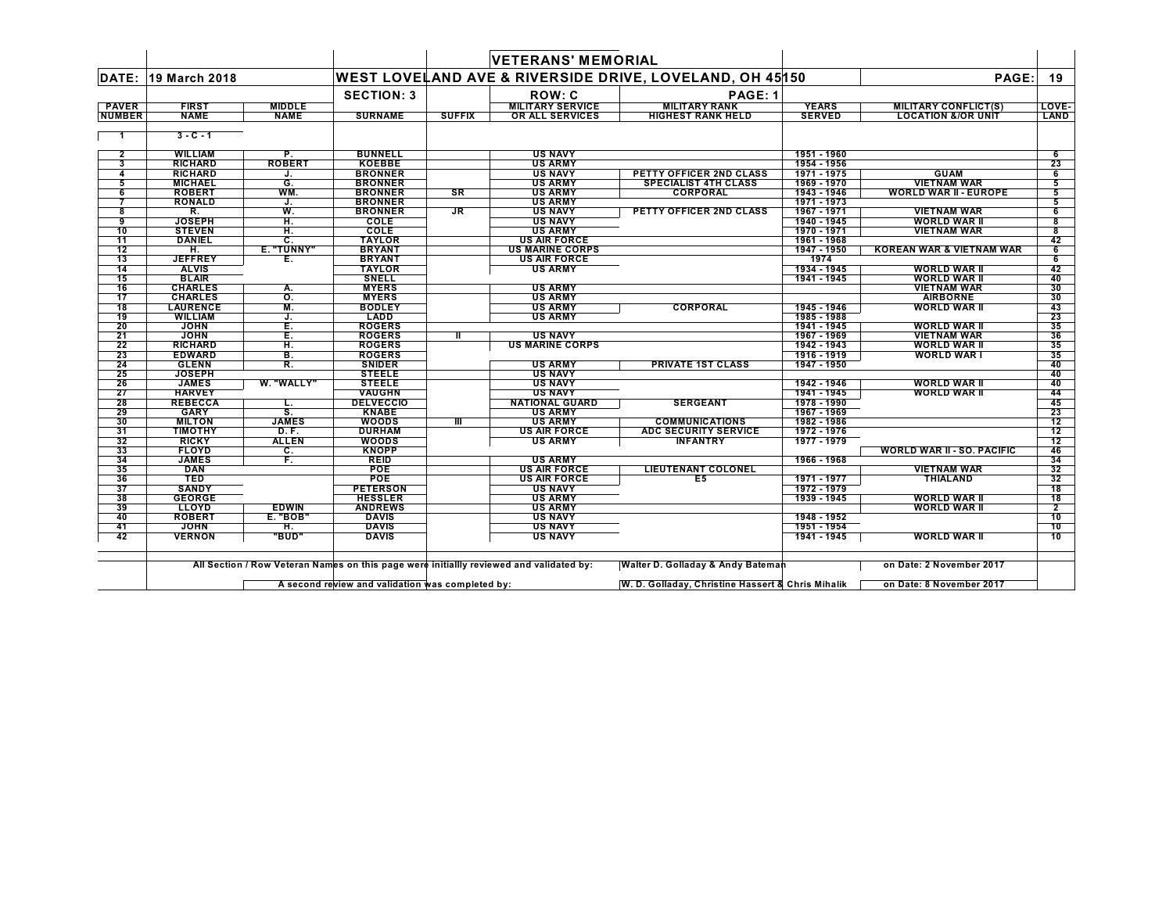|                 |                                   |                 |                                |                        | <b>VETERANS' MEMORIAL</b>                |                                                          |                            |                                           |                |
|-----------------|-----------------------------------|-----------------|--------------------------------|------------------------|------------------------------------------|----------------------------------------------------------|----------------------------|-------------------------------------------|----------------|
| DATE:           | 19 March 2018                     |                 |                                |                        |                                          | WEST LOVELAND AVE & RIVERSIDE DRIVE, LOVELAND, OH 45 150 |                            | PAGE:                                     | 19             |
|                 |                                   |                 | <b>SECTION: 3</b>              |                        | ROW: C                                   | PAGE: 1                                                  |                            |                                           |                |
| <b>PAVER</b>    | <b>FIRST</b>                      | <b>MIDDLE</b>   |                                |                        | <b>MILITARY SERVICE</b>                  | <b>MILITARY RANK</b>                                     | <b>YEARS</b>               | <b>MILITARY CONFLICT(S)</b>               | LOVE-          |
| <b>NUMBER</b>   | <b>NAME</b>                       | <b>NAME</b>     | <b>SURNAME</b>                 | <b>SUFFIX</b>          | OR ALL SERVICES                          | <b>HIGHEST RANK HELD</b>                                 | <b>SERVED</b>              | <b>LOCATION &amp;/OR UNIT</b>             | LAND           |
| -1              | $3 - C - 1$                       |                 |                                |                        |                                          |                                                          |                            |                                           |                |
|                 |                                   |                 |                                |                        |                                          |                                                          |                            |                                           |                |
| $\overline{2}$  | <b>WILLIAM</b>                    | Р.              | <b>BUNNELL</b>                 |                        | <b>US NAVY</b>                           |                                                          | 1951 - 1960                |                                           | 6              |
| 3               | <b>RICHARD</b>                    | <b>ROBERT</b>   | <b>KOEBBE</b>                  |                        | <b>US ARMY</b>                           |                                                          | 1954 - 1956                |                                           | 23             |
| 4               | <b>RICHARD</b>                    | J.              | <b>BRONNER</b>                 |                        | <b>US NAVY</b>                           | PETTY OFFICER 2ND CLASS                                  | 1971 - 1975                | <b>GUAM</b>                               | 6              |
| 5               | <b>MICHAEL</b>                    | G.              | <b>BRONNER</b>                 |                        | <b>US ARMY</b>                           | <b>SPECIALIST 4TH CLASS</b>                              | 1969 - 1970                | <b>VIETNAM WAR</b>                        | 5              |
| 6               | <b>ROBERT</b>                     | WM.             | <b>BRONNER</b>                 | $\overline{\text{S}R}$ | <b>US ARMY</b>                           | <b>CORPORAL</b>                                          | 1943 - 1946                | <b>WORLD WAR II - EUROPE</b>              | 5              |
| 7               | <b>RONALD</b>                     | J.              | <b>BRONNER</b>                 |                        | <b>US ARMY</b>                           |                                                          | 1971 - 1973                |                                           | 5              |
| 8               | R.                                | W.              | <b>BRONNER</b>                 | <b>JR</b>              | <b>US NAVY</b>                           | PETTY OFFICER 2ND CLASS                                  | 1967 - 1971                | <b>VIETNAM WAR</b>                        | 6              |
| 9               | <b>JOSEPH</b>                     | Н.              | COLE                           |                        | <b>US NAVY</b>                           |                                                          | 1940 - 1945                | <b>WORLD WAR II</b>                       | 8              |
| 10              | <b>STEVEN</b>                     | Η.              | COLE                           |                        | <b>US ARMY</b>                           |                                                          | 1970 - 1971                | <b>VIETNAM WAR</b>                        | 8              |
| 11              | <b>DANIEL</b>                     | C.              | <b>TAYLOR</b>                  |                        | <b>US AIR FORCE</b>                      |                                                          | 1961 - 1968                |                                           | 42             |
| 12              | H.                                | E. "TUNNY"      | <b>BRYANT</b>                  |                        | <b>US MARINE CORPS</b>                   |                                                          | 1947 - 1950                | <b>KOREAN WAR &amp; VIETNAM WAR</b>       | 6              |
| 13              | <b>JEFFREY</b>                    | Е.              | <b>BRYANT</b>                  |                        | <b>US AIR FORCE</b>                      |                                                          | 1974                       |                                           | 6              |
| 14              | <b>ALVIS</b><br><b>BLAIR</b>      |                 | <b>TAYLOR</b>                  |                        | <b>US ARMY</b>                           |                                                          | 1934 - 1945<br>1941 - 1945 | <b>WORLD WAR II</b>                       | 42             |
| 15              |                                   |                 | <b>SNELL</b>                   |                        |                                          |                                                          |                            | <b>WORLD WAR II</b>                       | 40             |
| 16              | <b>CHARLES</b>                    | А.              | <b>MYERS</b>                   |                        | <b>US ARMY</b>                           |                                                          |                            | <b>VIETNAM WAR</b>                        | 30             |
| $\overline{17}$ | <b>CHARLES</b>                    | $\mathsf{o}$ .  | <b>MYERS</b>                   |                        | <b>US ARMY</b>                           |                                                          |                            | <b>AIRBORNE</b>                           | 30             |
| 18              | <b>LAURENCE</b><br><b>WILLIAM</b> | М.              | <b>BODLEY</b><br><b>LADD</b>   |                        | <b>US ARMY</b><br><b>US ARMY</b>         | <b>CORPORAL</b>                                          | 1945 - 1946<br>1985 - 1988 | <b>WORLD WAR II</b>                       | 43<br>23       |
| 19<br>20        | <b>JOHN</b>                       | J.              | <b>ROGERS</b>                  |                        |                                          |                                                          | 1941 - 1945                | <b>WORLD WAR II</b>                       | 35             |
|                 |                                   | Е.              |                                |                        |                                          |                                                          |                            |                                           |                |
| 21              | <b>JOHN</b>                       | Ē.              | <b>ROGERS</b>                  | ш                      | <b>US NAVY</b><br><b>US MARINE CORPS</b> |                                                          | 1967 - 1969                | <b>VIETNAM WAR</b><br><b>WORLD WAR II</b> | 36             |
| 22              | <b>RICHARD</b><br><b>EDWARD</b>   | H.              | <b>ROGERS</b><br><b>ROGERS</b> |                        |                                          |                                                          | 1942 - 1943<br>1916 - 1919 | <b>WORLD WAR I</b>                        | 35<br>35       |
| 23<br>24        | <b>GLENN</b>                      | В.<br>R.        | <b>SNIDER</b>                  |                        | <b>US ARMY</b>                           | <b>PRIVATE 1ST CLASS</b>                                 | 1947 - 1950                |                                           | 40             |
| 25              | <b>JOSEPH</b>                     |                 | <b>STEELE</b>                  |                        | <b>US NAVY</b>                           |                                                          |                            |                                           | 40             |
| 26              | <b>JAMES</b>                      | W. "WALLY"      | <b>STEELE</b>                  |                        | <b>US NAVY</b>                           |                                                          | 1942 - 1946                | <b>WORLD WAR II</b>                       | 40             |
| 27              | <b>HARVEY</b>                     |                 | <b>VAUGHN</b>                  |                        | <b>US NAVY</b>                           |                                                          | 1941 - 1945                | <b>WORLD WAR II</b>                       | 44             |
| 28              | <b>REBECCA</b>                    | L.              | <b>DELVECCIO</b>               |                        | <b>NATIONAL GUARD</b>                    | <b>SERGEANT</b>                                          | 1978 - 1990                |                                           | 45             |
| 29              | <b>GARY</b>                       | S.              | <b>KNABE</b>                   |                        | <b>US ARMY</b>                           |                                                          | 1967 - 1969                |                                           | 23             |
| 30              | <b>MILTON</b>                     | <b>JAMES</b>    | <b>WOODS</b>                   | TII                    | <b>US ARMY</b>                           | <b>COMMUNICATIONS</b>                                    | 1982 - 1986                |                                           | 12             |
| 31              | <b>TIMOTHY</b>                    | <b>D.F.</b>     | <b>DURHAM</b>                  |                        | <b>US AIR FORCE</b>                      | <b>ADC SECURITY SERVICE</b>                              | 1972 - 1976                |                                           | 12             |
| 32              | <b>RICKY</b>                      | <b>ALLEN</b>    | <b>WOODS</b>                   |                        | <b>US ARMY</b>                           | <b>INFANTRY</b>                                          | 1977 - 1979                |                                           | 12             |
| 33              | <b>FLOYD</b>                      | C.              | <b>KNOPP</b>                   |                        |                                          |                                                          |                            | <b>WORLD WAR II - SO. PACIFIC</b>         | 46             |
| 34              | <b>JAMES</b>                      | F.              | REID                           |                        | <b>US ARMY</b>                           |                                                          | 1966 - 1968                |                                           | 34             |
| 35              | <b>DAN</b>                        |                 | <b>POE</b>                     |                        | <b>US AIR FORCE</b>                      | <b>LIEUTENANT COLONEL</b>                                |                            | <b>VIETNAM WAR</b>                        | 32             |
| 36              | <b>TED</b>                        |                 | <b>POE</b>                     |                        | <b>US AIR FORCE</b>                      | E <sub>5</sub>                                           | 1971 - 1977                | <b>THIALAND</b>                           | 32             |
| 37              | <b>SANDY</b>                      |                 | <b>PETERSON</b>                |                        | <b>US NAVY</b>                           |                                                          | 1972 - 1979                |                                           | 18             |
| 38              | <b>GEORGE</b>                     |                 | <b>HESSLER</b>                 |                        | <b>US ARMY</b>                           |                                                          | 1939 - 1945                | <b>WORLD WAR II</b>                       | 18             |
| 39              | LLOYD                             | <b>EDWIN</b>    | <b>ANDREWS</b>                 |                        | <b>US ARMY</b>                           |                                                          |                            | <b>WORLD WAR II</b>                       | $\overline{2}$ |
| 40              | <b>ROBERT</b>                     | <b>E. "BOB"</b> | <b>DAVIS</b>                   |                        | <b>US NAVY</b>                           |                                                          | 1948 - 1952                |                                           | 10             |
| 41              | <b>JOHN</b>                       | H.              | <b>DAVIS</b>                   |                        | <b>US NAVY</b>                           |                                                          | 1951 - 1954                |                                           | 10             |
| 42              | <b>VERNON</b>                     | "BUD"           | <b>DAVIS</b>                   |                        | <b>US NAVY</b>                           |                                                          | 1941 - 1945                | <b>WORLD WAR II</b>                       | 10             |
|                 |                                   |                 |                                |                        |                                          |                                                          |                            |                                           |                |

All Section / Row Veteran Names on this page were initiallly reviewed and validated by: Walter D. Golladay & Andy Bateman and the sound on Date: 2 November 2017

A second review and validation was completed by: W.D.Golladay, Christine Hassert & Chris Mihalik on Date: 8 November 2017  $\mathsf{L}$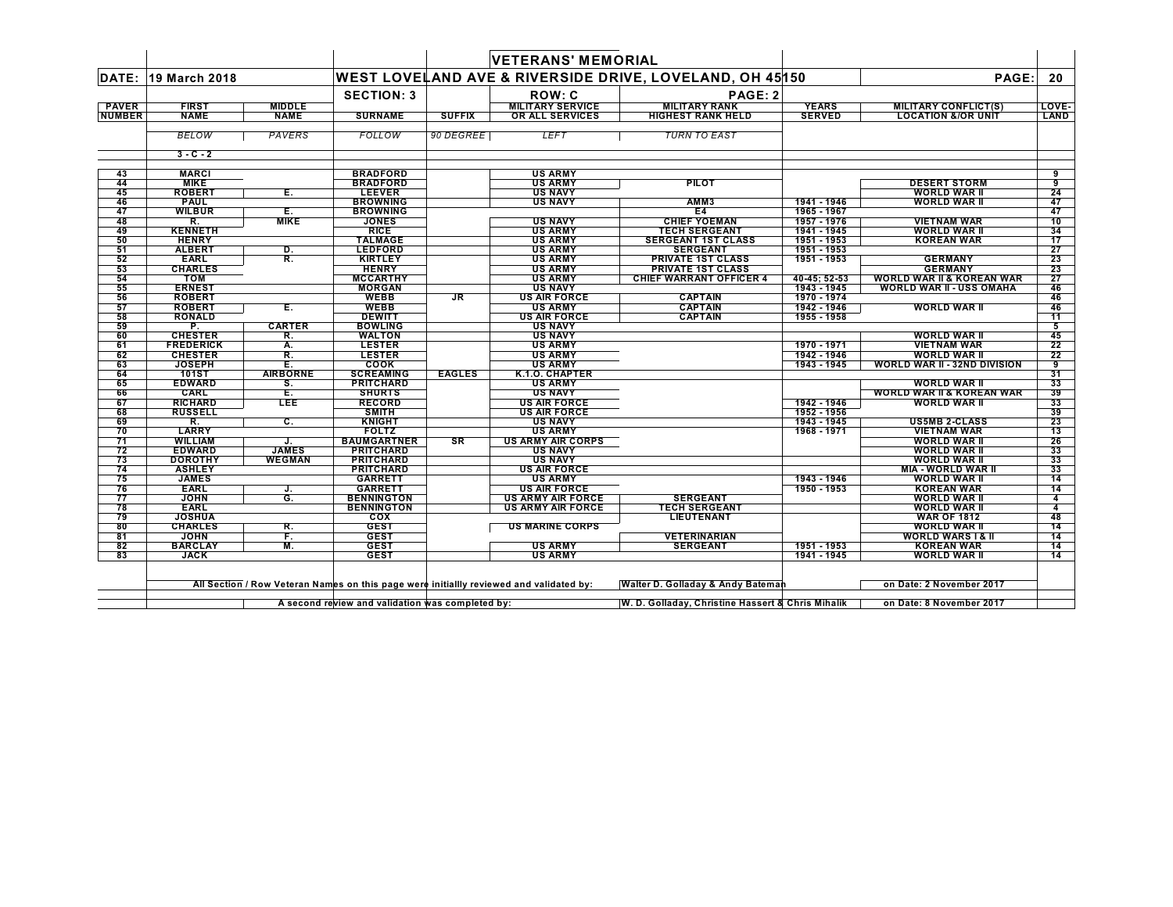|               |                                |                  |                                                  |               | <b>VETERANS' MEMORIAL</b>                                                               |                                                         |                            |                                      |          |
|---------------|--------------------------------|------------------|--------------------------------------------------|---------------|-----------------------------------------------------------------------------------------|---------------------------------------------------------|----------------------------|--------------------------------------|----------|
| DATE:         | 19 March 2018                  |                  |                                                  |               |                                                                                         | WEST LOVELAND AVE & RIVERSIDE DRIVE, LOVELAND, OH 45150 |                            | PAGE:                                | 20       |
|               |                                |                  | <b>SECTION: 3</b>                                |               | <b>ROW: C</b>                                                                           | PAGE: 2                                                 |                            |                                      |          |
| <b>PAVER</b>  | <b>FIRST</b>                   | <b>MIDDLE</b>    |                                                  |               | <b>MILITARY SERVICE</b>                                                                 | <b>MILITARY RANK</b>                                    | <b>YEARS</b>               | <b>MILITARY CONFLICT(S)</b>          | LOVE-    |
| <b>NUMBER</b> | <b>NAME</b>                    | <b>NAME</b>      | <b>SURNAME</b>                                   | <b>SUFFIX</b> | OR ALL SERVICES                                                                         | <b>HIGHEST RANK HELD</b>                                | <b>SERVED</b>              | <b>LOCATION &amp;/OR UNIT</b>        | LAND     |
|               | <b>BELOW</b>                   | <b>PAVERS</b>    | <b>FOLLOW</b>                                    | 90 DEGREE     | <b>LEFT</b>                                                                             | <b>TURN TO EAST</b>                                     |                            |                                      |          |
|               | $3 - C - 2$                    |                  |                                                  |               |                                                                                         |                                                         |                            |                                      |          |
| 43            | <b>MARCI</b>                   |                  | <b>BRADFORD</b>                                  |               | <b>US ARMY</b>                                                                          |                                                         |                            |                                      | 9        |
| 44            | <b>MIKE</b>                    |                  | <b>BRADFORD</b>                                  |               | <b>US ARMY</b>                                                                          | <b>PILOT</b>                                            |                            | <b>DESERT STORM</b>                  | 9        |
| 45            | <b>ROBERT</b>                  | E.               | <b>LEEVER</b>                                    |               | <b>US NAVY</b>                                                                          |                                                         |                            | <b>WORLD WAR II</b>                  | 24       |
| 46            | <b>PAUL</b>                    |                  | <b>BROWNING</b>                                  |               | <b>US NAVY</b>                                                                          | AMM3                                                    | 1941 - 1946                | <b>WORLD WAR II</b>                  | 47       |
| 47            | <b>WILBUR</b>                  | Е.               | <b>BROWNING</b>                                  |               |                                                                                         | E4                                                      | 1965 - 1967                |                                      | 47       |
| 48            | R.                             | <b>MIKE</b>      | <b>JONES</b>                                     |               | <b>US NAVY</b>                                                                          | <b>CHIEF YOEMAN</b>                                     | 1957 - 1976                | <b>VIETNAM WAR</b>                   | 10       |
| 49            | <b>KENNETH</b>                 |                  | <b>RICE</b>                                      |               | <b>US ARMY</b>                                                                          | <b>TECH SERGEANT</b>                                    | 1941 - 1945                | <b>WORLD WAR II</b>                  | 34       |
| 50            | <b>HENRY</b>                   |                  | <b>TALMAGE</b>                                   |               | <b>US ARMY</b>                                                                          | <b>SERGEANT 1ST CLASS</b>                               | 1951 - 1953                | <b>KOREAN WAR</b>                    | 17       |
| 51            | <b>ALBERT</b>                  | D.               | <b>LEDFORD</b>                                   |               | <b>US ARMY</b>                                                                          | <b>SERGEANT</b>                                         | 1951 - 1953                |                                      | 27       |
| 52            | <b>EARL</b>                    | R.               | <b>KIRTLEY</b>                                   |               | <b>US ARMY</b>                                                                          | <b>PRIVATE 1ST CLASS</b>                                | 1951 - 1953                | <b>GERMANY</b>                       | 23       |
| 53            | <b>CHARLES</b>                 |                  | <b>HENRY</b>                                     |               | <b>US ARMY</b>                                                                          | <b>PRIVATE 1ST CLASS</b>                                |                            | <b>GERMANY</b>                       | 23       |
| 54            | <b>TOM</b>                     |                  | <b>MCCARTHY</b>                                  |               | <b>US ARMY</b>                                                                          | <b>CHIEF WARRANT OFFICER 4</b>                          | 40-45; 52-53               | WORLD WAR II & KOREAN WAR            | 27       |
| 55<br>56      | <b>ERNEST</b><br><b>ROBERT</b> |                  | <b>MORGAN</b><br><b>WEBB</b>                     | JR.           | <b>US NAVY</b><br><b>US AIR FORCE</b>                                                   |                                                         | 1943 - 1945<br>1970 - 1974 | <b>WORLD WAR II - USS OMAHA</b>      | 46       |
| 57            | <b>ROBERT</b>                  | Ε.               | <b>WEBB</b>                                      |               | <b>US ARMY</b>                                                                          | <b>CAPTAIN</b><br><b>CAPTAIN</b>                        | 1942 - 1946                | <b>WORLD WAR II</b>                  | 46<br>46 |
| 58            | <b>RONALD</b>                  |                  | <b>DEWITT</b>                                    |               | <b>US AIR FORCE</b>                                                                     | <b>CAPTAIN</b>                                          | 1955 - 1958                |                                      | 11       |
| 59            | P.                             | <b>CARTER</b>    | <b>BOWLING</b>                                   |               | <b>US NAVY</b>                                                                          |                                                         |                            |                                      | 5        |
| 60            | <b>CHESTER</b>                 | R.               | <b>WALTON</b>                                    |               | <b>US NAVY</b>                                                                          |                                                         |                            | <b>WORLD WAR II</b>                  | 45       |
| 61            | <b>FREDERICK</b>               | А.               | <b>LESTER</b>                                    |               | <b>US ARMY</b>                                                                          |                                                         | 1970 - 1971                | <b>VIETNAM WAR</b>                   | 22       |
| 62            | <b>CHESTER</b>                 | R.               | <b>LESTER</b>                                    |               | <b>US ARMY</b>                                                                          |                                                         | 1942 - 1946                | <b>WORLD WAR II</b>                  | 22       |
| 63            | <b>JOSEPH</b>                  | Ε.               | COOK                                             |               | <b>US ARMY</b>                                                                          |                                                         | 1943 - 1945                | <b>WORLD WAR II - 32ND DIVISION</b>  | 9        |
| 64            | <b>101ST</b>                   | <b>AIRBORNE</b>  | <b>SCREAMING</b>                                 | <b>EAGLES</b> | K.1.0. CHAPTER                                                                          |                                                         |                            |                                      | 31       |
| 65            | <b>EDWARD</b>                  | S.               | <b>PRITCHARD</b>                                 |               | <b>US ARMY</b>                                                                          |                                                         |                            | <b>WORLD WAR II</b>                  | 33       |
| 66            | CARL                           | Έ.               | <b>SHURTS</b>                                    |               | <b>US NAVY</b>                                                                          |                                                         |                            | <b>WORLD WAR II &amp; KOREAN WAR</b> | 39       |
| 67            | <b>RICHARD</b>                 | <b>LEE</b>       | <b>RECORD</b>                                    |               | <b>US AIR FORCE</b>                                                                     |                                                         | 1942 - 1946                | <b>WORLD WAR II</b>                  | 33       |
| 68            | <b>RUSSELL</b>                 |                  | <b>SMITH</b>                                     |               | <b>US AIR FORCE</b>                                                                     |                                                         | 1952 - 1956                |                                      | 39       |
| 69            | R.                             | c.               | <b>KNIGHT</b>                                    |               | <b>US NAVY</b>                                                                          |                                                         | 1943 - 1945                | <b>US5MB 2-CLASS</b>                 | 23       |
| 70            | <b>LARRY</b>                   |                  | <b>FOLTZ</b>                                     |               | <b>US ARMY</b>                                                                          |                                                         | 1968 - 1971                | <b>VIETNAM WAR</b>                   | 13       |
| 71            | <b>WILLIAM</b>                 |                  | <b>BAUMGARTNER</b>                               | <b>SR</b>     | <b>US ARMY AIR CORPS</b>                                                                |                                                         |                            | <b>WORLD WAR II</b>                  | 26       |
| 72            | <b>EDWARD</b>                  | <b>JAMES</b>     | <b>PRITCHARD</b>                                 |               | <b>US NAVY</b>                                                                          |                                                         |                            | <b>WORLD WAR II</b>                  | 33       |
| 73            | <b>DOROTHY</b>                 | <b>WEGMAN</b>    | <b>PRITCHARD</b>                                 |               | <b>US NAVY</b>                                                                          |                                                         |                            | <b>WORLD WAR II</b>                  | 33       |
| 74            | <b>ASHLEY</b>                  |                  | <b>PRITCHARD</b>                                 |               | <b>US AIR FORCE</b>                                                                     |                                                         |                            | <b>MIA - WORLD WAR II</b>            | 33       |
| 75            | <b>JAMES</b>                   |                  | <b>GARRETT</b>                                   |               | <b>US ARMY</b>                                                                          |                                                         | 1943 - 1946                | <b>WORLD WAR II</b>                  | 14       |
| 76            | <b>EARL</b>                    | J.               | <b>GARRETT</b>                                   |               | <b>US AIR FORCE</b>                                                                     |                                                         | 1950 - 1953                | <b>KOREAN WAR</b>                    | 14       |
| 77            | <b>JOHN</b>                    | $\overline{G}$ . | <b>BENNINGTON</b>                                |               | <b>US ARMY AIR FORCE</b>                                                                | <b>SERGEANT</b>                                         |                            | <b>WORLD WAR II</b>                  | 4        |
| 78            | <b>EARL</b>                    |                  | <b>BENNINGTON</b>                                |               | <b>US ARMY AIR FORCE</b>                                                                | <b>TECH SERGEANT</b>                                    |                            | WORLD WAR II                         | 4        |
| 79            | <b>JOSHUA</b>                  |                  | cox                                              |               |                                                                                         | LIEUTENANT                                              |                            | <b>WAR OF 1812</b>                   | 48       |
| 80            | <b>CHARLES</b>                 | R.               | <b>GEST</b>                                      |               | <b>US MARINE CORPS</b>                                                                  |                                                         |                            | <b>WORLD WAR II</b>                  | 14       |
| 81            | <b>JOHN</b>                    | F.               | <b>GEST</b>                                      |               |                                                                                         | <b>VETERINARIAN</b>                                     |                            | <b>WORLD WARS I &amp; II</b>         | 14       |
| 82<br>83      | <b>BARCLAY</b><br><b>JACK</b>  | M.               | <b>GEST</b><br><b>GEST</b>                       |               | <b>US ARMY</b><br><b>US ARMY</b>                                                        | <b>SERGEANT</b>                                         | 1951 - 1953<br>1941 - 1945 | <b>KOREAN WAR</b><br>WORLD WAR II    | 14<br>14 |
|               |                                |                  |                                                  |               | All Section / Row Veteran Names on this page were initiallly reviewed and validated by: | Walter D. Golladay & Andy Bateman                       |                            | on Date: 2 November 2017             |          |
|               |                                |                  | A second review and validation was completed by: |               |                                                                                         | W. D. Golladay, Christine Hassert & Chris Mihalik       |                            | on Date: 8 November 2017             |          |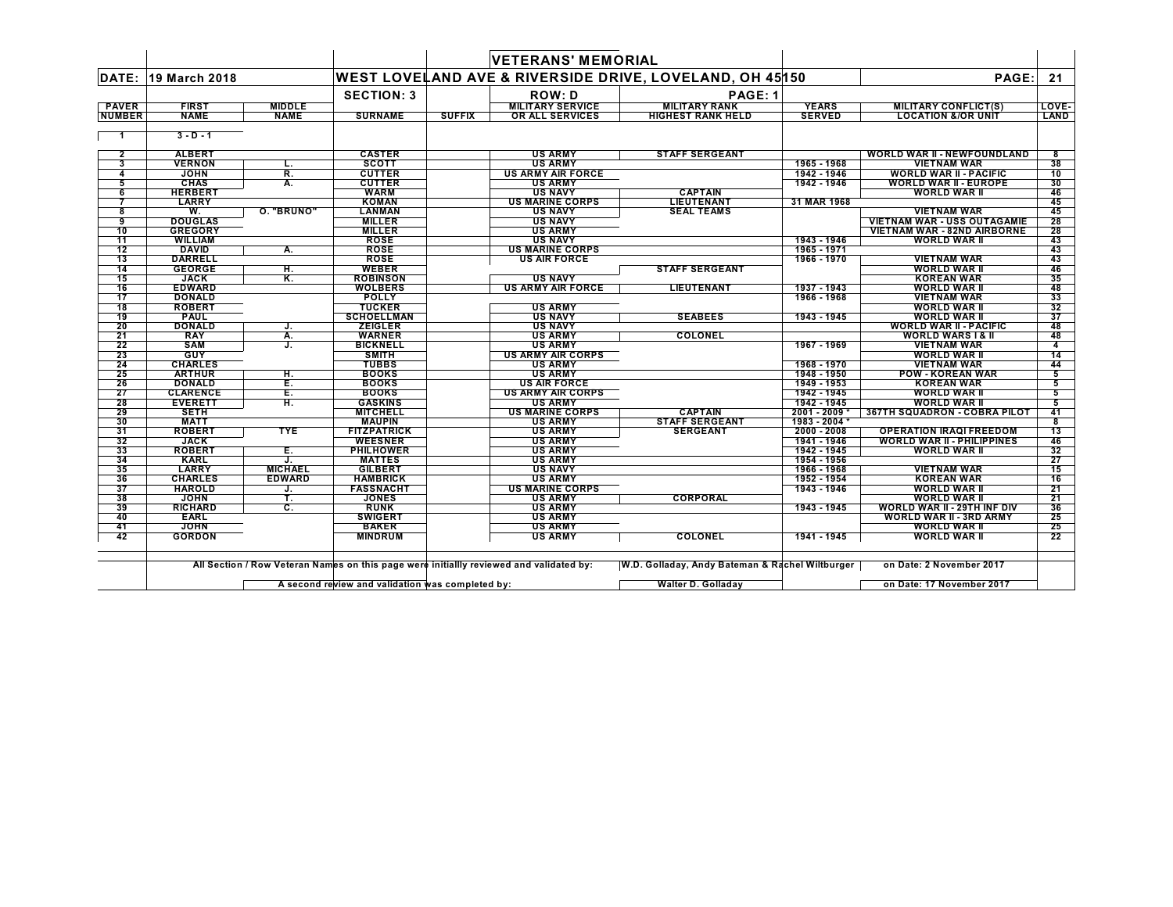|                 |                 |                |                    |               | <b>VETERANS' MEMORIAL</b> |                                                         |               |                                     |       |
|-----------------|-----------------|----------------|--------------------|---------------|---------------------------|---------------------------------------------------------|---------------|-------------------------------------|-------|
| DATE:           | 19 March 2018   |                |                    |               |                           | WEST LOVELAND AVE & RIVERSIDE DRIVE, LOVELAND, OH 45150 |               | PAGE:                               | 21    |
|                 |                 |                | <b>SECTION: 3</b>  |               | <b>ROW: D</b>             | PAGE: 1                                                 |               |                                     |       |
| <b>PAVER</b>    | <b>FIRST</b>    | <b>MIDDLE</b>  |                    |               | <b>MILITARY SERVICE</b>   | <b>MILITARY RANK</b>                                    | <b>YEARS</b>  | <b>MILITARY CONFLICT(S)</b>         | LOVE- |
| <b>NUMBER</b>   | <b>NAME</b>     | <b>NAME</b>    | <b>SURNAME</b>     | <b>SUFFIX</b> | OR ALL SERVICES           | <b>HIGHEST RANK HELD</b>                                | <b>SERVED</b> | <b>LOCATION &amp;/OR UNIT</b>       | LAND  |
| -1              | $3 - D - 1$     |                |                    |               |                           |                                                         |               |                                     |       |
|                 |                 |                |                    |               |                           |                                                         |               |                                     |       |
| $\overline{2}$  | <b>ALBERT</b>   |                | <b>CASTER</b>      |               | <b>US ARMY</b>            | <b>STAFF SERGEANT</b>                                   |               | <b>WORLD WAR II - NEWFOUNDLAND</b>  | 8     |
| 3               | <b>VERNON</b>   | L.             | <b>SCOTT</b>       |               | <b>US ARMY</b>            |                                                         | 1965 - 1968   | <b>VIETNAM WAR</b>                  | 38    |
| 4               | <b>JOHN</b>     | R.             | <b>CUTTER</b>      |               | <b>US ARMY AIR FORCE</b>  |                                                         | 1942 - 1946   | <b>WORLD WAR II - PACIFIC</b>       | 10    |
| 5               | <b>CHAS</b>     | А.             | <b>CUTTER</b>      |               | <b>US ARMY</b>            |                                                         | 1942 - 1946   | <b>WORLD WAR II - EUROPE</b>        | 30    |
| 6               | <b>HERBERT</b>  |                | <b>WARM</b>        |               | <b>US NAVY</b>            | <b>CAPTAIN</b>                                          |               | <b>WORLD WAR II</b>                 | 46    |
|                 | LARRY           |                | <b>KOMAN</b>       |               | <b>US MARINE CORPS</b>    | <b>LIEUTENANT</b>                                       | 31 MAR 1968   |                                     | 45    |
| 8               | W.              | O. "BRUNO"     | <b>LANMAN</b>      |               | <b>US NAVY</b>            | <b>SEAL TEAMS</b>                                       |               | <b>VIETNAM WAR</b>                  | 45    |
| 9               | <b>DOUGLAS</b>  |                | <b>MILLER</b>      |               | <b>US NAVY</b>            |                                                         |               | <b>VIETNAM WAR - USS OUTAGAMIE</b>  | 28    |
| 10              | <b>GREGORY</b>  |                | <b>MILLER</b>      |               | <b>US ARMY</b>            |                                                         |               | <b>VIETNAM WAR - 82ND AIRBORNE</b>  | 28    |
| 11              | <b>WILLIAM</b>  |                | <b>ROSE</b>        |               | <b>US NAVY</b>            |                                                         | 1943 - 1946   | <b>WORLD WAR II</b>                 | 43    |
| 12              | <b>DAVID</b>    | А.             | <b>ROSE</b>        |               | <b>US MARINE CORPS</b>    |                                                         | 1965 - 1971   |                                     | 43    |
| 13              | <b>DARRELL</b>  |                | <b>ROSE</b>        |               | <b>US AIR FORCE</b>       |                                                         | 1966 - 1970   | <b>VIETNAM WAR</b>                  | 43    |
| 14              | <b>GEORGE</b>   | н.             | <b>WEBER</b>       |               |                           | <b>STAFF SERGEANT</b>                                   |               | <b>WORLD WAR II</b>                 | 46    |
| 15              | <b>JACK</b>     | Κ.             | <b>ROBINSON</b>    |               | <b>US NAVY</b>            |                                                         |               | <b>KOREAN WAR</b>                   | 35    |
| 16              | <b>EDWARD</b>   |                | <b>WOLBERS</b>     |               | <b>US ARMY AIR FORCE</b>  | <b>LIEUTENANT</b>                                       | 1937 - 1943   | <b>WORLD WAR II</b>                 | 48    |
| $\overline{17}$ | <b>DONALD</b>   |                | <b>POLLY</b>       |               |                           |                                                         | 1966 - 1968   | <b>VIETNAM WAR</b>                  | 33    |
| 18              | <b>ROBERT</b>   |                | <b>TUCKER</b>      |               | <b>US ARMY</b>            |                                                         |               | <b>WORLD WAR II</b>                 | 32    |
| 19              | <b>PAUL</b>     |                | <b>SCHOELLMAN</b>  |               | <b>US NAVY</b>            | <b>SEABEES</b>                                          | 1943 - 1945   | <b>WORLD WAR II</b>                 | 37    |
| 20              | <b>DONALD</b>   | J.             | <b>ZEIGLER</b>     |               | <b>US NAVY</b>            |                                                         |               | <b>WORLD WAR II - PACIFIC</b>       | 48    |
| 21              | <b>RAY</b>      | А.             | <b>WARNER</b>      |               | <b>US ARMY</b>            | COLONEL                                                 |               | <b>WORLD WARS I &amp; II</b>        | 48    |
| 22              | <b>SAM</b>      | J.             | <b>BICKNELL</b>    |               | <b>US ARMY</b>            |                                                         | 1967 - 1969   | <b>VIETNAM WAR</b>                  | 4     |
| 23              | GUY             |                | <b>SMITH</b>       |               | <b>US ARMY AIR CORPS</b>  |                                                         |               | <b>WORLD WAR II</b>                 | 14    |
| 24              | <b>CHARLES</b>  |                | <b>TUBBS</b>       |               | <b>US ARMY</b>            |                                                         | 1968 - 1970   | <b>VIETNAM WAR</b>                  | 44    |
| 25              | <b>ARTHUR</b>   | H.             | <b>BOOKS</b>       |               | <b>US ARMY</b>            |                                                         | 1948 - 1950   | <b>POW - KOREAN WAR</b>             | 5     |
| 26              | <b>DONALD</b>   | Ε.             | <b>BOOKS</b>       |               | <b>US AIR FORCE</b>       |                                                         | 1949 - 1953   | <b>KOREAN WAR</b>                   | 5     |
| 27              | <b>CLARENCE</b> | E.             | <b>BOOKS</b>       |               | <b>US ARMY AIR CORPS</b>  |                                                         | 1942 - 1945   | <b>WORLD WAR II</b>                 | 5     |
| 28              | <b>EVERETT</b>  | н.             | <b>GASKINS</b>     |               | <b>US ARMY</b>            |                                                         | 1942 - 1945   | <b>WORLD WAR II</b>                 | 5     |
| 29              | <b>SETH</b>     |                | <b>MITCHELL</b>    |               | <b>US MARINE CORPS</b>    | <b>CAPTAIN</b>                                          | 2001 - 2009 * | <b>367TH SQUADRON - COBRA PILOT</b> | 41    |
| 30              | <b>MATT</b>     |                | <b>MAUPIN</b>      |               | <b>US ARMY</b>            | <b>STAFF SERGEANT</b>                                   | 1983 - 2004 * |                                     |       |
| 31              | <b>ROBERT</b>   | <b>TYE</b>     | <b>FITZPATRICK</b> |               | <b>US ARMY</b>            | <b>SERGEANT</b>                                         | $2000 - 2008$ | <b>OPERATION IRAQI FREEDOM</b>      | 13    |
| 32              | <b>JACK</b>     |                | <b>WEESNER</b>     |               | <b>US ARMY</b>            |                                                         | 1941 - 1946   | <b>WORLD WAR II - PHILIPPINES</b>   | 46    |
| 33              | <b>ROBERT</b>   | Е.             | <b>PHILHOWER</b>   |               | <b>US ARMY</b>            |                                                         | 1942 - 1945   | <b>WORLD WAR II</b>                 | 32    |
| 34              | <b>KARL</b>     | J.             | <b>MATTES</b>      |               | <b>US ARMY</b>            |                                                         | 1954 - 1956   |                                     | 27    |
| 35              | <b>LARRY</b>    | <b>MICHAEL</b> | <b>GILBERT</b>     |               | <b>US NAVY</b>            |                                                         | 1966 - 1968   | <b>VIETNAM WAR</b>                  | 15    |
| 36              | <b>CHARLES</b>  | <b>EDWARD</b>  | <b>HAMBRICK</b>    |               | <b>US ARMY</b>            |                                                         | 1952 - 1954   | <b>KOREAN WAR</b>                   | 16    |
| 37              | <b>HAROLD</b>   |                | <b>FASSNACHT</b>   |               | <b>US MARINE CORPS</b>    |                                                         | 1943 - 1946   | <b>WORLD WAR II</b>                 | 21    |
| 38              | <b>JOHN</b>     | т.             | <b>JONES</b>       |               | <b>US ARMY</b>            | CORPORAL                                                |               | <b>WORLD WAR II</b>                 | 21    |
| 39              | <b>RICHARD</b>  | C.             | <b>RUNK</b>        |               | <b>US ARMY</b>            |                                                         | 1943 - 1945   | WORLD WAR II - 29TH INF DIV         | 36    |
| 40              | <b>EARL</b>     |                | <b>SWIGERT</b>     |               | <b>US ARMY</b>            |                                                         |               | <b>WORLD WAR II - 3RD ARMY</b>      | 25    |
| 41              | <b>JOHN</b>     |                | <b>BAKER</b>       |               | <b>US ARMY</b>            |                                                         |               | <b>WORLD WAR II</b>                 | 25    |
| 42              | <b>GORDON</b>   |                | <b>MINDRUM</b>     |               | <b>US ARMY</b>            | COLONEL                                                 | 1941 - 1945   | <b>WORLD WAR II</b>                 | 22    |

All Section / Row Veteran Names on this page were initiallly reviewed and validated by: W.D. Golladay, Andy Bateman & Rachel Wiltburger ── on Date: 2 November 2017

**A second review and validation was completed by: Walter D. Golladay on Date: 17 November 2017** $\mathsf{L}$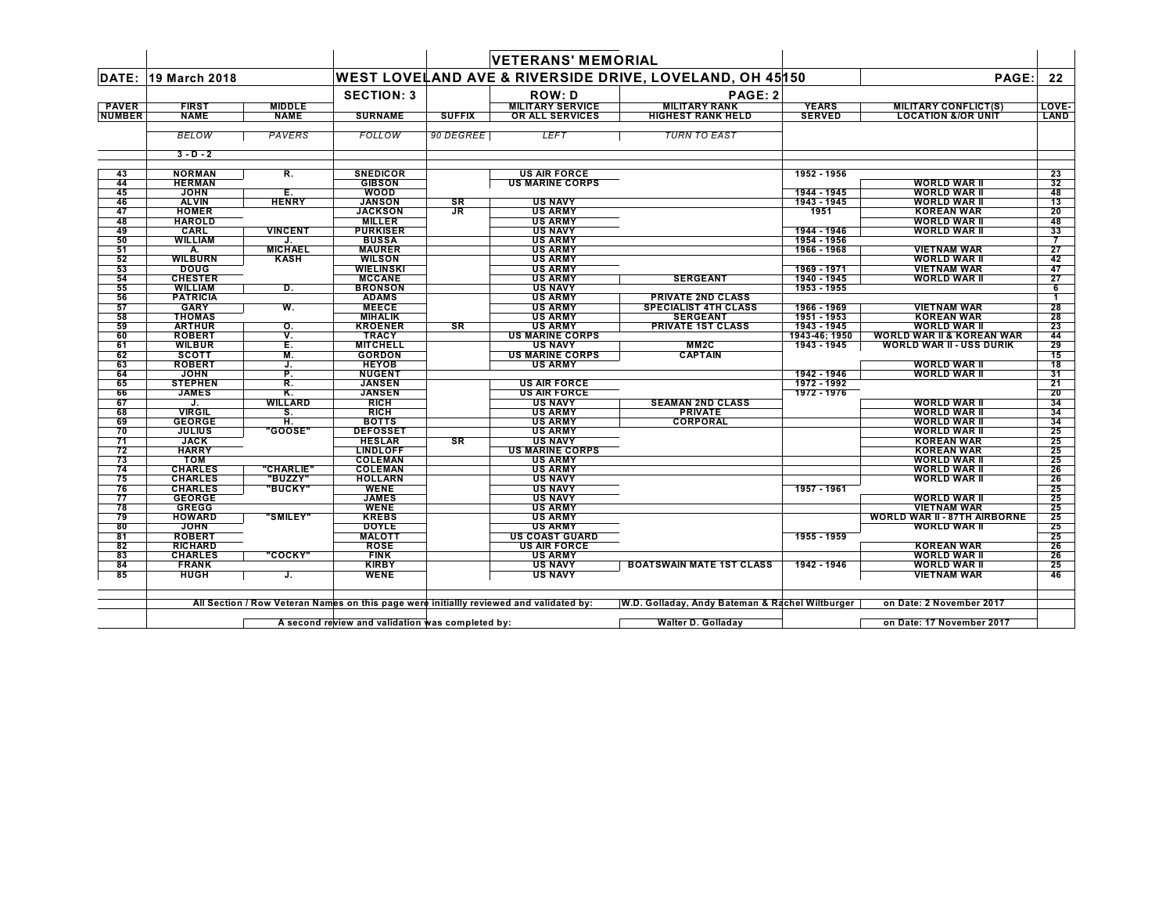| 19 March 2018<br><b>FIRST</b><br><b>NAME</b><br><b>BELOW</b><br>$3 - D - 2$<br><b>NORMAN</b><br><b>HERMAN</b><br><b>JOHN</b><br><b>ALVIN</b><br><b>HOMER</b><br><b>HAROLD</b><br><b>CARL</b><br><b>WILLIAM</b> | <b>MIDDLE</b><br><b>NAME</b><br>PAVERS<br>R.<br>Ē.<br><b>HENRY</b> | <b>SECTION: 3</b><br><b>SURNAME</b><br><b>FOLLOW</b><br><b>SNEDICOR</b><br><b>GIBSON</b> | <b>SUFFIX</b><br>90 DEGREE                                                                                                                             | <b>ROW: D</b><br><b>MILITARY SERVICE</b><br>OR ALL SERVICES<br><b>LEFT</b> | WEST LOVELAND AVE & RIVERSIDE DRIVE, LOVELAND, OH 45150<br>PAGE: 2<br><b>MILITARY RANK</b><br><b>HIGHEST RANK HELD</b><br><b>TURN TO EAST</b>                                 | <b>YEARS</b><br><b>SERVED</b> | PAGE:<br><b>MILITARY CONFLICT(S)</b><br><b>LOCATION &amp;/OR UNIT</b> | 22<br>LOVE-<br><b>LAND</b>                                                                                                                                                |
|----------------------------------------------------------------------------------------------------------------------------------------------------------------------------------------------------------------|--------------------------------------------------------------------|------------------------------------------------------------------------------------------|--------------------------------------------------------------------------------------------------------------------------------------------------------|----------------------------------------------------------------------------|-------------------------------------------------------------------------------------------------------------------------------------------------------------------------------|-------------------------------|-----------------------------------------------------------------------|---------------------------------------------------------------------------------------------------------------------------------------------------------------------------|
|                                                                                                                                                                                                                |                                                                    |                                                                                          |                                                                                                                                                        |                                                                            |                                                                                                                                                                               |                               |                                                                       |                                                                                                                                                                           |
|                                                                                                                                                                                                                |                                                                    |                                                                                          |                                                                                                                                                        |                                                                            |                                                                                                                                                                               |                               |                                                                       |                                                                                                                                                                           |
|                                                                                                                                                                                                                |                                                                    |                                                                                          |                                                                                                                                                        |                                                                            |                                                                                                                                                                               |                               |                                                                       |                                                                                                                                                                           |
|                                                                                                                                                                                                                |                                                                    |                                                                                          |                                                                                                                                                        |                                                                            |                                                                                                                                                                               |                               |                                                                       |                                                                                                                                                                           |
|                                                                                                                                                                                                                |                                                                    |                                                                                          |                                                                                                                                                        |                                                                            |                                                                                                                                                                               |                               |                                                                       |                                                                                                                                                                           |
|                                                                                                                                                                                                                |                                                                    |                                                                                          |                                                                                                                                                        |                                                                            |                                                                                                                                                                               |                               |                                                                       |                                                                                                                                                                           |
|                                                                                                                                                                                                                |                                                                    |                                                                                          |                                                                                                                                                        | <b>US AIR FORCE</b>                                                        |                                                                                                                                                                               | 1952 - 1956                   |                                                                       | 23                                                                                                                                                                        |
|                                                                                                                                                                                                                |                                                                    |                                                                                          |                                                                                                                                                        | <b>US MARINE CORPS</b>                                                     |                                                                                                                                                                               |                               | <b>WORLD WAR II</b>                                                   | 32                                                                                                                                                                        |
|                                                                                                                                                                                                                |                                                                    | <b>WOOD</b>                                                                              |                                                                                                                                                        |                                                                            |                                                                                                                                                                               | 1944 - 1945                   | <b>WORLD WAR II</b>                                                   | 48                                                                                                                                                                        |
|                                                                                                                                                                                                                |                                                                    | <b>JANSON</b>                                                                            | SR                                                                                                                                                     | <b>US NAVY</b>                                                             |                                                                                                                                                                               | 1943 - 1945                   | <b>WORLD WAR II</b>                                                   | 13                                                                                                                                                                        |
|                                                                                                                                                                                                                |                                                                    | <b>JACKSON</b>                                                                           | JR.                                                                                                                                                    | <b>US ARMY</b>                                                             |                                                                                                                                                                               | 1951                          | <b>KOREAN WAR</b>                                                     | 20                                                                                                                                                                        |
|                                                                                                                                                                                                                |                                                                    | <b>MILLER</b>                                                                            |                                                                                                                                                        | <b>US ARMY</b>                                                             |                                                                                                                                                                               |                               | <b>WORLD WAR II</b>                                                   | 48                                                                                                                                                                        |
|                                                                                                                                                                                                                | <b>VINCENT</b>                                                     | <b>PURKISER</b>                                                                          |                                                                                                                                                        | <b>US NAVY</b>                                                             |                                                                                                                                                                               | 1944 - 1946                   | <b>WORLD WAR II</b>                                                   | 33                                                                                                                                                                        |
|                                                                                                                                                                                                                |                                                                    | <b>BUSSA</b>                                                                             |                                                                                                                                                        | <b>US ARMY</b>                                                             |                                                                                                                                                                               | 1954 - 1956                   |                                                                       | 7                                                                                                                                                                         |
| А.                                                                                                                                                                                                             | <b>MICHAEL</b>                                                     | <b>MAURER</b>                                                                            |                                                                                                                                                        | <b>US ARMY</b>                                                             |                                                                                                                                                                               | 1966 - 1968                   | <b>VIETNAM WAR</b>                                                    | 27                                                                                                                                                                        |
| <b>WILBURN</b>                                                                                                                                                                                                 | <b>KASH</b>                                                        | <b>WILSON</b>                                                                            |                                                                                                                                                        | <b>US ARMY</b>                                                             |                                                                                                                                                                               |                               | <b>WORLD WAR II</b>                                                   | 42                                                                                                                                                                        |
| <b>DOUG</b>                                                                                                                                                                                                    |                                                                    | <b>WIELINSKI</b>                                                                         |                                                                                                                                                        | <b>US ARMY</b>                                                             |                                                                                                                                                                               | 1969 - 1971                   | <b>VIETNAM WAR</b>                                                    | 47                                                                                                                                                                        |
| <b>CHESTER</b>                                                                                                                                                                                                 |                                                                    | <b>MCCANE</b>                                                                            |                                                                                                                                                        | <b>US ARMY</b>                                                             | <b>SERGEANT</b>                                                                                                                                                               | 1940 - 1945                   | <b>WORLD WAR II</b>                                                   | 27                                                                                                                                                                        |
| <b>WILLIAM</b>                                                                                                                                                                                                 | D.                                                                 | <b>BRONSON</b>                                                                           |                                                                                                                                                        | <b>US NAVY</b>                                                             |                                                                                                                                                                               | 1953 - 1955                   |                                                                       | 6                                                                                                                                                                         |
| <b>PATRICIA</b>                                                                                                                                                                                                |                                                                    | <b>ADAMS</b>                                                                             |                                                                                                                                                        | <b>US ARMY</b>                                                             | <b>PRIVATE 2ND CLASS</b>                                                                                                                                                      |                               |                                                                       | $\blacktriangleleft$                                                                                                                                                      |
| <b>GARY</b>                                                                                                                                                                                                    | W.                                                                 | <b>MEECE</b>                                                                             |                                                                                                                                                        | <b>US ARMY</b>                                                             | <b>SPECIALIST 4TH CLASS</b>                                                                                                                                                   | 1966 - 1969                   | <b>VIETNAM WAR</b>                                                    | 28                                                                                                                                                                        |
| <b>THOMAS</b>                                                                                                                                                                                                  |                                                                    | <b>MIHALIK</b>                                                                           |                                                                                                                                                        | <b>US ARMY</b>                                                             | <b>SERGEANT</b>                                                                                                                                                               | 1951 - 1953                   | <b>KOREAN WAR</b>                                                     | 28                                                                                                                                                                        |
| <b>ARTHUR</b>                                                                                                                                                                                                  | О.                                                                 | <b>KROENER</b>                                                                           | SR                                                                                                                                                     | <b>US ARMY</b>                                                             | <b>PRIVATE 1ST CLASS</b>                                                                                                                                                      | 1943 - 1945                   | <b>WORLD WAR II</b>                                                   | 23                                                                                                                                                                        |
| <b>ROBERT</b>                                                                                                                                                                                                  | v.                                                                 | <b>TRACY</b>                                                                             |                                                                                                                                                        | <b>US MARINE CORPS</b>                                                     |                                                                                                                                                                               | 1943-46; 1950                 | <b>WORLD WAR II &amp; KOREAN WAR</b>                                  | 44                                                                                                                                                                        |
| <b>WILBUR</b>                                                                                                                                                                                                  | Е.                                                                 | <b>MITCHELL</b>                                                                          |                                                                                                                                                        | <b>US NAVY</b>                                                             | MM <sub>2</sub> C                                                                                                                                                             | 1943 - 1945                   | <b>WORLD WAR II - USS DURIK</b>                                       | 29                                                                                                                                                                        |
| <b>SCOTT</b><br><b>ROBERT</b>                                                                                                                                                                                  | M.<br>J.                                                           | <b>GORDON</b><br><b>HEYOB</b>                                                            |                                                                                                                                                        | <b>US MARINE CORPS</b><br><b>US ARMY</b>                                   | <b>CAPTAIN</b>                                                                                                                                                                |                               | <b>WORLD WAR II</b>                                                   | 15<br>18                                                                                                                                                                  |
|                                                                                                                                                                                                                |                                                                    |                                                                                          |                                                                                                                                                        |                                                                            |                                                                                                                                                                               |                               |                                                                       |                                                                                                                                                                           |
| <b>JOHN</b>                                                                                                                                                                                                    | P.<br>R.                                                           | <b>NUGENT</b><br><b>JANSEN</b>                                                           |                                                                                                                                                        |                                                                            |                                                                                                                                                                               | 1942 - 1946<br>1972 - 1992    | <b>WORLD WAR II</b>                                                   | 31                                                                                                                                                                        |
| <b>STEPHEN</b><br><b>JAMES</b>                                                                                                                                                                                 | Κ.                                                                 | <b>JANSEN</b>                                                                            |                                                                                                                                                        | <b>US AIR FORCE</b><br><b>US AIR FORCE</b>                                 |                                                                                                                                                                               | 1972 - 1976                   |                                                                       | 21<br>20                                                                                                                                                                  |
| J.                                                                                                                                                                                                             | <b>WILLARD</b>                                                     | <b>RICH</b>                                                                              |                                                                                                                                                        | <b>US NAVY</b>                                                             | <b>SEAMAN 2ND CLASS</b>                                                                                                                                                       |                               | <b>WORLD WAR II</b>                                                   | 34                                                                                                                                                                        |
| <b>VIRGIL</b>                                                                                                                                                                                                  | S.                                                                 | <b>RICH</b>                                                                              |                                                                                                                                                        | <b>US ARMY</b>                                                             | <b>PRIVATE</b>                                                                                                                                                                |                               | <b>WORLD WAR II</b>                                                   | 34                                                                                                                                                                        |
| <b>GEORGE</b>                                                                                                                                                                                                  | Η.                                                                 | <b>BOTTS</b>                                                                             |                                                                                                                                                        | <b>US ARMY</b>                                                             | <b>CORPORAL</b>                                                                                                                                                               |                               | <b>WORLD WAR II</b>                                                   | 34                                                                                                                                                                        |
| <b>JULIUS</b>                                                                                                                                                                                                  | <b>"GOOSE"</b>                                                     | <b>DEFOSSET</b>                                                                          |                                                                                                                                                        | <b>US ARMY</b>                                                             |                                                                                                                                                                               |                               | <b>WORLD WAR II</b>                                                   | 25                                                                                                                                                                        |
|                                                                                                                                                                                                                |                                                                    |                                                                                          |                                                                                                                                                        |                                                                            |                                                                                                                                                                               |                               |                                                                       | 25                                                                                                                                                                        |
| <b>HARRY</b>                                                                                                                                                                                                   |                                                                    |                                                                                          |                                                                                                                                                        |                                                                            |                                                                                                                                                                               |                               |                                                                       | 25                                                                                                                                                                        |
|                                                                                                                                                                                                                |                                                                    |                                                                                          |                                                                                                                                                        |                                                                            |                                                                                                                                                                               |                               |                                                                       | 25                                                                                                                                                                        |
| <b>CHARLES</b>                                                                                                                                                                                                 |                                                                    |                                                                                          |                                                                                                                                                        |                                                                            |                                                                                                                                                                               |                               |                                                                       | 26                                                                                                                                                                        |
| <b>CHARLES</b>                                                                                                                                                                                                 |                                                                    |                                                                                          |                                                                                                                                                        |                                                                            |                                                                                                                                                                               |                               |                                                                       | 26                                                                                                                                                                        |
| <b>CHARLES</b>                                                                                                                                                                                                 |                                                                    |                                                                                          |                                                                                                                                                        |                                                                            |                                                                                                                                                                               |                               |                                                                       | 25                                                                                                                                                                        |
| <b>GEORGE</b>                                                                                                                                                                                                  |                                                                    |                                                                                          |                                                                                                                                                        |                                                                            |                                                                                                                                                                               |                               |                                                                       | 25                                                                                                                                                                        |
| <b>GREGG</b>                                                                                                                                                                                                   |                                                                    | <b>WENE</b>                                                                              |                                                                                                                                                        | <b>US ARMY</b>                                                             |                                                                                                                                                                               |                               | <b>VIETNAM WAR</b>                                                    | 25                                                                                                                                                                        |
| <b>HOWARD</b>                                                                                                                                                                                                  |                                                                    |                                                                                          |                                                                                                                                                        |                                                                            |                                                                                                                                                                               |                               |                                                                       | 25                                                                                                                                                                        |
| <b>JOHN</b>                                                                                                                                                                                                    |                                                                    | <b>DOYLE</b>                                                                             |                                                                                                                                                        | <b>US ARMY</b>                                                             |                                                                                                                                                                               |                               | <b>WORLD WAR II</b>                                                   | 25                                                                                                                                                                        |
| <b>ROBERT</b>                                                                                                                                                                                                  |                                                                    |                                                                                          |                                                                                                                                                        |                                                                            |                                                                                                                                                                               | 1955 - 1959                   |                                                                       | 25                                                                                                                                                                        |
|                                                                                                                                                                                                                |                                                                    | <b>ROSE</b>                                                                              |                                                                                                                                                        | <b>US AIR FORCE</b>                                                        |                                                                                                                                                                               |                               | <b>KOREAN WAR</b>                                                     | 26                                                                                                                                                                        |
| <b>RICHARD</b>                                                                                                                                                                                                 |                                                                    | <b>FINK</b>                                                                              |                                                                                                                                                        | <b>US ARMY</b>                                                             |                                                                                                                                                                               |                               | WORLD WAR II                                                          | 26                                                                                                                                                                        |
| <b>CHARLES</b>                                                                                                                                                                                                 |                                                                    | <b>KIRBY</b>                                                                             |                                                                                                                                                        | <b>US NAVY</b>                                                             | <b>BOATSWAIN MATE 1ST CLASS</b>                                                                                                                                               | 1942 - 1946                   | <b>WORLD WAR II</b>                                                   | 25                                                                                                                                                                        |
| <b>FRANK</b>                                                                                                                                                                                                   | J.                                                                 | <b>WENE</b>                                                                              |                                                                                                                                                        | <b>US NAVY</b>                                                             |                                                                                                                                                                               |                               | <b>VIETNAM WAR</b>                                                    | 46                                                                                                                                                                        |
| <b>JACK</b><br>том                                                                                                                                                                                             | <b>HUGH</b>                                                        | <b>"CHARLIE"</b><br>"BUZZY"<br><b>BUCKY"</b><br><b>"SMILEY"</b><br>"COCKY"               | <b>HESLAR</b><br><b>LINDLOFF</b><br><b>COLEMAN</b><br><b>COLEMAN</b><br><b>HOLLARN</b><br><b>WENE</b><br><b>JAMES</b><br><b>KREBS</b><br><b>MALOTT</b> | <b>SR</b>                                                                  | <b>US NAVY</b><br><b>US MARINE CORPS</b><br><b>US ARMY</b><br><b>US ARMY</b><br><b>US NAVY</b><br><b>US NAVY</b><br><b>US NAVY</b><br><b>US ARMY</b><br><b>US COAST GUARD</b> |                               | 1957 - 1961                                                           | <b>KOREAN WAR</b><br><b>KOREAN WAR</b><br><b>WORLD WAR II</b><br><b>WORLD WAR II</b><br><b>WORLD WAR II</b><br><b>WORLD WAR II</b><br><b>WORLD WAR II - 87TH AIRBORNE</b> |

All Section / Row Veteran Names on this page were initiallly reviewed and validated by: W.D. Golladay, Andy Bateman & Rachel Wiltburger on Date: 2 November 2017

**A second review and validation was completed by: Walter D. Golladay on Date: 17 November 2017**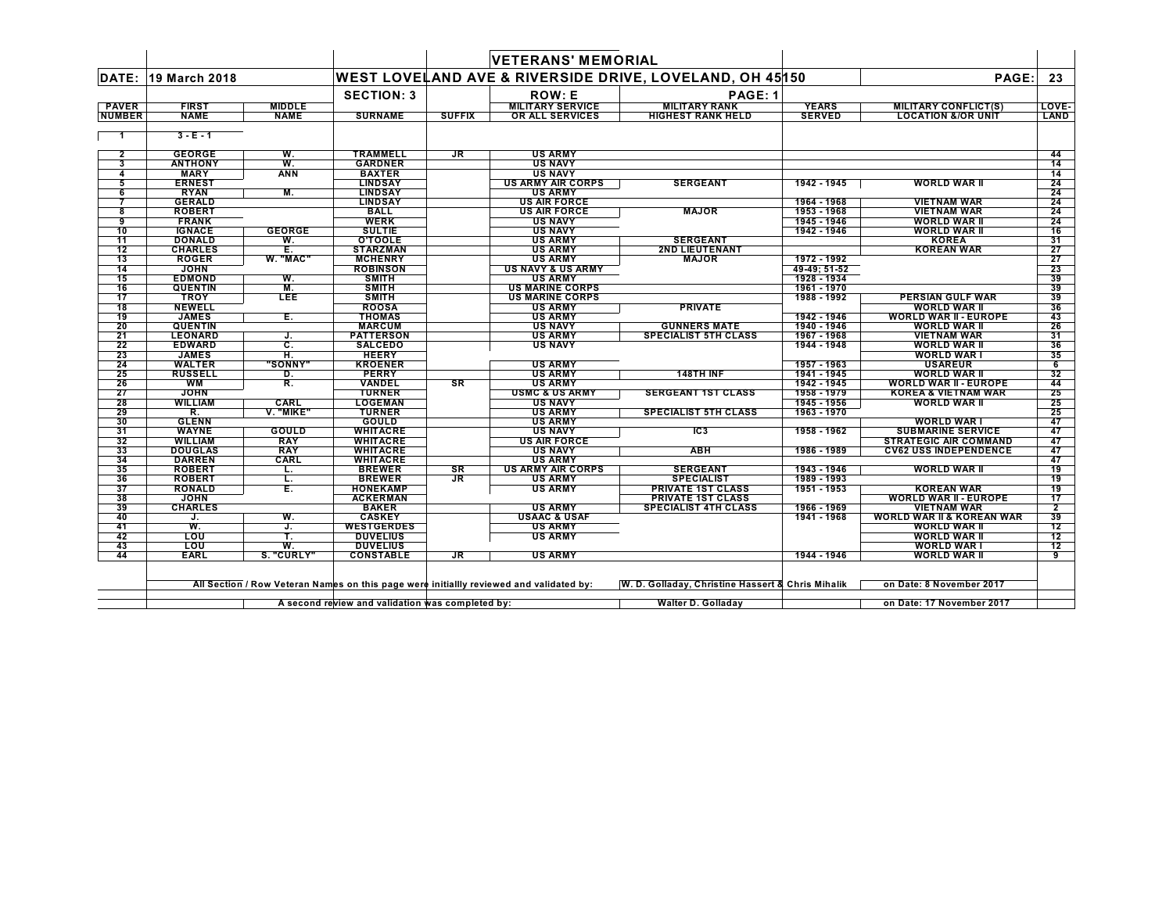|               |                                |                  |                                                  |               | <b>VETERANS' MEMORIAL</b>                                                               |                                                         |                            |                                      |                 |
|---------------|--------------------------------|------------------|--------------------------------------------------|---------------|-----------------------------------------------------------------------------------------|---------------------------------------------------------|----------------------------|--------------------------------------|-----------------|
| <b>DATE:</b>  | 19 March 2018                  |                  |                                                  |               |                                                                                         | WEST LOVELAND AVE & RIVERSIDE DRIVE, LOVELAND, OH 45150 |                            | PAGE:                                | 23              |
|               |                                |                  | <b>SECTION: 3</b>                                |               | <b>ROW: E</b>                                                                           | PAGE: 1                                                 |                            |                                      |                 |
| <b>PAVER</b>  | <b>FIRST</b>                   | <b>MIDDLE</b>    |                                                  |               | <b>MILITARY SERVICE</b>                                                                 | <b>MILITARY RANK</b>                                    | <b>YEARS</b>               | <b>MILITARY CONFLICT(S)</b>          | LOVE-           |
| <b>NUMBER</b> | <b>NAME</b>                    | <b>NAME</b>      | <b>SURNAME</b>                                   | <b>SUFFIX</b> | OR ALL SERVICES                                                                         | <b>HIGHEST RANK HELD</b>                                | <b>SERVED</b>              | <b>LOCATION &amp;/OR UNIT</b>        | LAND            |
|               | $3 - E - 1$                    |                  |                                                  |               |                                                                                         |                                                         |                            |                                      |                 |
| 2             | <b>GEORGE</b>                  | W.               | <b>TRAMMELL</b>                                  | JR            | <b>US ARMY</b>                                                                          |                                                         |                            |                                      | 44              |
| 3             | <b>ANTHONY</b>                 | W.               | <b>GARDNER</b>                                   |               | <b>US NAVY</b>                                                                          |                                                         |                            |                                      | 14              |
| 4             | <b>MARY</b>                    | ANN              | <b>BAXTER</b>                                    |               | <b>US NAVY</b>                                                                          |                                                         |                            |                                      | 14              |
| 5             | <b>ERNEST</b>                  |                  | <b>LINDSAY</b>                                   |               | US ARMY AIR CORPS                                                                       | <b>SERGEANT</b>                                         | 1942 - 1945                | WORLD WAR II                         | 24              |
| 6             | <b>RYAN</b>                    | M.               | <b>LINDSAY</b>                                   |               | <b>US ARMY</b>                                                                          |                                                         |                            |                                      | 24              |
|               | <b>GERALD</b>                  |                  | <b>LINDSAY</b>                                   |               | <b>US AIR FORCE</b>                                                                     |                                                         | 1964 - 1968<br>1953 - 1968 | <b>VIETNAM WAR</b>                   | 24<br>24        |
| 8<br>9        | <b>ROBERT</b><br><b>FRANK</b>  |                  | <b>BALL</b><br><b>WERK</b>                       |               | <b>US AIR FORCE</b><br>US NAVY                                                          | <b>MAJOR</b>                                            | 1945 - 1946                | <b>VIETNAM WAR</b><br>WORLD WAR II   | 24              |
| 10            | <b>IGNACE</b>                  | <b>GEORGE</b>    | <b>SULTIE</b>                                    |               | <b>US NAVY</b>                                                                          |                                                         | 1942 - 1946                | WORLD WAR II                         | 16              |
| 11            | <b>DONALD</b>                  | W.               | <b>O'TOOLE</b>                                   |               | <b>US ARMY</b>                                                                          | <b>SERGEANT</b>                                         |                            | <b>KOREA</b>                         | 31              |
| 12            | <b>CHARLES</b>                 | Ē.               | <b>STARZMAN</b>                                  |               | <b>US ARMY</b>                                                                          | 2ND LIEUTENANT                                          |                            | <b>KOREAN WAR</b>                    | 27              |
| 13            | <b>ROGER</b>                   | W. "MAC"         | <b>MCHENRY</b>                                   |               | <b>US ARMY</b>                                                                          | <b>MAJOR</b>                                            | 1972 - 1992                |                                      | 27              |
| 14            | <b>JOHN</b>                    |                  | <b>ROBINSON</b>                                  |               | <b>US NAVY &amp; US ARMY</b>                                                            |                                                         | 49-49: 51-52               |                                      | -23             |
| 15            | <b>EDMOND</b>                  | W.               | <b>SMITH</b>                                     |               | <b>US ARMY</b>                                                                          |                                                         | 1928 - 1934                |                                      | 39              |
| 16            | <b>QUENTIN</b>                 | M.               | <b>SMITH</b>                                     |               | <b>US MARINE CORPS</b>                                                                  |                                                         | 1961 - 1970                |                                      | 39              |
| 17            | <b>TROY</b>                    | LEE              | <b>SMITH</b>                                     |               | <b>US MARINE CORPS</b>                                                                  |                                                         | 1988 - 1992                | <b>PERSIAN GULF WAR</b>              | 39              |
| 18            | <b>NEWELL</b>                  |                  | <b>ROOSA</b>                                     |               | <b>US ARMY</b>                                                                          | <b>PRIVATE</b>                                          |                            | <b>WORLD WAR II</b>                  | 36              |
| 19            | <b>JAMES</b>                   | Е.               | <b>THOMAS</b>                                    |               | <b>US ARMY</b>                                                                          |                                                         | 1942 - 1946                | <b>WORLD WAR II - EUROPE</b>         | 43              |
| 20            | <b>QUENTIN</b>                 |                  | <b>MARCUM</b>                                    |               | <b>US NAVY</b>                                                                          | <b>GUNNERS MATE</b>                                     | 1940 - 1946                | WORLD WAR II                         | 26              |
| 21            | <b>LEONARD</b>                 | J.               | <b>PATTERSON</b>                                 |               | <b>US ARMY</b>                                                                          | <b>SPECIALIST 5TH CLASS</b>                             | 1967 - 1968                | <b>VIETNAM WAR</b>                   | 31              |
| 22            | <b>EDWARD</b>                  | c.               | <b>SALCEDO</b>                                   |               | <b>US NAVY</b>                                                                          |                                                         | 1944 - 1948                | <b>WORLD WAR II</b>                  | 36              |
| 23            | <b>JAMES</b>                   | π.               | <b>HEERY</b>                                     |               |                                                                                         |                                                         |                            | <b>WORLD WAR I</b>                   | 35              |
| 24            | <b>WALTER</b>                  | "SONNY"          | <b>KROENER</b>                                   |               | <b>US ARMY</b>                                                                          |                                                         | 1957 - 1963                | <b>USAREUR</b>                       | $6\overline{6}$ |
| 25            | <b>RUSSELL</b>                 | D.               | <b>PERRY</b>                                     |               | <b>US ARMY</b>                                                                          | 148TH INF                                               | 1941 - 1945                | WORLD WAR II                         | 32              |
| 26            | <b>WM</b>                      | R.               | VANDEL                                           | <b>SR</b>     | <b>US ARMY</b>                                                                          |                                                         | 1942 - 1945                | <b>WORLD WAR II - EUROPE</b>         | 44              |
| 27            | <b>JOHN</b>                    |                  | <b>TURNER</b>                                    |               | <b>USMC &amp; US ARMY</b>                                                               | <b>SERGEANT 1ST CLASS</b>                               | 1958 - 1979                | <b>KOREA &amp; VIETNAM WAR</b>       | 25              |
| 28            | <b>WILLIAM</b>                 | CARL             | <b>LOGEMAN</b>                                   |               | <b>US NAVY</b>                                                                          |                                                         | 1945 - 1956                | <b>WORLD WAR II</b>                  | 25              |
| 29            | R.                             | <b>V. "MIKE"</b> | <b>TURNER</b>                                    |               | <b>US ARMY</b>                                                                          | <b>SPECIALIST 5TH CLASS</b>                             | 1963 - 1970                |                                      | 25              |
| 30            | <b>GLENN</b>                   |                  | <b>GOULD</b>                                     |               | <b>US ARMY</b>                                                                          |                                                         |                            | <b>WORLD WAR I</b>                   | 47              |
| 31            | <b>WAYNE</b>                   | GOULD            | <b>WHITACRE</b>                                  |               | <b>US NAVY</b>                                                                          | IC <sub>3</sub>                                         | 1958 - 1962                | <b>SUBMARINE SERVICE</b>             | 47              |
| 32            | <b>WILLIAM</b>                 | <b>RAY</b>       | <b>WHITACRE</b>                                  |               | <b>US AIR FORCE</b>                                                                     |                                                         |                            | <b>STRATEGIC AIR COMMAND</b>         | 47              |
| 33            | DOUGLAS                        | <b>RAY</b>       | <b>WHITACRE</b>                                  |               | <b>US NAVY</b>                                                                          | <b>ABH</b>                                              | 1986 - 1989                | <b>CV62 USS INDEPENDENCE</b>         | 47              |
| 34<br>35      | <b>DARREN</b>                  | CARL             | WHITACRE                                         |               | <b>US ARMY</b>                                                                          |                                                         |                            |                                      | 47              |
|               | <b>ROBERT</b>                  | L.               | <b>BREWER</b>                                    | SR            | <b>US ARMY AIR CORPS</b>                                                                | <b>SERGEANT</b>                                         | 1943 - 1946                | WORLD WAR II                         | 19              |
| 36<br>37      | <b>ROBERT</b><br><b>RONALD</b> | ι.<br>Е.         | <b>BREWER</b><br><b>HONEKAMP</b>                 | JR            | <b>US ARMY</b><br><b>US ARMY</b>                                                        | <b>SPECIALIST</b><br><b>PRIVATE 1ST CLASS</b>           | 1989 - 1993<br>1951 - 1953 | <b>KOREAN WAR</b>                    | 19<br>19        |
| 38            | <b>JOHN</b>                    |                  | <b>ACKERMAN</b>                                  |               |                                                                                         | <b>PRIVATE 1ST CLASS</b>                                |                            | <b>WORLD WAR II - EUROPE</b>         | 17              |
| 39            | <b>CHARLES</b>                 |                  | <b>BAKER</b>                                     |               | <b>US ARMY</b>                                                                          | <b>SPECIALIST 4TH CLASS</b>                             | 1966 - 1969                | <b>VIETNAM WAR</b>                   | 2               |
| 40            | J.                             | W.               | <b>CASKEY</b>                                    |               | <b>USAAC &amp; USAF</b>                                                                 |                                                         | 1941 - 1968                | <b>WORLD WAR II &amp; KOREAN WAR</b> | 39              |
| 41            | W.                             | J.               | <b>WESTGERDES</b>                                |               | <b>US ARMY</b>                                                                          |                                                         |                            | <b>WORLD WAR II</b>                  | 12              |
| 42            | LOU                            | т.               | <b>DUVELIUS</b>                                  |               | <b>US ARMY</b>                                                                          |                                                         |                            | <b>WORLD WAR II</b>                  | 12              |
| 43            | LOU                            | W.               | <b>DUVELIUS</b>                                  |               |                                                                                         |                                                         |                            | <b>WORLD WAR I</b>                   | 12              |
| 44            | <b>EARL</b>                    | S. "CURLY"       | <b>CONSTABLE</b>                                 | JR.           | <b>US ARMY</b>                                                                          |                                                         | 1944 - 1946                | WORLD WAR II                         | 9               |
|               |                                |                  |                                                  |               |                                                                                         |                                                         |                            |                                      |                 |
|               |                                |                  |                                                  |               | All Section / Row Veteran Names on this page were initiallly reviewed and validated by: | W. D. Golladay, Christine Hassert & Chris Mihalik       |                            | on Date: 8 November 2017             |                 |
|               |                                |                  | A second review and validation was completed by: |               |                                                                                         | <b>Walter D. Golladay</b>                               |                            | on Date: 17 November 2017            |                 |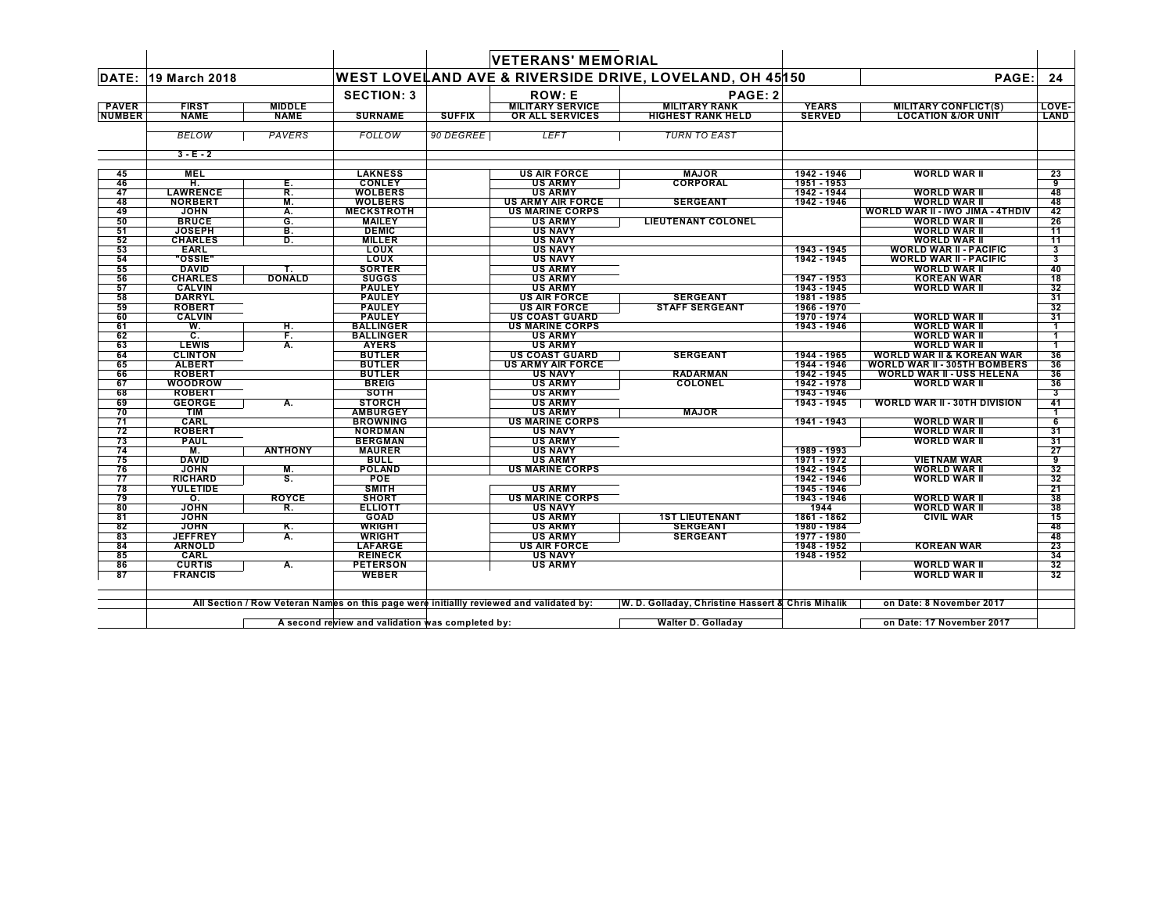|               |                           |                |                   |               | <b>VETERANS' MEMORIAL</b> |                                                         |               |                                      |                      |
|---------------|---------------------------|----------------|-------------------|---------------|---------------------------|---------------------------------------------------------|---------------|--------------------------------------|----------------------|
|               | DATE: 19 March 2018       |                |                   |               |                           | WEST LOVELAND AVE & RIVERSIDE DRIVE, LOVELAND, OH 45150 |               | PAGE:                                | 24                   |
|               |                           |                | <b>SECTION: 3</b> |               | <b>ROW: E</b>             | PAGE: 2                                                 |               |                                      |                      |
| <b>PAVER</b>  | <b>FIRST</b>              | <b>MIDDLE</b>  |                   |               | <b>MILITARY SERVICE</b>   | <b>MILITARY RANK</b>                                    | <b>YEARS</b>  | <b>MILITARY CONFLICT(S)</b>          | LOVE-                |
| <b>NUMBER</b> | <b>NAME</b>               | <b>NAME</b>    | <b>SURNAME</b>    | <b>SUFFIX</b> | OR ALL SERVICES           | <b>HIGHEST RANK HELD</b>                                | <b>SERVED</b> | <b>LOCATION &amp;/OR UNIT</b>        | LAND                 |
|               | <b>BELOW</b>              | PAVERS         | <b>FOLLOW</b>     | 90 DEGREE     | <b>LEFT</b>               | <b>TURN TO EAST</b>                                     |               |                                      |                      |
|               | $3 - E - 2$               |                |                   |               |                           |                                                         |               |                                      |                      |
| 45            | <b>MEL</b>                |                | <b>LAKNESS</b>    |               | <b>US AIR FORCE</b>       | <b>MAJOR</b>                                            | 1942 - 1946   | <b>WORLD WAR II</b>                  | 23                   |
| 46            | н.                        | Е.             | <b>CONLEY</b>     |               | <b>US ARMY</b>            | <b>CORPORAL</b>                                         | 1951 - 1953   |                                      | 9                    |
| 47            | <b>LAWRENCE</b>           | R.             | <b>WOLBERS</b>    |               | <b>US ARMY</b>            |                                                         | 1942 - 1944   | <b>WORLD WAR II</b>                  | 48                   |
| 48            | <b>NORBERT</b>            | М.             | <b>WOLBERS</b>    |               | <b>US ARMY AIR FORCE</b>  | <b>SERGEANT</b>                                         | 1942 - 1946   | <b>WORLD WAR II</b>                  | 48                   |
| 49            | <b>JOHN</b>               | A.             | <b>MECKSTROTH</b> |               | <b>US MARINE CORPS</b>    |                                                         |               | WORLD WAR II - IWO JIMA - 4THDIV     | 42                   |
| 50            | <b>BRUCE</b>              | G.             | <b>MAILEY</b>     |               | <b>US ARMY</b>            | <b>LIEUTENANT COLONEL</b>                               |               | <b>WORLD WAR II</b>                  | 26                   |
| 51            | <b>JOSEPH</b>             | В.             | <b>DEMIC</b>      |               | <b>US NAVY</b>            |                                                         |               | <b>WORLD WAR II</b>                  | 11                   |
| 52            | <b>CHARLES</b>            | D.             | <b>MILLER</b>     |               | <b>US NAVY</b>            |                                                         |               | <b>WORLD WAR II</b>                  | 11                   |
| 53            | <b>EARL</b>               |                | <b>LOUX</b>       |               | <b>US NAVY</b>            |                                                         | 1943 - 1945   | <b>WORLD WAR II - PACIFIC</b>        | 3                    |
| 54            | "OSSIE"                   |                | <b>LOUX</b>       |               | <b>US NAVY</b>            |                                                         | 1942 - 1945   | <b>WORLD WAR II - PACIFIC</b>        | 3                    |
| 55            | <b>DAVID</b>              |                | <b>SORTER</b>     |               | <b>US ARMY</b>            |                                                         |               | WORLD WAR II                         | 40                   |
| 56            | <b>CHARLES</b>            | <b>DONALD</b>  | <b>SUGGS</b>      |               | <b>US ARMY</b>            |                                                         | 1947 - 1953   | <b>KOREAN WAR</b>                    | 18                   |
| 57            | <b>CALVIN</b>             |                | <b>PAULEY</b>     |               | <b>US ARMY</b>            |                                                         | 1943 - 1945   | <b>WORLD WAR II</b>                  | 32                   |
| 58            | <b>DARRYL</b>             |                | <b>PAULEY</b>     |               | <b>US AIR FORCE</b>       | <b>SERGEANT</b>                                         | 1981 - 1985   |                                      | 31                   |
| 59            | <b>ROBERT</b>             |                | <b>PAULEY</b>     |               | <b>US AIR FORCE</b>       | <b>STAFF SERGEANT</b>                                   | 1966 - 1970   |                                      | 32                   |
| 60            | <b>CALVIN</b>             |                | <b>PAULEY</b>     |               | <b>US COAST GUARD</b>     |                                                         | 1970 - 1974   | <b>WORLD WAR II</b>                  | 31                   |
| 61            | W.                        | н.             | <b>BALLINGER</b>  |               | <b>US MARINE CORPS</b>    |                                                         | 1943 - 1946   | <b>WORLD WAR II</b>                  |                      |
| 62            | c.                        | F.             | <b>BALLINGER</b>  |               | <b>US ARMY</b>            |                                                         |               | <b>WORLD WAR II</b>                  | -1                   |
| 63            | <b>LEWIS</b>              | A.             | <b>AYERS</b>      |               | <b>US ARMY</b>            |                                                         |               | <b>WORLD WAR II</b>                  | $\blacktriangleleft$ |
| 64            | <b>CLINTON</b>            |                | <b>BUTLER</b>     |               | <b>US COAST GUARD</b>     | <b>SERGEANT</b>                                         | 1944 - 1965   | <b>WORLD WAR II &amp; KOREAN WAR</b> | 36                   |
| 65            | <b>ALBERT</b>             |                | <b>BUTLER</b>     |               | <b>US ARMY AIR FORCE</b>  |                                                         | 1944 - 1946   | <b>WORLD WAR II - 305TH BOMBERS</b>  | 36                   |
| 66            | <b>ROBERT</b>             |                | <b>BUTLER</b>     |               | <b>US NAVY</b>            | <b>RADARMAN</b>                                         | 1942 - 1945   | <b>WORLD WAR II - USS HELENA</b>     | 36                   |
| 67            | WOODROW                   |                | <b>BREIG</b>      |               | <b>US ARMY</b>            | <b>COLONEL</b>                                          | 1942 - 1978   | <b>WORLD WAR II</b>                  | 36                   |
| 68            | <b>ROBERT</b>             |                | <b>SOTH</b>       |               | <b>US ARMY</b>            |                                                         | 1943 - 1946   |                                      | 3                    |
| 69            | <b>GEORGE</b>             | А.             | <b>STORCH</b>     |               | <b>US ARMY</b>            |                                                         | 1943 - 1945   | <b>WORLD WAR II - 30TH DIVISION</b>  | 41                   |
| 70            | <b>TIM</b>                |                | <b>AMBURGEY</b>   |               | <b>US ARMY</b>            | <b>MAJOR</b>                                            |               |                                      |                      |
| 71            | <b>CARL</b>               |                | <b>BROWNING</b>   |               | <b>US MARINE CORPS</b>    |                                                         | 1941 - 1943   | WORLD WAR II                         | 6                    |
| 72            | <b>ROBERT</b>             |                | <b>NORDMAN</b>    |               | <b>US NAVY</b>            |                                                         |               | <b>WORLD WAR II</b>                  | 31                   |
| 73            | <b>PAUL</b>               |                | <b>BERGMAN</b>    |               | <b>US ARMY</b>            |                                                         |               | <b>WORLD WAR II</b>                  | 31                   |
| 74            | M.                        | <b>ANTHONY</b> | <b>MAURER</b>     |               | <b>US NAVY</b>            |                                                         | 1989 - 1993   |                                      | 27                   |
| 75            | <b>DAVID</b>              |                | <b>BULL</b>       |               | <b>US ARMY</b>            |                                                         | 1971 - 1972   | <b>VIETNAM WAR</b>                   | 9                    |
| 76            | <b>JOHN</b>               | M.             | <b>POLAND</b>     |               | <b>US MARINE CORPS</b>    |                                                         | 1942 - 1945   | <b>WORLD WAR II</b>                  | 32                   |
| 77            | <b>RICHARD</b>            | s.             | <b>POE</b>        |               |                           |                                                         | 1942 - 1946   | <b>WORLD WAR II</b>                  | 32                   |
| 78            | <b>YULETIDE</b>           |                | <b>SMITH</b>      |               | <b>US ARMY</b>            |                                                         | 1945 - 1946   |                                      | 21                   |
| 79            | $\overline{\mathbf{o}}$ . | <b>ROYCE</b>   | <b>SHORT</b>      |               | <b>US MARINE CORPS</b>    |                                                         | 1943 - 1946   | <b>WORLD WAR II</b>                  | 38                   |
| 80            | <b>JOHN</b>               | R.             | <b>ELLIOTT</b>    |               | <b>US NAVY</b>            |                                                         | 1944          | WORLD WAR II                         | 38                   |
| 81            | <b>JOHN</b>               |                | <b>GOAD</b>       |               | <b>US ARMY</b>            | <b>1ST LIEUTENANT</b>                                   | 1861 - 1862   | <b>CIVIL WAR</b>                     | 15                   |
| 82            | <b>JOHN</b>               | Κ.             | <b>WRIGHT</b>     |               | <b>US ARMY</b>            | <b>SERGEANT</b>                                         | 1980 - 1984   |                                      | 48                   |
| 83            | <b>JEFFREY</b>            | А.             | <b>WRIGHT</b>     |               | <b>US ARMY</b>            | <b>SERGEANT</b>                                         | 1977 - 1980   |                                      | 48                   |
| 84            | <b>ARNOLD</b>             |                | <b>LAFARGE</b>    |               | <b>US AIR FORCE</b>       |                                                         | 1948 - 1952   | <b>KOREAN WAR</b>                    | 23                   |
| 85            | CARL                      |                | <b>REINECK</b>    |               | <b>US NAVY</b>            |                                                         | 1948 - 1952   |                                      | 34                   |
| 86            | <b>CURTIS</b>             | А.             | <b>PETERSON</b>   |               | <b>US ARMY</b>            |                                                         |               | <b>WORLD WAR II</b>                  | 32                   |
| 87            | <b>FRANCIS</b>            |                | <b>WEBER</b>      |               |                           |                                                         |               | <b>WORLD WAR II</b>                  | 32                   |
|               |                           |                |                   |               |                           |                                                         |               |                                      |                      |

All Section / Row Veteran Names on this page were initiallly reviewed and validated by: W. D. Golladay, Christine Hassert & Chris Mihalik on Date: 8 November 2017

**A second review and validation was completed by: Walter D. Golladay on Date: 17 November 2017**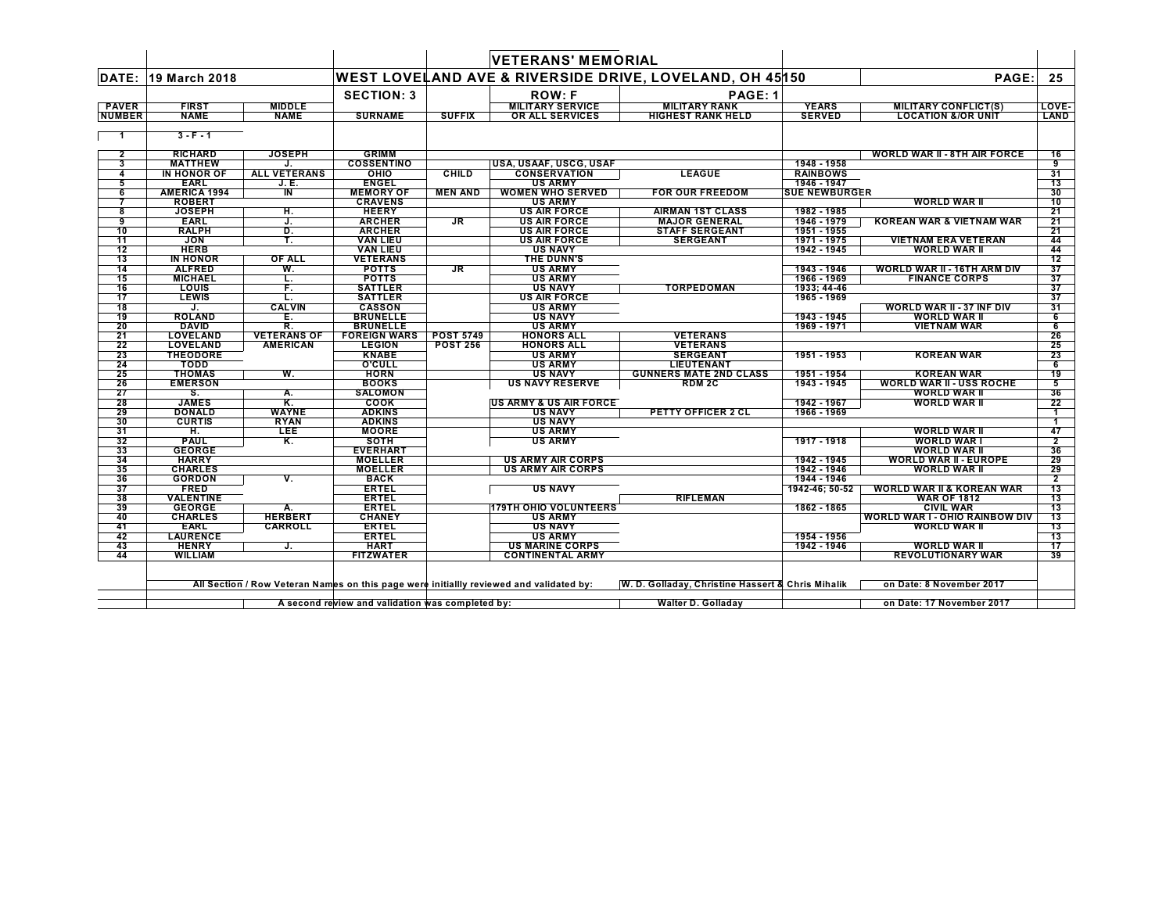|                 |                     |                         |                                                  |                  | <b>VETERANS' MEMORIAL</b>                                                               |                                                         |                      |                                       |                 |
|-----------------|---------------------|-------------------------|--------------------------------------------------|------------------|-----------------------------------------------------------------------------------------|---------------------------------------------------------|----------------------|---------------------------------------|-----------------|
| DATE:           | 19 March 2018       |                         |                                                  |                  |                                                                                         | WEST LOVELAND AVE & RIVERSIDE DRIVE, LOVELAND, OH 45150 |                      | PAGE:                                 | 25              |
|                 |                     |                         | <b>SECTION: 3</b>                                |                  | <b>ROW: F</b>                                                                           | PAGE: 1                                                 |                      |                                       |                 |
| <b>PAVER</b>    | <b>FIRST</b>        | <b>MIDDLE</b>           |                                                  |                  | <b>MILITARY SERVICE</b>                                                                 | <b>MILITARY RANK</b>                                    | <b>YEARS</b>         | <b>MILITARY CONFLICT(S)</b>           | LOVE-           |
| <b>NUMBER</b>   | <b>NAME</b>         | <b>NAME</b>             | <b>SURNAME</b>                                   | <b>SUFFIX</b>    | OR ALL SERVICES                                                                         | <b>HIGHEST RANK HELD</b>                                | <b>SERVED</b>        | <b>LOCATION &amp;/OR UNIT</b>         | LAND            |
|                 | $3 - F - 1$         |                         |                                                  |                  |                                                                                         |                                                         |                      |                                       |                 |
| $\overline{2}$  | <b>RICHARD</b>      | <b>JOSEPH</b>           | <b>GRIMM</b>                                     |                  |                                                                                         |                                                         |                      |                                       | 16              |
| 3               | <b>MATTHEW</b>      | J.                      | <b>COSSENTINO</b>                                |                  | USA, USAAF, USCG, USAF                                                                  |                                                         | 1948 - 1958          | <b>WORLD WAR II - 8TH AIR FORCE</b>   | 9               |
| 4               | IN HONOR OF         | <b>ALL VETERANS</b>     | OHIO                                             | <b>CHILD</b>     | <b>CONSERVATION</b>                                                                     | <b>LEAGUE</b>                                           | <b>RAINBOWS</b>      |                                       | 31              |
| 5               | <b>EARL</b>         | J. E.                   | <b>ENGEL</b>                                     |                  | <b>US ARMY</b>                                                                          |                                                         | 1946 - 1947          |                                       | $\overline{13}$ |
| 6               | <b>AMERICA 1994</b> | $\overline{\mathsf{I}}$ | <b>MEMORY OF</b>                                 | <b>MEN AND</b>   | <b>WOMEN WHO SERVED</b>                                                                 | <b>FOR OUR FREEDOM</b>                                  | <b>SUE NEWBURGER</b> |                                       | 30              |
|                 | <b>ROBERT</b>       |                         | <b>CRAVENS</b>                                   |                  | <b>US ARMY</b>                                                                          |                                                         |                      | <b>WORLD WAR II</b>                   | 10              |
| 8               | <b>JOSEPH</b>       | н.                      | <b>HEERY</b>                                     |                  | <b>US AIR FORCE</b>                                                                     | <b>AIRMAN 1ST CLASS</b>                                 | 1982 - 1985          |                                       | 21              |
| 9               | <b>EARL</b>         | J.                      | <b>ARCHER</b>                                    | JR               | <b>US AIR FORCE</b>                                                                     | <b>MAJOR GENERAL</b>                                    | 1946 - 1979          | <b>KOREAN WAR &amp; VIETNAM WAR</b>   | 21              |
| 10              | <b>RALPH</b>        | D.                      | <b>ARCHER</b>                                    |                  | <b>US AIR FORCE</b>                                                                     | <b>STAFF SERGEANT</b>                                   | 1951 - 1955          |                                       | 21              |
| 11              | <b>JON</b>          | т.                      | <b>VAN LIEU</b>                                  |                  | <b>US AIR FORCE</b>                                                                     | <b>SERGEANT</b>                                         | 1971 - 1975          | <b>VIETNAM ERA VETERAN</b>            | 44              |
| $\overline{12}$ | <b>HERB</b>         |                         | <b>VAN LIEU</b>                                  |                  | <b>US NAVY</b>                                                                          |                                                         | 1942 - 1945          | <b>WORLD WAR II</b>                   | 44              |
| 13              | <b>IN HONOR</b>     | OF ALL                  | <b>VETERANS</b>                                  |                  | <b>THE DUNN'S</b>                                                                       |                                                         |                      |                                       | $\overline{12}$ |
| 14              | <b>ALFRED</b>       | W.                      | <b>POTTS</b>                                     | JR               | US ARMY                                                                                 |                                                         | 1943 - 1946          | WORLD WAR II - 16TH ARM DIV           | 37              |
| 15              | <b>MICHAEL</b>      | L.                      | <b>POTTS</b>                                     |                  | <b>US ARMY</b>                                                                          |                                                         | 1966 - 1969          | <b>FINANCE CORPS</b>                  | 37              |
| 16              | <b>LOUIS</b>        | F.                      | <b>SATTLER</b>                                   |                  | <b>US NAVY</b>                                                                          | <b>TORPEDOMAN</b>                                       | 1933: 44-46          |                                       | 37              |
| 17              | <b>LEWIS</b>        | L.                      | <b>SATTLER</b>                                   |                  | <b>US AIR FORCE</b>                                                                     |                                                         | 1965 - 1969          |                                       | 37              |
| 18              | J.                  | <b>CALVIN</b>           | <b>CASSON</b>                                    |                  | <b>US ARMY</b>                                                                          |                                                         |                      | WORLD WAR II - 37 INF DIV             | 31              |
| 19              | <b>ROLAND</b>       | E.                      | <b>BRUNELLE</b>                                  |                  | <b>US NAVY</b>                                                                          |                                                         | 1943 - 1945          | WORLD WAR II                          | $6\overline{6}$ |
| 20              | <b>DAVID</b>        | R.                      | <b>BRUNELLE</b>                                  |                  | <b>US ARMY</b>                                                                          |                                                         | 1969 - 1971          | <b>VIETNAM WAR</b>                    | 6               |
| 21              | <b>LOVELAND</b>     | <b>VETERANS OF</b>      | <b>FOREIGN WARS</b>                              | <b>POST 5749</b> | <b>HONORS ALL</b>                                                                       | <b>VETERANS</b>                                         |                      |                                       | 26              |
| 22              | <b>LOVELAND</b>     | <b>AMERICAN</b>         | <b>LEGION</b>                                    | <b>POST 256</b>  | <b>HONORS ALL</b>                                                                       | <b>VETERANS</b>                                         |                      |                                       | 25              |
| 23              | <b>THEODORE</b>     |                         | <b>KNABE</b>                                     |                  | <b>US ARMY</b>                                                                          | <b>SERGEANT</b>                                         | 1951 - 1953          | <b>KOREAN WAR</b>                     | 23              |
| 24              | TODD                |                         | <b>O'CULL</b>                                    |                  | <b>US ARMY</b>                                                                          | LIEUTENANT                                              |                      |                                       | 6               |
| 25              | <b>THOMAS</b>       | W.                      | <b>HORN</b>                                      |                  | <b>US NAVY</b>                                                                          | <b>GUNNERS MATE 2ND CLASS</b>                           | 1951 - 1954          | <b>KOREAN WAR</b>                     | 19              |
| 26              | <b>EMERSON</b>      |                         | <b>BOOKS</b>                                     |                  | <b>US NAVY RESERVE</b>                                                                  | <b>RDM2C</b>                                            | 1943 - 1945          | <b>WORLD WAR II - USS ROCHE</b>       | 5               |
| 27              | S.                  | А.                      | <b>SALOMON</b>                                   |                  |                                                                                         |                                                         |                      | <b>WORLD WAR II</b>                   | 36              |
| 28              | <b>JAMES</b>        | Κ.                      | <b>COOK</b>                                      |                  | <b>US ARMY &amp; US AIR FORCE</b>                                                       |                                                         | 1942 - 1967          | <b>WORLD WAR II</b>                   | 22              |
| 29              | <b>DONALD</b>       | <b>WAYNE</b>            | <b>ADKINS</b>                                    |                  | <b>US NAVY</b>                                                                          | PETTY OFFICER 2 CL                                      | 1966 - 1969          |                                       | $\mathbf{1}$    |
| 30              | <b>CURTIS</b>       | <b>RYAN</b>             | <b>ADKINS</b>                                    |                  | <b>US NAVY</b>                                                                          |                                                         |                      |                                       |                 |
| 31              | н.                  | <b>LEE</b>              | <b>MOORE</b>                                     |                  | <b>US ARMY</b>                                                                          |                                                         |                      | <b>WORLD WAR II</b>                   | 47              |
| 32              | <b>PAUL</b>         | Κ.                      | <b>SOTH</b>                                      |                  | <b>US ARMY</b>                                                                          |                                                         | 1917 - 1918          | <b>WORLD WAR I</b>                    | $\overline{2}$  |
| 33              | <b>GEORGE</b>       |                         | <b>EVERHART</b>                                  |                  |                                                                                         |                                                         |                      | <b>WORLD WAR II</b>                   | 36              |
| 34              | <b>HARRY</b>        |                         | <b>MOELLER</b>                                   |                  | <b>US ARMY AIR CORPS</b>                                                                |                                                         | 1942 - 1945          | <b>WORLD WAR II - EUROPE</b>          | 29              |
| 35              | <b>CHARLES</b>      |                         | <b>MOELLER</b>                                   |                  | <b>US ARMY AIR CORPS</b>                                                                |                                                         | 1942 - 1946          | <b>WORLD WAR II</b>                   | 29              |
| 36              | <b>GORDON</b>       | v.                      | <b>BACK</b>                                      |                  |                                                                                         |                                                         | 1944 - 1946          |                                       | $\overline{2}$  |
| 37              | <b>FRED</b>         |                         | <b>ERTEL</b>                                     |                  | <b>US NAVY</b>                                                                          |                                                         | 1942-46; 50-52       | <b>WORLD WAR II &amp; KOREAN WAR</b>  | 13              |
| 38              | <b>VALENTINE</b>    |                         | <b>ERTEL</b>                                     |                  |                                                                                         | <b>RIFLEMAN</b>                                         |                      | <b>WAR OF 1812</b>                    | 13              |
| 39              | <b>GEORGE</b>       | Α.                      | <b>ERTEL</b>                                     |                  | <b>179TH OHIO VOLUNTEERS</b>                                                            |                                                         | 1862 - 1865          | <b>CIVIL WAR</b>                      | $\overline{13}$ |
| 40              | <b>CHARLES</b>      | <b>HERBERT</b>          | <b>CHANEY</b>                                    |                  | <b>US ARMY</b>                                                                          |                                                         |                      | <b>WORLD WAR I - OHIO RAINBOW DIV</b> | 13              |
| 41              | <b>EARL</b>         | CARROLL                 | <b>ERTEL</b>                                     |                  | <b>US NAVY</b>                                                                          |                                                         |                      | <b>WORLD WAR II</b>                   | 13              |
| 42              | <b>LAURENCE</b>     |                         | <b>ERTEL</b>                                     |                  | <b>US ARMY</b>                                                                          |                                                         | 1954 - 1956          |                                       | 13              |
| 43              | <b>HENRY</b>        | J.                      | <b>HART</b>                                      |                  | <b>US MARINE CORPS</b>                                                                  |                                                         | 1942 - 1946          | <b>WORLD WAR II</b>                   | 17              |
| 44              | <b>WILLIAM</b>      |                         | <b>FITZWATER</b>                                 |                  | <b>CONTINENTAL ARMY</b>                                                                 |                                                         |                      | <b>REVOLUTIONARY WAR</b>              | 39              |
|                 |                     |                         |                                                  |                  | All Section / Row Veteran Names on this page were initiallly reviewed and validated by: | W. D. Golladay, Christine Hassert & Chris Mihalik       |                      | on Date: 8 November 2017              |                 |
|                 |                     |                         | A second review and validation was completed by: |                  |                                                                                         | Walter D. Golladay                                      |                      | on Date: 17 November 2017             |                 |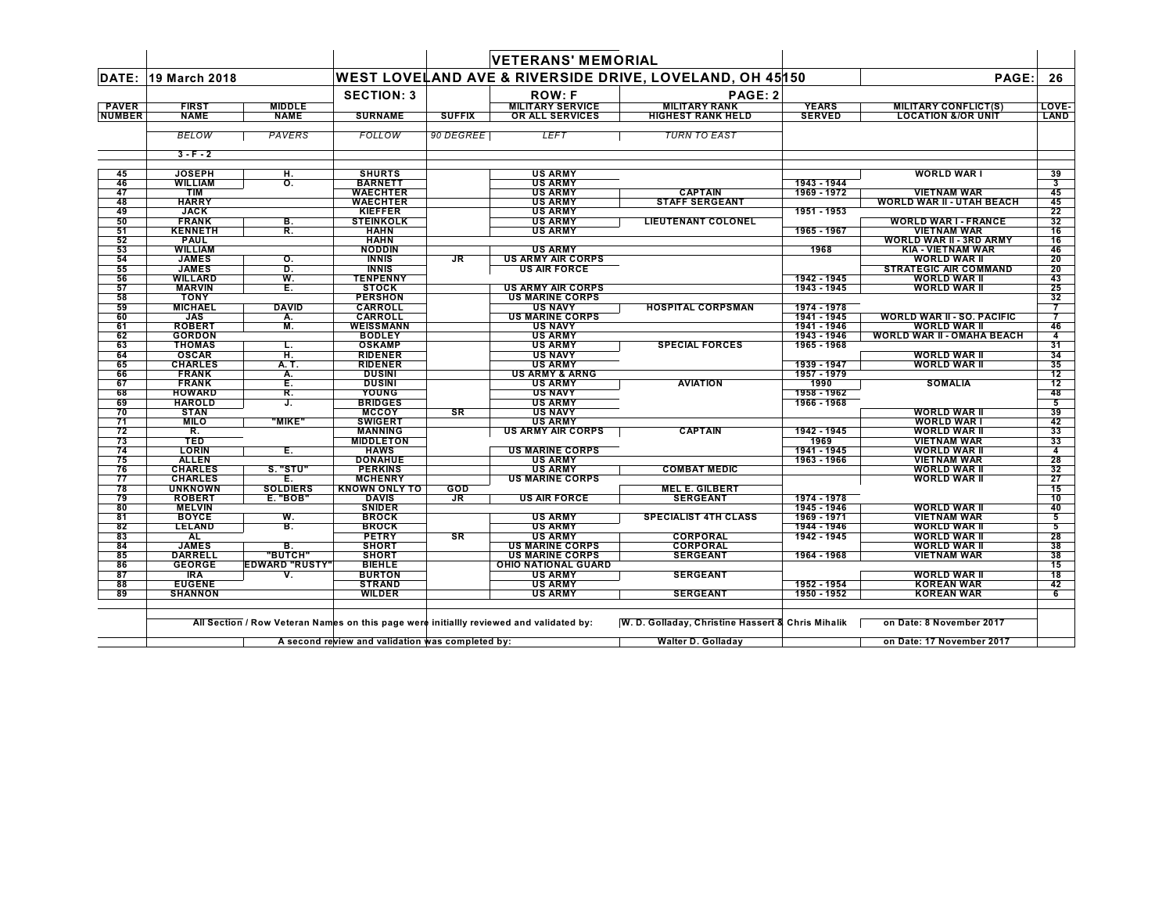|               |                              |                       |                                 |               | <b>VETERANS' MEMORIAL</b>                        |                                                         |               |                                                     |                |
|---------------|------------------------------|-----------------------|---------------------------------|---------------|--------------------------------------------------|---------------------------------------------------------|---------------|-----------------------------------------------------|----------------|
| DATE:         | <b>19 March 2018</b>         |                       |                                 |               |                                                  | WEST LOVELAND AVE & RIVERSIDE DRIVE, LOVELAND, OH 45150 |               | PAGE:                                               | 26             |
|               |                              |                       | <b>SECTION: 3</b>               |               | <b>ROW: F</b>                                    | PAGE: 2                                                 |               |                                                     |                |
| <b>PAVER</b>  | <b>FIRST</b>                 | <b>MIDDLE</b>         |                                 |               | <b>MILITARY SERVICE</b>                          | <b>MILITARY RANK</b>                                    | <b>YEARS</b>  | <b>MILITARY CONFLICT(S)</b>                         | LOVE-          |
| <b>NUMBER</b> | <b>NAME</b>                  | <b>NAME</b>           | <b>SURNAME</b>                  | <b>SUFFIX</b> | OR ALL SERVICES                                  | <b>HIGHEST RANK HELD</b>                                | <b>SERVED</b> | <b>LOCATION &amp;/OR UNIT</b>                       | <b>LAND</b>    |
|               | <b>BELOW</b>                 | <b>PAVERS</b>         | <b>FOLLOW</b>                   | 90 DEGREE     | <b>LEFT</b>                                      | <b>TURN TO EAST</b>                                     |               |                                                     |                |
|               | $3 - F - 2$                  |                       |                                 |               |                                                  |                                                         |               |                                                     |                |
| 45            | <b>JOSEPH</b>                | Н.                    | <b>SHURTS</b>                   |               | <b>US ARMY</b>                                   |                                                         |               | <b>WORLD WART</b>                                   | 39             |
| 46            | <b>WILLIAM</b>               | $\mathbf{O}$ .        | <b>BARNETT</b>                  |               | <b>US ARMY</b>                                   |                                                         | 1943 - 1944   |                                                     | 3              |
| 47            | <b>TIM</b>                   |                       | <b>WAECHTER</b>                 |               | <b>US ARMY</b>                                   | <b>CAPTAIN</b>                                          | 1969 - 1972   | <b>VIETNAM WAR</b>                                  | 45             |
| 48            | <b>HARRY</b>                 |                       | <b>WAECHTER</b>                 |               | <b>US ARMY</b>                                   | <b>STAFF SERGEANT</b>                                   |               | <b>WORLD WAR II - UTAH BEACH</b>                    | 45             |
| 49            | <b>JACK</b>                  |                       | <b>KIEFFER</b>                  |               | <b>US ARMY</b>                                   |                                                         | 1951 - 1953   |                                                     | 22             |
| 50            | <b>FRANK</b>                 | В.                    | <b>STEINKOLK</b>                |               | <b>US ARMY</b>                                   | <b>LIEUTENANT COLONEL</b>                               |               | <b>WORLD WAR I - FRANCE</b>                         | 32             |
| 51            | <b>KENNETH</b>               | R.                    | HAHN                            |               | <b>US ARMY</b>                                   |                                                         | 1965 - 1967   | <b>VIETNAM WAR</b>                                  | 16             |
| 52            | <b>PAUL</b>                  |                       | <b>HAHN</b>                     |               |                                                  |                                                         |               | <b>WORLD WAR II - 3RD ARMY</b>                      | 16             |
| 53            | <b>WILLIAM</b>               |                       | <b>NODDIN</b>                   |               | <b>US ARMY</b>                                   |                                                         | 1968          | <b>KIA - VIETNAM WAR</b>                            | 46             |
| 54<br>55      | <b>JAMES</b><br><b>JAMES</b> | О.<br>D.              | <b>INNIS</b>                    | JR.           | <b>US ARMY AIR CORPS</b><br><b>US AIR FORCE</b>  |                                                         |               | <b>WORLD WAR II</b><br><b>STRATEGIC AIR COMMAND</b> | 20<br>20       |
| 56            | WILLARD                      | W.                    | <b>INNIS</b><br><b>TENPENNY</b> |               |                                                  |                                                         | 1942 - 1945   | <b>WORLD WAR II</b>                                 | 43             |
| 57            | <b>MARVIN</b>                | Е.                    | <b>STOCK</b>                    |               | <b>US ARMY AIR CORPS</b>                         |                                                         | 1943 - 1945   | <b>WORLD WAR II</b>                                 | 25             |
| 58            | <b>TONY</b>                  |                       | <b>PERSHON</b>                  |               | <b>US MARINE CORPS</b>                           |                                                         |               |                                                     | 32             |
| 59            | <b>MICHAEL</b>               | <b>DAVID</b>          | CARROLL                         |               | <b>US NAVY</b>                                   | <b>HOSPITAL CORPSMAN</b>                                | 1974 - 1978   |                                                     | 7              |
| 60            | JAS                          | Α.                    | <b>CARROLL</b>                  |               | <b>US MARINE CORPS</b>                           |                                                         | 1941 - 1945   | <b>WORLD WAR II - SO. PACIFIC</b>                   |                |
| 61            | <b>ROBERT</b>                | M.                    | <b>WEISSMANN</b>                |               | <b>US NAVY</b>                                   |                                                         | 1941 - 1946   | <b>WORLD WAR II</b>                                 | 46             |
| 62            | <b>GORDON</b>                |                       | <b>BODLEY</b>                   |               | <b>US ARMY</b>                                   |                                                         | 1943 - 1946   | <b>WORLD WAR II - OMAHA BEACH</b>                   | 4              |
| 63            | <b>THOMAS</b>                | L.                    | <b>OSKAMP</b>                   |               | <b>US ARMY</b>                                   | <b>SPECIAL FORCES</b>                                   | 1965 - 1968   |                                                     | 31             |
| 64            | <b>OSCAR</b>                 | Ħ.                    | <b>RIDENER</b>                  |               | <b>US NAVY</b>                                   |                                                         |               | <b>WORLD WAR II</b>                                 | 34             |
| 65            | <b>CHARLES</b>               | A. T.                 | <b>RIDENER</b>                  |               | <b>US ARMY</b>                                   |                                                         | 1939 - 1947   | <b>WORLD WAR II</b>                                 | 35             |
| 66            | <b>FRANK</b>                 | А.                    | <b>DUSINI</b>                   |               | <b>US ARMY &amp; ARNG</b>                        |                                                         | 1957 - 1979   |                                                     | 12             |
| 67            | <b>FRANK</b>                 | Ε.                    | <b>DUSINI</b>                   |               | <b>US ARMY</b>                                   | <b>AVIATION</b>                                         | 1990          | <b>SOMALIA</b>                                      | 12             |
| 68            | <b>HOWARD</b>                | R.                    | YOUNG                           |               | <b>US NAVY</b>                                   |                                                         | 1958 - 1962   |                                                     | 48             |
| 69<br>70      | <b>HAROLD</b><br><b>STAN</b> | J.                    | <b>BRIDGES</b><br><b>MCCOY</b>  | SR            | <b>US ARMY</b><br><b>US NAVY</b>                 |                                                         | 1966 - 1968   | <b>WORLD WAR II</b>                                 | 5<br>39        |
| 71            | <b>MILO</b>                  | "MIKE"                | <b>SWIGERT</b>                  |               | <b>US ARMY</b>                                   |                                                         |               | <b>WORLD WAR I</b>                                  | 42             |
| 72            | R.                           |                       | <b>MANNING</b>                  |               | <b>US ARMY AIR CORPS</b>                         | <b>CAPTAIN</b>                                          | 1942 - 1945   | <b>WORLD WAR II</b>                                 | 33             |
| 73            | <b>TED</b>                   |                       | <b>MIDDLETON</b>                |               |                                                  |                                                         | 1969          | <b>VIETNAM WAR</b>                                  | 33             |
| 74            | <b>LORIN</b>                 | Е.                    | <b>HAWS</b>                     |               | <b>US MARINE CORPS</b>                           |                                                         | 1941 - 1945   | <b>WORLD WAR II</b>                                 | $\overline{4}$ |
| 75            | <b>ALLEN</b>                 |                       | <b>DONAHUE</b>                  |               | <b>US ARMY</b>                                   |                                                         | 1963 - 1966   | <b>VIETNAM WAR</b>                                  | 28             |
| 76            | <b>CHARLES</b>               | <b>S. "STU"</b>       | <b>PERKINS</b>                  |               | <b>US ARMY</b>                                   | <b>COMBAT MEDIC</b>                                     |               | <b>WORLD WAR II</b>                                 | 32             |
| 77            | <b>CHARLES</b>               | Е.                    | <b>MCHENRY</b>                  |               | <b>US MARINE CORPS</b>                           |                                                         |               | <b>WORLD WAR II</b>                                 | 27             |
| 78            | <b>UNKNOWN</b>               | <b>SOLDIERS</b>       | <b>KNOWN ONLY TO</b>            | GOD           |                                                  | <b>MEL E. GILBERT</b>                                   |               |                                                     | 15             |
| 79            | <b>ROBERT</b>                | <b>E. "BOB"</b>       | <b>DAVIS</b>                    | $J_{\rm R}$   | <b>US AIR FORCE</b>                              | <b>SERGEANT</b>                                         | 1974 - 1978   |                                                     | 10             |
| 80            | <b>MELVIN</b>                |                       | <b>SNIDER</b>                   |               |                                                  |                                                         | 1945 - 1946   | <b>WORLD WAR II</b>                                 | 40             |
| 81            | <b>BOYCE</b>                 | W.                    | <b>BROCK</b>                    |               | <b>US ARMY</b>                                   | <b>SPECIALIST 4TH CLASS</b>                             | 1969 - 1971   | <b>VIETNAM WAR</b>                                  | 5              |
| 82            | <b>LELAND</b>                | в.                    | <b>BROCK</b>                    |               | <b>US ARMY</b>                                   |                                                         | 1944 - 1946   | <b>WORLD WAR II</b>                                 | 5              |
| 83            | AL<br><b>JAMES</b>           | В.                    | <b>PETRY</b>                    | <b>SR</b>     | <b>US ARMY</b>                                   | CORPORAL                                                | 1942 - 1945   | <b>WORLD WAR II</b>                                 | 28             |
| 84<br>85      | <b>DARRELL</b>               | "витсн"               | <b>SHORT</b><br><b>SHORT</b>    |               | <b>US MARINE CORPS</b><br><b>US MARINE CORPS</b> | <b>CORPORAL</b><br><b>SERGEANT</b>                      | 1964 - 1968   | <b>WORLD WAR II</b><br><b>VIETNAM WAR</b>           | 38<br>38       |
| 86            | <b>GEORGE</b>                | <b>EDWARD "RUSTY"</b> | <b>BIEHLE</b>                   |               | <b>OHIO NATIONAL GUARD</b>                       |                                                         |               |                                                     | 15             |
| 87            | <b>IRA</b>                   | v                     | <b>BURTON</b>                   |               | <b>US ARMY</b>                                   | <b>SERGEANT</b>                                         |               | <b>WORLD WAR II</b>                                 | 18             |
| 88            | <b>EUGENE</b>                |                       | <b>STRAND</b>                   |               | <b>US ARMY</b>                                   |                                                         | 1952 - 1954   | <b>KOREAN WAR</b>                                   | 42             |
| 89            | <b>SHANNON</b>               |                       | <b>WILDER</b>                   |               | <b>US ARMY</b>                                   | <b>SERGEANT</b>                                         | 1950 - 1952   | <b>KOREAN WAR</b>                                   | 6              |
|               |                              |                       |                                 |               |                                                  |                                                         |               |                                                     |                |

All Section / Row Veteran Names on this page were initiallly reviewed and validated by: W. D. Golladay, Christine Hassert & Chris Mihalik on Date: 8 November 2017

**A second review and validation was completed by: Walter D. Golladay on Date: 17 November 2017**

 $\mathbf{I}$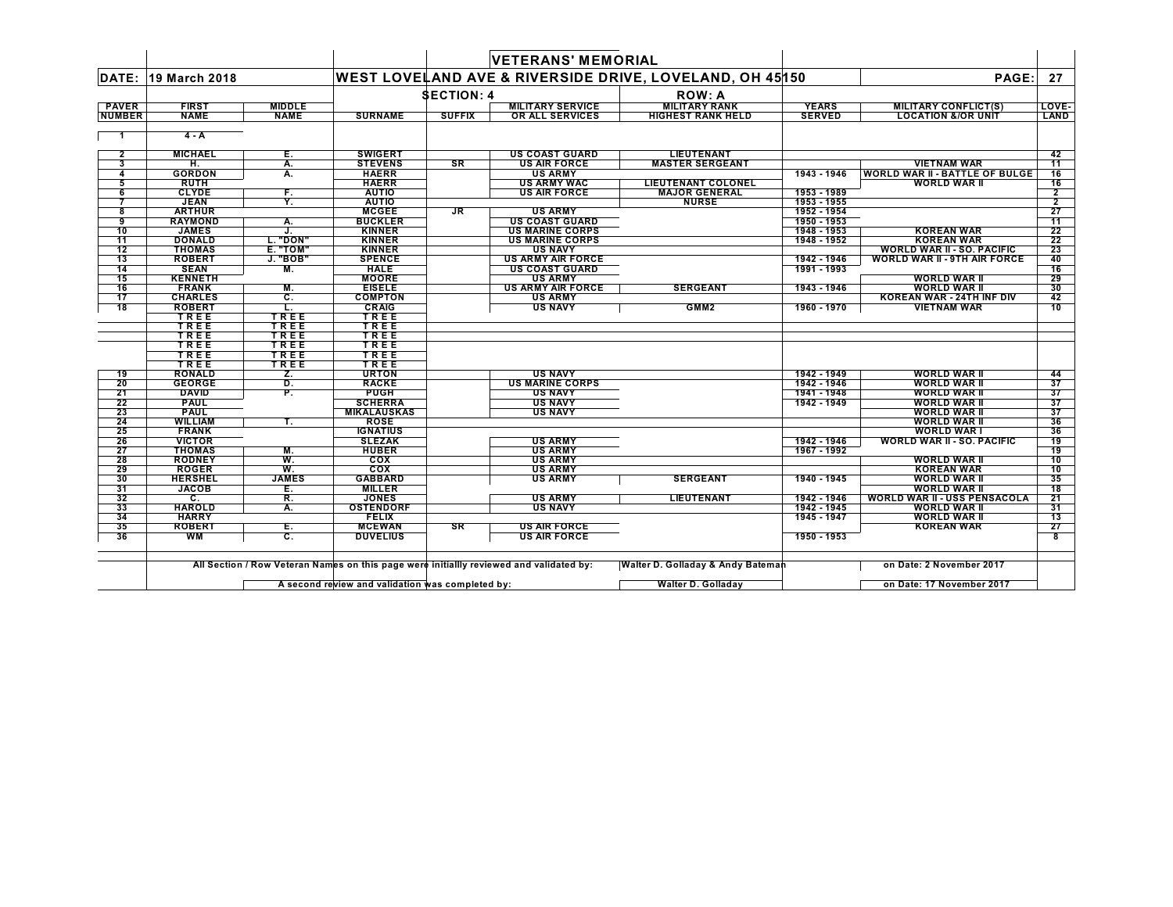|                 |                |                           |                    |                   | <b>VETERANS' MEMORIAL</b>                                                               |                                                         |               |                                       |                |
|-----------------|----------------|---------------------------|--------------------|-------------------|-----------------------------------------------------------------------------------------|---------------------------------------------------------|---------------|---------------------------------------|----------------|
| DATE:           | 19 March 2018  |                           |                    |                   |                                                                                         | WEST LOVELAND AVE & RIVERSIDE DRIVE, LOVELAND, OH 45150 |               | PAGE:                                 | 27             |
|                 |                |                           |                    | <b>SECTION: 4</b> |                                                                                         | <b>ROW: A</b>                                           |               |                                       |                |
| <b>PAVER</b>    | <b>FIRST</b>   | <b>MIDDLE</b>             |                    |                   | <b>MILITARY SERVICE</b>                                                                 | <b>MILITARY RANK</b>                                    | <b>YEARS</b>  | <b>MILITARY CONFLICT(S)</b>           | LOVE-          |
| <b>NUMBER</b>   | <b>NAME</b>    | <b>NAME</b>               | <b>SURNAME</b>     | <b>SUFFIX</b>     | OR ALL SERVICES                                                                         | <b>HIGHEST RANK HELD</b>                                | <b>SERVED</b> | <b>LOCATION &amp;/OR UNIT</b>         | LAND           |
|                 |                |                           |                    |                   |                                                                                         |                                                         |               |                                       |                |
|                 | $4 - A$        |                           |                    |                   |                                                                                         |                                                         |               |                                       |                |
| $\overline{2}$  | <b>MICHAEL</b> | Е.                        | <b>SWIGERT</b>     |                   | <b>US COAST GUARD</b>                                                                   | <b>LIEUTENANT</b>                                       |               |                                       | 42             |
| 3               | н.             | А.                        | <b>STEVENS</b>     | SR                | <b>US AIR FORCE</b>                                                                     | <b>MASTER SERGEANT</b>                                  |               | <b>VIETNAM WAR</b>                    | 11             |
| 4               | <b>GORDON</b>  | Α.                        | <b>HAERR</b>       |                   | <b>US ARMY</b>                                                                          |                                                         | 1943 - 1946   | <b>WORLD WAR II - BATTLE OF BULGE</b> | 16             |
| 5               | <b>RUTH</b>    |                           | <b>HAERR</b>       |                   | <b>US ARMY WAC</b>                                                                      | LIEUTENANT COLONEL                                      |               | <b>WORLD WAR II</b>                   | 16             |
| 6               | <b>CLYDE</b>   | F.                        | <b>AUTIO</b>       |                   | <b>US AIR FORCE</b>                                                                     | <b>MAJOR GENERAL</b>                                    | 1953 - 1989   |                                       | 2              |
|                 | <b>JEAN</b>    | Ÿ.                        | <b>AUTIO</b>       |                   |                                                                                         | <b>NURSE</b>                                            | 1953 - 1955   |                                       | $\overline{2}$ |
| 8               | <b>ARTHUR</b>  |                           | <b>MCGEE</b>       | <b>JR</b>         | <b>US ARMY</b>                                                                          |                                                         | 1952 - 1954   |                                       | 27             |
| 9               | <b>RAYMOND</b> | Α.                        | <b>BUCKLER</b>     |                   | <b>US COAST GUARD</b>                                                                   |                                                         | 1950 - 1953   |                                       | 11             |
| 10              | <b>JAMES</b>   | J.                        | <b>KINNER</b>      |                   | <b>US MARINE CORPS</b>                                                                  |                                                         | 1948 - 1953   | <b>KOREAN WAR</b>                     | 22             |
| $\overline{11}$ | <b>DONALD</b>  | L. "DON"                  | <b>KINNER</b>      |                   | <b>US MARINE CORPS</b>                                                                  |                                                         | 1948 - 1952   | <b>KOREAN WAR</b>                     | 22             |
| 12              | <b>THOMAS</b>  | <b>E. "TOM"</b>           | <b>KINNER</b>      |                   | <b>US NAVY</b>                                                                          |                                                         |               | <b>WORLD WAR II - SO. PACIFIC</b>     | 23             |
| 13              | <b>ROBERT</b>  | J. "BOB"                  | <b>SPENCE</b>      |                   | <b>US ARMY AIR FORCE</b>                                                                |                                                         | 1942 - 1946   | <b>WORLD WAR II - 9TH AIR FORCE</b>   | 40             |
| 14              | <b>SEAN</b>    | М.                        | <b>HALE</b>        |                   | <b>US COAST GUARD</b>                                                                   |                                                         | 1991 - 1993   |                                       | 16             |
| 15              | <b>KENNETH</b> |                           | <b>MOORE</b>       |                   | <b>US ARMY</b>                                                                          |                                                         |               | <b>WORLD WAR II</b>                   | 29             |
| 16              | <b>FRANK</b>   | M.                        | <b>EISELE</b>      |                   | <b>US ARMY AIR FORCE</b>                                                                | <b>SERGEANT</b>                                         | 1943 - 1946   | <b>WORLD WAR II</b>                   | 30             |
| 17              | <b>CHARLES</b> | C.                        | <b>COMPTON</b>     |                   | <b>US ARMY</b>                                                                          |                                                         |               | <b>KOREAN WAR - 24TH INF DIV</b>      | 42             |
| $\overline{18}$ | <b>ROBERT</b>  | ш.                        | <b>CRAIG</b>       |                   | <b>US NAVY</b>                                                                          | GMM <sub>2</sub>                                        | 1960 - 1970   | <b>VIETNAM WAR</b>                    | 10             |
|                 | TREE           | TREE                      | TREE               |                   |                                                                                         |                                                         |               |                                       |                |
|                 | TREE           | TREE                      | TREE               |                   |                                                                                         |                                                         |               |                                       |                |
|                 | TREE           | TREE                      | TREE               |                   |                                                                                         |                                                         |               |                                       |                |
|                 | TREE           | TREE                      | TREE               |                   |                                                                                         |                                                         |               |                                       |                |
|                 | TREE           | TREE                      | TREE               |                   |                                                                                         |                                                         |               |                                       |                |
|                 | TREE           | TREE                      | TREE               |                   |                                                                                         |                                                         |               |                                       |                |
| 19              | <b>RONALD</b>  | Z.                        | <b>URTON</b>       |                   | <b>US NAVY</b>                                                                          |                                                         | 1942 - 1949   | <b>WORLD WAR II</b>                   | 44             |
| 20              | <b>GEORGE</b>  | D.                        | <b>RACKE</b>       |                   | <b>US MARINE CORPS</b>                                                                  |                                                         | 1942 - 1946   | <b>WORLD WAR II</b>                   | 37             |
| 21              | <b>DAVID</b>   | P.                        | <b>PUGH</b>        |                   | <b>US NAVY</b>                                                                          |                                                         | 1941 - 1948   | <b>WORLD WAR II</b>                   | 37             |
| 22              | <b>PAUL</b>    |                           | <b>SCHERRA</b>     |                   | <b>US NAVY</b>                                                                          |                                                         | 1942 - 1949   | <b>WORLD WAR II</b>                   | 37             |
| 23              | <b>PAUL</b>    |                           | <b>MIKALAUSKAS</b> |                   | <b>US NAVY</b>                                                                          |                                                         |               | <b>WORLD WAR II</b>                   | 37             |
| 24              | <b>WILLIAM</b> | Т.                        | <b>ROSE</b>        |                   |                                                                                         |                                                         |               | <b>WORLD WAR II</b>                   | 36             |
| 25              | <b>FRANK</b>   |                           | <b>IGNATIUS</b>    |                   |                                                                                         |                                                         |               | <b>WORLD WAR I</b>                    | 36             |
| 26              | <b>VICTOR</b>  |                           | <b>SLEZAK</b>      |                   | <b>US ARMY</b>                                                                          |                                                         | 1942 - 1946   | <b>WORLD WAR II - SO. PACIFIC</b>     | 19             |
| 27              | <b>THOMAS</b>  | М.                        | <b>HUBER</b>       |                   | <b>US ARMY</b>                                                                          |                                                         | 1967 - 1992   |                                       | 19             |
| 28              | <b>RODNEY</b>  | W.                        | <b>COX</b>         |                   | <b>US ARMY</b>                                                                          |                                                         |               | <b>WORLD WAR II</b>                   | 10             |
| 29              | <b>ROGER</b>   | W.                        | <b>COX</b>         |                   | <b>US ARMY</b>                                                                          |                                                         |               | <b>KOREAN WAR</b>                     | 10             |
| 30              | <b>HERSHEL</b> | <b>JAMES</b>              | <b>GABBARD</b>     |                   | <b>US ARMY</b>                                                                          | <b>SERGEANT</b>                                         | 1940 - 1945   | <b>WORLD WAR II</b>                   | 35             |
| 31              | <b>JACOB</b>   | Е.                        | <b>MILLER</b>      |                   |                                                                                         |                                                         |               | <b>WORLD WAR II</b>                   | 18             |
| 32              | C.             | R.                        | <b>JONES</b>       |                   | <b>US ARMY</b>                                                                          | <b>LIEUTENANT</b>                                       | 1942 - 1946   | <b>WORLD WAR II - USS PENSACOLA</b>   | 21             |
| 33              | <b>HAROLD</b>  | А.                        | <b>OSTENDORF</b>   |                   | <b>US NAVY</b>                                                                          |                                                         | 1942 - 1945   | <b>WORLD WAR I</b>                    | 31             |
| 34              | <b>HARRY</b>   |                           | <b>FELIX</b>       |                   |                                                                                         |                                                         | 1945 - 1947   | <b>WORLD WAR II</b>                   | 13             |
| 35              | <b>ROBERT</b>  | Е.                        | <b>MCEWAN</b>      | SR                | <b>US AIR FORCE</b>                                                                     |                                                         |               | <b>KOREAN WAR</b>                     | 27             |
| 36              | WМ             | $\overline{\mathbf{c}}$ . | <b>DUVELIUS</b>    |                   | <b>US AIR FORCE</b>                                                                     |                                                         | 1950 - 1953   |                                       | 8              |
|                 |                |                           |                    |                   | All Section / Row Veteran Names on this page were initiallly reviewed and validated by: | Walter D. Golladay & Andy Bateman                       |               | on Date: 2 November 2017              |                |

**A second review and validation was completed by: Walter D. Golladay on Date: 17 November 2017**

 $\blacksquare$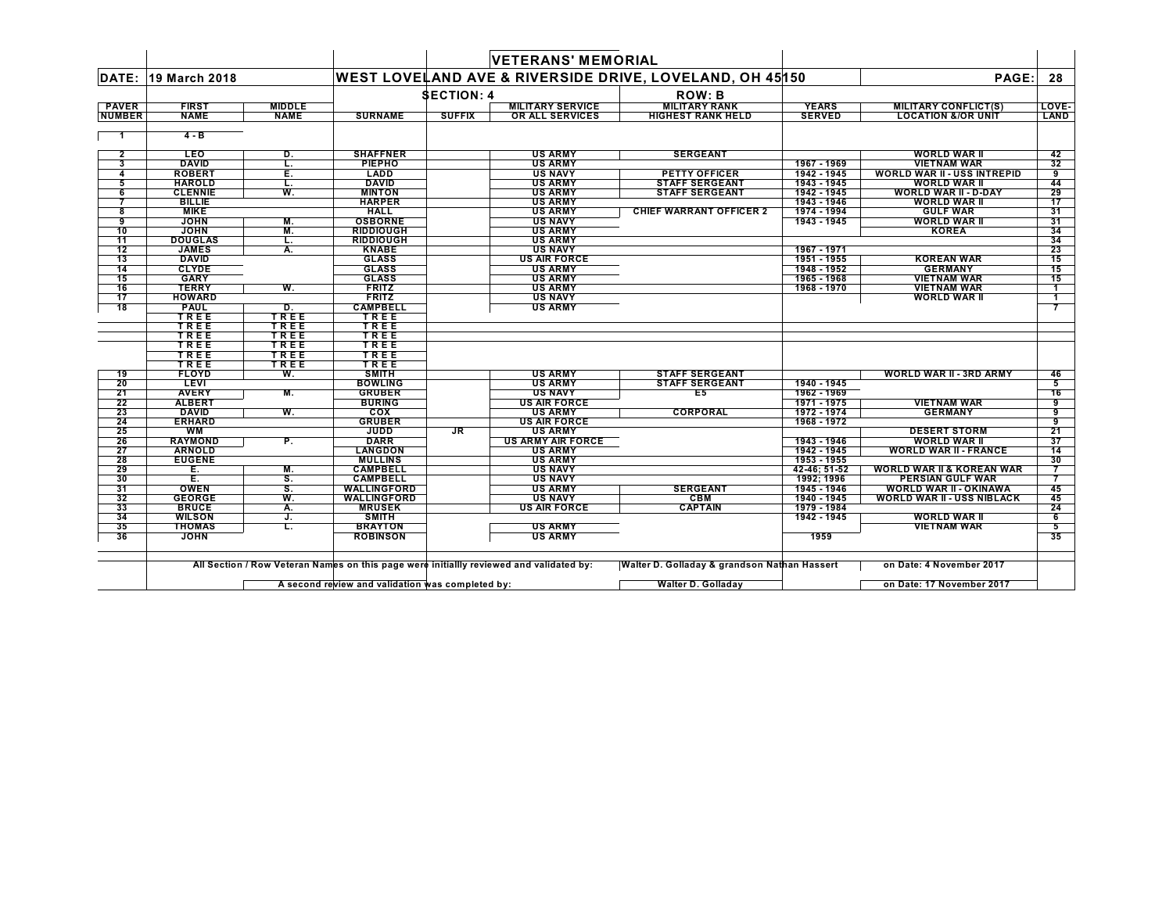|                 |                              |               |                         |                   | <b>VETERANS' MEMORIAL</b> |                                                         |               |                                      |                |
|-----------------|------------------------------|---------------|-------------------------|-------------------|---------------------------|---------------------------------------------------------|---------------|--------------------------------------|----------------|
| DATE:           | <b>19 March 2018</b>         |               |                         |                   |                           | WEST LOVELAND AVE & RIVERSIDE DRIVE, LOVELAND, OH 45150 |               | PAGE:                                | 28             |
|                 |                              |               |                         | <b>SECTION: 4</b> |                           | <b>ROW: B</b>                                           |               |                                      |                |
| <b>PAVER</b>    | <b>FIRST</b>                 | <b>MIDDLE</b> |                         |                   | <b>MILITARY SERVICE</b>   | <b>MILITARY RANK</b>                                    | <b>YEARS</b>  | <b>MILITARY CONFLICT(S)</b>          | LOVE-          |
| <b>NUMBER</b>   | <b>NAME</b>                  | <b>NAME</b>   | <b>SURNAME</b>          | <b>SUFFIX</b>     | <b>OR ALL SERVICES</b>    | <b>HIGHEST RANK HELD</b>                                | <b>SERVED</b> | <b>LOCATION &amp;/OR UNIT</b>        | LAND           |
| - 1             | $4 - B$                      |               |                         |                   |                           |                                                         |               |                                      |                |
| $\mathbf{2}$    | <b>LEO</b>                   | D.            | <b>SHAFFNER</b>         |                   | <b>US ARMY</b>            | <b>SERGEANT</b>                                         |               | <b>WORLD WAR II</b>                  | 42             |
| 3               | <b>DAVID</b>                 | L.            | <b>PIEPHO</b>           |                   | <b>US ARMY</b>            |                                                         | 1967 - 1969   | <b>VIETNAM WAR</b>                   | 32             |
| 4               | <b>ROBERT</b>                | Е.            | LADD                    |                   | <b>US NAVY</b>            | <b>PETTY OFFICER</b>                                    | 1942 - 1945   | WORLD WAR II - USS INTREPID          | 9              |
| 5               | <b>HAROLD</b>                | τ.            | <b>DAVID</b>            |                   | <b>US ARMY</b>            | <b>STAFF SERGEANT</b>                                   | 1943 - 1945   | <b>WORLD WAR II</b>                  | 44             |
| 6               | <b>CLENNIE</b>               | W.            | <b>MINTON</b>           |                   | <b>US ARMY</b>            | <b>STAFF SERGEANT</b>                                   | 1942 - 1945   | <b>WORLD WAR II - D-DAY</b>          | 29             |
|                 | <b>BILLIE</b>                |               | <b>HARPER</b>           |                   | <b>US ARMY</b>            |                                                         | 1943 - 1946   | <b>WORLD WAR II</b>                  | 17             |
| 8               | <b>MIKE</b>                  |               | <b>HALL</b>             |                   | <b>US ARMY</b>            | <b>CHIEF WARRANT OFFICER 2</b>                          | 1974 - 1994   | <b>GULF WAR</b>                      | 31             |
| 9               | <b>JOHN</b>                  | М.            | <b>OSBORNE</b>          |                   | <b>US NAVY</b>            |                                                         | 1943 - 1945   | <b>WORLD WAR II</b>                  | 31             |
| 10              | <b>JOHN</b>                  | M.            | <b>RIDDIOUGH</b>        |                   | <b>US ARMY</b>            |                                                         |               | <b>KOREA</b>                         | 34             |
| $\overline{11}$ | <b>DOUGLAS</b>               | τ.            | <b>RIDDIOUGH</b>        |                   | <b>US ARMY</b>            |                                                         |               |                                      | 34             |
| 12              | <b>JAMES</b>                 | A.            | <b>KNABE</b>            |                   | <b>US NAVY</b>            |                                                         | 1967 - 1971   |                                      | 23             |
| 13              | <b>DAVID</b><br><b>CLYDE</b> |               | <b>GLASS</b>            |                   | <b>US AIR FORCE</b>       |                                                         | 1951 - 1955   | <b>KOREAN WAR</b>                    | 15             |
| 14              |                              |               | <b>GLASS</b>            |                   | <b>US ARMY</b>            |                                                         | 1948 - 1952   | <b>GERMANY</b>                       | 15             |
| 15              | <b>GARY</b>                  |               | <b>GLASS</b>            |                   | <b>US ARMY</b>            |                                                         | 1965 - 1968   | <b>VIETNAM WAR</b>                   | 15             |
| 16              | <b>TERRY</b>                 | W.            | <b>FRITZ</b>            |                   | <b>US ARMY</b>            |                                                         | 1968 - 1970   | <b>VIETNAM WAR</b>                   | $\mathbf{1}$   |
| 17              | <b>HOWARD</b>                |               | <b>FRITZ</b>            |                   | <b>US NAVY</b>            |                                                         |               | <b>WORLD WAR II</b>                  | $\mathbf 1$    |
| 18              | <b>PAUL</b><br>TREE          | D.<br>TREE    | <b>CAMPBELL</b><br>TREE |                   | <b>US ARMY</b>            |                                                         |               |                                      |                |
|                 | TREE                         | TREE          | TREE                    |                   |                           |                                                         |               |                                      |                |
|                 | TREE                         | TREE          | TREE                    |                   |                           |                                                         |               |                                      |                |
|                 | TREE                         | TREE          | TREE                    |                   |                           |                                                         |               |                                      |                |
|                 | TREE                         | TREE          | TREE                    |                   |                           |                                                         |               |                                      |                |
|                 | TREE                         | TREE          | TREE                    |                   |                           |                                                         |               |                                      |                |
| 19              | <b>FLOYD</b>                 | W.            | <b>SMITH</b>            |                   | <b>US ARMY</b>            | <b>STAFF SERGEANT</b>                                   |               | <b>WORLD WAR II - 3RD ARMY</b>       | 46             |
| 20              | <b>LEVI</b>                  |               | <b>BOWLING</b>          |                   | <b>US ARMY</b>            | <b>STAFF SERGEANT</b>                                   | 1940 - 1945   |                                      | 5              |
| 21              | <b>AVERY</b>                 | М.            | <b>GRUBER</b>           |                   | <b>US NAVY</b>            | E5                                                      | 1962 - 1969   |                                      | 16             |
| 22              | <b>ALBERT</b>                |               | <b>BURING</b>           |                   | <b>US AIR FORCE</b>       |                                                         | 1971 - 1975   | <b>VIETNAM WAR</b>                   | 9              |
| 23              | <b>DAVID</b>                 | W.            | cox                     |                   | <b>US ARMY</b>            | <b>CORPORAL</b>                                         | 1972 - 1974   | <b>GERMANY</b>                       | 9              |
| 24              | <b>ERHARD</b>                |               | <b>GRUBER</b>           |                   | <b>US AIR FORCE</b>       |                                                         | 1968 - 1972   |                                      | 9              |
| 25              | <b>WM</b>                    |               | JUDD                    | JR.               | <b>US ARMY</b>            |                                                         |               | <b>DESERT STORM</b>                  | 21             |
| 26              | <b>RAYMOND</b>               | Ρ.            | <b>DARR</b>             |                   | <b>US ARMY AIR FORCE</b>  |                                                         | 1943 - 1946   | <b>WORLD WAR II</b>                  | 37             |
| 27              | <b>ARNOLD</b>                |               | <b>LANGDON</b>          |                   | <b>US ARMY</b>            |                                                         | 1942 - 1945   | <b>WORLD WAR II - FRANCE</b>         | 14             |
| 28              | <b>EUGENE</b>                |               | <b>MULLINS</b>          |                   | <b>US ARMY</b>            |                                                         | 1953 - 1955   |                                      | 30             |
| 29              | Е.                           | М.            | <b>CAMPBELL</b>         |                   | <b>US NAVY</b>            |                                                         | 42-46: 51-52  | <b>WORLD WAR II &amp; KOREAN WAR</b> |                |
| 30              | E.                           | <b>S.</b>     | <b>CAMPBELL</b>         |                   | <b>US NAVY</b>            |                                                         | 1992; 1996    | PERSIAN GULF WAR                     | $\overline{7}$ |
| 31              | <b>OWEN</b>                  | s.            | <b>WALLINGFORD</b>      |                   | <b>US ARMY</b>            | <b>SERGEANT</b>                                         | 1945 - 1946   | <b>WORLD WAR II - OKINAWA</b>        | 45             |
| 32              | <b>GEORGE</b>                | W.            | <b>WALLINGFORD</b>      |                   | <b>US NAVY</b>            | CBM                                                     | 1940 - 1945   | <b>WORLD WAR II - USS NIBLACK</b>    | 45             |
| 33              | <b>BRUCE</b>                 | Α.            | <b>MRUSEK</b>           |                   | <b>US AIR FORCE</b>       | <b>CAPTAIN</b>                                          | 1979 - 1984   |                                      | 24             |
| 34              | <b>WILSON</b>                | J.            | SMITH                   |                   |                           |                                                         | 1942 - 1945   | <b>WORLD WAR II</b>                  | 6              |
| 35              | <b>THOMAS</b>                | L.            | <b>BRAYTON</b>          |                   | <b>US ARMY</b>            |                                                         |               | <b>VIETNAM WAR</b>                   | 5              |
| 36              | <b>JOHN</b>                  |               | <b>ROBINSON</b>         |                   | <b>US ARMY</b>            |                                                         | 1959          |                                      | 35             |
|                 |                              |               |                         |                   |                           |                                                         |               |                                      |                |

**A second review and validation was completed by: Walter D. Golladay on Date: 17 November 2017** $\mathsf{L}$ 

 $\blacksquare$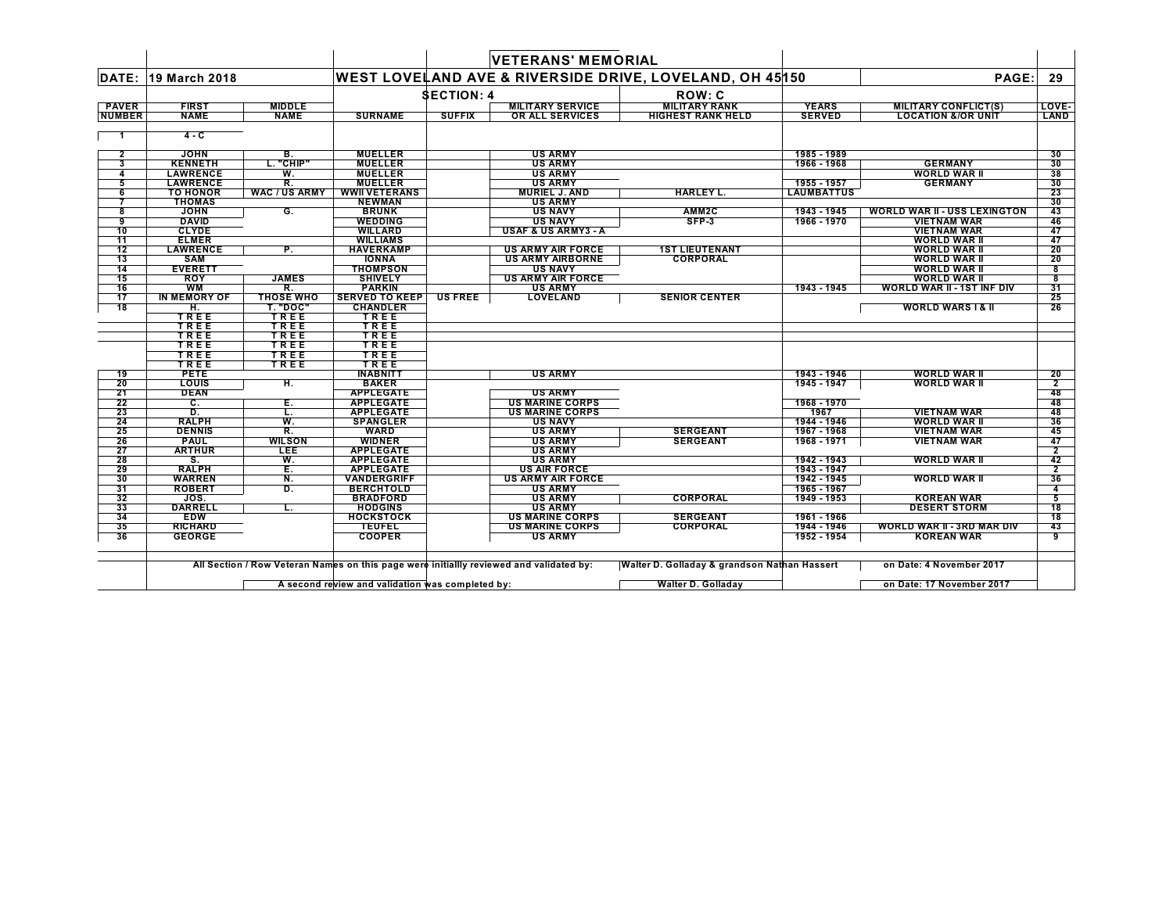|                |                                 |                      |                                     |                   | <b>VETERANS' MEMORIAL</b>                |                                                         |                            |                                            |                |
|----------------|---------------------------------|----------------------|-------------------------------------|-------------------|------------------------------------------|---------------------------------------------------------|----------------------------|--------------------------------------------|----------------|
| DATE:          | 19 March 2018                   |                      |                                     |                   |                                          | WEST LOVELAND AVE & RIVERSIDE DRIVE, LOVELAND, OH 45150 |                            | PAGE:                                      | 29             |
|                |                                 |                      |                                     | <b>SECTION: 4</b> |                                          | <b>ROW: C</b>                                           |                            |                                            |                |
| <b>PAVER</b>   | <b>FIRST</b>                    | <b>MIDDLE</b>        |                                     |                   | <b>MILITARY SERVICE</b>                  | <b>MILITARY RANK</b>                                    | <b>YEARS</b>               | <b>MILITARY CONFLICT(S)</b>                | LOVE-          |
| <b>NUMBER</b>  | <b>NAME</b>                     | <b>NAME</b>          | <b>SURNAME</b>                      | <b>SUFFIX</b>     | <b>OR ALL SERVICES</b>                   | <b>HIGHEST RANK HELD</b>                                | <b>SERVED</b>              | <b>LOCATION &amp;/OR UNIT</b>              | LAND           |
| - 1            | 4 - C                           |                      |                                     |                   |                                          |                                                         |                            |                                            |                |
| $\mathbf{2}$   | <b>JOHN</b>                     | в.                   | <b>MUELLER</b>                      |                   | <b>US ARMY</b>                           |                                                         | 1985 - 1989                |                                            | 30             |
| 3              | <b>KENNETH</b>                  | L. "CHIP"            | <b>MUELLER</b>                      |                   | <b>US ARMY</b>                           |                                                         | 1966 - 1968                | <b>GERMANY</b>                             | 30             |
| 4              | <b>LAWRENCE</b>                 | W.                   | <b>MUELLER</b>                      |                   | <b>US ARMY</b>                           |                                                         |                            | <b>WORLD WAR II</b>                        | 38             |
| 5              | <b>LAWRENCE</b>                 | R.                   | <b>MUELLER</b>                      |                   | <b>US ARMY</b>                           |                                                         | 1955 - 1957                | <b>GERMANY</b>                             | 30             |
| 6              | <b>TO HONOR</b>                 | <b>WAC / US ARMY</b> | <b>WWII VETERANS</b>                |                   | <b>MURIEL J. AND</b>                     | <b>HARLEY L.</b>                                        | <b>LAUMBATTUS</b>          |                                            | 23             |
| $\overline{7}$ | <b>THOMAS</b>                   |                      | <b>NEWMAN</b>                       |                   | <b>US ARMY</b>                           |                                                         |                            |                                            | 30             |
| 8              | <b>JOHN</b>                     | G.                   | <b>BRUNK</b>                        |                   | <b>US NAVY</b>                           | AMM2C                                                   | 1943 - 1945                | <b>WORLD WAR II - USS LEXINGTON</b>        | 43             |
| 9              | <b>DAVID</b>                    |                      | <b>WEDDING</b>                      |                   | <b>US NAVY</b>                           | SFP-3                                                   | 1966 - 1970                | <b>VIETNAM WAR</b>                         | 46             |
| 10             | <b>CLYDE</b>                    |                      | <b>WILLARD</b>                      |                   | <b>USAF &amp; US ARMY3 - A</b>           |                                                         |                            | <b>VIETNAM WAR</b>                         | 47             |
| 11<br>12       | <b>ELMER</b><br><b>LAWRENCE</b> |                      | <b>WILLIAMS</b><br><b>HAVERKAMP</b> |                   | <b>US ARMY AIR FORCE</b>                 |                                                         |                            | <b>WORLD WAR II</b><br><b>WORLD WAR II</b> | 47             |
| 13             | <b>SAM</b>                      | Ρ.                   | <b>IONNA</b>                        |                   | <b>US ARMY AIRBORNE</b>                  | <b>1ST LIEUTENANT</b><br><b>CORPORAL</b>                |                            | <b>WORLD WAR II</b>                        | 20<br>20       |
| 14             | <b>EVERETT</b>                  |                      | <b>THOMPSON</b>                     |                   | <b>US NAVY</b>                           |                                                         |                            | <b>WORLD WAR II</b>                        | 8              |
| 15             | <b>ROY</b>                      | <b>JAMES</b>         | <b>SHIVELY</b>                      |                   | <b>US ARMY AIR FORCE</b>                 |                                                         |                            | <b>WORLD WAR II</b>                        | 8              |
| 16             | <b>WM</b>                       | R.                   | <b>PARKIN</b>                       |                   | <b>US ARMY</b>                           |                                                         | 1943 - 1945                | <b>WORLD WAR II - 1ST INF DIV</b>          | 31             |
| 17             | <b>IN MEMORY OF</b>             | <b>THOSE WHO</b>     | <b>SERVED TO KEEP US FREE</b>       |                   | <b>LOVELAND</b>                          | <b>SENIOR CENTER</b>                                    |                            |                                            | 25             |
| 18             | н.                              | <b>T. "DOC"</b>      | <b>CHANDLER</b>                     |                   |                                          |                                                         |                            | <b>WORLD WARS I &amp; II</b>               | 26             |
|                | TREE                            | TREE                 | TREE                                |                   |                                          |                                                         |                            |                                            |                |
|                | TREE                            | TREE                 | TREE                                |                   |                                          |                                                         |                            |                                            |                |
|                | TREE                            | TREE                 | TREE                                |                   |                                          |                                                         |                            |                                            |                |
|                | TREE                            | TREE                 | TREE                                |                   |                                          |                                                         |                            |                                            |                |
|                | TREE                            | TREE                 | TREE                                |                   |                                          |                                                         |                            |                                            |                |
|                | TREE                            | TREE                 | TREE                                |                   |                                          |                                                         |                            |                                            |                |
| 19             | <b>PETE</b>                     |                      | <b>INABNITT</b>                     |                   | <b>US ARMY</b>                           |                                                         | 1943 - 1946                | <b>WORLD WAR II</b>                        | 20             |
| 20             | <b>LOUIS</b>                    | H.                   | <b>BAKER</b>                        |                   |                                          |                                                         | 1945 - 1947                | <b>WORLD WAR II</b>                        | $\overline{2}$ |
| 21             | <b>DEAN</b>                     |                      | <b>APPLEGATE</b>                    |                   | <b>US ARMY</b>                           |                                                         |                            |                                            | 48             |
| 22             | С.                              | Е.                   | <b>APPLEGATE</b>                    |                   | <b>US MARINE CORPS</b>                   |                                                         | 1968 - 1970                |                                            | 48             |
| 23             | D.                              | L.                   | <b>APPLEGATE</b>                    |                   | <b>US MARINE CORPS</b>                   |                                                         | 1967                       | <b>VIETNAM WAR</b>                         | 48             |
| 24             | <b>RALPH</b>                    | W.                   | <b>SPANGLER</b>                     |                   | <b>US NAVY</b>                           |                                                         | 1944 - 1946                | <b>WORLD WAR II</b>                        | 36             |
| 25             | <b>DENNIS</b>                   | $\overline{R}$ .     | <b>WARD</b>                         |                   | <b>US ARMY</b>                           | <b>SERGEANT</b>                                         | 1967 - 1968                | <b>VIETNAM WAR</b>                         | 45             |
| 26             | <b>PAUL</b>                     | <b>WILSON</b>        | <b>WIDNER</b>                       |                   | <b>US ARMY</b>                           | <b>SERGEANT</b>                                         | 1968 - 1971                | <b>VIETNAM WAR</b>                         | 47             |
| 27             | <b>ARTHUR</b>                   | <b>LEE</b>           | <b>APPLEGATE</b>                    |                   | <b>US ARMY</b>                           |                                                         |                            |                                            | $\overline{2}$ |
| 28             | S.                              | W.                   | <b>APPLEGATE</b>                    |                   | <b>US ARMY</b>                           |                                                         | 1942 - 1943                | <b>WORLD WAR II</b>                        | 42             |
| 29             | <b>RALPH</b>                    | Е.                   | <b>APPLEGATE</b>                    |                   | <b>US AIR FORCE</b>                      |                                                         | 1943 - 1947                |                                            | $\overline{2}$ |
| 30             | <b>WARREN</b>                   | N.                   | <b>VANDERGRIFF</b>                  |                   | <b>US ARMY AIR FORCE</b>                 |                                                         | 1942 - 1945                | <b>WORLD WAR II</b>                        | 36             |
| 31             | <b>ROBERT</b>                   | D.                   | <b>BERCHTOLD</b>                    |                   | <b>US ARMY</b>                           |                                                         | 1965 - 1967                |                                            | 4              |
| 32             | JOS.                            |                      | <b>BRADFORD</b>                     |                   | <b>US ARMY</b>                           | CORPORAL                                                | 1949 - 1953                | <b>KOREAN WAR</b>                          | 5              |
| 33             | <b>DARRELL</b>                  | L.                   | <b>HODGINS</b>                      |                   | <b>US ARMY</b>                           |                                                         |                            | <b>DESERT STORM</b>                        | 18             |
| 34             | <b>EDW</b>                      |                      | <b>HOCKSTOCK</b>                    |                   | <b>US MARINE CORPS</b>                   | <b>SERGEANT</b>                                         | 1961 - 1966                |                                            | 18             |
| 35             | <b>RICHARD</b><br><b>GEORGE</b> |                      | <b>TEUFEL</b><br><b>COOPER</b>      |                   | <b>US MARINE CORPS</b><br><b>US ARMY</b> | <b>CORPORAL</b>                                         | 1944 - 1946<br>1952 - 1954 | WORLD WAR II - 3RD MAR DIV                 | 43             |
| 36             |                                 |                      |                                     |                   |                                          |                                                         |                            | <b>KOREAN WAR</b>                          | 9              |

 $\overline{\phantom{0}}$ 

**A second review and validation was completed by: Walter D. Golladay on Date: 17 November 2017** $\mathsf{L}$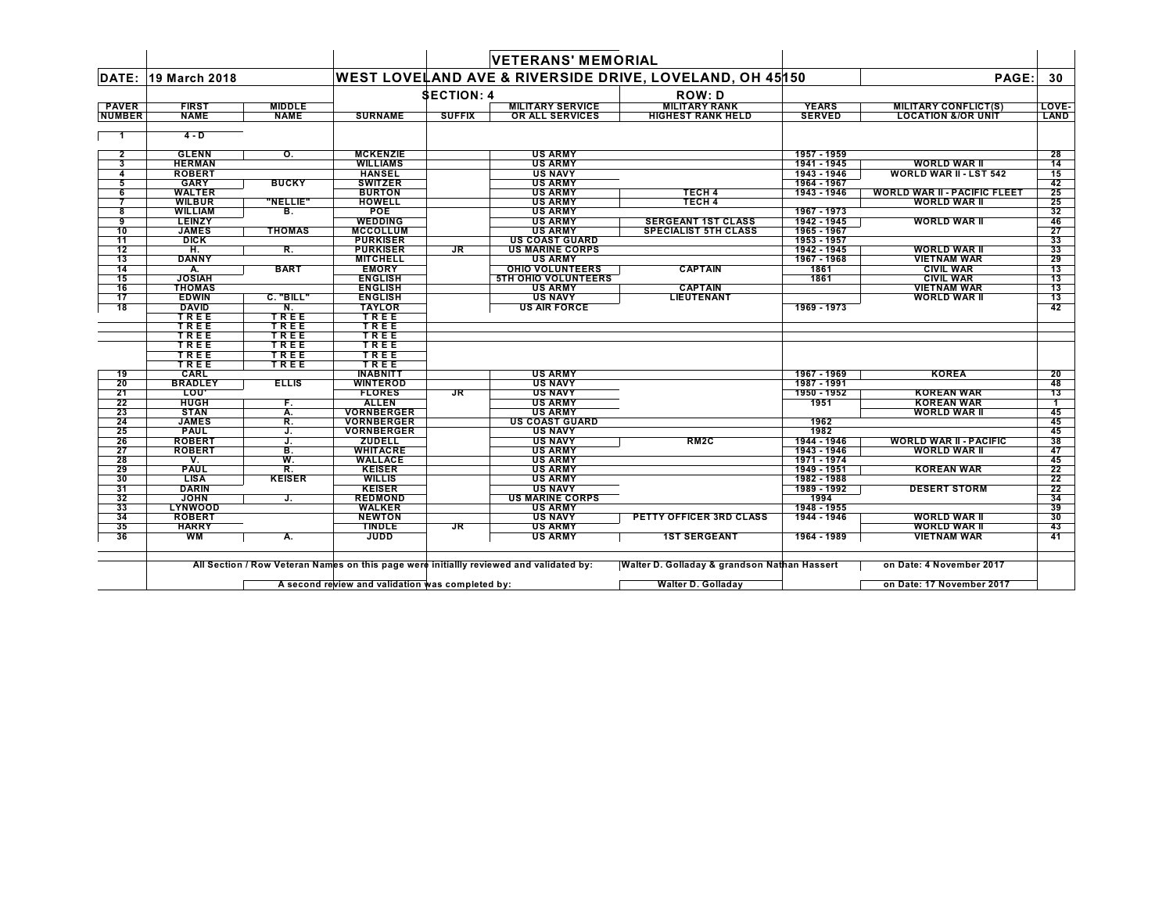|                               |                               |                              |                                |                   | <b>VETERANS' MEMORIAL</b>                  |                                                         |                               |                                                              |                 |
|-------------------------------|-------------------------------|------------------------------|--------------------------------|-------------------|--------------------------------------------|---------------------------------------------------------|-------------------------------|--------------------------------------------------------------|-----------------|
| DATE:                         | 19 March 2018                 |                              |                                |                   |                                            | WEST LOVELAND AVE & RIVERSIDE DRIVE, LOVELAND, OH 45150 |                               | PAGE:                                                        | 30              |
|                               |                               |                              |                                | <b>SECTION: 4</b> |                                            | <b>ROW: D</b>                                           |                               |                                                              |                 |
| <b>PAVER</b><br><b>NUMBER</b> | <b>FIRST</b><br><b>NAME</b>   | <b>MIDDLE</b><br><b>NAME</b> | <b>SURNAME</b>                 | <b>SUFFIX</b>     | <b>MILITARY SERVICE</b><br>OR ALL SERVICES | <b>MILITARY RANK</b><br><b>HIGHEST RANK HELD</b>        | <b>YEARS</b><br><b>SERVED</b> | <b>MILITARY CONFLICT(S)</b><br><b>LOCATION &amp;/OR UNIT</b> | LOVE-<br>LAND   |
|                               | $4 - D$                       |                              |                                |                   |                                            |                                                         |                               |                                                              |                 |
| $\mathbf{2}$                  | <b>GLENN</b>                  | о.                           | <b>MCKENZIE</b>                |                   | <b>US ARMY</b>                             |                                                         | 1957 - 1959                   |                                                              | 28              |
| 3                             | <b>HERMAN</b>                 |                              | <b>WILLIAMS</b>                |                   | <b>US ARMY</b>                             |                                                         | 1941 - 1945                   | <b>WORLD WAR II</b>                                          | $\overline{14}$ |
| 4                             | <b>ROBERT</b>                 |                              | <b>HANSEL</b>                  |                   | <b>US NAVY</b>                             |                                                         | 1943 - 1946                   | <b>WORLD WAR II - LST 542</b>                                | 15              |
| 5                             | <b>GARY</b>                   | <b>BUCKY</b>                 | <b>SWITZER</b>                 |                   | <b>US ARMY</b>                             |                                                         | 1964 - 1967                   |                                                              | 42              |
| 6                             | <b>WALTER</b>                 |                              | <b>BURTON</b>                  |                   | <b>US ARMY</b>                             | <b>TECH 4</b>                                           | 1943 - 1946                   | <b>WORLD WAR II - PACIFIC FLEET</b>                          | 25              |
| 7                             | <b>WILBUR</b>                 | "NELLIE"                     | <b>HOWELL</b>                  |                   | <b>US ARMY</b>                             | <b>TECH 4</b>                                           |                               | <b>WORLD WAR II</b>                                          | 25              |
| 8                             | <b>WILLIAM</b>                | в.                           | <b>POE</b>                     |                   | <b>US ARMY</b>                             |                                                         | 1967 - 1973                   |                                                              | 32              |
| 9                             | <b>LEINZY</b>                 |                              | <b>WEDDING</b>                 |                   | <b>US ARMY</b>                             | <b>SERGEANT 1ST CLASS</b>                               | 1942 - 1945                   | <b>WORLD WAR II</b>                                          | 46              |
| 10                            | <b>JAMES</b>                  | <b>THOMAS</b>                | <b>MCCOLLUM</b>                |                   | <b>US ARMY</b>                             | <b>SPECIALIST 5TH CLASS</b>                             | 1965 - 1967                   |                                                              | 27              |
| 11                            | <b>DICK</b>                   |                              | <b>PURKISER</b>                |                   | <b>US COAST GUARD</b>                      |                                                         | 1953 - 1957                   |                                                              | 33              |
| 12                            | H.                            | R.                           | <b>PURKISER</b>                | JR.               | <b>US MARINE CORPS</b>                     |                                                         | 1942 - 1945                   | <b>WORLD WAR II</b>                                          | 33              |
| $\overline{13}$               | <b>DANNY</b>                  |                              | <b>MITCHELL</b>                |                   | <b>US ARMY</b>                             |                                                         | 1967 - 1968                   | <b>VIETNAM WAR</b>                                           | 29              |
| 14                            | А.                            | <b>BART</b>                  | <b>EMORY</b>                   |                   | <b>OHIO VOLUNTEERS</b>                     | <b>CAPTAIN</b>                                          | 1861                          | <b>CIVIL WAR</b>                                             | 13              |
| 15                            | <b>JOSIAH</b>                 |                              | <b>ENGLISH</b>                 |                   | <b>5TH OHIO VOLUNTEERS</b>                 |                                                         | 1861                          | <b>CIVIL WAR</b>                                             | 13              |
| 16                            | <b>THOMAS</b>                 |                              | <b>ENGLISH</b>                 |                   | <b>US ARMY</b>                             | <b>CAPTAIN</b>                                          |                               | <b>VIETNAM WAR</b>                                           | 13              |
| 17                            | <b>EDWIN</b>                  | C. "BILL"                    | <b>ENGLISH</b>                 |                   | <b>US NAVY</b>                             | LIEUTENANT                                              |                               | <b>WORLD WAR II</b>                                          | 13              |
| 18                            | <b>DAVID</b>                  | N.                           | <b>TAYLOR</b>                  |                   | <b>US AIR FORCE</b>                        |                                                         | 1969 - 1973                   |                                                              | 42              |
|                               | TREE                          | TREE                         | TREE                           |                   |                                            |                                                         |                               |                                                              |                 |
|                               | TREE                          | TREE                         | TREE                           |                   |                                            |                                                         |                               |                                                              |                 |
|                               | TREE                          | TREE                         | TREE                           |                   |                                            |                                                         |                               |                                                              |                 |
|                               | TREE                          | TREE                         | TREE                           |                   |                                            |                                                         |                               |                                                              |                 |
|                               | TREE                          | TREE                         | TREE                           |                   |                                            |                                                         |                               |                                                              |                 |
|                               | TREE                          | TREE                         | TREE                           |                   |                                            |                                                         |                               |                                                              |                 |
| 19                            | CARL                          |                              | <b>INABNITT</b>                |                   | <b>US ARMY</b>                             |                                                         | 1967 - 1969                   | <b>KOREA</b>                                                 | 20              |
| 20                            | <b>BRADLEY</b>                | <b>ELLIS</b>                 | <b>WINTEROD</b>                |                   | <b>US NAVY</b>                             |                                                         | 1987 - 1991                   |                                                              | 48              |
| 21                            | LOU'                          |                              | <b>FLORES</b>                  | <b>JR</b>         | <b>US NAVY</b>                             |                                                         | 1950 - 1952                   | <b>KOREAN WAR</b>                                            | $\overline{13}$ |
| 22                            | <b>HUGH</b>                   | F.                           | <b>ALLEN</b>                   |                   | <b>US ARMY</b>                             |                                                         | 1951                          | <b>KOREAN WAR</b>                                            | $\mathbf{1}$    |
| 23                            | <b>STAN</b>                   | А.                           | <b>VORNBERGER</b>              |                   | <b>US ARMY</b>                             |                                                         |                               | <b>WORLD WAR II</b>                                          | 45              |
| 24                            | <b>JAMES</b>                  | R.                           | <b>VORNBERGER</b>              |                   | <b>US COAST GUARD</b>                      |                                                         | 1962                          |                                                              | 45              |
| 25                            | <b>PAUL</b>                   | J.                           | <b>VORNBERGER</b>              |                   | <b>US NAVY</b>                             |                                                         | 1982                          |                                                              | 45              |
| 26                            | <b>ROBERT</b>                 | J.                           | <b>ZUDELL</b>                  |                   | <b>US NAVY</b>                             | RM <sub>2</sub> C                                       | 1944 - 1946                   | <b>WORLD WAR II - PACIFIC</b>                                | 38              |
| 27                            | <b>ROBERT</b>                 | B.                           | <b>WHITACRE</b>                |                   | <b>US ARMY</b>                             |                                                         | 1943 - 1946                   | <b>WORLD WAR II</b>                                          | 47              |
| 28                            | ۷.                            | W.                           | <b>WALLACE</b>                 |                   | <b>US ARMY</b>                             |                                                         | 1971 - 1974                   |                                                              | 45              |
| 29                            | <b>PAUL</b>                   | R.                           | <b>KEISER</b>                  |                   | <b>US ARMY</b>                             |                                                         | 1949 - 1951                   | <b>KOREAN WAR</b>                                            | 22              |
| 30                            | <b>LISA</b>                   | <b>KEISER</b>                | <b>WILLIS</b>                  |                   | <b>US ARMY</b>                             |                                                         | 1982 - 1988                   |                                                              | 22              |
| 31                            | <b>DARIN</b>                  |                              | <b>KEISER</b>                  |                   | <b>US NAVY</b><br><b>US MARINE CORPS</b>   |                                                         | 1989 - 1992                   | <b>DESERT STORM</b>                                          | 22<br>34        |
| 32<br>33                      | <b>JOHN</b><br><b>LYNWOOD</b> | J.                           | <b>REDMOND</b>                 |                   | <b>US ARMY</b>                             |                                                         | 1994<br>1948 - 1955           |                                                              | 39              |
| 34                            | <b>ROBERT</b>                 |                              | <b>WALKER</b><br><b>NEWTON</b> |                   | <b>US NAVY</b>                             | <b>PETTY OFFICER 3RD CLASS</b>                          | 1944 - 1946                   | <b>WORLD WAR II</b>                                          | 30              |
| 35                            | <b>HARRY</b>                  |                              | <b>TINDLE</b>                  | JR.               | <b>US ARMY</b>                             |                                                         |                               | <b>WORLD WAR II</b>                                          | 43              |
| 36                            | WМ                            | А.                           | <b>JUDD</b>                    |                   | <b>US ARMY</b>                             | <b>1ST SERGEANT</b>                                     | 1964 - 1989                   | <b>VIETNAM WAR</b>                                           | 41              |
|                               |                               |                              |                                |                   |                                            |                                                         |                               |                                                              |                 |

**A second review and validation was completed by: Walter D. Golladay on Date: 17 November 2017** $\mathsf{L}$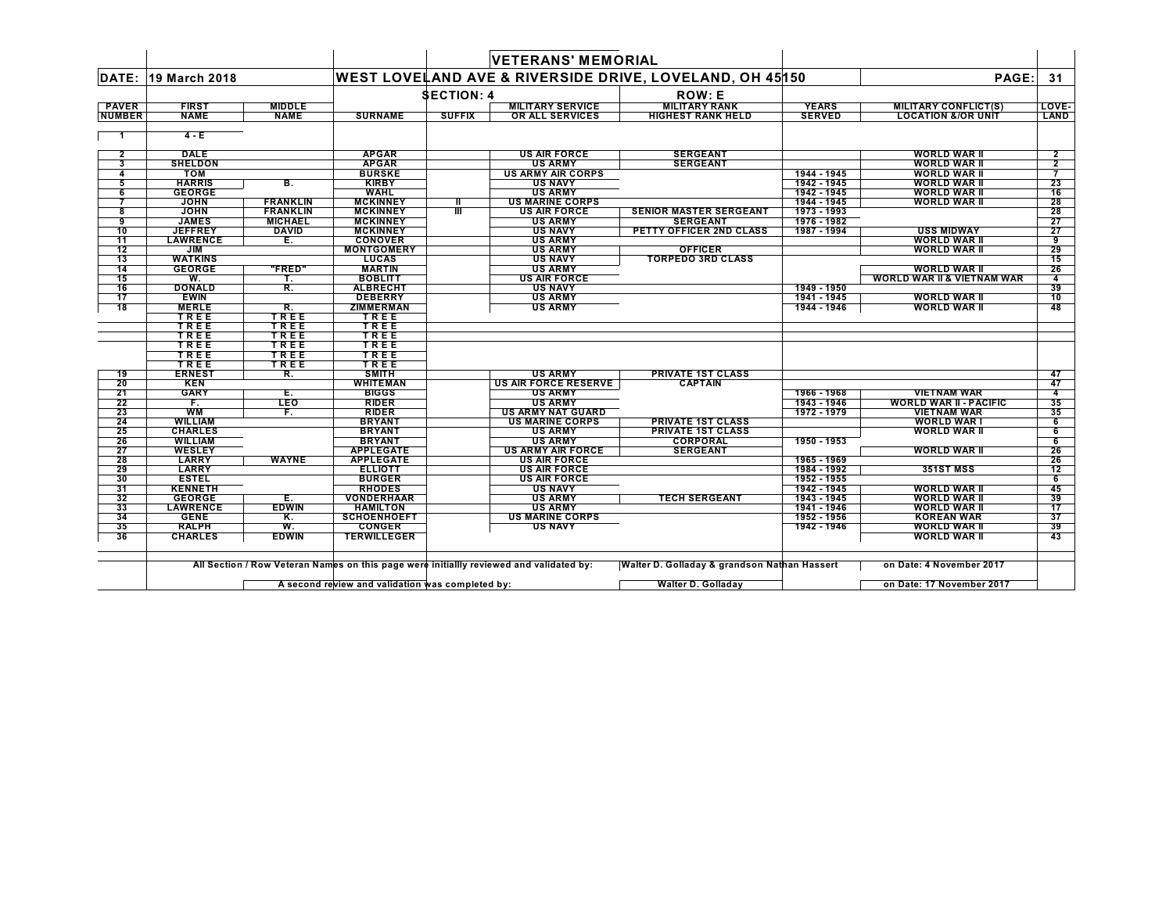|                          |                               |                 |                                      |                   | <b>VETERANS' MEMORIAL</b>                       |                                                         |                            |                                       |                      |
|--------------------------|-------------------------------|-----------------|--------------------------------------|-------------------|-------------------------------------------------|---------------------------------------------------------|----------------------------|---------------------------------------|----------------------|
| DATE:                    | 19 March 2018                 |                 |                                      |                   |                                                 | WEST LOVELAND AVE & RIVERSIDE DRIVE, LOVELAND, OH 45150 |                            | PAGE:                                 | 31                   |
|                          |                               |                 |                                      | <b>SECTION: 4</b> |                                                 | <b>ROW: E</b>                                           |                            |                                       |                      |
| <b>PAVER</b>             | <b>FIRST</b>                  | <b>MIDDLE</b>   |                                      |                   | <b>MILITARY SERVICE</b>                         | <b>MILITARY RANK</b>                                    | <b>YEARS</b>               | <b>MILITARY CONFLICT(S)</b>           | LOVE-                |
| <b>NUMBER</b>            | <b>NAME</b>                   | <b>NAME</b>     | <b>SURNAME</b>                       | <b>SUFFIX</b>     | OR ALL SERVICES                                 | <b>HIGHEST RANK HELD</b>                                | <b>SERVED</b>              | <b>LOCATION &amp;/OR UNIT</b>         | LAND                 |
|                          |                               |                 |                                      |                   |                                                 |                                                         |                            |                                       |                      |
|                          | $4 - E$                       |                 |                                      |                   |                                                 |                                                         |                            |                                       |                      |
| $\overline{2}$           | <b>DALE</b>                   |                 | <b>APGAR</b>                         |                   | <b>US AIR FORCE</b>                             | <b>SERGEANT</b>                                         |                            | <b>WORLD WAR II</b>                   | $\overline{2}$       |
| 3                        | <b>SHELDON</b>                |                 | <b>APGAR</b>                         |                   | <b>US ARMY</b>                                  | <b>SERGEANT</b>                                         |                            | <b>WORLD WAR II</b>                   | $\overline{2}$       |
| 4                        | <b>TOM</b>                    |                 | <b>BURSKE</b>                        |                   | <b>US ARMY AIR CORPS</b>                        |                                                         | 1944 - 1945                | <b>WORLD WAR II</b>                   |                      |
| 5                        | <b>HARRIS</b>                 | В.              | <b>KIRBY</b>                         |                   | US NAVY                                         |                                                         | 1942 - 1945                | <b>WORLD WAR II</b>                   | 23                   |
| 6                        | <b>GEORGE</b>                 |                 | <b>WAHL</b>                          |                   | <b>US ARMY</b>                                  |                                                         | 1942 - 1945                | <b>WORLD WAR II</b>                   | 16                   |
| 7                        | <b>JOHN</b>                   | <b>FRANKLIN</b> | <b>MCKINNEY</b>                      | Ш                 | <b>US MARINE CORPS</b>                          |                                                         | 1944 - 1945                | <b>WORLD WAR II</b>                   | 28                   |
| 8                        | <b>JOHN</b>                   | <b>FRANKLIN</b> | <b>MCKINNEY</b>                      | Ш                 | <b>US AIR FORCE</b>                             | SENIOR MASTER SERGEANT                                  | 1973 - 1993                |                                       | 28                   |
| -9                       | <b>JAMES</b>                  | <b>MICHAEL</b>  | <b>MCKINNEY</b>                      |                   | <b>US ARMY</b>                                  | <b>SERGEANT</b>                                         | 1976 - 1982                |                                       | 27                   |
| 10                       | <b>JEFFREY</b>                | DAVID           | <b>MCKINNEY</b>                      |                   | <b>US NAVY</b>                                  | PETTY OFFICER 2ND CLASS                                 | 1987 - 1994                | <b>USS MIDWAY</b>                     | 27                   |
| $\overline{11}$          | <b>LAWRENCE</b>               | Е.              | <b>CONOVER</b>                       |                   | <b>US ARMY</b>                                  |                                                         |                            | <b>WORLD WAR II</b>                   | 9                    |
| 12                       | JIM                           |                 | <b>MONTGOMERY</b>                    |                   | <b>US ARMY</b>                                  | <b>OFFICER</b>                                          |                            | <b>WORLD WAR II</b>                   | 29                   |
| $\overline{13}$          | <b>WATKINS</b>                |                 | <b>LUCAS</b>                         |                   | <b>US NAVY</b>                                  | <b>TORPEDO 3RD CLASS</b>                                |                            |                                       | 15                   |
| 14                       | <b>GEORGE</b>                 | "FRED"          | <b>MARTIN</b>                        |                   | <b>US ARMY</b>                                  |                                                         |                            | <b>WORLD WAR II</b>                   | 26                   |
| 15                       | W.                            | т.              | <b>BOBLITT</b>                       |                   | <b>US AIR FORCE</b>                             |                                                         |                            | <b>WORLD WAR II &amp; VIETNAM WAR</b> | $\overline{4}$<br>39 |
| $-16$<br>$\overline{17}$ | <b>DONALD</b><br><b>EWIN</b>  | R.              | <b>ALBRECHT</b><br><b>DEBERRY</b>    |                   | <b>US NAVY</b><br><b>US ARMY</b>                |                                                         | 1949 - 1950                | <b>WORLD WAR II</b>                   |                      |
| $\overline{18}$          | <b>MERLE</b>                  | R.              | <b>ZIMMERMAN</b>                     |                   | <b>US ARMY</b>                                  |                                                         | 1941 - 1945<br>1944 - 1946 | <b>WORLD WAR II</b>                   | 10<br>48             |
|                          | TREE                          | TREE            | TREE                                 |                   |                                                 |                                                         |                            |                                       |                      |
|                          | TREE                          | TREE            | TREE                                 |                   |                                                 |                                                         |                            |                                       |                      |
|                          | TREE                          | TREE            | TREE                                 |                   |                                                 |                                                         |                            |                                       |                      |
|                          | TREE                          | TREE            | TREE                                 |                   |                                                 |                                                         |                            |                                       |                      |
|                          | TREE                          | TREE            | TREE                                 |                   |                                                 |                                                         |                            |                                       |                      |
|                          | TREE                          | TREE            | TREE                                 |                   |                                                 |                                                         |                            |                                       |                      |
| 19                       | <b>ERNEST</b>                 | R.              | <b>SMITH</b>                         |                   | <b>US ARMY</b>                                  | <b>PRIVATE 1ST CLASS</b>                                |                            |                                       | 47                   |
| 20                       | <b>KEN</b>                    |                 | <b>WHITEMAN</b>                      |                   | <b>US AIR FORCE RESERVE</b>                     | <b>CAPTAIN</b>                                          |                            |                                       | 47                   |
| 21                       | <b>GARY</b>                   | Е.              | <b>BIGGS</b>                         |                   | <b>US ARMY</b>                                  |                                                         | 1966 - 1968                | <b>VIETNAM WAR</b>                    | $\overline{\bf{4}}$  |
| $\overline{22}$          | F.                            | <b>LEO</b>      | <b>RIDER</b>                         |                   | <b>US ARMY</b>                                  |                                                         | 1943 - 1946                | <b>WORLD WAR II - PACIFIC</b>         | 35                   |
| 23                       | <b>WM</b>                     | F.              | <b>RIDER</b>                         |                   | <b>US ARMY NAT GUARD</b>                        |                                                         | 1972 - 1979                | <b>VIETNAM WAR</b>                    | 35                   |
| 24                       | <b>WILLIAM</b>                |                 | <b>BRYANT</b>                        |                   | <b>US MARINE CORPS</b>                          | <b>PRIVATE 1ST CLASS</b>                                |                            | <b>WORLD WAR I</b>                    | 6                    |
| $\overline{25}$          | <b>CHARLES</b>                |                 | <b>BRYANT</b>                        |                   | <b>US ARMY</b>                                  | <b>PRIVATE 1ST CLASS</b>                                |                            | <b>WORLD WAR II</b>                   | 6                    |
| 26                       | <b>WILLIAM</b>                |                 | <b>BRYANT</b>                        |                   | <b>US ARMY</b>                                  | <b>CORPORAL</b>                                         | 1950 - 1953                |                                       | 6                    |
| 27<br>28                 | <b>WESLEY</b><br><b>LARRY</b> | <b>WAYNE</b>    | <b>APPLEGATE</b><br><b>APPLEGATE</b> |                   | <b>US ARMY AIR FORCE</b><br><b>US AIR FORCE</b> | <b>SERGEANT</b>                                         | 1965 - 1969                | <b>WORLD WAR II</b>                   | 26<br>26             |
| 29                       | <b>LARRY</b>                  |                 | <b>ELLIOTT</b>                       |                   | <b>US AIR FORCE</b>                             |                                                         | 1984 - 1992                | <b>351ST MSS</b>                      | 12                   |
| 30                       | <b>ESTEL</b>                  |                 | <b>BURGER</b>                        |                   | <b>US AIR FORCE</b>                             |                                                         | 1952 - 1955                |                                       | 6                    |
| 31                       | <b>KENNETH</b>                |                 | <b>RHODES</b>                        |                   | <b>US NAVY</b>                                  |                                                         | 1942 - 1945                | <b>WORLD WAR II</b>                   | 45                   |
| 32                       | <b>GEORGE</b>                 | Е.              | <b>VONDERHAAR</b>                    |                   | <b>US ARMY</b>                                  | <b>TECH SERGEANT</b>                                    | 1943 - 1945                | <b>WORLD WAR II</b>                   | 39                   |
| 33                       | <b>LAWRENCE</b>               | <b>EDWIN</b>    | <b>HAMILTON</b>                      |                   | <b>US ARMY</b>                                  |                                                         | 1941 - 1946                | <b>WORLD WAR II</b>                   | 17                   |
| 34                       | <b>GENE</b>                   | Κ.              | <b>SCHOENHOEFT</b>                   |                   | <b>US MARINE CORPS</b>                          |                                                         | 1952 - 1956                | <b>KOREAN WAR</b>                     | 37                   |
| 35                       | <b>RALPH</b>                  | W.              | <b>CONGER</b>                        |                   | <b>US NAVY</b>                                  |                                                         | 1942 - 1946                | <b>WORLD WAR II</b>                   | 39                   |
| 36                       | <b>CHARLES</b>                | <b>EDWIN</b>    | <b>TERWILLEGER</b>                   |                   |                                                 |                                                         |                            | <b>WORLD WAR II</b>                   | 43                   |
|                          |                               |                 |                                      |                   |                                                 |                                                         |                            |                                       |                      |

**A second review and validation was completed by: Walter D. Golladay on Date: 17 November 2017** $\mathsf{L}$ 

 $\blacksquare$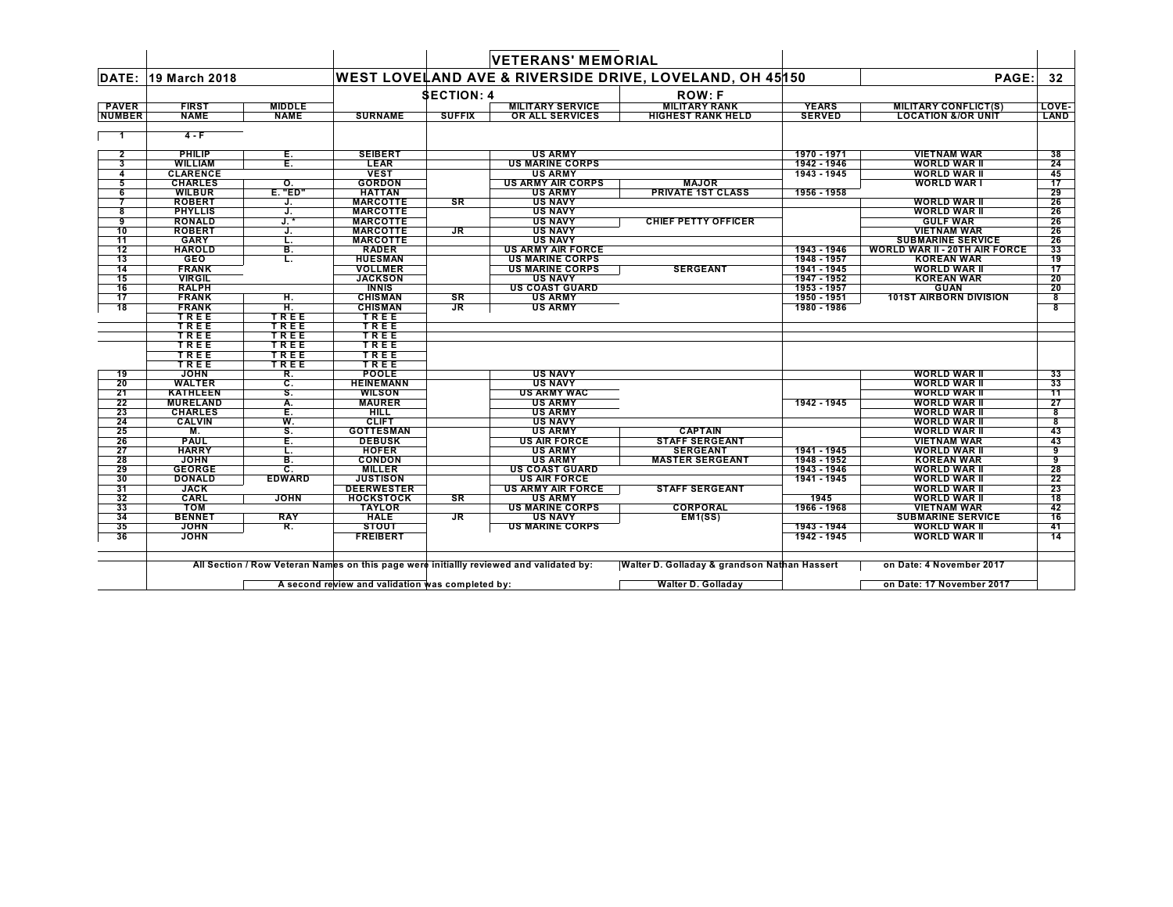|                               |                             |                              |                   |                                   | <b>VETERANS' MEMORIAL</b>                         |                                                         |                               |                                                              |                 |
|-------------------------------|-----------------------------|------------------------------|-------------------|-----------------------------------|---------------------------------------------------|---------------------------------------------------------|-------------------------------|--------------------------------------------------------------|-----------------|
| DATE:                         | 19 March 2018               |                              |                   |                                   |                                                   | WEST LOVELAND AVE & RIVERSIDE DRIVE, LOVELAND, OH 45150 |                               | PAGE:                                                        | 32              |
|                               |                             |                              |                   | <b>SECTION: 4</b>                 |                                                   | <b>ROW:F</b>                                            |                               |                                                              |                 |
| <b>PAVER</b><br><b>NUMBER</b> | <b>FIRST</b><br><b>NAME</b> | <b>MIDDLE</b><br><b>NAME</b> | <b>SURNAME</b>    | <b>SUFFIX</b>                     | <b>MILITARY SERVICE</b><br><b>OR ALL SERVICES</b> | <b>MILITARY RANK</b><br><b>HIGHEST RANK HELD</b>        | <b>YEARS</b><br><b>SERVED</b> | <b>MILITARY CONFLICT(S)</b><br><b>LOCATION &amp;/OR UNIT</b> | LOVE-<br>LAND   |
|                               | $4-F$                       |                              |                   |                                   |                                                   |                                                         |                               |                                                              |                 |
| $\overline{\mathbf{2}}$       | PHILIP                      | Е.                           | <b>SEIBERT</b>    |                                   | <b>US ARMY</b>                                    |                                                         | 1970 - 1971                   | <b>VIETNAM WAR</b>                                           | 38              |
| 3                             | <b>WILLIAM</b>              | Έ.                           | <b>LEAR</b>       |                                   | <b>US MARINE CORPS</b>                            |                                                         | 1942 - 1946                   | <b>WORLD WAR II</b>                                          | 24              |
| 4                             | <b>CLARENCE</b>             |                              | <b>VEST</b>       |                                   | <b>US ARMY</b>                                    |                                                         | 1943 - 1945                   | <b>WORLD WAR II</b>                                          | 45              |
| 5                             | <b>CHARLES</b>              | о.                           | <b>GORDON</b>     |                                   | <b>US ARMY AIR CORPS</b>                          | <b>MAJOR</b>                                            |                               | <b>WORLD WAR I</b>                                           | 17              |
| 6                             | <b>WILBUR</b>               | $E.$ "ED"                    | <b>HATTAN</b>     |                                   | <b>US ARMY</b>                                    | <b>PRIVATE 1ST CLASS</b>                                | 1956 - 1958                   |                                                              | 29              |
| 7                             | <b>ROBERT</b>               | J.                           | <b>MARCOTTE</b>   | <b>SR</b>                         | <b>US NAVY</b>                                    |                                                         |                               | <b>WORLD WAR II</b>                                          | 26              |
| 8                             | <b>PHYLLIS</b>              | J.                           | <b>MARCOTTE</b>   |                                   | <b>US NAVY</b>                                    |                                                         |                               | <b>WORLD WAR II</b>                                          | 26              |
| 9                             | <b>RONALD</b>               | $J.*$                        | <b>MARCOTTE</b>   |                                   | <b>US NAVY</b>                                    | <b>CHIEF PETTY OFFICER</b>                              |                               | <b>GULF WAR</b>                                              | 26              |
| 10                            | <b>ROBERT</b>               | J.                           | <b>MARCOTTE</b>   | $J_{\rm R}$                       | <b>US NAVY</b>                                    |                                                         |                               | <b>VIETNAM WAR</b>                                           | 26              |
| $\overline{11}$               | <b>GARY</b>                 | т.                           | <b>MARCOTTE</b>   |                                   | <b>US NAVY</b>                                    |                                                         |                               | <b>SUBMARINE SERVICE</b>                                     | 26              |
| 12                            | <b>HAROLD</b>               | В.                           | <b>RADER</b>      |                                   | <b>US ARMY AIR FORCE</b>                          |                                                         | 1943 - 1946                   | <b>WORLD WAR II - 20TH AIR FORCE</b>                         | 33              |
| $\overline{13}$               | <b>GEO</b>                  | L.                           | <b>HUESMAN</b>    |                                   | <b>US MARINE CORPS</b>                            |                                                         | 1948 - 1957                   | <b>KOREAN WAR</b>                                            | 19              |
| 14                            | <b>FRANK</b>                |                              | <b>VOLLMER</b>    |                                   | <b>US MARINE CORPS</b>                            | <b>SERGEANT</b>                                         | 1941 - 1945                   | <b>WORLD WAR II</b>                                          | $\overline{17}$ |
| 15                            | <b>VIRGIL</b>               |                              | <b>JACKSON</b>    |                                   | <b>US NAVY</b>                                    |                                                         | 1947 - 1952                   | <b>KOREAN WAR</b>                                            | 20              |
| 16                            | <b>RALPH</b>                |                              | <b>INNIS</b>      |                                   | <b>US COAST GUARD</b>                             |                                                         | 1953 - 1957                   | <b>GUAN</b>                                                  | 20              |
| 17                            | <b>FRANK</b>                | н.                           | <b>CHISMAN</b>    | SR                                | <b>US ARMY</b>                                    |                                                         | 1950 - 1951                   | <b>101ST AIRBORN DIVISION</b>                                | 8               |
| 18                            | <b>FRANK</b>                | H.                           | <b>CHISMAN</b>    | $\overline{\mathsf{J}\mathsf{R}}$ | <b>US ARMY</b>                                    |                                                         | 1980 - 1986                   |                                                              |                 |
|                               | TREE                        | TREE                         | TREE              |                                   |                                                   |                                                         |                               |                                                              |                 |
|                               | TREE                        | TREE                         | TREE              |                                   |                                                   |                                                         |                               |                                                              |                 |
|                               | TREE                        | <b>TREE</b>                  | TREE              |                                   |                                                   |                                                         |                               |                                                              |                 |
|                               | TREE                        | <b>TREE</b>                  | TREE              |                                   |                                                   |                                                         |                               |                                                              |                 |
|                               | TREE                        | TREE                         | TREE              |                                   |                                                   |                                                         |                               |                                                              |                 |
|                               | TREE                        | TREE                         | TREE              |                                   |                                                   |                                                         |                               |                                                              |                 |
| 19                            | <b>JOHN</b>                 | R.                           | <b>POOLE</b>      |                                   | <b>US NAVY</b>                                    |                                                         |                               | <b>WORLD WAR II</b>                                          | 33              |
| 20                            | <b>WALTER</b>               | C.                           | <b>HEINEMANN</b>  |                                   | <b>US NAVY</b>                                    |                                                         |                               | <b>WORLD WAR II</b>                                          | 33              |
| 21                            | <b>KATHLEEN</b>             | s.                           | <b>WILSON</b>     |                                   | <b>US ARMY WAC</b>                                |                                                         |                               | <b>WORLD WAR II</b>                                          | 11              |
| 22                            | <b>MURELAND</b>             | А.                           | <b>MAURER</b>     |                                   | <b>US ARMY</b>                                    |                                                         | 1942 - 1945                   | <b>WORLD WAR II</b>                                          | 27              |
| 23                            | <b>CHARLES</b>              | Е.                           | <b>HILL</b>       |                                   | <b>US ARMY</b>                                    |                                                         |                               | <b>WORLD WAR II</b>                                          | 8               |
| 24                            | <b>CALVIN</b>               | W.                           | <b>CLIFT</b>      |                                   | <b>US NAVY</b>                                    |                                                         |                               | <b>WORLD WAR II</b>                                          | 8               |
| 25                            | M.                          | S.                           | <b>GOTTESMAN</b>  |                                   | <b>US ARMY</b>                                    | <b>CAPTAIN</b>                                          |                               | <b>WORLD WAR II</b>                                          | 43              |
| 26                            | <b>PAUL</b>                 | E.                           | <b>DEBUSK</b>     |                                   | <b>US AIR FORCE</b>                               | <b>STAFF SERGEANT</b>                                   |                               | <b>VIETNAM WAR</b>                                           | 43              |
| 27                            | <b>HARRY</b>                | L.                           | <b>HOFER</b>      |                                   | <b>US ARMY</b>                                    | <b>SERGEANT</b>                                         | 1941 - 1945                   | <b>WORLD WAR II</b>                                          | 9               |
| 28                            | <b>JOHN</b>                 | В.                           | <b>CONDON</b>     |                                   | <b>US ARMY</b>                                    | <b>MASTER SERGEANT</b>                                  | 1948 - 1952                   | <b>KOREAN WAR</b>                                            | 9               |
| 29                            | <b>GEORGE</b>               | С.                           | <b>MILLER</b>     |                                   | <b>US COAST GUARD</b>                             |                                                         | 1943 - 1946                   | <b>WORLD WAR II</b>                                          | 28              |
| 30                            | <b>DONALD</b>               | <b>EDWARD</b>                | <b>JUSTISON</b>   |                                   | <b>US AIR FORCE</b>                               |                                                         | 1941 - 1945                   | <b>WORLD WAR II</b>                                          | $\overline{22}$ |
| 31                            | <b>JACK</b>                 |                              | <b>DEERWESTER</b> |                                   | <b>US ARMY AIR FORCE</b>                          | <b>STAFF SERGEANT</b>                                   |                               | <b>WORLD WAR II</b>                                          | 23              |
| 32                            | CARL                        | <b>JOHN</b>                  | <b>HOCKSTOCK</b>  | <b>SR</b>                         | <b>US ARMY</b>                                    |                                                         | 1945                          | <b>WORLD WAR II</b>                                          | 18              |
| 33                            | <b>TOM</b>                  |                              | <b>TAYLOR</b>     |                                   | <b>US MARINE CORPS</b>                            | <b>CORPORAL</b>                                         | 1966 - 1968                   | <b>VIETNAM WAR</b>                                           | 42              |
| 34                            | <b>BENNET</b>               | <b>RAY</b>                   | <b>HALE</b>       | JR                                | <b>US NAVY</b>                                    | EM1(SS)                                                 |                               | <b>SUBMARINE SERVICE</b>                                     | 16              |
| 35                            | <b>JOHN</b>                 | R.                           | <b>STOUT</b>      |                                   | <b>US MARINE CORPS</b>                            |                                                         | 1943 - 1944                   | <b>WORLD WAR II</b>                                          | 41              |
| 36                            | <b>JOHN</b>                 |                              | <b>FREIBERT</b>   |                                   |                                                   |                                                         | 1942 - 1945                   | <b>WORLD WAR II</b>                                          | $\overline{14}$ |

**A second review and validation was completed by: Walter D. Golladay on Date: 17 November 2017** $\mathsf{L}$ 

 $\blacksquare$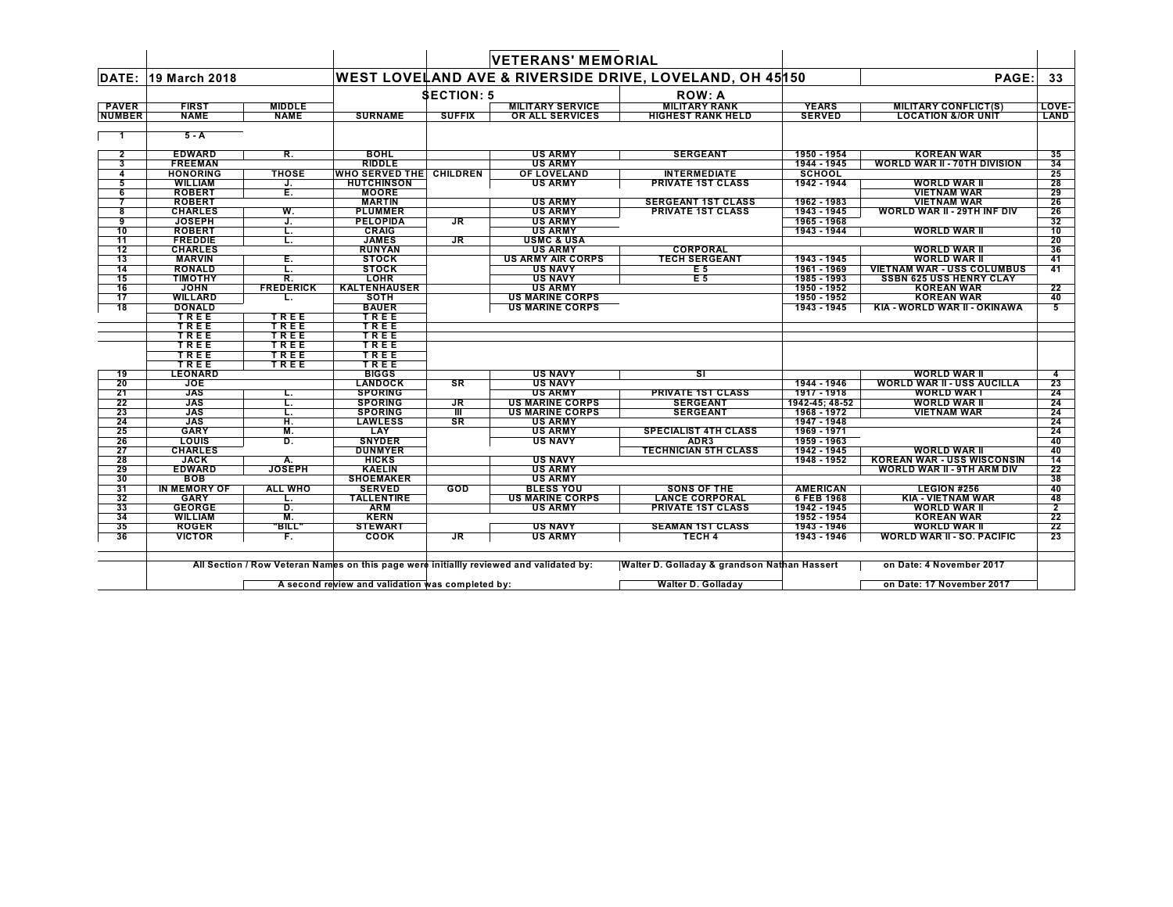|                     |                                    |                     |                                    |                   | <b>VETERANS' MEMORIAL</b>                  |                                                         |                               |                                                          |                 |
|---------------------|------------------------------------|---------------------|------------------------------------|-------------------|--------------------------------------------|---------------------------------------------------------|-------------------------------|----------------------------------------------------------|-----------------|
| DATE:               | 19 March 2018                      |                     |                                    |                   |                                            | WEST LOVELAND AVE & RIVERSIDE DRIVE, LOVELAND, OH 45150 |                               | PAGE:                                                    | 33              |
|                     |                                    |                     |                                    | <b>SECTION: 5</b> |                                            | <b>ROW: A</b>                                           |                               |                                                          |                 |
| <b>PAVER</b>        | <b>FIRST</b>                       | <b>MIDDLE</b>       |                                    |                   | <b>MILITARY SERVICE</b>                    | <b>MILITARY RANK</b>                                    | <b>YEARS</b>                  | <b>MILITARY CONFLICT(S)</b>                              | LOVE-           |
| <b>NUMBER</b>       | <b>NAME</b>                        | <b>NAME</b>         | <b>SURNAME</b>                     | <b>SUFFIX</b>     | OR ALL SERVICES                            | <b>HIGHEST RANK HELD</b>                                | <b>SERVED</b>                 | <b>LOCATION &amp;/OR UNIT</b>                            | LAND            |
|                     |                                    |                     |                                    |                   |                                            |                                                         |                               |                                                          |                 |
|                     | $5 - A$                            |                     |                                    |                   |                                            |                                                         |                               |                                                          |                 |
|                     |                                    |                     |                                    |                   |                                            |                                                         |                               |                                                          |                 |
| $\overline{2}$<br>3 | <b>EDWARD</b><br><b>FREEMAN</b>    | R.                  | <b>BOHL</b><br><b>RIDDLE</b>       |                   | <b>US ARMY</b><br><b>US ARMY</b>           | <b>SERGEANT</b>                                         | 1950 - 1954<br>1944 - 1945    | <b>KOREAN WAR</b><br><b>WORLD WAR II - 70TH DIVISION</b> | 35<br>34        |
| 4                   | <b>HONORING</b>                    | <b>THOSE</b>        | <b>WHO SERVED THE CHILDREN</b>     |                   | OF LOVELAND                                | <b>INTERMEDIATE</b>                                     | <b>SCHOOL</b>                 |                                                          | 25              |
| 5                   | <b>WILLIAM</b>                     | J.                  | <b>HUTCHINSON</b>                  |                   | <b>US ARMY</b>                             | <b>PRIVATE 1ST CLASS</b>                                | 1942 - 1944                   | <b>WORLD WAR II</b>                                      | 28              |
| 6                   | <b>ROBERT</b>                      | E.                  | <b>MOORE</b>                       |                   |                                            |                                                         |                               | <b>VIETNAM WAR</b>                                       | 29              |
| 7                   | <b>ROBERT</b>                      |                     | <b>MARTIN</b>                      |                   | <b>US ARMY</b>                             | <b>SERGEANT 1ST CLASS</b>                               | 1962 - 1983                   | <b>VIETNAM WAR</b>                                       | 26              |
| 8                   | <b>CHARLES</b>                     | W.                  | <b>PLUMMER</b>                     |                   | <b>US ARMY</b>                             | <b>PRIVATE 1ST CLASS</b>                                | 1943 - 1945                   | WORLD WAR II - 29TH INF DIV                              | 26              |
| 9                   | <b>JOSEPH</b>                      | J.                  | <b>PELOPIDA</b>                    | JR                | <b>US ARMY</b>                             |                                                         | 1965 - 1968                   |                                                          | 32              |
| 10                  | <b>ROBERT</b>                      | L.                  | <b>CRAIG</b>                       |                   | <b>US ARMY</b>                             |                                                         | 1943 - 1944                   | <b>WORLD WAR II</b>                                      | 10              |
| 11                  | <b>FREDDIE</b>                     | L.                  | <b>JAMES</b>                       | <b>JR</b>         | <b>USMC &amp; USA</b>                      |                                                         |                               |                                                          | $\overline{20}$ |
| 12                  | <b>CHARLES</b>                     |                     | <b>RUNYAN</b>                      |                   | <b>US ARMY</b>                             | <b>CORPORAL</b>                                         |                               | <b>WORLD WAR II</b>                                      | 36              |
| 13                  | <b>MARVIN</b>                      | Е.                  | <b>STOCK</b>                       |                   | <b>US ARMY AIR CORPS</b>                   | <b>TECH SERGEANT</b>                                    | 1943 - 1945                   | <b>WORLD WAR II</b>                                      | 41              |
| 14                  | <b>RONALD</b>                      | L.                  | <b>STOCK</b>                       |                   | <b>US NAVY</b>                             | E 5                                                     | 1961 - 1969                   | <b>VIETNAM WAR - USS COLUMBUS</b>                        | 41              |
| 15                  | TIMOTHY                            | R.                  | <b>LOHR</b>                        |                   | <b>US NAVY</b>                             | E <sub>5</sub>                                          | 1985 - 1993                   | <b>SSBN 625 USS HENRY CLAY</b>                           |                 |
| 16                  | <b>JOHN</b>                        | <b>FREDERICK</b>    | <b>KALTENHAUSER</b>                |                   | <b>US ARMY</b>                             |                                                         | 1950 - 1952                   | <b>KOREAN WAR</b>                                        | 22              |
| 17                  | <b>WILLARD</b>                     | ъ.                  | <b>SOTH</b>                        |                   | <b>US MARINE CORPS</b>                     |                                                         | 1950 - 1952                   | <b>KOREAN WAR</b>                                        | 40              |
| 18                  | <b>DONALD</b><br>TREE              |                     | <b>BAUER</b><br>TREE               |                   | <b>US MARINE CORPS</b>                     |                                                         | 1943 - 1945                   | KIA - WORLD WAR II - OKINAWA                             | 5               |
|                     | TREE                               | <b>TREE</b><br>TREE | TREE                               |                   |                                            |                                                         |                               |                                                          |                 |
|                     | TREE                               | TREE                | TREE                               |                   |                                            |                                                         |                               |                                                          |                 |
|                     | TREE                               | TREE                | TREE                               |                   |                                            |                                                         |                               |                                                          |                 |
|                     | TREE                               | TREE                | TREE                               |                   |                                            |                                                         |                               |                                                          |                 |
|                     | TREE                               | TREE                | TREE                               |                   |                                            |                                                         |                               |                                                          |                 |
| 19                  | <b>LEONARD</b>                     |                     | <b>BIGGS</b>                       |                   | <b>US NAVY</b>                             | SΙ                                                      |                               | <b>WORLD WAR II</b>                                      | 4               |
| 20                  | <b>JOE</b>                         |                     | <b>LANDOCK</b>                     | <b>SR</b>         | <b>US NAVY</b>                             |                                                         | 1944 - 1946                   | <b>WORLD WAR II - USS AUCILLA</b>                        | 23              |
| 21                  | <b>JAS</b>                         | L.                  | <b>SPORING</b>                     |                   | <b>US ARMY</b>                             | <b>PRIVATE 1ST CLASS</b>                                | 1917 - 1918                   | <b>WORLD WAR I</b>                                       | 24              |
| 22                  | <b>JAS</b>                         | т.                  | <b>SPORING</b>                     | <b>JR</b>         | <b>US MARINE CORPS</b>                     | <b>SERGEANT</b>                                         | 1942-45: 48-52                | <b>WORLD WAR II</b>                                      | 24              |
| 23                  | <b>JAS</b>                         | τ.                  | <b>SPORING</b>                     | TII               | <b>US MARINE CORPS</b>                     | <b>SERGEANT</b>                                         | 1968 - 1972                   | <b>VIETNAM WAR</b>                                       | 24              |
| 24                  | <b>JAS</b>                         | н.                  | <b>LAWLESS</b>                     | <b>SR</b>         | <b>US ARMY</b>                             |                                                         | 1947 - 1948                   |                                                          | 24              |
| 25                  | <b>GARY</b>                        | M.                  | LAY                                |                   | <b>US ARMY</b>                             | <b>SPECIALIST 4TH CLASS</b>                             | 1969 - 1971                   |                                                          | 24              |
| 26                  | LOUIS                              | D.                  | <b>SNYDER</b>                      |                   | <b>US NAVY</b>                             | ADR <sub>3</sub>                                        | 1959 - 1963                   |                                                          | 40              |
| 27                  | <b>CHARLES</b>                     |                     | <b>DUNMYER</b>                     |                   |                                            | <b>TECHNICIAN 5TH CLASS</b>                             | 1942 - 1945                   | <b>WORLD WAR II</b>                                      | 40              |
| 28                  | <b>JACK</b>                        | A.                  | <b>HICKS</b>                       |                   | <b>US NAVY</b>                             |                                                         | 1948 - 1952                   | <b>KOREAN WAR - USS WISCONSIN</b>                        | 14              |
| 29                  | <b>EDWARD</b>                      | <b>JOSEPH</b>       | <b>KAELIN</b>                      |                   | <b>US ARMY</b>                             |                                                         |                               | <b>WORLD WAR II - 9TH ARM DIV</b>                        | 22              |
| 30                  | <b>BOB</b>                         |                     | <b>SHOEMAKER</b>                   |                   | <b>US ARMY</b>                             |                                                         |                               |                                                          | 38              |
| 31<br>32            | <b>IN MEMORY OF</b><br><b>GARY</b> | ALL WHO             | <b>SERVED</b><br><b>TALLENTIRE</b> | GOD               | <b>BLESS YOU</b><br><b>US MARINE CORPS</b> | SONS OF THE<br><b>LANCE CORPORAL</b>                    | <b>AMERICAN</b><br>6 FEB 1968 | <b>LEGION #256</b><br><b>KIA - VIETNAM WAR</b>           | 40<br>48        |
| 33                  | <b>GEORGE</b>                      | L.<br>D.            | <b>ARM</b>                         |                   | <b>US ARMY</b>                             | <b>PRIVATE 1ST CLASS</b>                                | 1942 - 1945                   | WORLD WAR II                                             | $\overline{2}$  |
| 34                  | <b>WILLIAM</b>                     | M.                  | <b>KERN</b>                        |                   |                                            |                                                         | 1952 - 1954                   | <b>KOREAN WAR</b>                                        | 22              |
| 35                  | <b>ROGER</b>                       | "BILL"              | <b>STEWART</b>                     |                   | <b>US NAVY</b>                             | <b>SEAMAN 1ST CLASS</b>                                 | 1943 - 1946                   | <b>WORLD WAR II</b>                                      | $\overline{22}$ |
| 36                  | <b>VICTOR</b>                      | F.                  | <b>COOK</b>                        | JR                | <b>US ARMY</b>                             | <b>TECH 4</b>                                           | 1943 - 1946                   | <b>WORLD WAR II - SO. PACIFIC</b>                        | 23              |

 $\vdash$ 

 $\Box$ 

**A second review and validation was completed by: Walter D. Golladay on Date: 17 November 2017** $\mathbf{I}$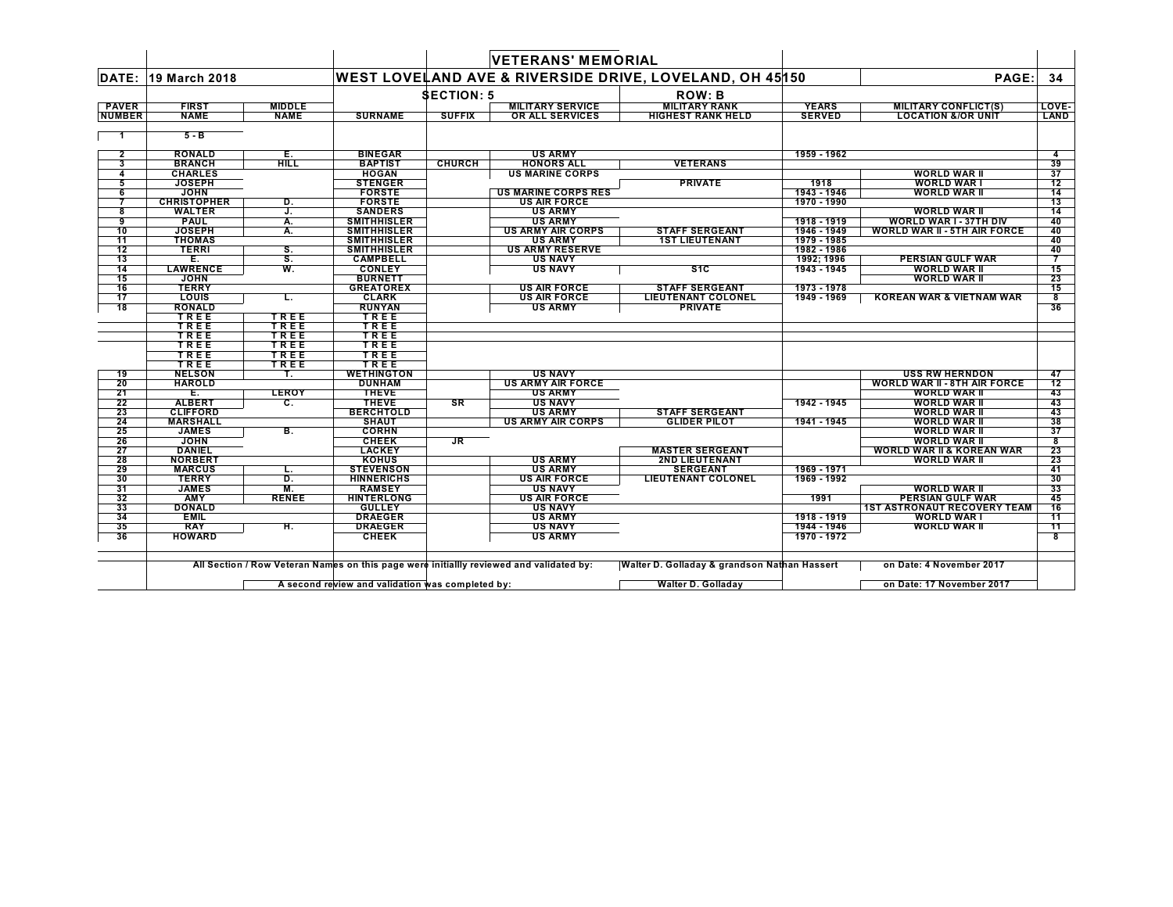|               |                               |                         |                                          |                   | <b>VETERANS' MEMORIAL</b>                  |                                                         |                            |                                      |                 |
|---------------|-------------------------------|-------------------------|------------------------------------------|-------------------|--------------------------------------------|---------------------------------------------------------|----------------------------|--------------------------------------|-----------------|
| DATE:         | 19 March 2018                 |                         |                                          |                   |                                            | WEST LOVELAND AVE & RIVERSIDE DRIVE, LOVELAND, OH 45150 |                            | PAGE:                                | 34              |
|               |                               |                         |                                          | <b>SECTION: 5</b> |                                            | <b>ROW: B</b>                                           |                            |                                      |                 |
| <b>PAVER</b>  | <b>FIRST</b>                  | <b>MIDDLE</b>           |                                          |                   | <b>MILITARY SERVICE</b>                    | <b>MILITARY RANK</b>                                    | <b>YEARS</b>               | <b>MILITARY CONFLICT(S)</b>          | LOVE-           |
| <b>NUMBER</b> | <b>NAME</b>                   | <b>NAME</b>             | <b>SURNAME</b>                           | <b>SUFFIX</b>     | OR ALL SERVICES                            | <b>HIGHEST RANK HELD</b>                                | <b>SERVED</b>              | <b>LOCATION &amp;/OR UNIT</b>        | LAND            |
| $\mathbf{1}$  | $5 - B$                       |                         |                                          |                   |                                            |                                                         |                            |                                      |                 |
| $\mathbf{2}$  | <b>RONALD</b>                 | $\frac{E}{\text{Hilb}}$ | <b>BINEGAR</b>                           |                   | <b>US ARMY</b>                             |                                                         | 1959 - 1962                |                                      |                 |
| 3             | <b>BRANCH</b>                 |                         | <b>BAPTIST</b>                           | <b>CHURCH</b>     | <b>HONORS ALL</b>                          | <b>VETERANS</b>                                         |                            |                                      | 39              |
| 4             | <b>CHARLES</b>                |                         | <b>HOGAN</b>                             |                   | <b>US MARINE CORPS</b>                     |                                                         |                            | <b>WORLD WAR II</b>                  | 37              |
| 5             | <b>JOSEPH</b>                 |                         | <b>STENGER</b>                           |                   |                                            | <b>PRIVATE</b>                                          | 1918                       | <b>WORLD WAR I</b>                   | 12              |
| 6             | <b>JOHN</b>                   |                         | <b>FORSTE</b>                            |                   | <b>US MARINE CORPS RES</b>                 |                                                         | 1943 - 1946                | <b>WORLD WAR II</b>                  | 14              |
|               | <b>CHRISTOPHER</b>            | D.                      | <b>FORSTE</b>                            |                   | <b>US AIR FORCE</b>                        |                                                         | 1970 - 1990                |                                      | 13              |
| 8             | <b>WALTER</b>                 | J.                      | <b>SANDERS</b>                           |                   | <b>US ARMY</b>                             |                                                         |                            | <b>WORLD WAR II</b>                  | $\overline{14}$ |
| 9<br>10       | <b>PAUL</b><br><b>JOSEPH</b>  | А.                      | <b>SMITHHISLER</b>                       |                   | <b>US ARMY</b><br><b>US ARMY AIR CORPS</b> | <b>STAFF SERGEANT</b>                                   | 1918 - 1919<br>1946 - 1949 | WORLD WAR I - 37TH DIV               | 40              |
|               |                               | Α.                      | <b>SMITHHISLER</b>                       |                   |                                            |                                                         |                            | <b>WORLD WAR II - 5TH AIR FORCE</b>  | 40              |
| 11<br>12      | <b>THOMAS</b><br><b>TERRI</b> | S.                      | <b>SMITHHISLER</b><br><b>SMITHHISLER</b> |                   | <b>US ARMY</b><br><b>US ARMY RESERVE</b>   | <b>1ST LIEUTENANT</b>                                   | 1979 - 1985<br>1982 - 1986 |                                      | 40<br>40        |
| 13            | Е.                            | s.                      | <b>CAMPBELL</b>                          |                   | <b>US NAVY</b>                             |                                                         | 1992: 1996                 | PERSIAN GULF WAR                     | $\overline{7}$  |
| 14            | <b>LAWRENCE</b>               | W.                      | <b>CONLEY</b>                            |                   | <b>US NAVY</b>                             | S <sub>1</sub> C                                        | 1943 - 1945                | <b>WORLD WAR II</b>                  | 15              |
| 15            | <b>JOHN</b>                   |                         | <b>BURNETT</b>                           |                   |                                            |                                                         |                            | <b>WORLD WAR II</b>                  | 23              |
| 16            | <b>TERRY</b>                  |                         | <b>GREATOREX</b>                         |                   | <b>US AIR FORCE</b>                        | <b>STAFF SERGEANT</b>                                   | 1973 - 1978                |                                      | 15              |
| 17            | <b>LOUIS</b>                  | L.                      | <b>CLARK</b>                             |                   | <b>US AIR FORCE</b>                        | <b>LIEUTENANT COLONEL</b>                               | 1949 - 1969                | <b>KOREAN WAR &amp; VIETNAM WAR</b>  | 8               |
| 18            | <b>RONALD</b>                 |                         | <b>RUNYAN</b>                            |                   | <b>US ARMY</b>                             | <b>PRIVATE</b>                                          |                            |                                      | 36              |
|               | TREE                          | TREE                    | TREE                                     |                   |                                            |                                                         |                            |                                      |                 |
|               | TREE                          | TREE                    | TREE                                     |                   |                                            |                                                         |                            |                                      |                 |
|               | TREE                          | TREE                    | TREE                                     |                   |                                            |                                                         |                            |                                      |                 |
|               | TREE                          | TREE                    | TREE                                     |                   |                                            |                                                         |                            |                                      |                 |
|               | TREE                          | <b>TREE</b>             | TREE                                     |                   |                                            |                                                         |                            |                                      |                 |
|               | TREE                          | TREE                    | TREE                                     |                   |                                            |                                                         |                            |                                      |                 |
| 19            | <b>NELSON</b>                 |                         | <b>WETHINGTON</b>                        |                   | <b>US NAVY</b>                             |                                                         |                            | <b>USS RW HERNDON</b>                | 47              |
| 20            | <b>HAROLD</b>                 |                         | <b>DUNHAM</b>                            |                   | <b>US ARMY AIR FORCE</b>                   |                                                         |                            | <b>WORLD WAR II - 8TH AIR FORCE</b>  | 12              |
| 21            | Е.                            | LEROY                   | <b>THEVE</b>                             |                   | <b>US ARMY</b>                             |                                                         |                            | <b>WORLD WAR II</b>                  | 43              |
| 22            | <b>ALBERT</b>                 | C.                      | <b>THEVE</b>                             | <b>SR</b>         | <b>US NAVY</b>                             |                                                         | 1942 - 1945                | <b>WORLD WAR II</b>                  | 43              |
| 23            | <b>CLIFFORD</b>               |                         | <b>BERCHTOLD</b>                         |                   | <b>US ARMY</b>                             | <b>STAFF SERGEANT</b>                                   |                            | <b>WORLD WAR II</b>                  | 43              |
| 24            | <b>MARSHALL</b>               |                         | <b>SHAUT</b>                             |                   | <b>US ARMY AIR CORPS</b>                   | <b>GLIDER PILOT</b>                                     | 1941 - 1945                | <b>WORLD WAR II</b>                  | 38              |
| 25            | <b>JAMES</b>                  | В.                      | <b>CORHN</b>                             |                   |                                            |                                                         |                            | <b>WORLD WAR II</b>                  | 37              |
| 26            | <b>JOHN</b>                   |                         | <b>CHEEK</b>                             | <b>JR</b>         |                                            |                                                         |                            | <b>WORLD WAR II</b>                  | 8               |
| 27            | <b>DANIEL</b>                 |                         | <b>LACKEY</b>                            |                   |                                            | <b>MASTER SERGEANT</b>                                  |                            | <b>WORLD WAR II &amp; KOREAN WAR</b> | 23              |
| 28            | <b>NORBERT</b>                |                         | <b>KOHUS</b>                             |                   | <b>US ARMY</b>                             | <b>2ND LIEUTENANT</b>                                   |                            | <b>WORLD WAR II</b>                  | 23              |
| 29            | <b>MARCUS</b>                 | L.                      | <b>STEVENSON</b>                         |                   | <b>US ARMY</b>                             | <b>SERGEANT</b>                                         | 1969 - 1971                |                                      | 41              |
| 30            | <b>TERRY</b><br><b>JAMES</b>  | D.<br>M.                | <b>HINNERICHS</b><br><b>RAMSEY</b>       |                   | <b>US AIR FORCE</b><br><b>US NAVY</b>      | <b>LIEUTENANT COLONEL</b>                               | 1969 - 1992                | <b>WORLD WAR II</b>                  | 30<br>33        |
| 31<br>32      | <b>AMY</b>                    | <b>RENEE</b>            | <b>HINTERLONG</b>                        |                   | <b>US AIR FORCE</b>                        |                                                         | 1991                       | <b>PERSIAN GULF WAR</b>              | 45              |
| 33            | <b>DONALD</b>                 |                         | <b>GULLEY</b>                            |                   | <b>US NAVY</b>                             |                                                         |                            | <b>1ST ASTRONAUT RECOVERY TEAM</b>   | 16              |
| 34            | <b>EMIL</b>                   |                         | <b>DRAEGER</b>                           |                   | <b>US ARMY</b>                             |                                                         | 1918 - 1919                | <b>WORLD WART</b>                    | 11              |
| 35            | <b>RAY</b>                    | н.                      | <b>DRAEGER</b>                           |                   | <b>US NAVY</b>                             |                                                         | 1944 - 1946                | <b>WORLD WAR II</b>                  | 11              |
| 36            | <b>HOWARD</b>                 |                         | <b>CHEEK</b>                             |                   | <b>US ARMY</b>                             |                                                         | 1970 - 1972                |                                      | 8               |
|               |                               |                         |                                          |                   |                                            |                                                         |                            |                                      |                 |
|               |                               |                         |                                          |                   |                                            |                                                         |                            |                                      |                 |

 $\mathsf{L}$ 

**A second review and validation was completed by: Walter D. Golladay on Date: 17 November 2017**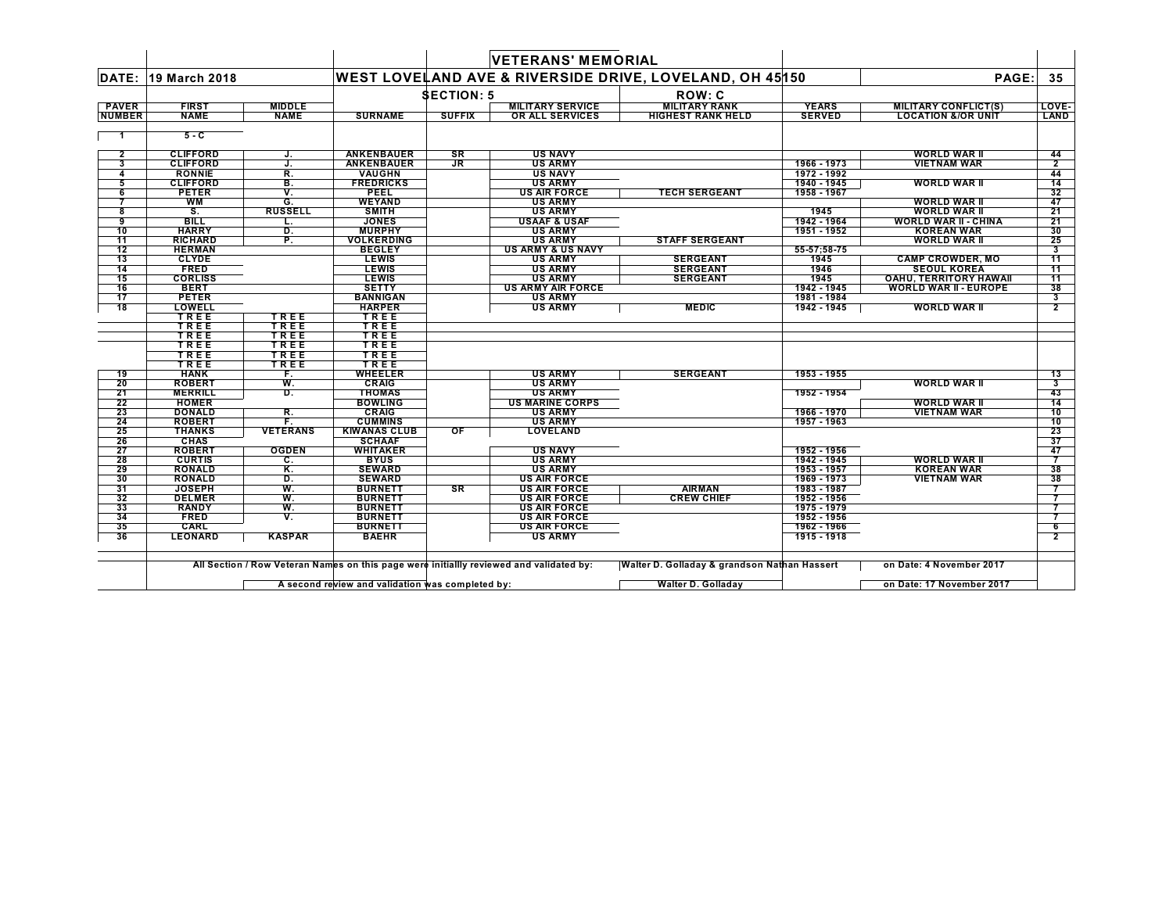|               |                           |                 |                                                                                         |                   | <b>VETERANS' MEMORIAL</b>             |                                                         |                            |                               |                                   |
|---------------|---------------------------|-----------------|-----------------------------------------------------------------------------------------|-------------------|---------------------------------------|---------------------------------------------------------|----------------------------|-------------------------------|-----------------------------------|
| DATE:         | 19 March 2018             |                 |                                                                                         |                   |                                       | WEST LOVELAND AVE & RIVERSIDE DRIVE, LOVELAND, OH 45150 |                            | PAGE:                         | 35                                |
|               |                           |                 |                                                                                         | <b>SECTION: 5</b> |                                       | <b>ROW: C</b>                                           |                            |                               |                                   |
| <b>PAVER</b>  | <b>FIRST</b>              | <b>MIDDLE</b>   |                                                                                         |                   | <b>MILITARY SERVICE</b>               | <b>MILITARY RANK</b>                                    | <b>YEARS</b>               | <b>MILITARY CONFLICT(S)</b>   | LOVE-                             |
| <b>NUMBER</b> | <b>NAME</b>               | <b>NAME</b>     | <b>SURNAME</b>                                                                          | <b>SUFFIX</b>     | <b>OR ALL SERVICES</b>                | <b>HIGHEST RANK HELD</b>                                | <b>SERVED</b>              | <b>LOCATION &amp;/OR UNIT</b> | LAND                              |
| -1            | $5 - C$                   |                 |                                                                                         |                   |                                       |                                                         |                            |                               |                                   |
| $\mathbf{2}$  | <b>CLIFFORD</b>           | J.              | <b>ANKENBAUER</b>                                                                       | SR                | <b>US NAVY</b>                        |                                                         |                            | <b>WORLD WAR II</b>           | 44                                |
| 3             | <b>CLIFFORD</b>           | J.              | <b>ANKENBAUER</b>                                                                       | JR                | <b>US ARMY</b>                        |                                                         | 1966 - 1973                | <b>VIETNAM WAR</b>            | $\overline{2}$                    |
| 4             | <b>RONNIE</b>             | R.              | VAUGHN                                                                                  |                   | <b>US NAVY</b>                        |                                                         | 1972 - 1992                |                               | 44                                |
| 5             | <b>CLIFFORD</b>           | В.              | <b>FREDRICKS</b>                                                                        |                   | <b>US ARMY</b>                        |                                                         | 1940 - 1945                | <b>WORLD WAR II</b>           | 14                                |
| 6<br>7        | <b>PETER</b><br><b>WM</b> | ۷.<br>G.        | <b>PEEL</b><br><b>WEYAND</b>                                                            |                   | <b>US AIR FORCE</b><br><b>US ARMY</b> | <b>TECH SERGEANT</b>                                    | 1958 - 1967                | <b>WORLD WAR II</b>           | 32<br>47                          |
| 8             | S.                        | <b>RUSSELL</b>  | <b>SMITH</b>                                                                            |                   | <b>US ARMY</b>                        |                                                         | 1945                       | <b>WORLD WAR II</b>           | 21                                |
| 9             | <b>BILL</b>               | L.              | <b>JONES</b>                                                                            |                   | <b>USAAF &amp; USAF</b>               |                                                         | 1942 - 1964                | <b>WORLD WAR II - CHINA</b>   | 21                                |
| 10            | <b>HARRY</b>              | D.              | <b>MURPHY</b>                                                                           |                   | <b>US ARMY</b>                        |                                                         | 1951 - 1952                | <b>KOREAN WAR</b>             | 30                                |
| 11            | <b>RICHARD</b>            | P.              | <b>VOLKERDING</b>                                                                       |                   | <b>US ARMY</b>                        | <b>STAFF SERGEANT</b>                                   |                            | <b>WORLD WAR II</b>           | 25                                |
| 12            | <b>HERMAN</b>             |                 | <b>BEGLEY</b>                                                                           |                   | <b>US ARMY &amp; US NAVY</b>          |                                                         | 55-57;58-75                |                               | 3                                 |
| 13            | <b>CLYDE</b>              |                 | <b>LEWIS</b>                                                                            |                   | <b>US ARMY</b>                        | <b>SERGEANT</b>                                         | 1945                       | <b>CAMP CROWDER, MO</b>       | 11                                |
| 14            | <b>FRED</b>               |                 | <b>LEWIS</b>                                                                            |                   | <b>US ARMY</b>                        | <b>SERGEANT</b>                                         | 1946                       | <b>SEOUL KOREA</b>            | 11                                |
| 15            | <b>CORLISS</b>            |                 | <b>LEWIS</b>                                                                            |                   | <b>US ARMY</b>                        | <b>SERGEANT</b>                                         | 1945                       | <b>OAHU, TERRITORY HAWAII</b> | 11                                |
| 16            | <b>BERT</b>               |                 | <b>SETTY</b>                                                                            |                   | <b>US ARMY AIR FORCE</b>              |                                                         | 1942 - 1945                | <b>WORLD WAR II - EUROPE</b>  | 38                                |
| 17            | <b>PETER</b>              |                 | <b>BANNIGAN</b>                                                                         |                   | <b>US ARMY</b>                        |                                                         | 1981 - 1984                |                               | 3                                 |
| 18            | LOWELL                    |                 | <b>HARPER</b>                                                                           |                   | <b>US ARMY</b>                        | <b>MEDIC</b>                                            | 1942 - 1945                | <b>WORLD WAR II</b>           | $\overline{2}$                    |
|               | TREE                      | TREE            | TREE                                                                                    |                   |                                       |                                                         |                            |                               |                                   |
|               | TREE                      | TREE            | TREE                                                                                    |                   |                                       |                                                         |                            |                               |                                   |
|               | TREE                      | TREE            | TREE                                                                                    |                   |                                       |                                                         |                            |                               |                                   |
|               | TREE                      | TREE            | TREE                                                                                    |                   |                                       |                                                         |                            |                               |                                   |
|               | TREE<br>TREE              | TREE<br>TREE    | TREE<br>TREE                                                                            |                   |                                       |                                                         |                            |                               |                                   |
| 19            | <b>HANK</b>               | F.              | WHEELER                                                                                 |                   | <b>US ARMY</b>                        | <b>SERGEANT</b>                                         | 1953 - 1955                |                               | 13                                |
| 20            | <b>ROBERT</b>             | W.              | <b>CRAIG</b>                                                                            |                   | <b>US ARMY</b>                        |                                                         |                            | <b>WORLD WAR II</b>           | 3                                 |
| 21            | <b>MERRILL</b>            | D.              | <b>THOMAS</b>                                                                           |                   | <b>US ARMY</b>                        |                                                         | 1952 - 1954                |                               | 43                                |
| 22            | <b>HOMER</b>              |                 | <b>BOWLING</b>                                                                          |                   | <b>US MARINE CORPS</b>                |                                                         |                            | <b>WORLD WAR II</b>           | 14                                |
| 23            | <b>DONALD</b>             | R.              | <b>CRAIG</b>                                                                            |                   | <b>US ARMY</b>                        |                                                         | 1966 - 1970                | <b>VIETNAM WAR</b>            | 10                                |
| 24            | <b>ROBERT</b>             | F.              | <b>CUMMINS</b>                                                                          |                   | <b>US ARMY</b>                        |                                                         | 1957 - 1963                |                               | 10                                |
| 25            | <b>THANKS</b>             | <b>VETERANS</b> | <b>KIWANAS CLUB</b>                                                                     | OF.               | <b>LOVELAND</b>                       |                                                         |                            |                               | 23                                |
| 26            | <b>CHAS</b>               |                 | <b>SCHAAF</b>                                                                           |                   |                                       |                                                         |                            |                               | 37                                |
| 27            | <b>ROBERT</b>             | <b>OGDEN</b>    | WHITAKER                                                                                |                   | <b>US NAVY</b>                        |                                                         | 1952 - 1956                |                               | 47                                |
| 28            | <b>CURTIS</b>             | C.              | <b>BYUS</b>                                                                             |                   | <b>US ARMY</b>                        |                                                         | 1942 - 1945                | <b>WORLD WAR II</b>           | -7                                |
| 29            | <b>RONALD</b>             | Κ.              | <b>SEWARD</b>                                                                           |                   | <b>US ARMY</b>                        |                                                         | 1953 - 1957                | <b>KOREAN WAR</b>             | 38                                |
| 30            | <b>RONALD</b>             | D.              | <b>SEWARD</b>                                                                           |                   | <b>US AIR FORCE</b>                   |                                                         | 1969 - 1973                | <b>VIETNAM WAR</b>            | 38                                |
| 31            | <b>JOSEPH</b>             | w.              | <b>BURNETT</b>                                                                          | <b>SR</b>         | <b>US AIR FORCE</b>                   | <b>AIRMAN</b>                                           | 1983 - 1987                |                               | 7                                 |
| 32            | <b>DELMER</b>             | W.              | <b>BURNETT</b>                                                                          |                   | <b>US AIR FORCE</b>                   | <b>CREW CHIEF</b>                                       | 1952 - 1956                |                               | $\overline{7}$                    |
| 33            | <b>RANDY</b>              | W.              | <b>BURNETT</b>                                                                          |                   | <b>US AIR FORCE</b>                   |                                                         | 1975 - 1979                |                               |                                   |
| 34<br>35      | <b>FRED</b><br>CARL       | ۷.              | <b>BURNETT</b><br><b>BURNETT</b>                                                        |                   | <b>US AIR FORCE</b>                   |                                                         | 1952 - 1956                |                               |                                   |
| 36            | <b>LEONARD</b>            | <b>KASPAR</b>   | <b>BAEHR</b>                                                                            |                   | <b>US AIR FORCE</b><br><b>US ARMY</b> |                                                         | 1962 - 1966<br>1915 - 1918 |                               | $6\overline{6}$<br>$\overline{2}$ |
|               |                           |                 |                                                                                         |                   |                                       |                                                         |                            |                               |                                   |
|               |                           |                 | All Section / Row Veteran Names on this page were initiallly reviewed and validated by: |                   |                                       | Walter D. Golladay & grandson Nathan Hassert            |                            | on Date: 4 November 2017      |                                   |
|               |                           |                 |                                                                                         |                   |                                       |                                                         |                            |                               |                                   |

**A second review and validation was completed by: Walter D. Golladay on Date: 17 November 2017**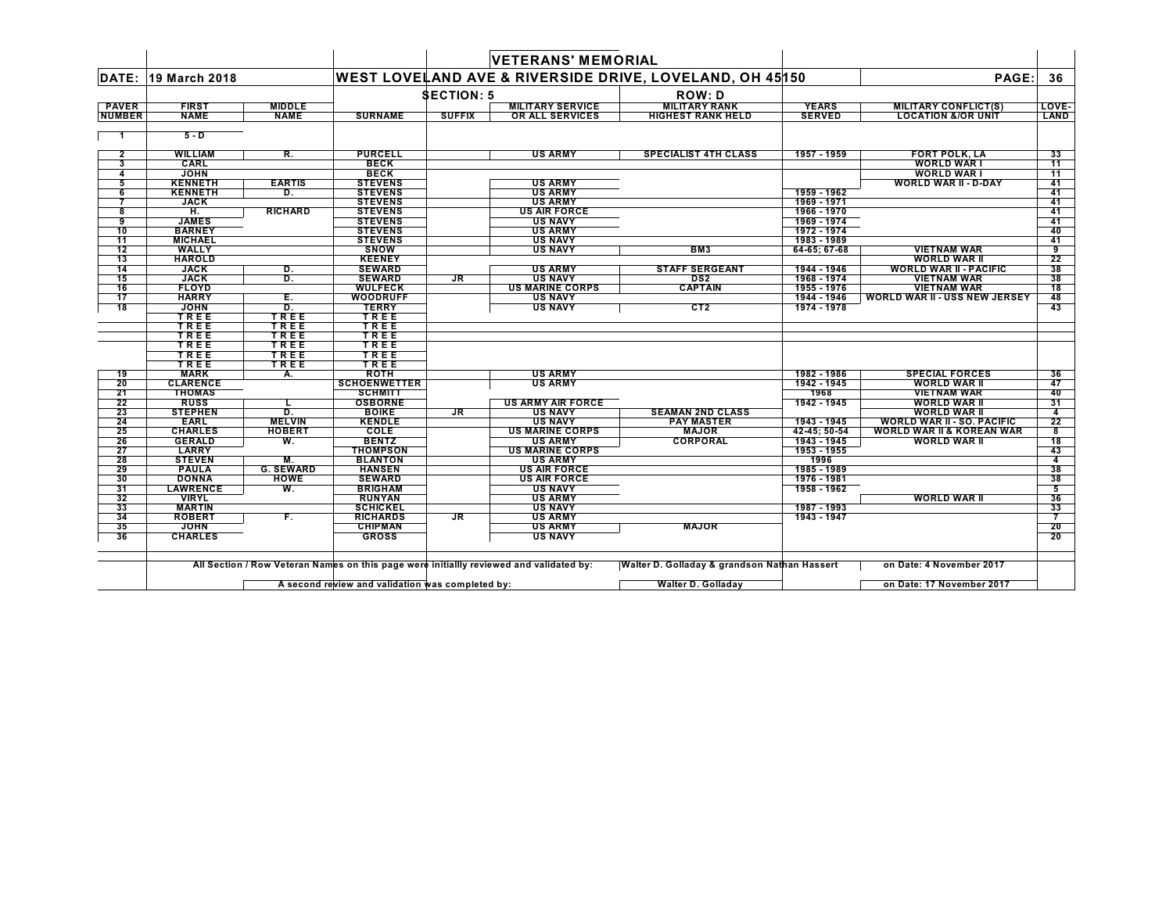|                 |                              |                  |                                   |                   | <b>VETERANS' MEMORIAL</b>                |                                                                    |                            |                                          |          |
|-----------------|------------------------------|------------------|-----------------------------------|-------------------|------------------------------------------|--------------------------------------------------------------------|----------------------------|------------------------------------------|----------|
|                 | <b>DATE: 19 March 2018</b>   |                  |                                   |                   |                                          | <b>WEST LOVELAND AVE &amp; RIVERSIDE DRIVE, LOVELAND, OH 45150</b> |                            | PAGE:                                    | 36       |
|                 |                              |                  |                                   | <b>SECTION: 5</b> |                                          | <b>ROW: D</b>                                                      |                            |                                          |          |
| <b>PAVER</b>    | <b>FIRST</b>                 | <b>MIDDLE</b>    |                                   |                   | <b>MILITARY SERVICE</b>                  | <b>MILITARY RANK</b>                                               | <b>YEARS</b>               | <b>MILITARY CONFLICT(S)</b>              | LOVE-    |
| <b>NUMBER</b>   | <b>NAME</b>                  | <b>NAME</b>      | <b>SURNAME</b>                    | <b>SUFFIX</b>     | OR ALL SERVICES                          | <b>HIGHEST RANK HELD</b>                                           | <b>SERVED</b>              | <b>LOCATION &amp;/OR UNIT</b>            | LAND     |
|                 | $5 - D$                      |                  |                                   |                   |                                          |                                                                    |                            |                                          |          |
| 2               | <b>WILLIAM</b>               | R.               | <b>PURCELL</b>                    |                   | <b>US ARMY</b>                           | <b>SPECIALIST 4TH CLASS</b>                                        | 1957 - 1959                | <b>FORT POLK, LA</b>                     | 33       |
| 3               | CARL                         |                  | <b>BECK</b>                       |                   |                                          |                                                                    |                            | <b>WORLD WAR I</b>                       | 11       |
| 4               | <b>JOHN</b>                  |                  | <b>BECK</b>                       |                   |                                          |                                                                    |                            | <b>WORLD WAR I</b>                       | 11       |
| 5               | <b>KENNETH</b>               | <b>EARTIS</b>    | <b>STEVENS</b>                    |                   | <b>US ARMY</b>                           |                                                                    |                            | <b>WORLD WAR II - D-DAY</b>              | 41       |
| 6               | <b>KENNETH</b>               | D.               | <b>STEVENS</b>                    |                   | <b>US ARMY</b>                           |                                                                    | 1959 - 1962                |                                          | 41       |
| 7               | <b>JACK</b>                  |                  | <b>STEVENS</b>                    |                   | <b>US ARMY</b>                           |                                                                    | 1969 - 1971                |                                          | 41       |
| 8               | H.                           | <b>RICHARD</b>   | <b>STEVENS</b>                    |                   | <b>US AIR FORCE</b>                      |                                                                    | 1966 - 1970                |                                          | 41       |
| 9               | <b>JAMES</b>                 |                  | <b>STEVENS</b>                    |                   | <b>US NAVY</b>                           |                                                                    | 1969 - 1974                |                                          | 41       |
| 10              | <b>BARNEY</b>                |                  | <b>STEVENS</b>                    |                   | <b>US ARMY</b>                           |                                                                    | 1972 - 1974                |                                          | 40       |
| 11              | <b>MICHAEL</b>               |                  | <b>STEVENS</b>                    |                   | <b>US NAVY</b>                           |                                                                    | 1983 - 1989                |                                          | 41       |
| 12              | <b>WALLY</b>                 |                  | <b>SNOW</b>                       |                   | <b>US NAVY</b>                           | BM <sub>3</sub>                                                    | 64-65; 67-68               | <b>VIETNAM WAR</b>                       | 9        |
| $\overline{13}$ | <b>HAROLD</b>                |                  | <b>KEENEY</b>                     |                   |                                          | <b>STAFF SERGEANT</b>                                              |                            | <b>WORLD WAR II</b>                      | 22       |
| 14<br>15        | <b>JACK</b>                  | D.               | <b>SEWARD</b>                     |                   | <b>US ARMY</b>                           | DS <sub>2</sub>                                                    | 1944 - 1946<br>1968 - 1974 | <b>WORLD WAR II - PACIFIC</b>            | 38       |
|                 | <b>JACK</b>                  | D.               | <b>SEWARD</b>                     | <b>JR</b>         | <b>US NAVY</b>                           | <b>CAPTAIN</b>                                                     |                            | <b>VIETNAM WAR</b><br><b>VIETNAM WAR</b> | 38<br>18 |
| 16<br>17        | <b>FLOYD</b><br><b>HARRY</b> | Ε.               | <b>WULFECK</b><br><b>WOODRUFF</b> |                   | <b>US MARINE CORPS</b><br><b>US NAVY</b> |                                                                    | 1955 - 1976<br>1944 - 1946 | <b>WORLD WAR II - USS NEW JERSEY</b>     |          |
| $\overline{18}$ | <b>JOHN</b>                  | D.               | <b>TERRY</b>                      |                   | <b>US NAVY</b>                           | CT <sub>2</sub>                                                    | 1974 - 1978                |                                          | 48<br>43 |
|                 | TREE                         | TREE             | TREE                              |                   |                                          |                                                                    |                            |                                          |          |
|                 | TREE                         | TREE             | TREE                              |                   |                                          |                                                                    |                            |                                          |          |
|                 | TREE                         | TREE             | TREE                              |                   |                                          |                                                                    |                            |                                          |          |
|                 | TREE                         | TREE             | TREE                              |                   |                                          |                                                                    |                            |                                          |          |
|                 | TREE                         | TREE             | TREE                              |                   |                                          |                                                                    |                            |                                          |          |
|                 | TREE                         | TREE             | TREE                              |                   |                                          |                                                                    |                            |                                          |          |
| 19              | <b>MARK</b>                  | А.               | <b>ROTH</b>                       |                   | <b>US ARMY</b>                           |                                                                    | 1982 - 1986                | <b>SPECIAL FORCES</b>                    | 36       |
| 20              | <b>CLARENCE</b>              |                  | <b>SCHOENWETTER</b>               |                   | <b>US ARMY</b>                           |                                                                    | 1942 - 1945                | <b>WORLD WAR II</b>                      | 47       |
| 21              | <b>THOMAS</b>                |                  | <b>SCHMITT</b>                    |                   |                                          |                                                                    | 1968                       | <b>VIETNAM WAR</b>                       | 40       |
| 22              | <b>RUSS</b>                  | L.               | <b>OSBORNE</b>                    |                   | <b>US ARMY AIR FORCE</b>                 |                                                                    | 1942 - 1945                | <b>WORLD WAR II</b>                      | 31       |
| 23              | <b>STEPHEN</b>               | D.               | <b>BOIKE</b>                      | JR.               | US NAVY                                  | <b>SEAMAN 2ND CLASS</b>                                            |                            | <b>WORLD WAR II</b>                      | 4        |
| 24              | <b>EARL</b>                  | <b>MELVIN</b>    | <b>KENDLE</b>                     |                   | <b>US NAVY</b>                           | <b>PAY MASTER</b>                                                  | 1943 - 1945                | <b>WORLD WAR II - SO. PACIFIC</b>        | 22       |
| 25              | <b>CHARLES</b>               | <b>HOBERT</b>    | <b>COLE</b>                       |                   | <b>US MARINE CORPS</b>                   | <b>MAJOR</b>                                                       | 42-45; 50-54               | <b>WORLD WAR II &amp; KOREAN WAR</b>     | 8        |
| 26              | <b>GERALD</b>                | W.               | <b>BENTZ</b>                      |                   | <b>US ARMY</b>                           | <b>CORPORAL</b>                                                    | 1943 - 1945                | <b>WORLD WAR II</b>                      | 18       |
| 27              | <b>LARRY</b>                 |                  | <b>THOMPSON</b>                   |                   | <b>US MARINE CORPS</b>                   |                                                                    | 1953 - 1955                |                                          | 43       |
| 28              | <b>STEVEN</b>                | M.               | <b>BLANTON</b>                    |                   | <b>US ARMY</b>                           |                                                                    | 1996                       |                                          | 4        |
| 29              | <b>PAULA</b>                 | <b>G. SEWARD</b> | <b>HANSEN</b>                     |                   | <b>US AIR FORCE</b>                      |                                                                    | 1985 - 1989                |                                          | 38       |
| 30              | <b>DONNA</b>                 | <b>HOWE</b>      | <b>SEWARD</b>                     |                   | <b>US AIR FORCE</b>                      |                                                                    | 1976 - 1981                |                                          | 38       |
| 31              | <b>LAWRENCE</b>              | W.               | <b>BRIGHAM</b>                    |                   | <b>US NAVY</b>                           |                                                                    | 1958 - 1962                |                                          | 5        |
| 32              | <b>VIRYL</b>                 |                  | <b>RUNYAN</b>                     |                   | <b>US ARMY</b>                           |                                                                    |                            | <b>WORLD WAR II</b>                      | 36       |
| 33              | <b>MARTIN</b>                |                  | <b>SCHICKEL</b>                   |                   | <b>US NAVY</b>                           |                                                                    | 1987 - 1993                |                                          | 33       |
| 34              | <b>ROBERT</b>                | F.               | <b>RICHARDS</b>                   | $J_{\rm R}$       | <b>US ARMY</b>                           |                                                                    | 1943 - 1947                |                                          |          |
| 35              | <b>JOHN</b>                  |                  | <b>CHIPMAN</b>                    |                   | <b>US ARMY</b>                           | <b>MAJOR</b>                                                       |                            |                                          | 20       |
| 36              | <b>CHARLES</b>               |                  | <b>GROSS</b>                      |                   | <b>US NAVY</b>                           |                                                                    |                            |                                          | 20       |
|                 |                              |                  |                                   |                   |                                          |                                                                    |                            |                                          |          |

**A second review and validation was completed by: Walter D. Golladay on Date: 17 November 2017** $\mathsf{L}$ 

 $\blacksquare$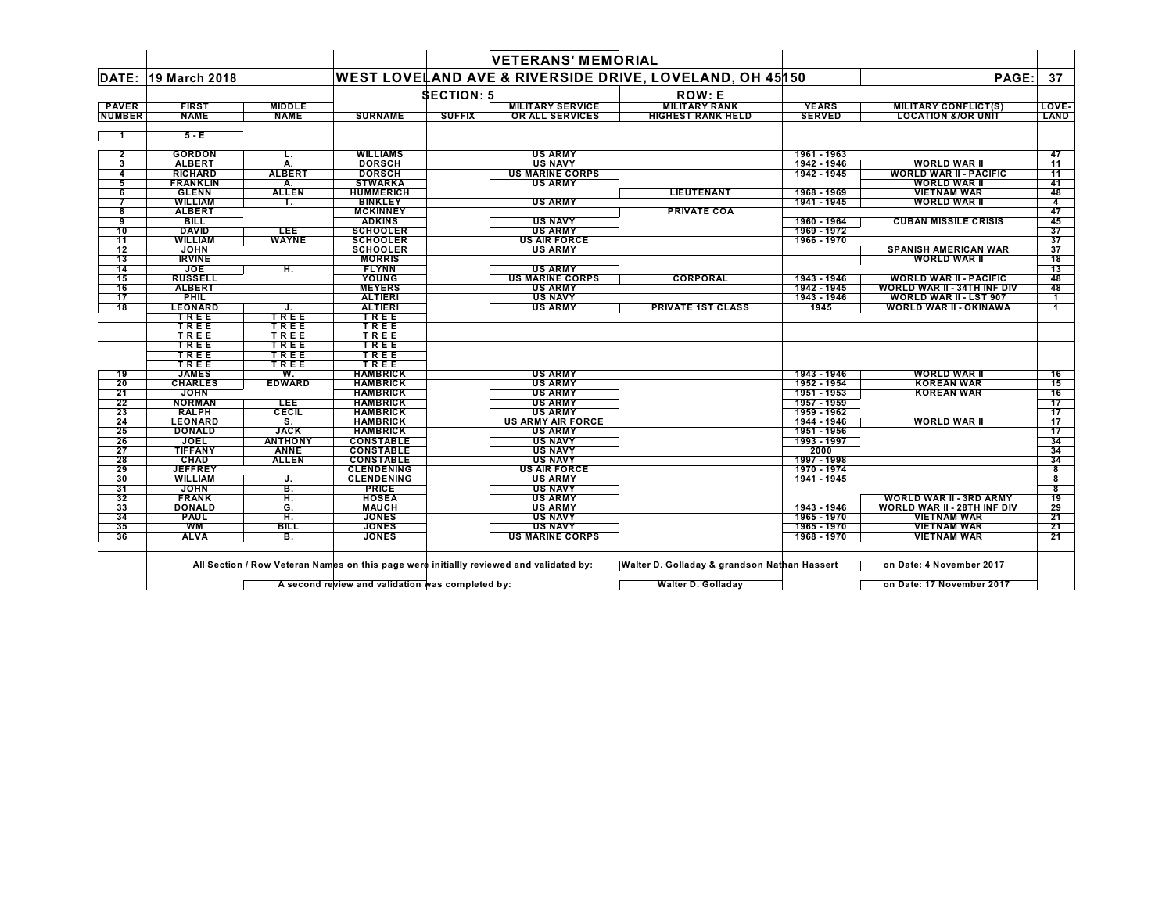|                |                 |                |                   |                   | <b>VETERANS' MEMORIAL</b> |                                                         |               |                                    |                 |
|----------------|-----------------|----------------|-------------------|-------------------|---------------------------|---------------------------------------------------------|---------------|------------------------------------|-----------------|
| DATE:          | 19 March 2018   |                |                   |                   |                           | WEST LOVELAND AVE & RIVERSIDE DRIVE, LOVELAND, OH 45150 |               | PAGE:                              | 37              |
|                |                 |                |                   | <b>SECTION: 5</b> |                           | <b>ROW: E</b>                                           |               |                                    |                 |
| <b>PAVER</b>   | <b>FIRST</b>    | <b>MIDDLE</b>  |                   |                   | <b>MILITARY SERVICE</b>   | <b>MILITARY RANK</b>                                    | <b>YEARS</b>  | <b>MILITARY CONFLICT(S)</b>        | LOVE-           |
| <b>NUMBER</b>  | <b>NAME</b>     | <b>NAME</b>    | <b>SURNAME</b>    | <b>SUFFIX</b>     | <b>OR ALL SERVICES</b>    | <b>HIGHEST RANK HELD</b>                                | <b>SERVED</b> | <b>LOCATION &amp;/OR UNIT</b>      | LAND            |
|                | $5 - E$         |                |                   |                   |                           |                                                         |               |                                    |                 |
| $\overline{2}$ | <b>GORDON</b>   | L.             | <b>WILLIAMS</b>   |                   | <b>US ARMY</b>            |                                                         | 1961 - 1963   |                                    | 47              |
| 3              | <b>ALBERT</b>   | А.             | <b>DORSCH</b>     |                   | <b>US NAVY</b>            |                                                         | 1942 - 1946   | <b>WORLD WAR II</b>                | 11              |
| 4              | <b>RICHARD</b>  | <b>ALBERT</b>  | <b>DORSCH</b>     |                   | <b>US MARINE CORPS</b>    |                                                         | 1942 - 1945   | <b>WORLD WAR II - PACIFIC</b>      | 11              |
| 5              | <b>FRANKLIN</b> | A.             | <b>STWARKA</b>    |                   | <b>US ARMY</b>            |                                                         |               | <b>WORLD WAR II</b>                | 41              |
| 6              | <b>GLENN</b>    | <b>ALLEN</b>   | <b>HUMMERICH</b>  |                   |                           | <b>LIEUTENANT</b>                                       | 1968 - 1969   | <b>VIETNAM WAR</b>                 | 48              |
| 7              | <b>WILLIAM</b>  | Т.             | <b>BINKLEY</b>    |                   | <b>US ARMY</b>            |                                                         | 1941 - 1945   | <b>WORLD WAR II</b>                | 4               |
| 8              | <b>ALBERT</b>   |                | <b>MCKINNEY</b>   |                   |                           | <b>PRIVATE COA</b>                                      |               |                                    | 47              |
| 9              | <b>BILL</b>     |                | <b>ADKINS</b>     |                   | <b>US NAVY</b>            |                                                         | 1960 - 1964   | <b>CUBAN MISSILE CRISIS</b>        | 45              |
| 10             | <b>DAVID</b>    | <b>LEE</b>     | <b>SCHOOLER</b>   |                   | <b>US ARMY</b>            |                                                         | 1969 - 1972   |                                    | 37              |
| 11             | <b>WILLIAM</b>  | <b>WAYNE</b>   | <b>SCHOOLER</b>   |                   | <b>US AIR FORCE</b>       |                                                         | 1966 - 1970   |                                    | 37              |
| 12             | <b>JOHN</b>     |                | <b>SCHOOLER</b>   |                   | <b>US ARMY</b>            |                                                         |               | <b>SPANISH AMERICAN WAR</b>        | 37              |
| 13             | <b>IRVINE</b>   |                | <b>MORRIS</b>     |                   |                           |                                                         |               | <b>WORLD WAR II</b>                | $\overline{18}$ |
| 14             | <b>JOE</b>      | Ħ.             | <b>FLYNN</b>      |                   | <b>US ARMY</b>            |                                                         |               |                                    | 13              |
| 15             | <b>RUSSELL</b>  |                | <b>YOUNG</b>      |                   | <b>US MARINE CORPS</b>    | <b>CORPORAL</b>                                         | 1943 - 1946   | <b>WORLD WAR II - PACIFIC</b>      | 48              |
| 16             | <b>ALBERT</b>   |                | <b>MEYERS</b>     |                   | <b>US ARMY</b>            |                                                         | 1942 - 1945   | <b>WORLD WAR II - 34TH INF DIV</b> | 48              |
| 17             | <b>PHIL</b>     |                | <b>ALTIERI</b>    |                   | <b>US NAVY</b>            |                                                         | 1943 - 1946   | <b>WORLD WAR II - LST 907</b>      | -1              |
| 18             | <b>LEONARD</b>  | J.             | <b>ALTIERI</b>    |                   | <b>US ARMY</b>            | <b>PRIVATE 1ST CLASS</b>                                | 1945          | <b>WORLD WAR II - OKINAWA</b>      |                 |
|                | TREE            | TREE           | TREE              |                   |                           |                                                         |               |                                    |                 |
|                | TREE            | TREE           | TREE              |                   |                           |                                                         |               |                                    |                 |
|                | TREE<br>TREE    | TREE           | TREE              |                   |                           |                                                         |               |                                    |                 |
|                | TREE            | TREE<br>TREE   | TREE<br>TREE      |                   |                           |                                                         |               |                                    |                 |
|                | TREE            | TREE           | TREE              |                   |                           |                                                         |               |                                    |                 |
| 19             | <b>JAMES</b>    | W.             | <b>HAMBRICK</b>   |                   | <b>US ARMY</b>            |                                                         | 1943 - 1946   | <b>WORLD WAR II</b>                | 16              |
| 20             | <b>CHARLES</b>  | <b>EDWARD</b>  | <b>HAMBRICK</b>   |                   | <b>US ARMY</b>            |                                                         | 1952 - 1954   | <b>KOREAN WAR</b>                  | 15              |
| 21             | <b>JOHN</b>     |                | <b>HAMBRICK</b>   |                   | <b>US ARMY</b>            |                                                         | 1951 - 1953   | <b>KOREAN WAR</b>                  | 16              |
| 22             | <b>NORMAN</b>   | <b>LEE</b>     | <b>HAMBRICK</b>   |                   | <b>US ARMY</b>            |                                                         | 1957 - 1959   |                                    | 17              |
| 23             | <b>RALPH</b>    | <b>CECIL</b>   | <b>HAMBRICK</b>   |                   | <b>US ARMY</b>            |                                                         | 1959 - 1962   |                                    | 17              |
| 24             | <b>LEONARD</b>  | S.             | <b>HAMBRICK</b>   |                   | <b>US ARMY AIR FORCE</b>  |                                                         | 1944 - 1946   | <b>WORLD WAR II</b>                | 17              |
| 25             | <b>DONALD</b>   | <b>JACK</b>    | <b>HAMBRICK</b>   |                   | <b>US ARMY</b>            |                                                         | 1951 - 1956   |                                    | 17              |
| 26             | <b>JOEL</b>     | <b>ANTHONY</b> | <b>CONSTABLE</b>  |                   | <b>US NAVY</b>            |                                                         | 1993 - 1997   |                                    | 34              |
| 27             | <b>TIFFANY</b>  | <b>ANNE</b>    | <b>CONSTABLE</b>  |                   | <b>US NAVY</b>            |                                                         | 2000          |                                    | 34              |
| 28             | <b>CHAD</b>     | <b>ALLEN</b>   | <b>CONSTABLE</b>  |                   | <b>US NAVY</b>            |                                                         | 1997 - 1998   |                                    | 34              |
| 29             | <b>JEFFREY</b>  |                | <b>CLENDENING</b> |                   | <b>US AIR FORCE</b>       |                                                         | 1970 - 1974   |                                    | 8               |
| 30             | <b>WILLIAM</b>  | J.             | <b>CLENDENING</b> |                   | <b>US ARMY</b>            |                                                         | 1941 - 1945   |                                    | 8               |
| 31             | <b>JOHN</b>     | B.             | <b>PRICE</b>      |                   | <b>US NAVY</b>            |                                                         |               |                                    | 8               |
| 32             | <b>FRANK</b>    | H.             | <b>HOSEA</b>      |                   | <b>US ARMY</b>            |                                                         |               | <b>WORLD WAR II - 3RD ARMY</b>     | $\overline{19}$ |
| 33             | <b>DONALD</b>   | G.             | <b>MAUCH</b>      |                   | <b>US ARMY</b>            |                                                         | 1943 - 1946   | <b>WORLD WAR II - 28TH INF DIV</b> | 29              |
| 34             | <b>PAUL</b>     | H.             | <b>JONES</b>      |                   | <b>US NAVY</b>            |                                                         | 1965 - 1970   | <b>VIETNAM WAR</b>                 | 21              |
| 35             | <b>WM</b>       | <b>BILL</b>    | <b>JONES</b>      |                   | <b>US NAVY</b>            |                                                         | 1965 - 1970   | <b>VIETNAM WAR</b>                 | 21              |
| 36             | <b>ALVA</b>     | в.             | <b>JONES</b>      |                   | <b>US MARINE CORPS</b>    |                                                         | 1968 - 1970   | <b>VIETNAM WAR</b>                 | 21              |
|                |                 |                |                   |                   |                           |                                                         |               |                                    |                 |

**A second review and validation was completed by: Walter D. Golladay on Date: 17 November 2017** $\mathsf{L}$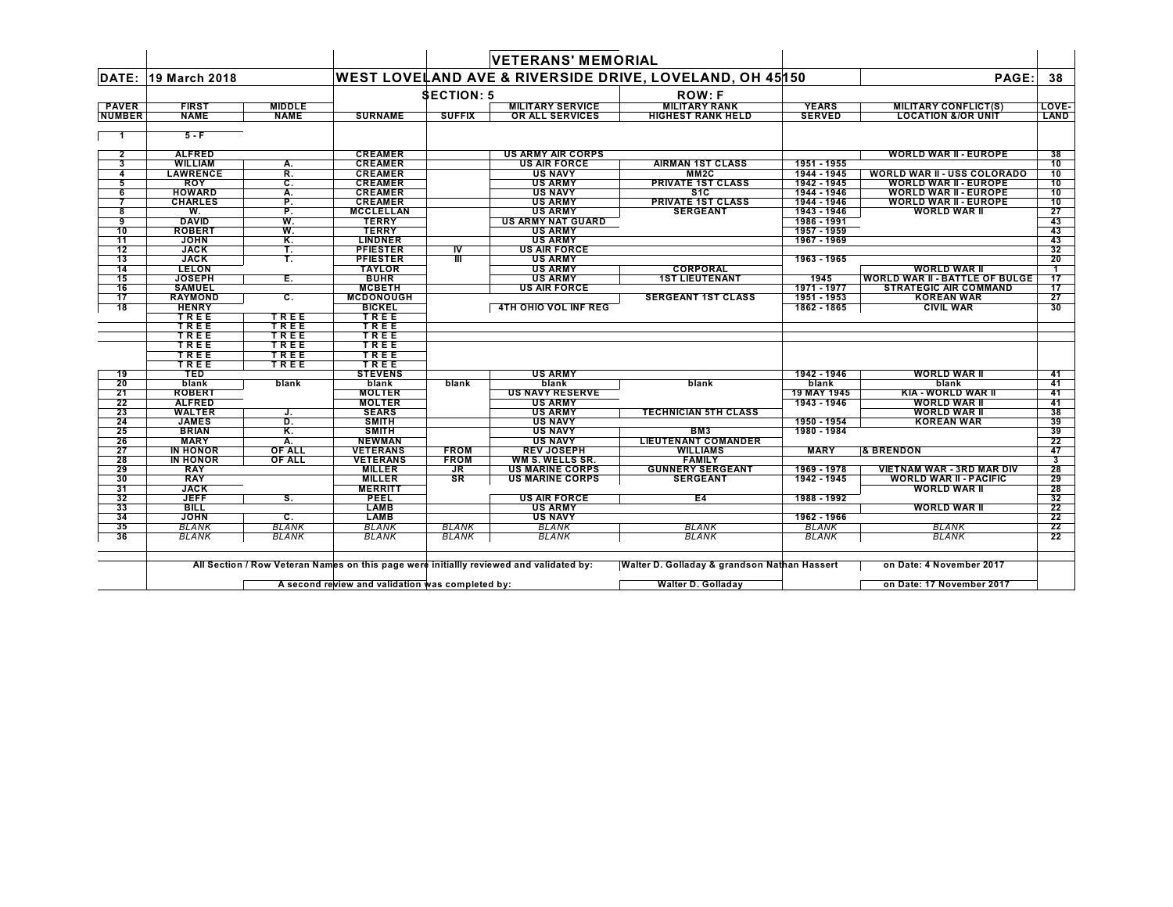|                 |                 |               |                  |                   | <b>VETERANS' MEMORIAL</b> |                                                         |               |                                       |                         |
|-----------------|-----------------|---------------|------------------|-------------------|---------------------------|---------------------------------------------------------|---------------|---------------------------------------|-------------------------|
| DATE:           | 19 March 2018   |               |                  |                   |                           | WEST LOVELAND AVE & RIVERSIDE DRIVE, LOVELAND, OH 45150 |               | PAGE:                                 | 38                      |
|                 |                 |               |                  | <b>SECTION: 5</b> |                           | <b>ROW:F</b>                                            |               |                                       |                         |
| <b>PAVER</b>    | <b>FIRST</b>    | <b>MIDDLE</b> |                  |                   | <b>MILITARY SERVICE</b>   | <b>MILITARY RANK</b>                                    | <b>YEARS</b>  | <b>MILITARY CONFLICT(S)</b>           | LOVE-                   |
| <b>NUMBER</b>   | <b>NAME</b>     | <b>NAME</b>   | <b>SURNAME</b>   | <b>SUFFIX</b>     | OR ALL SERVICES           | <b>HIGHEST RANK HELD</b>                                | <b>SERVED</b> | <b>LOCATION &amp;/OR UNIT</b>         | LAND                    |
|                 |                 |               |                  |                   |                           |                                                         |               |                                       |                         |
|                 | $5 - F$         |               |                  |                   |                           |                                                         |               |                                       |                         |
| $\overline{2}$  | <b>ALFRED</b>   |               | <b>CREAMER</b>   |                   | <b>US ARMY AIR CORPS</b>  |                                                         |               | <b>WORLD WAR II - EUROPE</b>          | 38                      |
| 3               | <b>WILLIAM</b>  | А.            | <b>CREAMER</b>   |                   | <b>US AIR FORCE</b>       | <b>AIRMAN 1ST CLASS</b>                                 | 1951 - 1955   |                                       | 10                      |
| 4               | <b>LAWRENCE</b> | R.            | <b>CREAMER</b>   |                   | <b>US NAVY</b>            | MM <sub>2</sub> C                                       | 1944 - 1945   | <b>WORLD WAR II - USS COLORADO</b>    | 10                      |
| 5               | <b>ROY</b>      | С.            | <b>CREAMER</b>   |                   | <b>US ARMY</b>            | <b>PRIVATE 1ST CLASS</b>                                | 1942 - 1945   | WORLD WAR II - EUROPE                 | 10                      |
| 6               | <b>HOWARD</b>   | Α.            | <b>CREAMER</b>   |                   | <b>US NAVY</b>            | \$1C                                                    | 1944 - 1946   | <b>WORLD WAR II - EUROPE</b>          | 10                      |
| 7               | <b>CHARLES</b>  | P.            | <b>CREAMER</b>   |                   | <b>US ARMY</b>            | <b>PRIVATE 1ST CLASS</b>                                | 1944 - 1946   | <b>WORLD WAR II - EUROPE</b>          | 10                      |
| 8               | W.              | P.            | <b>MCCLELLAN</b> |                   | <b>US ARMY</b>            | <b>SERGEANT</b>                                         | 1943 - 1946   | <b>WORLD WAR II</b>                   | 27                      |
| 9               | <b>DAVID</b>    | W.            | <b>TERRY</b>     |                   | <b>US ARMY NAT GUARD</b>  |                                                         | 1986 - 1991   |                                       | 43                      |
| 10              | <b>ROBERT</b>   | W.            | <b>TERRY</b>     |                   | <b>US ARMY</b>            |                                                         | 1957 - 1959   |                                       | 43                      |
| 11              | <b>JOHN</b>     | Κ.            | <b>LINDNER</b>   |                   | <b>US ARMY</b>            |                                                         | 1967 - 1969   |                                       | 43                      |
| 12              | <b>JACK</b>     | Т.            | <b>PFIESTER</b>  | $\frac{1}{1}$     | <b>US AIR FORCE</b>       |                                                         |               |                                       | 32                      |
| 13              | <b>JACK</b>     | т.            | <b>PFIESTER</b>  |                   | <b>US ARMY</b>            |                                                         | 1963 - 1965   |                                       | 20                      |
| 14              | <b>LELON</b>    |               | <b>TAYLOR</b>    |                   | <b>US ARMY</b>            | <b>CORPORAL</b>                                         |               | <b>WORLD WAR II</b>                   | -1                      |
| 15              | <b>JOSEPH</b>   | Е.            | <b>BUHR</b>      |                   | <b>US ARMY</b>            | <b>1ST LIEUTENANT</b>                                   | 1945          | <b>WORLD WAR II - BATTLE OF BULGE</b> | 17                      |
| 16              | <b>SAMUEL</b>   |               | <b>MCBETH</b>    |                   | <b>US AIR FORCE</b>       |                                                         | 1971 - 1977   | <b>STRATEGIC AIR COMMAND</b>          | 17                      |
| $\overline{17}$ | <b>RAYMOND</b>  | c.            | <b>MCDONOUGH</b> |                   |                           | <b>SERGEANT 1ST CLASS</b>                               | 1951 - 1953   | <b>KOREAN WAR</b>                     | 27                      |
| 18              | <b>HENRY</b>    |               | <b>BICKEL</b>    |                   | 4TH OHIO VOL INF REG      |                                                         | 1862 - 1865   | <b>CIVIL WAR</b>                      | 30                      |
|                 | TREE            | TREE          | TREE             |                   |                           |                                                         |               |                                       |                         |
|                 | TREE            | TREE          | TREE             |                   |                           |                                                         |               |                                       |                         |
|                 | TREE<br>TREE    | TREE<br>TREE  | TREE             |                   |                           |                                                         |               |                                       |                         |
|                 | TREE            | TREE          | TREE<br>TREE     |                   |                           |                                                         |               |                                       |                         |
|                 | TREE            | TREE          | TREE             |                   |                           |                                                         |               |                                       |                         |
| 19              | <b>TED</b>      |               | <b>STEVENS</b>   |                   | <b>US ARMY</b>            |                                                         | 1942 - 1946   | <b>WORLD WAR II</b>                   | 41                      |
| 20              | blank           | blank         | blank            | blank             | blank                     | blank                                                   | blank         | blank                                 | 41                      |
| 21              | <b>ROBERT</b>   |               | <b>MOLTER</b>    |                   | <b>US NAVY RESERVE</b>    |                                                         | 19 MAY 1945   | KIA - WORLD WAR II                    | 41                      |
| 22              | <b>ALFRED</b>   |               | <b>MOLTER</b>    |                   | <b>US ARMY</b>            |                                                         | 1943 - 1946   | <b>WORLD WAR II</b>                   | 41                      |
| 23              | <b>WALTER</b>   | J.            | <b>SEARS</b>     |                   | <b>US ARMY</b>            | <b>TECHNICIAN 5TH CLASS</b>                             |               | <b>WORLD WAR II</b>                   | 38                      |
| 24              | <b>JAMES</b>    | D.            | <b>SMITH</b>     |                   | <b>US NAVY</b>            |                                                         | 1950 - 1954   | <b>KOREAN WAR</b>                     | 39                      |
| 25              | <b>BRIAN</b>    | Κ.            | <b>SMITH</b>     |                   | <b>US NAVY</b>            | BM3                                                     | 1980 - 1984   |                                       | 39                      |
| 26              | <b>MARY</b>     | Α.            | <b>NEWMAN</b>    |                   | <b>US NAVY</b>            | <b>LIEUTENANT COMANDER</b>                              |               |                                       | $\overline{22}$         |
| 27              | <b>IN HONOR</b> | <b>OF ALL</b> | <b>VETERANS</b>  | <b>FROM</b>       | <b>REV JOSEPH</b>         | <b>WILLIAMS</b>                                         | <b>MARY</b>   | <b>&amp; BRENDON</b>                  | 47                      |
| 28              | <b>IN HONOR</b> | <b>OF ALL</b> | <b>VETERANS</b>  | <b>FROM</b>       | WM S. WELLS SR.           | <b>FAMILY</b>                                           |               |                                       | $\overline{\mathbf{3}}$ |
| 29              | <b>RAY</b>      |               | <b>MILLER</b>    | $J_{\rm R}$       | <b>US MARINE CORPS</b>    | <b>GUNNERY SERGEANT</b>                                 | 1969 - 1978   | <b>VIETNAM WAR - 3RD MAR DIV</b>      | 28                      |
| 30              | <b>RAY</b>      |               | <b>MILLER</b>    | SR                | <b>US MARINE CORPS</b>    | <b>SERGEANT</b>                                         | 1942 - 1945   | <b>WORLD WAR II - PACIFIC</b>         | 29                      |
| 31              | <b>JACK</b>     |               | <b>MERRITT</b>   |                   |                           |                                                         |               | <b>WORLD WAR II</b>                   | 28                      |
| 32              | <b>JEFF</b>     | S.            | <b>PEEL</b>      |                   | <b>US AIR FORCE</b>       | E4                                                      | 1988 - 1992   |                                       | 32                      |
| 33              | <b>BILL</b>     |               | <b>LAMB</b>      |                   | <b>US ARMY</b>            |                                                         |               | <b>WORLD WAR II</b>                   | -22                     |
| 34              | <b>JOHN</b>     | С.            | <b>LAMB</b>      |                   | <b>US NAVY</b>            |                                                         | 1962 - 1966   |                                       | 22                      |
| 35              | <b>BLANK</b>    | <b>BLANK</b>  | <b>BLANK</b>     | <b>BLANK</b>      | <b>BLANK</b>              | <b>BLANK</b>                                            | <b>BLANK</b>  | <b>BLANK</b>                          | 22                      |
| 36              | <b>BLANK</b>    | BLANK         | <b>BLANK</b>     | <b>BLANK</b>      | <b>BLANK</b>              | <b>BLANK</b>                                            | BLANK         | <b>BLANK</b>                          | 22                      |

 $\vdash$ 

**A second review and validation was completed by: Walter D. Golladay on Date: 17 November 2017** $\mathbf{I}$ 

 $\Box$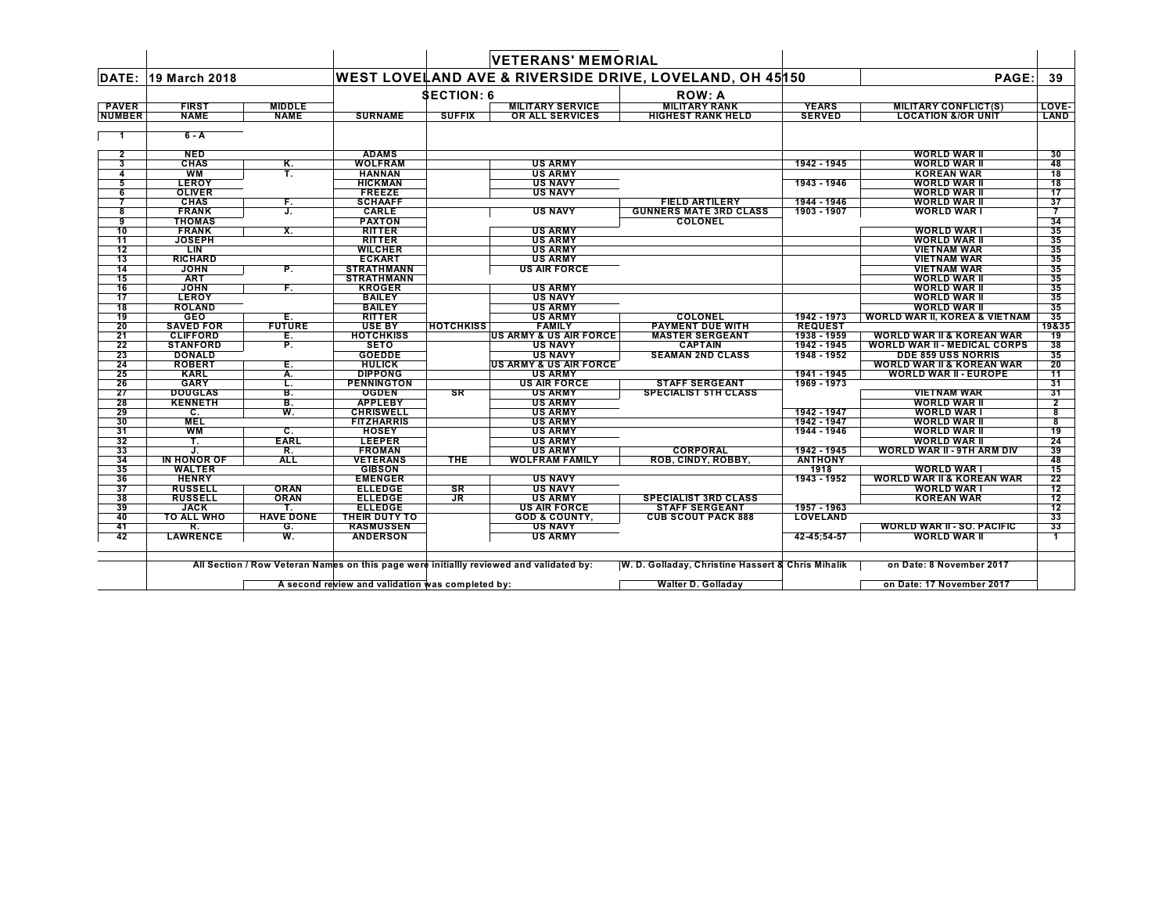|                               |                               |                              |                                   |                   | <b>VETERANS' MEMORIAL</b>                           |                                                         |                               |                                                                      |                 |
|-------------------------------|-------------------------------|------------------------------|-----------------------------------|-------------------|-----------------------------------------------------|---------------------------------------------------------|-------------------------------|----------------------------------------------------------------------|-----------------|
| DATE:                         | 19 March 2018                 |                              |                                   |                   |                                                     | WEST LOVELAND AVE & RIVERSIDE DRIVE, LOVELAND, OH 45150 |                               | PAGE:                                                                | 39              |
|                               |                               |                              |                                   | <b>SECTION: 6</b> |                                                     | <b>ROW: A</b>                                           |                               |                                                                      |                 |
| <b>PAVER</b><br><b>NUMBER</b> | <b>FIRST</b><br><b>NAME</b>   | <b>MIDDLE</b><br><b>NAME</b> | <b>SURNAME</b>                    | <b>SUFFIX</b>     | <b>MILITARY SERVICE</b><br>OR ALL SERVICES          | <b>MILITARY RANK</b><br><b>HIGHEST RANK HELD</b>        | <b>YEARS</b><br><b>SERVED</b> | <b>MILITARY CONFLICT(S)</b><br><b>LOCATION &amp;/OR UNIT</b>         | LOVE-<br>LAND   |
| -1                            | 6 - A                         |                              |                                   |                   |                                                     |                                                         |                               |                                                                      |                 |
| $\mathbf{2}$                  | <b>NED</b>                    |                              | <b>ADAMS</b>                      |                   |                                                     |                                                         |                               | <b>WORLD WAR II</b>                                                  | 30              |
| 3                             | <b>CHAS</b>                   | Κ.                           | <b>WOLFRAM</b>                    |                   | <b>US ARMY</b>                                      |                                                         | 1942 - 1945                   | <b>WORLD WAR II</b>                                                  | 48              |
| 4                             | <b>WM</b>                     | Т.                           | <b>HANNAN</b>                     |                   | <b>US ARMY</b>                                      |                                                         |                               | <b>KOREAN WAR</b>                                                    | 18              |
| 5                             | <b>LEROY</b>                  |                              | <b>HICKMAN</b>                    |                   | <b>US NAVY</b>                                      |                                                         | 1943 - 1946                   | <b>WORLD WAR II</b>                                                  | 18              |
| 6                             | <b>OLIVER</b>                 |                              | <b>FREEZE</b>                     |                   | <b>US NAVY</b>                                      |                                                         |                               | <b>WORLD WAR II</b>                                                  | 17              |
| $\overline{7}$                | <b>CHAS</b>                   | F.                           | <b>SCHAAFF</b>                    |                   |                                                     | <b>FIELD ARTILERY</b>                                   | 1944 - 1946                   | <b>WORLD WAR II</b>                                                  | 37              |
| 8                             | <b>FRANK</b>                  | J.                           | CARLE                             |                   | <b>US NAVY</b>                                      | <b>GUNNERS MATE 3RD CLASS</b>                           | 1903 - 1907                   | <b>WORLD WAR I</b>                                                   | -7              |
| 9                             | <b>THOMAS</b>                 |                              | <b>PAXTON</b>                     |                   |                                                     | <b>COLONEL</b>                                          |                               |                                                                      | 34              |
| 10                            | <b>FRANK</b>                  | Χ.                           | <b>RITTER</b>                     |                   | <b>US ARMY</b>                                      |                                                         |                               | <b>WORLD WAR I</b>                                                   | 35              |
| 11                            | <b>JOSEPH</b>                 |                              | <b>RITTER</b>                     |                   | <b>US ARMY</b>                                      |                                                         |                               | <b>WORLD WAR II</b>                                                  | 35              |
| 12                            | LIN                           |                              | <b>WILCHER</b>                    |                   | <b>US ARMY</b>                                      |                                                         |                               | <b>VIETNAM WAR</b>                                                   | 35              |
| 13                            | <b>RICHARD</b>                |                              | <b>ECKART</b>                     |                   | <b>US ARMY</b>                                      |                                                         |                               | <b>VIETNAM WAR</b>                                                   | 35              |
| 14                            | <b>JOHN</b>                   | P.                           | <b>STRATHMANN</b>                 |                   | <b>US AIR FORCE</b>                                 |                                                         |                               | <b>VIETNAM WAR</b>                                                   | 35              |
| 15                            | <b>ART</b>                    |                              | <b>STRATHMANN</b>                 |                   |                                                     |                                                         |                               | <b>WORLD WAR II</b>                                                  | 35              |
| 16                            | <b>JOHN</b>                   | F.                           | <b>KROGER</b>                     |                   | <b>US ARMY</b>                                      |                                                         |                               | <b>WORLD WAR II</b>                                                  | 35              |
| 17                            | <b>LEROY</b>                  |                              | <b>BAILEY</b>                     |                   | <b>US NAVY</b>                                      |                                                         |                               | <b>WORLD WAR II</b>                                                  | 35              |
| 18                            | <b>ROLAND</b>                 |                              | <b>BAILEY</b>                     |                   | <b>US ARMY</b>                                      |                                                         |                               | <b>WORLD WAR II</b>                                                  | 35              |
| 19                            | <b>GEO</b>                    | Е.                           | <b>RITTER</b>                     |                   | <b>US ARMY</b>                                      | COLONEL                                                 | 1942 - 1973                   | <b>WORLD WAR II, KOREA &amp; VIETNAM</b>                             | 35              |
| 20                            | <b>SAVED FOR</b>              | <b>FUTURE</b>                | <b>USE BY</b>                     | <b>HOTCHKISS</b>  | <b>FAMILY</b>                                       | <b>PAYMENT DUE WITH</b>                                 | <b>REQUEST</b>                |                                                                      | 19&35           |
| 21                            | <b>CLIFFORD</b>               | Е.                           | <b>HOTCHKISS</b>                  |                   | <b>US ARMY &amp; US AIR FORCE</b>                   | <b>MASTER SERGEANT</b>                                  | 1938 - 1959                   | <b>WORLD WAR II &amp; KOREAN WAR</b>                                 | $\overline{19}$ |
| 22                            | <b>STANFORD</b>               | P.                           | <b>SETO</b>                       |                   | <b>US NAVY</b>                                      | <b>CAPTAIN</b>                                          | 1942 - 1945                   | <b>WORLD WAR II - MEDICAL CORPS</b>                                  | 38              |
| 23                            | <b>DONALD</b>                 |                              | <b>GOEDDE</b>                     |                   | <b>US NAVY</b>                                      | <b>SEAMAN 2ND CLASS</b>                                 | 1948 - 1952                   | <b>DDE 859 USS NORRIS</b>                                            | 35              |
| 24<br>25                      | <b>ROBERT</b><br><b>KARL</b>  | Е.                           | <b>HULICK</b><br><b>DIPPONG</b>   |                   | <b>US ARMY &amp; US AIR FORCE</b><br><b>US ARMY</b> |                                                         | 1941 - 1945                   | <b>WORLD WAR II &amp; KOREAN WAR</b><br><b>WORLD WAR II - EUROPE</b> | 20<br>11        |
|                               |                               | А.                           |                                   |                   |                                                     |                                                         | 1969 - 1973                   |                                                                      |                 |
| 26<br>27                      | <b>GARY</b><br><b>DOUGLAS</b> | L.<br>B.                     | <b>PENNINGTON</b><br><b>OGDEN</b> | <b>SR</b>         | <b>US AIR FORCE</b><br><b>US ARMY</b>               | <b>STAFF SERGEANT</b><br><b>SPECIALIST 5TH CLASS</b>    |                               | <b>VIETNAM WAR</b>                                                   | 31<br>31        |
| 28                            | <b>KENNETH</b>                | B.                           | <b>APPLEBY</b>                    |                   | <b>US ARMY</b>                                      |                                                         |                               | <b>WORLD WAR II</b>                                                  | $\mathbf{2}$    |
| 29                            | C.                            | W.                           | <b>CHRISWELL</b>                  |                   | <b>US ARMY</b>                                      |                                                         | 1942 - 1947                   | <b>WORLD WAR I</b>                                                   | 8               |
| 30                            | <b>MEL</b>                    |                              | <b>FITZHARRIS</b>                 |                   | <b>US ARMY</b>                                      |                                                         | 1942 - 1947                   | <b>WORLD WAR II</b>                                                  | 8               |
| 31                            | <b>WM</b>                     | C.                           | <b>HOSEY</b>                      |                   | <b>US ARMY</b>                                      |                                                         | 1944 - 1946                   | <b>WORLD WAR II</b>                                                  | 19              |
| 32                            | т.                            | <b>EARL</b>                  | <b>LEEPER</b>                     |                   | <b>US ARMY</b>                                      |                                                         |                               | <b>WORLD WAR II</b>                                                  | 24              |
| 33                            | J.                            | R.                           | <b>FROMAN</b>                     |                   | <b>US ARMY</b>                                      | <b>CORPORAL</b>                                         | 1942 - 1945                   | <b>WORLD WAR II - 9TH ARM DIV</b>                                    | 39              |
| 34                            | IN HONOR OF                   | <b>ALL</b>                   | <b>VETERANS</b>                   | <b>THE</b>        | <b>WOLFRAM FAMILY</b>                               | ROB. CINDY. ROBBY.                                      | <b>ANTHONY</b>                |                                                                      | 48              |
| 35                            | <b>WALTER</b>                 |                              | <b>GIBSON</b>                     |                   |                                                     |                                                         | 1918                          | <b>WORLD WAR I</b>                                                   | 15              |
| 36                            | <b>HENRY</b>                  |                              | <b>EMENGER</b>                    |                   | <b>US NAVY</b>                                      |                                                         | 1943 - 1952                   | <b>WORLD WAR II &amp; KOREAN WAR</b>                                 | 22              |
| 37                            | <b>RUSSELL</b>                | <b>ORAN</b>                  | <b>ELLEDGE</b>                    | SR                | <b>US NAVY</b>                                      |                                                         |                               | <b>WORLD WAR I</b>                                                   | $\overline{12}$ |
| 38                            | <b>RUSSELL</b>                | <b>ORAN</b>                  | <b>ELLEDGE</b>                    | $J_{\rm R}$       | <b>US ARMY</b>                                      | <b>SPECIALIST 3RD CLASS</b>                             |                               | <b>KOREAN WAR</b>                                                    | 12              |
| 39                            | <b>JACK</b>                   |                              | <b>ELLEDGE</b>                    |                   | <b>US AIR FORCE</b>                                 | <b>STAFF SERGEANT</b>                                   | 1957 - 1963                   |                                                                      | 12              |
| 40                            | <b>TO ALL WHO</b>             | <b>HAVE DONE</b>             | THEIR DUTY TO                     |                   | <b>GOD &amp; COUNTY,</b>                            | <b>CUB SCOUT PACK 888</b>                               | <b>LOVELAND</b>               |                                                                      | 33              |
| 41                            | R.                            | G.                           | <b>RASMUSSEN</b>                  |                   | <b>US NAVY</b>                                      |                                                         |                               | <b>WORLD WAR II - SO. PACIFIC</b>                                    | 33              |
| 42                            | <b>LAWRENCE</b>               | W.                           | <b>ANDERSON</b>                   |                   | <b>US ARMY</b>                                      |                                                         | 42-45:54-57                   | <b>WORLD WAR II</b>                                                  | $\mathbf{1}$    |
|                               |                               |                              |                                   |                   |                                                     |                                                         |                               |                                                                      |                 |

All Section / Row Veteran Names on this page were initiallly reviewed and validated by: W. D. Golladay, Christine Hassert & Chris Mihalik ── on Date: 8 November 2017

**A second review and validation was completed by: Walter D. Golladay on Date: 17 November 2017** $\mathsf{L}$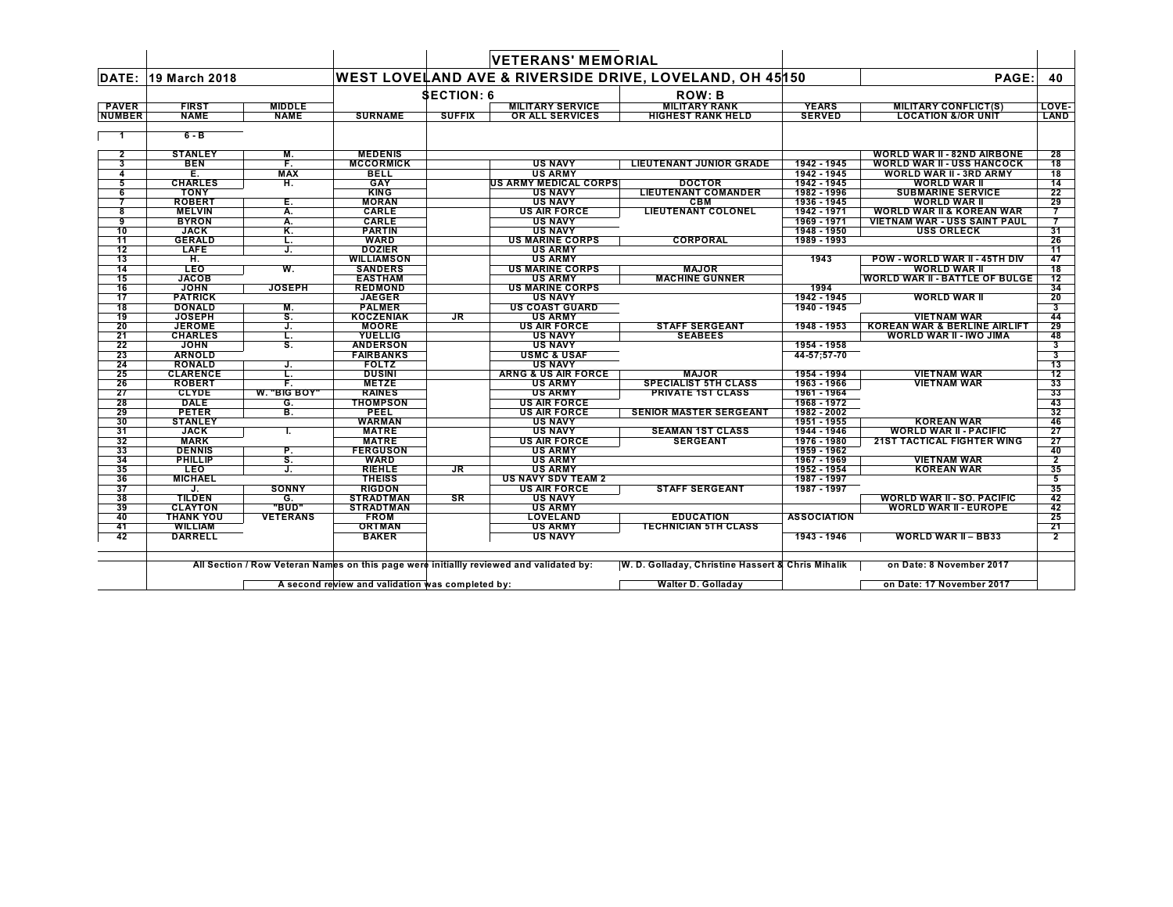|                 |                              |                           |                                     |                   | <b>VETERANS' MEMORIAL</b>                |                                                                    |                    |                                         |                              |
|-----------------|------------------------------|---------------------------|-------------------------------------|-------------------|------------------------------------------|--------------------------------------------------------------------|--------------------|-----------------------------------------|------------------------------|
| DATE:           | 19 March 2018                |                           |                                     |                   |                                          | <b>WEST LOVELAND AVE &amp; RIVERSIDE DRIVE, LOVELAND, OH 45150</b> |                    | PAGE:                                   | 40                           |
|                 |                              |                           |                                     | <b>SECTION: 6</b> |                                          | <b>ROW: B</b>                                                      |                    |                                         |                              |
| <b>PAVER</b>    | <b>FIRST</b>                 | <b>MIDDLE</b>             |                                     |                   | <b>MILITARY SERVICE</b>                  | <b>MILITARY RANK</b>                                               | <b>YEARS</b>       | <b>MILITARY CONFLICT(S)</b>             | LOVE-                        |
| <b>NUMBER</b>   | <b>NAME</b>                  | <b>NAME</b>               | <b>SURNAME</b>                      | <b>SUFFIX</b>     | OR ALL SERVICES                          | <b>HIGHEST RANK HELD</b>                                           | <b>SERVED</b>      | <b>LOCATION &amp;/OR UNIT</b>           | <b>LAND</b>                  |
|                 |                              |                           |                                     |                   |                                          |                                                                    |                    |                                         |                              |
| -1              | $6 - B$                      |                           |                                     |                   |                                          |                                                                    |                    |                                         |                              |
| $\overline{2}$  | <b>STANLEY</b>               | М.                        | <b>MEDENIS</b>                      |                   |                                          |                                                                    |                    | <b>WORLD WAR II - 82ND AIRBONE</b>      | 28                           |
| 3               | <b>BEN</b>                   | F.                        | <b>MCCORMICK</b>                    |                   | <b>US NAVY</b>                           | <b>LIEUTENANT JUNIOR GRADE</b>                                     | 1942 - 1945        | <b>WORLD WAR II - USS HANCOCK</b>       | 18                           |
| 4               | Е.                           | <b>MAX</b>                | <b>BELL</b>                         |                   | <b>US ARMY</b>                           |                                                                    | 1942 - 1945        | <b>WORLD WAR II - 3RD ARMY</b>          | 18                           |
| 5               | <b>CHARLES</b>               | Η.                        | GAY                                 |                   | US ARMY MEDICAL CORPS                    | <b>DOCTOR</b>                                                      | 1942 - 1945        | <b>WORLD WAR II</b>                     | 14                           |
| 6               | <b>TONY</b>                  |                           | <b>KING</b>                         |                   | <b>US NAVY</b>                           | <b>LIEUTENANT COMANDER</b>                                         | 1982 - 1996        | <b>SUBMARINE SERVICE</b>                | 22                           |
|                 | <b>ROBERT</b>                | Ε.                        | <b>MORAN</b>                        |                   | <b>US NAVY</b>                           | <b>CBM</b>                                                         | 1936 - 1945        | <b>WORLD WAR II</b>                     | 29                           |
| 8               | <b>MELVIN</b>                | Α.                        | CARLE                               |                   | <b>US AIR FORCE</b>                      | <b>LIEUTENANT COLONEL</b>                                          | 1942 - 1971        | <b>WORLD WAR II &amp; KOREAN WAR</b>    |                              |
| 9               | <b>BYRON</b>                 | Α.                        | <b>CARLE</b>                        |                   | <b>US NAVY</b>                           |                                                                    | 1969 - 1971        | VIETNAM WAR - USS SAINT PAUL            |                              |
| 10              | <b>JACK</b>                  | Κ.                        | <b>PARTIN</b>                       |                   | <b>US NAVY</b>                           |                                                                    | 1948 - 1950        | <b>USS ORLECK</b>                       | 31                           |
| 11              | <b>GERALD</b>                | L.                        | <b>WARD</b>                         |                   | <b>US MARINE CORPS</b>                   | CORPORAL                                                           | 1989 - 1993        |                                         | 26                           |
| 12              | LAFE                         | J.                        | <b>DOZIER</b>                       |                   | <b>US ARMY</b>                           |                                                                    |                    |                                         | 11                           |
| 13              | н.                           |                           | <b>WILLIAMSON</b>                   |                   | <b>US ARMY</b>                           |                                                                    | 1943               | POW - WORLD WAR II - 45TH DIV           | 47                           |
| 14              | <b>LEO</b>                   | W.                        | <b>SANDERS</b>                      |                   | <b>US MARINE CORPS</b>                   | <b>MAJOR</b>                                                       |                    | <b>WORLD WAR II</b>                     | 18                           |
| 15              | <b>JACOB</b>                 |                           | <b>EASTHAM</b>                      |                   | <b>US ARMY</b>                           | <b>MACHINE GUNNER</b>                                              |                    | <b>WORLD WAR II - BATTLE OF BULGE</b>   | 12                           |
| 16              | <b>JOHN</b>                  | <b>JOSEPH</b>             | <b>REDMOND</b>                      |                   | <b>US MARINE CORPS</b>                   |                                                                    | 1994               |                                         | 34                           |
| 17              | <b>PATRICK</b>               |                           | <b>JAEGER</b>                       |                   | <b>US NAVY</b>                           |                                                                    | 1942 - 1945        | <b>WORLD WAR II</b>                     | 20                           |
| $\overline{18}$ | <b>DONALD</b>                | М.                        | <b>PALMER</b>                       |                   | <b>US COAST GUARD</b>                    |                                                                    | 1940 - 1945        |                                         | 3                            |
| 19              | <b>JOSEPH</b>                | s.                        | <b>KOCZENIAK</b>                    | <b>JR</b>         | <b>US ARMY</b>                           |                                                                    |                    | <b>VIETNAM WAR</b>                      | 44                           |
| 20              | <b>JEROME</b>                | J.                        | <b>MOORE</b>                        |                   | <b>US AIR FORCE</b>                      | <b>STAFF SERGEANT</b>                                              | 1948 - 1953        | <b>KOREAN WAR &amp; BERLINE AIRLIFT</b> | 29                           |
| 21              | <b>CHARLES</b>               | τ.                        | <b>YUELLIG</b>                      |                   | <b>US NAVY</b>                           | <b>SEABEES</b>                                                     |                    | <b>WORLD WAR II - IWO JIMA</b>          | 48                           |
| 22<br>23        | <b>JOHN</b><br><b>ARNOLD</b> | $\overline{\mathsf{s}}$ . | <b>ANDERSON</b><br><b>FAIRBANKS</b> |                   | <b>US NAVY</b><br><b>USMC &amp; USAF</b> |                                                                    | 1954 - 1958        |                                         | 3<br>$\overline{\mathbf{3}}$ |
| 24              | <b>RONALD</b>                |                           | <b>FOLTZ</b>                        |                   | <b>US NAVY</b>                           |                                                                    | 44-57;57-70        |                                         | 13                           |
| 25              | <b>CLARENCE</b>              | J.<br>L.                  | <b>DUSINI</b>                       |                   | <b>ARNG &amp; US AIR FORCE</b>           | <b>MAJOR</b>                                                       | 1954 - 1994        | <b>VIETNAM WAR</b>                      | 12                           |
| 26              | <b>ROBERT</b>                | F.                        | <b>METZE</b>                        |                   | <b>US ARMY</b>                           | <b>SPECIALIST 5TH CLASS</b>                                        | 1963 - 1966        | <b>VIETNAM WAR</b>                      | 33                           |
| 27              | <b>CLYDE</b>                 | W. "BIG BOY"              | <b>RAINES</b>                       |                   | <b>US ARMY</b>                           | <b>PRIVATE 1ST CLASS</b>                                           | 1961 - 1964        |                                         | 33                           |
| 28              | <b>DALE</b>                  | G.                        | <b>THOMPSON</b>                     |                   | <b>US AIR FORCE</b>                      |                                                                    | 1968 - 1972        |                                         | 43                           |
| 29              | <b>PETER</b>                 | B.                        | <b>PEEL</b>                         |                   | <b>US AIR FORCE</b>                      | <b>SENIOR MASTER SERGEANT</b>                                      | 1982 - 2002        |                                         | 32                           |
| 30              | <b>STANLEY</b>               |                           | <b>WARMAN</b>                       |                   | <b>US NAVY</b>                           |                                                                    | 1951 - 1955        | <b>KOREAN WAR</b>                       | 46                           |
| 31              | <b>JACK</b>                  | L                         | <b>MATRE</b>                        |                   | <b>US NAVY</b>                           | <b>SEAMAN 1ST CLASS</b>                                            | 1944 - 1946        | <b>WORLD WAR II - PACIFIC</b>           | 27                           |
| 32              | <b>MARK</b>                  |                           | <b>MATRE</b>                        |                   | <b>US AIR FORCE</b>                      | <b>SERGEANT</b>                                                    | 1976 - 1980        | <b>21ST TACTICAL FIGHTER WING</b>       | 27                           |
| 33              | <b>DENNIS</b>                | P.                        | <b>FERGUSON</b>                     |                   | <b>US ARMY</b>                           |                                                                    | 1959 - 1962        |                                         | 40                           |
| 34              | <b>PHILLIP</b>               | s.                        | <b>WARD</b>                         |                   | <b>US ARMY</b>                           |                                                                    | 1967 - 1969        | <b>VIETNAM WAR</b>                      | 2                            |
| 35              | <b>LEO</b>                   | J.                        | <b>RIEHLE</b>                       | JR                | <b>US ARMY</b>                           |                                                                    | 1952 - 1954        | <b>KOREAN WAR</b>                       | 35                           |
| 36              | <b>MICHAEL</b>               |                           | <b>THEISS</b>                       |                   | <b>US NAVY SDV TEAM 2</b>                |                                                                    | 1987 - 1997        |                                         | 5                            |
| 37              | J.                           | <b>SONNY</b>              | <b>RIGDON</b>                       |                   | <b>US AIR FORCE</b>                      | <b>STAFF SERGEANT</b>                                              | 1987 - 1997        |                                         | 35                           |
| 38              | <b>TILDEN</b>                | G.                        | <b>STRADTMAN</b>                    | <b>SR</b>         | <b>US NAVY</b>                           |                                                                    |                    | <b>WORLD WAR II - SO. PACIFIC</b>       | 42                           |
| 39              | <b>CLAYTON</b>               | "BUD"                     | <b>STRADTMAN</b>                    |                   | <b>US ARMY</b>                           |                                                                    |                    | <b>WORLD WAR II - EUROPE</b>            | 42                           |
| 40              | <b>THANK YOU</b>             | <b>VETERANS</b>           | <b>FROM</b>                         |                   | <b>LOVELAND</b>                          | <b>EDUCATION</b>                                                   | <b>ASSOCIATION</b> |                                         | 25                           |
| 41              | <b>WILLIAM</b>               |                           | <b>ORTMAN</b>                       |                   | <b>US ARMY</b>                           | <b>TECHNICIAN 5TH CLASS</b>                                        |                    |                                         | 21                           |
| 42              | <b>DARRELL</b>               |                           | <b>BAKER</b>                        |                   | <b>US NAVY</b>                           |                                                                    | 1943 - 1946        | <b>WORLD WAR II - BB33</b>              | $\overline{2}$               |

All Section / Row Veteran Names on this page were initiallly reviewed and validated by: W. D. Golladay, Christine Hassert & Chris Mihalik ── on Date: 8 November 2017

**A second review and validation was completed by: Walter D. Golladay on Date: 17 November 2017** $\mathsf{L}$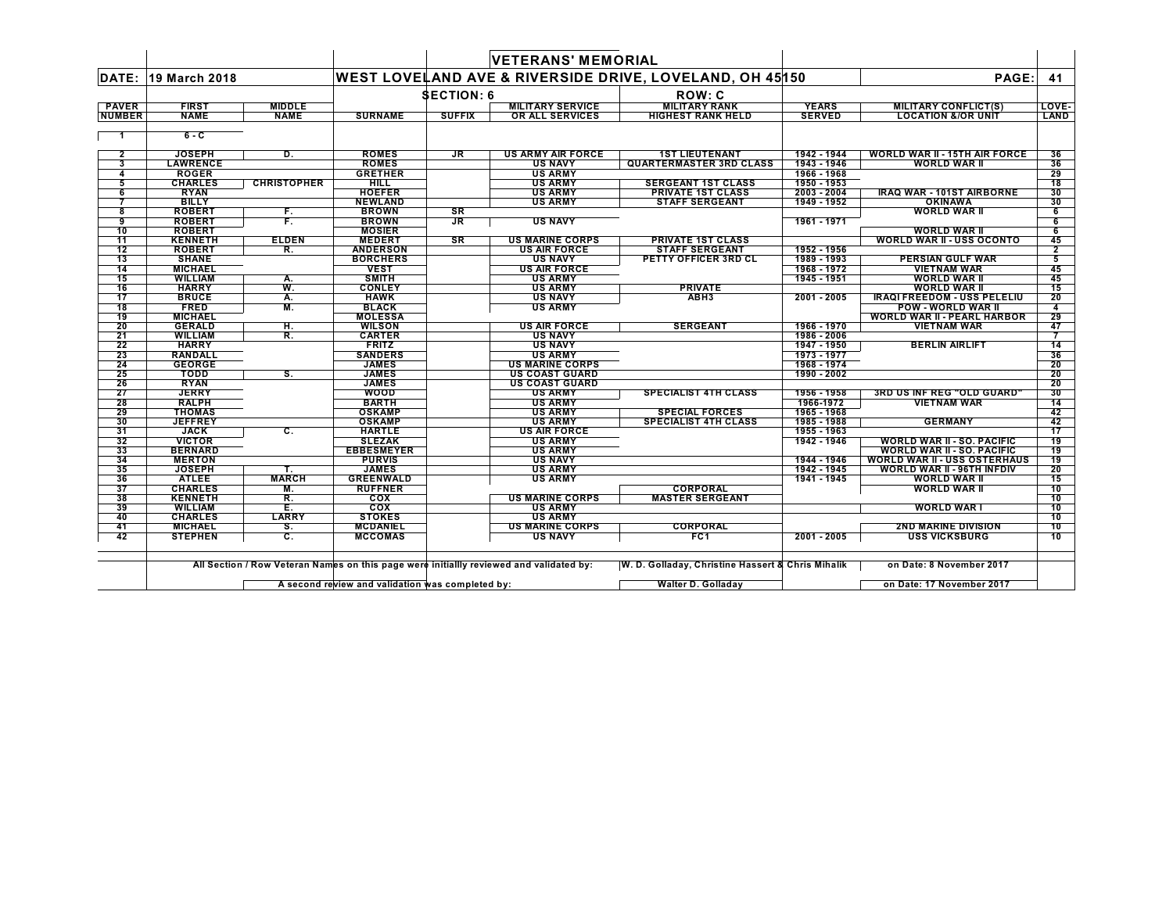|                       |                              |                    |                             |                   | <b>VETERANS' MEMORIAL</b>             |                                                         |                            |                                                           |                 |
|-----------------------|------------------------------|--------------------|-----------------------------|-------------------|---------------------------------------|---------------------------------------------------------|----------------------------|-----------------------------------------------------------|-----------------|
| DATE:                 | 19 March 2018                |                    |                             |                   |                                       | WEST LOVELAND AVE & RIVERSIDE DRIVE, LOVELAND, OH 45150 |                            | PAGE:                                                     | 41              |
|                       |                              |                    |                             | <b>SECTION: 6</b> |                                       | ROW: C                                                  |                            |                                                           |                 |
| <b>PAVER</b>          | <b>FIRST</b>                 | <b>MIDDLE</b>      |                             |                   | <b>MILITARY SERVICE</b>               | <b>MILITARY RANK</b>                                    | <b>YEARS</b>               | <b>MILITARY CONFLICT(S)</b>                               | LOVE-           |
| <b>NUMBER</b>         | <b>NAME</b>                  | <b>NAME</b>        | <b>SURNAME</b>              | <b>SUFFIX</b>     | OR ALL SERVICES                       | <b>HIGHEST RANK HELD</b>                                | <b>SERVED</b>              | <b>LOCATION &amp;/OR UNIT</b>                             | LAND            |
| $\mathbf 1$           | $6 - C$                      |                    |                             |                   |                                       |                                                         |                            |                                                           |                 |
|                       |                              |                    |                             |                   |                                       |                                                         |                            |                                                           |                 |
| $\overline{2}$        | <b>JOSEPH</b>                | D.                 | <b>ROMES</b>                | <b>JR</b>         | <b>US ARMY AIR FORCE</b>              | <b>1ST LIEUTENANT</b>                                   | 1942 - 1944                | <b>WORLD WAR II - 15TH AIR FORCE</b>                      | 36              |
| 3                     | <b>LAWRENCE</b>              |                    | <b>ROMES</b>                |                   | <b>US NAVY</b>                        | <b>QUARTERMASTER 3RD CLASS</b>                          | 1943 - 1946                | <b>WORLD WAR II</b>                                       | 36              |
| 4                     | <b>ROGER</b>                 |                    | <b>GRETHER</b>              |                   | <b>US ARMY</b>                        |                                                         | 1966 - 1968                |                                                           | 29              |
|                       | <b>CHARLES</b>               | <b>CHRISTOPHER</b> | HILL                        |                   | <b>US ARMY</b>                        | <b>SERGEANT 1ST CLASS</b>                               | 1950 - 1953                |                                                           | 18              |
| 6                     | <b>RYAN</b>                  |                    | <b>HOEFER</b>               |                   | <b>US ARMY</b>                        | <b>PRIVATE 1ST CLASS</b>                                | 2003 - 2004                | <b>IRAQ WAR - 101ST AIRBORNE</b>                          | 30              |
|                       | <b>BILLY</b>                 |                    | <b>NEWLAND</b>              |                   | <b>US ARMY</b>                        | <b>STAFF SERGEANT</b>                                   | 1949 - 1952                | <b>OKINAWA</b>                                            | 30              |
| 8                     | <b>ROBERT</b>                | F.                 | <b>BROWN</b>                | SR                |                                       |                                                         |                            | <b>WORLD WAR II</b>                                       | 6               |
| 9                     | <b>ROBERT</b>                | F.                 | <b>BROWN</b>                | <b>JR</b>         | <b>US NAVY</b>                        |                                                         | 1961 - 1971                |                                                           | 6               |
| 10                    | <b>ROBERT</b>                |                    | <b>MOSIER</b>               |                   |                                       |                                                         |                            | <b>WORLD WAR II</b>                                       | 6               |
| 11                    | <b>KENNETH</b>               | <b>ELDEN</b>       | <b>MEDERT</b>               | <b>SR</b>         | <b>US MARINE CORPS</b>                | <b>PRIVATE 1ST CLASS</b><br><b>STAFF SERGEANT</b>       |                            | <b>WORLD WAR II - USS OCONTO</b>                          | 45              |
| 12                    | <b>ROBERT</b>                | R.                 | <b>ANDERSON</b>             |                   | <b>US AIR FORCE</b>                   |                                                         | 1952 - 1956<br>1989 - 1993 |                                                           | 2               |
| 13                    | <b>SHANE</b>                 |                    | <b>BORCHERS</b>             |                   | <b>US NAVY</b>                        | PETTY OFFICER 3RD CL                                    |                            | PERSIAN GULF WAR                                          | $5\overline{ }$ |
| 14<br>$\overline{15}$ | <b>MICHAEL</b>               |                    | <b>VEST</b><br><b>SMITH</b> |                   | <b>US AIR FORCE</b><br><b>US ARMY</b> |                                                         | 1968 - 1972<br>1945 - 1951 | <b>VIETNAM WAR</b>                                        | 45<br>45        |
| 16                    | <b>WILLIAM</b>               | A.<br>W.           | <b>CONLEY</b>               |                   | <b>US ARMY</b>                        | <b>PRIVATE</b>                                          |                            | <b>WORLD WAR II</b>                                       | $\overline{15}$ |
| $\overline{17}$       | <b>HARRY</b><br><b>BRUCE</b> | A.                 | <b>HAWK</b>                 |                   | <b>US NAVY</b>                        | ABH <sub>3</sub>                                        | 2001 - 2005                | <b>WORLD WAR II</b><br><b>IRAQI FREEDOM - USS PELELIU</b> | 20              |
| 18                    | <b>FRED</b>                  | M.                 | <b>BLACK</b>                |                   | <b>US ARMY</b>                        |                                                         |                            | <b>POW - WORLD WAR II</b>                                 | $\overline{4}$  |
| 19                    | <b>MICHAEL</b>               |                    | <b>MOLESSA</b>              |                   |                                       |                                                         |                            | <b>WORLD WAR II - PEARL HARBOR</b>                        | 29              |
| 20                    | <b>GERALD</b>                | н.                 | <b>WILSON</b>               |                   | <b>US AIR FORCE</b>                   | <b>SERGEANT</b>                                         | 1966 - 1970                | <b>VIETNAM WAR</b>                                        | 47              |
| 21                    | <b>WILLIAM</b>               | R.                 | <b>CARTER</b>               |                   | <b>US NAVY</b>                        |                                                         | 1986 - 2006                |                                                           | $\overline{7}$  |
| 22                    | <b>HARRY</b>                 |                    | <b>FRITZ</b>                |                   | <b>US NAVY</b>                        |                                                         | 1947 - 1950                | <b>BERLIN AIRLIFT</b>                                     | 14              |
| 23                    | <b>RANDALL</b>               |                    | <b>SANDERS</b>              |                   | <b>US ARMY</b>                        |                                                         | 1973 - 1977                |                                                           | 36              |
| 24                    | <b>GEORGE</b>                |                    | <b>JAMES</b>                |                   | <b>US MARINE CORPS</b>                |                                                         | 1968 - 1974                |                                                           | 20              |
| 25                    | TODD                         | S.                 | <b>JAMES</b>                |                   | <b>US COAST GUARD</b>                 |                                                         | 1990 - 2002                |                                                           | 20              |
| 26                    | <b>RYAN</b>                  |                    | <b>JAMES</b>                |                   | <b>US COAST GUARD</b>                 |                                                         |                            |                                                           | 20              |
| 27                    | <b>JERRY</b>                 |                    | <b>WOOD</b>                 |                   | <b>US ARMY</b>                        | <b>SPECIALIST 4TH CLASS</b>                             | 1956 - 1958                | 3RD US INF REG "OLD GUARD"                                | 30              |
| 28                    | <b>RALPH</b>                 |                    | <b>BARTH</b>                |                   | <b>US ARMY</b>                        |                                                         | 1966-1972                  | <b>VIETNAM WAR</b>                                        | 14              |
| 29                    | <b>THOMAS</b>                |                    | <b>OSKAMP</b>               |                   | <b>US ARMY</b>                        | <b>SPECIAL FORCES</b>                                   | 1965 - 1968                |                                                           | 42              |
| 30                    | <b>JEFFREY</b>               |                    | <b>OSKAMP</b>               |                   | <b>US ARMY</b>                        | <b>SPECIALIST 4TH CLASS</b>                             | 1985 - 1988                | <b>GERMANY</b>                                            | 42              |
| 31                    | <b>JACK</b>                  | C.                 | <b>HARTLE</b>               |                   | <b>US AIR FORCE</b>                   |                                                         | 1955 - 1963                |                                                           | 17              |
| 32                    | <b>VICTOR</b>                |                    | <b>SLEZAK</b>               |                   | <b>US ARMY</b>                        |                                                         | 1942 - 1946                | <b>WORLD WAR II - SO. PACIFIC</b>                         | 19              |
| 33                    | <b>BERNARD</b>               |                    | <b>EBBESMEYER</b>           |                   | <b>US ARMY</b>                        |                                                         |                            | <b>WORLD WAR II - SO. PACIFIC</b>                         | 19              |
| 34                    | <b>MERTON</b>                |                    | <b>PURVIS</b>               |                   | <b>US NAVY</b>                        |                                                         | 1944 - 1946                | <b>WORLD WAR II - USS OSTERHAUS</b>                       | 19              |
| 35                    | <b>JOSEPH</b>                |                    | <b>JAMES</b>                |                   | <b>US ARMY</b>                        |                                                         | 1942 - 1945                | <b>WORLD WAR II - 96TH INFDIV</b>                         | 20              |
| 36                    | <b>ATLEE</b>                 | <b>MARCH</b>       | <b>GREENWALD</b>            |                   | <b>US ARMY</b>                        |                                                         | 1941 - 1945                | <b>WORLD WAR II</b>                                       | 15              |
| 37                    | <b>CHARLES</b>               | М.                 | <b>RUFFNER</b>              |                   |                                       | CORPORAL                                                |                            | <b>WORLD WAR II</b>                                       | 10              |
| 38                    | <b>KENNETH</b>               | R.                 | cox                         |                   | <b>US MARINE CORPS</b>                | <b>MASTER SERGEANT</b>                                  |                            |                                                           | 10              |
| 39                    | <b>WILLIAM</b>               | Έ.                 | COX                         |                   | <b>US ARMY</b>                        |                                                         |                            | <b>WORLD WAR I</b>                                        | 10              |
| 40                    | <b>CHARLES</b>               | <b>LARRY</b>       | <b>STOKES</b>               |                   | <b>US ARMY</b>                        |                                                         |                            |                                                           | 10              |
| 41                    | <b>MICHAEL</b>               | S.                 | <b>MCDANIEL</b>             |                   | <b>US MARINE CORPS</b>                | CORPORAL                                                |                            | <b>2ND MARINE DIVISION</b>                                | 10              |
| 42                    | <b>STEPHEN</b>               | C.                 | <b>MCCOMAS</b>              |                   | <b>US NAVY</b>                        | FC <sub>1</sub>                                         | 2001 - 2005                | <b>USS VICKSBURG</b>                                      | 10              |
|                       |                              |                    |                             |                   |                                       |                                                         |                            |                                                           |                 |

All Section / Row Veteran Names on this page were initiallly reviewed and validated by: W. D. Golladay, Christine Hassert & Chris Mihalik ── on Date: 8 November 2017

**A second review and validation was completed by: Walter D. Golladay on Date: 17 November 2017** $\mathsf{L}$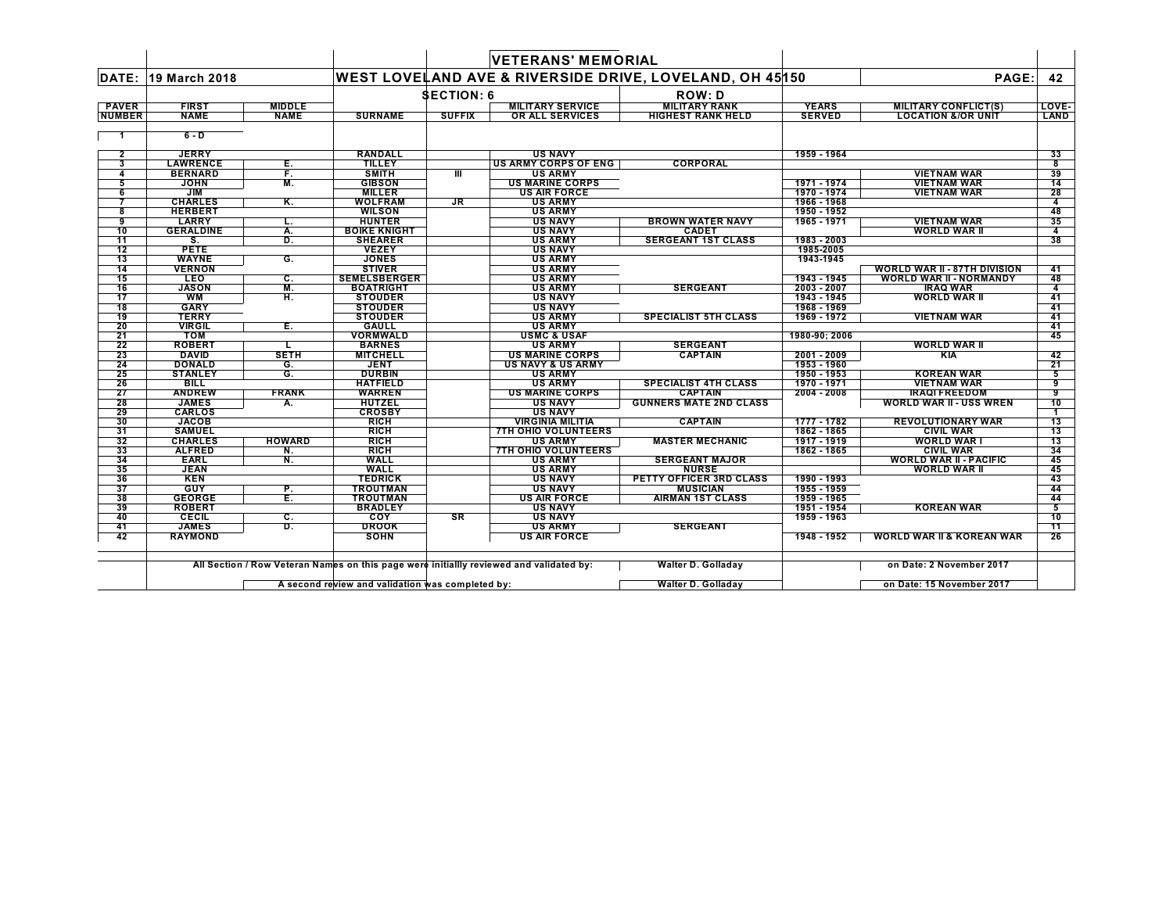|               |                              |                           |                                   |                   | <b>VETERANS' MEMORIAL</b>        |                                                         |                            |                                                   |                         |
|---------------|------------------------------|---------------------------|-----------------------------------|-------------------|----------------------------------|---------------------------------------------------------|----------------------------|---------------------------------------------------|-------------------------|
| DATE:         | 19 March 2018                |                           |                                   |                   |                                  | WEST LOVELAND AVE & RIVERSIDE DRIVE, LOVELAND, OH 45150 |                            | PAGE:                                             | 42                      |
|               |                              |                           |                                   | <b>SECTION: 6</b> |                                  | <b>ROW: D</b>                                           |                            |                                                   |                         |
| <b>PAVER</b>  | <b>FIRST</b>                 | <b>MIDDLE</b>             |                                   |                   | <b>MILITARY SERVICE</b>          | <b>MILITARY RANK</b>                                    | <b>YEARS</b>               | <b>MILITARY CONFLICT(S)</b>                       | LOVE-                   |
| <b>NUMBER</b> | <b>NAME</b>                  | <b>NAME</b>               | <b>SURNAME</b>                    | <b>SUFFIX</b>     | OR ALL SERVICES                  | <b>HIGHEST RANK HELD</b>                                | <b>SERVED</b>              | <b>LOCATION &amp;/OR UNIT</b>                     | LAND                    |
|               | $6 - D$                      |                           |                                   |                   |                                  |                                                         |                            |                                                   |                         |
| $\mathbf{2}$  | <b>JERRY</b>                 |                           | <b>RANDALL</b>                    |                   | <b>US NAVY</b>                   |                                                         | 1959 - 1964                |                                                   | 33                      |
| 3             | <b>LAWRENCE</b>              | Е.                        | <b>TILLEY</b>                     |                   | <b>US ARMY CORPS OF ENG</b>      | <b>CORPORAL</b>                                         |                            |                                                   | $\overline{\mathbf{8}}$ |
|               | <b>BERNARD</b>               | F.                        | <b>SMITH</b>                      | Ш                 | <b>US ARMY</b>                   |                                                         |                            | <b>VIETNAM WAR</b>                                | 39                      |
| 5             | <b>JOHN</b>                  | М.                        | <b>GIBSON</b>                     |                   | <b>US MARINE CORPS</b>           |                                                         | 1971 - 1974                | <b>VIETNAM WAR</b>                                | 14                      |
| 6             | JIM                          |                           | <b>MILLER</b>                     |                   | <b>US AIR FORCE</b>              |                                                         | 1970 - 1974                | <b>VIETNAM WAR</b>                                | 28                      |
|               | <b>CHARLES</b>               | Κ.                        | <b>WOLFRAM</b>                    | <b>JR</b>         | <b>US ARMY</b>                   |                                                         | 1966 - 1968                |                                                   | 4                       |
| 8             | <b>HERBERT</b>               |                           | <b>WILSON</b>                     |                   | <b>US ARMY</b>                   |                                                         | 1950 - 1952                |                                                   | 48                      |
| 9             | <b>LARRY</b>                 | L.                        | <b>HUNTER</b>                     |                   | <b>US NAVY</b>                   | <b>BROWN WATER NAVY</b>                                 | 1965 - 1971                | <b>VIETNAM WAR</b>                                | 35                      |
| 10            | <b>GERALDINE</b>             | Α.                        | <b>BOIKE KNIGHT</b>               |                   | <b>US NAVY</b>                   | <b>CADET</b>                                            |                            | <b>WORLD WAR II</b>                               | 4                       |
| 11            | s.                           | D.                        | <b>SHEARER</b>                    |                   | <b>US ARMY</b>                   | <b>SERGEANT 1ST CLASS</b>                               | 1983 - 2003                |                                                   | 38                      |
| 12            | <b>PETE</b>                  |                           | <b>VEZEY</b>                      |                   | <b>US NAVY</b>                   |                                                         | 1985-2005                  |                                                   |                         |
| 13            | <b>WAYNE</b>                 | G.                        | <b>JONES</b>                      |                   | <b>US ARMY</b>                   |                                                         | 1943-1945                  |                                                   |                         |
| 14            | <b>VERNON</b>                |                           | <b>STIVER</b>                     |                   | <b>US ARMY</b>                   |                                                         |                            | <b>WORLD WAR II - 87TH DIVISION</b>               | 41                      |
| 15            | <b>LEO</b>                   | С.                        | <b>SEMELSBERGER</b>               |                   | <b>US ARMY</b>                   |                                                         | 1943 - 1945                | <b>WORLD WAR II - NORMANDY</b>                    | 48                      |
| 16            | <b>JASON</b>                 | M.                        | <b>BOATRIGHT</b>                  |                   | <b>US ARMY</b>                   | <b>SERGEANT</b>                                         | 2003 - 2007                | <b>IRAQ WAR</b>                                   | 4                       |
| 17            | <b>WM</b>                    | н.                        | <b>STOUDER</b>                    |                   | <b>US NAVY</b>                   |                                                         | 1943 - 1945                | <b>WORLD WAR II</b>                               | 41                      |
| 18            | <b>GARY</b>                  |                           | <b>STOUDER</b>                    |                   | <b>US NAVY</b>                   |                                                         | 1968 - 1969                |                                                   | 41                      |
| 19            | <b>TERRY</b>                 |                           | <b>STOUDER</b>                    |                   | <b>US ARMY</b>                   | <b>SPECIALIST 5TH CLASS</b>                             | 1969 - 1972                | <b>VIETNAM WAR</b>                                | 41                      |
| 20            | <b>VIRGIL</b>                | Е.                        | <b>GAULL</b>                      |                   | <b>US ARMY</b>                   |                                                         |                            |                                                   | 41                      |
| 21            | <b>TOM</b>                   |                           | <b>VORMWALD</b>                   |                   | <b>USMC &amp; USAF</b>           |                                                         | 1980-90: 2006              |                                                   | 45                      |
| 22            | <b>ROBERT</b>                |                           | <b>BARNES</b>                     |                   | <b>US ARMY</b>                   | <b>SERGEANT</b>                                         |                            | <b>WORLD WAR II</b>                               |                         |
| 23            | <b>DAVID</b>                 | <b>SETH</b>               | <b>MITCHELL</b>                   |                   | <b>US MARINE CORPS</b>           | <b>CAPTAIN</b>                                          | 2001 - 2009                | KIA                                               | 42                      |
| 24            | <b>DONALD</b>                | G.                        | <b>JENT</b>                       |                   | <b>US NAVY &amp; US ARMY</b>     |                                                         | 1953 - 1960                |                                                   | 21                      |
| 25            | <b>STANLEY</b>               | G.                        | <b>DURBIN</b>                     |                   | <b>US ARMY</b>                   |                                                         | 1950 - 1953                | <b>KOREAN WAR</b>                                 | 5                       |
| 26            | <b>BILL</b>                  |                           | <b>HATFIELD</b>                   |                   | <b>US ARMY</b>                   | <b>SPECIALIST 4TH CLASS</b>                             | 1970 - 1971                | <b>VIETNAM WAR</b>                                | 9                       |
| 27            | <b>ANDREW</b>                | <b>FRANK</b>              | <b>WARREN</b>                     |                   | <b>US MARINE CORPS</b>           | <b>CAPTAIN</b>                                          | $2004 - 2008$              | <b>IRAQI FREEDOM</b>                              | 9                       |
| 28            | <b>JAMES</b>                 | А.                        | <b>HUTZEL</b>                     |                   | <b>US NAVY</b>                   | <b>GUNNERS MATE 2ND CLASS</b>                           |                            | <b>WORLD WAR II - USS WREN</b>                    | 10                      |
| 29            | <b>CARLOS</b>                |                           | <b>CROSBY</b>                     |                   | <b>US NAVY</b>                   |                                                         |                            |                                                   | 1                       |
| 30            | <b>JACOB</b>                 |                           | <b>RICH</b>                       |                   | <b>VIRGINIA MILITIA</b>          | <b>CAPTAIN</b>                                          | 1777 - 1782                | <b>REVOLUTIONARY WAR</b>                          | 13                      |
| 31            | <b>SAMUEL</b>                |                           | <b>RICH</b>                       |                   | <b>7TH OHIO VOLUNTEERS</b>       |                                                         | 1862 - 1865                | <b>CIVIL WAR</b>                                  | 13                      |
| 32            | <b>CHARLES</b>               | <b>HOWARD</b>             | <b>RICH</b>                       |                   | <b>US ARMY</b>                   | <b>MASTER MECHANIC</b>                                  | 1917 - 1919                | <b>WORLD WAR I</b>                                | 13                      |
| 33<br>34      | <b>ALFRED</b><br><b>EARL</b> | N.                        | <b>RICH</b><br><b>WALL</b>        |                   | <b>7TH OHIO VOLUNTEERS</b>       | <b>SERGEANT MAJOR</b>                                   | 1862 - 1865                | <b>CIVIL WAR</b><br><b>WORLD WAR II - PACIFIC</b> | 34<br>45                |
| 35            | <b>JEAN</b>                  | N.                        | <b>WALL</b>                       |                   | <b>US ARMY</b><br><b>US ARMY</b> | <b>NURSE</b>                                            |                            | WORLD WAR II                                      | 45                      |
|               |                              |                           |                                   |                   |                                  |                                                         |                            |                                                   |                         |
| 36            | <b>KEN</b><br>GUY            |                           | <b>TEDRICK</b><br><b>TROUTMAN</b> |                   | <b>US NAVY</b><br><b>US NAVY</b> | PETTY OFFICER 3RD CLASS                                 | 1990 - 1993<br>1955 - 1959 |                                                   | 43                      |
| 37<br>38      | <b>GEORGE</b>                | Р.<br>Έ.                  | <b>TROUTMAN</b>                   |                   | <b>US AIR FORCE</b>              | <b>MUSICIAN</b><br><b>AIRMAN 1ST CLASS</b>              | 1959 - 1965                |                                                   | 44<br>44                |
| 39            | <b>ROBERT</b>                |                           | <b>BRADLEY</b>                    |                   | <b>US NAVY</b>                   |                                                         | 1951 - 1954                | <b>KOREAN WAR</b>                                 | 5                       |
| 40            | <b>CECIL</b>                 | $\overline{\mathbf{c}}$ . | COY                               | SR                | <b>US NAVY</b>                   |                                                         | 1959 - 1963                |                                                   | 10                      |
| 41            | <b>JAMES</b>                 | D.                        | <b>DROOK</b>                      |                   | <b>US ARMY</b>                   | <b>SERGEANT</b>                                         |                            |                                                   | 11                      |
| 42            | <b>RAYMOND</b>               |                           | <b>SOHN</b>                       |                   | <b>US AIR FORCE</b>              |                                                         | 1948 - 1952                | <b>WORLD WAR II &amp; KOREAN WAR</b>              | 26                      |
|               |                              |                           |                                   |                   |                                  |                                                         |                            |                                                   |                         |

All Section / Row Veteran Names on this page were initiallly revi∳wed and validated by: Walter D. Golladay on Date: 2 November 2017

 $\mathsf{L}$ 

**A second review and validation was completed by: Walter D. Golladay on Date: 15 November 2017**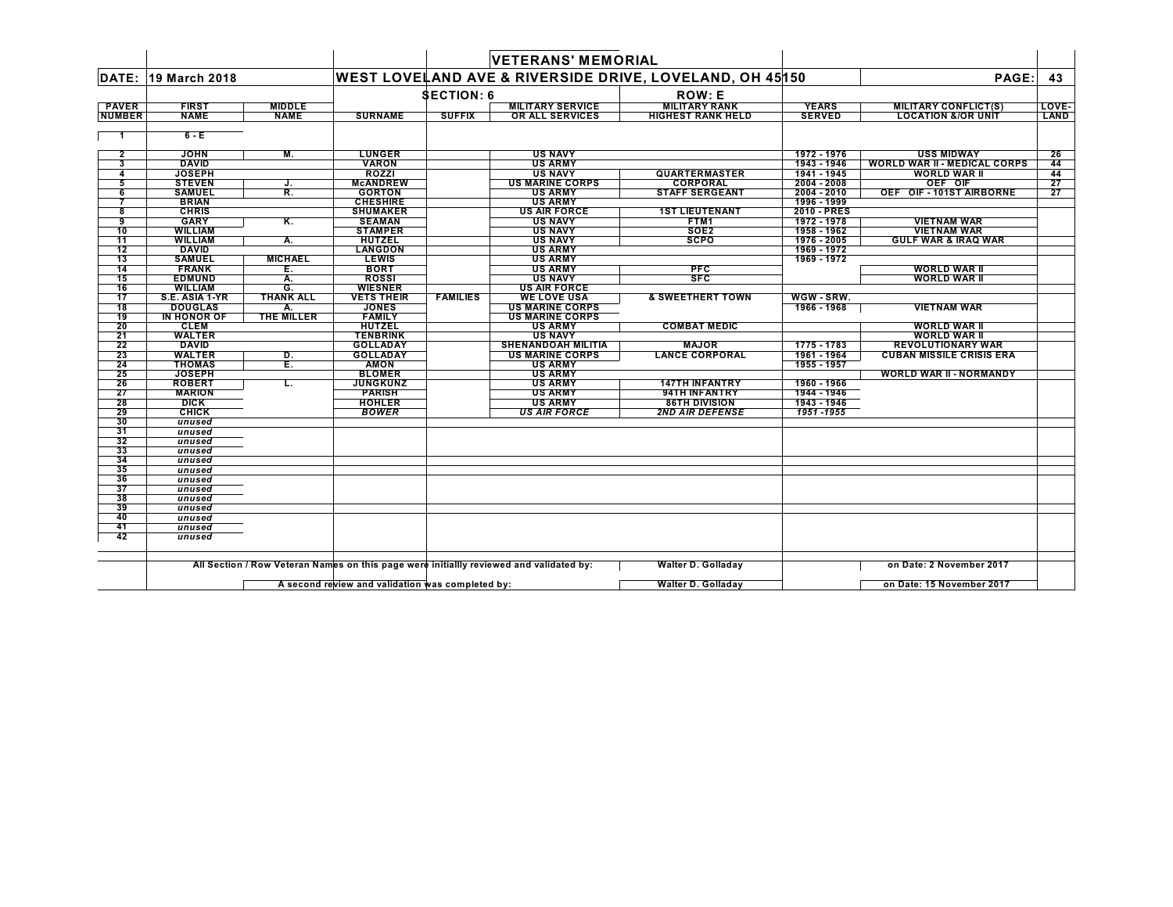|                |                               |                  |                               |                   | <b>VETERANS' MEMORIAL</b>                    |                                                         |               |                                     |       |
|----------------|-------------------------------|------------------|-------------------------------|-------------------|----------------------------------------------|---------------------------------------------------------|---------------|-------------------------------------|-------|
|                | <b>DATE: 19 March 2018</b>    |                  |                               |                   |                                              | WEST LOVELAND AVE & RIVERSIDE DRIVE, LOVELAND, OH 45150 |               | PAGE:                               | 43    |
|                |                               |                  |                               | <b>SECTION: 6</b> |                                              | <b>ROW: E</b>                                           |               |                                     |       |
| <b>PAVER</b>   | <b>FIRST</b>                  | <b>MIDDLE</b>    |                               |                   | <b>MILITARY SERVICE</b>                      | <b>MILITARY RANK</b>                                    | <b>YEARS</b>  | <b>MILITARY CONFLICT(S)</b>         | LOVE- |
| <b>NUMBER</b>  | <b>NAME</b>                   | <b>NAME</b>      | <b>SURNAME</b>                | <b>SUFFIX</b>     | <b>OR ALL SERVICES</b>                       | <b>HIGHEST RANK HELD</b>                                | <b>SERVED</b> | <b>LOCATION &amp;/OR UNIT</b>       | LAND  |
| $\overline{1}$ | $6 - E$                       |                  |                               |                   |                                              |                                                         |               |                                     |       |
| $\mathbf{2}$   | <b>JOHN</b>                   | М.               | <b>LUNGER</b>                 |                   | <b>US NAVY</b>                               |                                                         | 1972 - 1976   | <b>USS MIDWAY</b>                   | 26    |
| 3              | <b>DAVID</b>                  |                  | <b>VARON</b>                  |                   | <b>US ARMY</b>                               |                                                         | 1943 - 1946   | <b>WORLD WAR II - MEDICAL CORPS</b> | 44    |
| $\overline{4}$ | <b>JOSEPH</b>                 |                  | ROZZI                         |                   | <b>US NAVY</b>                               | <b>QUARTERMASTER</b>                                    | 1941 - 1945   | <b>WORLD WAR II</b>                 | 44    |
| 5              | <b>STEVEN</b>                 | J.               | <b>McANDREW</b>               |                   | <b>US MARINE CORPS</b>                       | <b>CORPORAL</b>                                         | 2004 - 2008   | OEF OIF                             | 27    |
| 6              | <b>SAMUEL</b>                 | R.               | <b>GORTON</b>                 |                   | <b>US ARMY</b>                               | <b>STAFF SERGEANT</b>                                   | $2004 - 2010$ | OEF OIF-101ST AIRBORNE              | 27    |
|                | <b>BRIAN</b>                  |                  | <b>CHESHIRE</b>               |                   | <b>US ARMY</b>                               |                                                         | 1996 - 1999   |                                     |       |
| 8              | <b>CHRIS</b>                  |                  | <b>SHUMAKER</b>               |                   | <b>US AIR FORCE</b>                          | <b>1ST LIEUTENANT</b>                                   | 2010 - PRES   |                                     |       |
| 9              | <b>GARY</b>                   | Κ.               | <b>SEAMAN</b>                 |                   | <b>US NAVY</b>                               | FTM1                                                    | 1972 - 1978   | <b>VIETNAM WAR</b>                  |       |
| 10             | <b>WILLIAM</b>                |                  | <b>STAMPER</b>                |                   | <b>US NAVY</b>                               | SOE <sub>2</sub>                                        | 1958 - 1962   | <b>VIETNAM WAR</b>                  |       |
| 11             | <b>WILLIAM</b>                | А.               | <b>HUTZEL</b>                 |                   | <b>US NAVY</b>                               | <b>SCPO</b>                                             | 1976 - 2005   | <b>GULF WAR &amp; IRAQ WAR</b>      |       |
| 12             | <b>DAVID</b>                  |                  | <b>LANGDON</b>                |                   | <b>US ARMY</b>                               |                                                         | 1969 - 1972   |                                     |       |
| 13             | <b>SAMUEL</b>                 | <b>MICHAEL</b>   | <b>LEWIS</b>                  |                   | <b>US ARMY</b>                               |                                                         | 1969 - 1972   |                                     |       |
| 14             | <b>FRANK</b>                  | Е.               | <b>BORT</b>                   |                   | <b>US ARMY</b>                               | <b>PFC</b>                                              |               | WORLD WAR II                        |       |
| 15             | <b>EDMUND</b>                 | А.               | <b>ROSSI</b>                  |                   | <b>US NAVY</b>                               | <b>SFC</b>                                              |               | <b>WORLD WAR II</b>                 |       |
| 16             | <b>WILLIAM</b>                | G.               | <b>WIESNER</b>                |                   | <b>US AIR FORCE</b>                          |                                                         |               |                                     |       |
| 17             | S.E. ASIA 1-YR                | <b>THANK ALL</b> | <b>VETS THEIR</b>             | <b>FAMILIES</b>   | <b>WE LOVE USA</b><br><b>US MARINE CORPS</b> | <b>&amp; SWEETHERT TOWN</b>                             | WGW - SRW.    |                                     |       |
| 18<br>19       | <b>DOUGLAS</b><br>IN HONOR OF | А.<br>THE MILLER | <b>JONES</b><br><b>FAMILY</b> |                   | <b>US MARINE CORPS</b>                       |                                                         | 1966 - 1968   | <b>VIETNAM WAR</b>                  |       |
| 20             | <b>CLEM</b>                   |                  | <b>HUTZEL</b>                 |                   | <b>US ARMY</b>                               | <b>COMBAT MEDIC</b>                                     |               | <b>WORLD WAR II</b>                 |       |
| 21             | <b>WALTER</b>                 |                  | <b>TENBRINK</b>               |                   | <b>US NAVY</b>                               |                                                         |               | <b>WORLD WAR II</b>                 |       |
| 22             | <b>DAVID</b>                  |                  | <b>GOLLADAY</b>               |                   | <b>SHENANDOAH MILITIA</b>                    | <b>MAJOR</b>                                            | 1775 - 1783   | <b>REVOLUTIONARY WAR</b>            |       |
| 23             | <b>WALTER</b>                 | D.               | <b>GOLLADAY</b>               |                   | US MARINE CORPS                              | <b>LANCE CORPORAL</b>                                   | 1961 - 1964   | <b>CUBAN MISSILE CRISIS ERA</b>     |       |
| 24             | <b>THOMAS</b>                 | E.               | <b>AMON</b>                   |                   | <b>US ARMY</b>                               |                                                         | 1955 - 1957   |                                     |       |
| 25             | <b>JOSEPH</b>                 |                  | <b>BLOMER</b>                 |                   | <b>US ARMY</b>                               |                                                         |               | <b>WORLD WAR II - NORMANDY</b>      |       |
| 26             | <b>ROBERT</b>                 | L.               | <b>JUNGKUNZ</b>               |                   | <b>US ARMY</b>                               | <b>147TH INFANTRY</b>                                   | 1960 - 1966   |                                     |       |
| 27             | <b>MARION</b>                 |                  | <b>PARISH</b>                 |                   | <b>US ARMY</b>                               | 94TH INFANTRY                                           | 1944 - 1946   |                                     |       |
| 28             | <b>DICK</b>                   |                  | <b>HOHLER</b>                 |                   | <b>US ARMY</b>                               | <b>86TH DIVISION</b>                                    | 1943 - 1946   |                                     |       |
| 29             | <b>CHICK</b>                  |                  | <b>BOWER</b>                  |                   | <b>US AIR FORCE</b>                          | <b>2ND AIR DEFENSE</b>                                  | 1951-1955     |                                     |       |
| 30             | unused                        |                  |                               |                   |                                              |                                                         |               |                                     |       |
| 31             | unused                        |                  |                               |                   |                                              |                                                         |               |                                     |       |
| 32             | unused                        |                  |                               |                   |                                              |                                                         |               |                                     |       |
| 33             | unused                        |                  |                               |                   |                                              |                                                         |               |                                     |       |
| 34             | unused                        |                  |                               |                   |                                              |                                                         |               |                                     |       |
| 35             | unused                        |                  |                               |                   |                                              |                                                         |               |                                     |       |
| 36             | unused                        |                  |                               |                   |                                              |                                                         |               |                                     |       |
| 37             | unused                        |                  |                               |                   |                                              |                                                         |               |                                     |       |
| 38             | unused                        |                  |                               |                   |                                              |                                                         |               |                                     |       |
| 39             | unused                        |                  |                               |                   |                                              |                                                         |               |                                     |       |
| 40             | unused                        |                  |                               |                   |                                              |                                                         |               |                                     |       |
| 41             | unused                        |                  |                               |                   |                                              |                                                         |               |                                     |       |
| 42             | unused                        |                  |                               |                   |                                              |                                                         |               |                                     |       |
|                |                               |                  |                               |                   |                                              |                                                         |               |                                     |       |
|                |                               |                  |                               |                   |                                              |                                                         |               |                                     |       |

All Section / Row Veteran Names on this page were initiallly reviewed and validated by: Walter D. Golladay → on Date: 2 November 2017

 $\blacksquare$ 

**A second review and validation was completed by: Walter D. Golladay on Date: 15 November 2017** $\mathsf{L}$